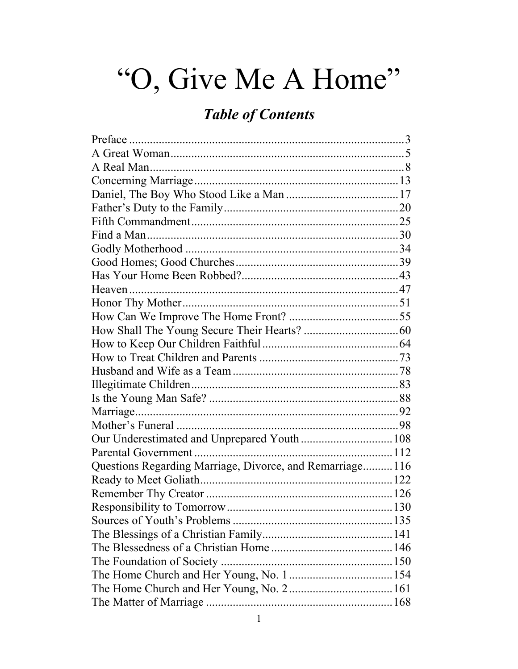# "O, Give Me A Home"

### **Table of Contents**

| Questions Regarding Marriage, Divorce, and Remarriage116 |  |
|----------------------------------------------------------|--|
|                                                          |  |
|                                                          |  |
|                                                          |  |
|                                                          |  |
|                                                          |  |
|                                                          |  |
|                                                          |  |
|                                                          |  |
|                                                          |  |
|                                                          |  |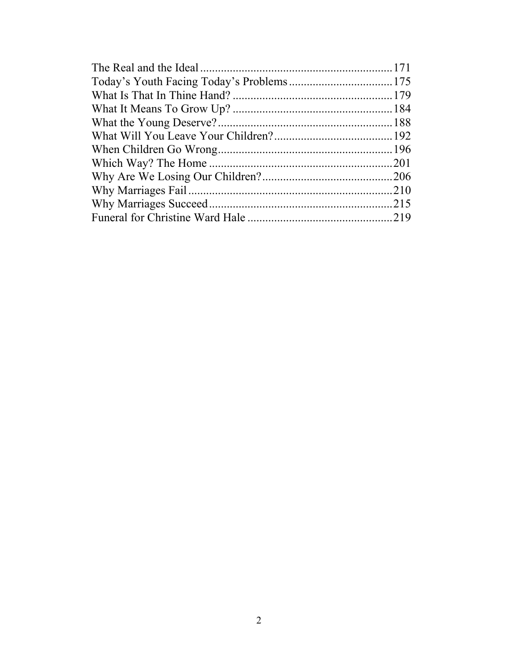| .210 |
|------|
| 215  |
|      |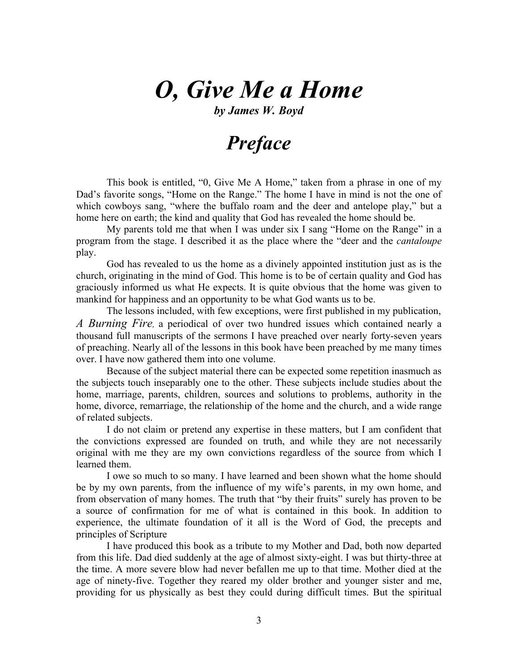# *O, Give Me a Home*

*by James W. Boyd*

# *Preface*

This book is entitled, "0, Give Me A Home," taken from a phrase in one of my Dad's favorite songs, "Home on the Range." The home I have in mind is not the one of which cowboys sang, "where the buffalo roam and the deer and antelope play," but a home here on earth; the kind and quality that God has revealed the home should be.

My parents told me that when I was under six I sang "Home on the Range" in a program from the stage. I described it as the place where the "deer and the *cantaloupe* play.

God has revealed to us the home as a divinely appointed institution just as is the church, originating in the mind of God. This home is to be of certain quality and God has graciously informed us what He expects. It is quite obvious that the home was given to mankind for happiness and an opportunity to be what God wants us to be.

The lessons included, with few exceptions, were first published in my publication, *A Burning Fire,* a periodical of over two hundred issues which contained nearly a thousand full manuscripts of the sermons I have preached over nearly forty-seven years of preaching. Nearly all of the lessons in this book have been preached by me many times over. I have now gathered them into one volume.

Because of the subject material there can be expected some repetition inasmuch as the subjects touch inseparably one to the other. These subjects include studies about the home, marriage, parents, children, sources and solutions to problems, authority in the home, divorce, remarriage, the relationship of the home and the church, and a wide range of related subjects.

I do not claim or pretend any expertise in these matters, but I am confident that the convictions expressed are founded on truth, and while they are not necessarily original with me they are my own convictions regardless of the source from which I learned them.

I owe so much to so many. I have learned and been shown what the home should be by my own parents, from the influence of my wife's parents, in my own home, and from observation of many homes. The truth that "by their fruits" surely has proven to be a source of confirmation for me of what is contained in this book. In addition to experience, the ultimate foundation of it all is the Word of God, the precepts and principles of Scripture

I have produced this book as a tribute to my Mother and Dad, both now departed from this life. Dad died suddenly at the age of almost sixty-eight. I was but thirty-three at the time. A more severe blow had never befallen me up to that time. Mother died at the age of ninety-five. Together they reared my older brother and younger sister and me, providing for us physically as best they could during difficult times. But the spiritual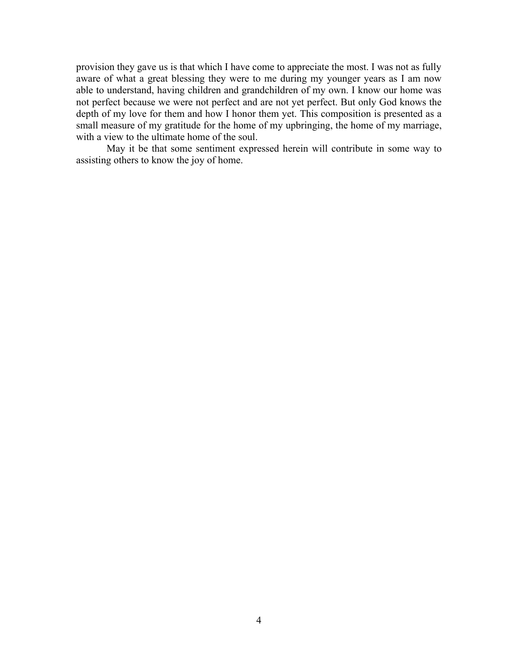provision they gave us is that which I have come to appreciate the most. I was not as fully aware of what a great blessing they were to me during my younger years as I am now able to understand, having children and grandchildren of my own. I know our home was not perfect because we were not perfect and are not yet perfect. But only God knows the depth of my love for them and how I honor them yet. This composition is presented as a small measure of my gratitude for the home of my upbringing, the home of my marriage, with a view to the ultimate home of the soul.

May it be that some sentiment expressed herein will contribute in some way to assisting others to know the joy of home.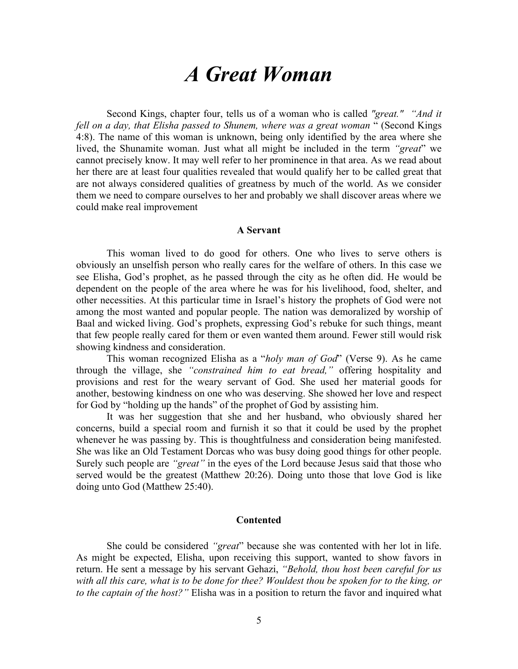# *A Great Woman*

Second Kings, chapter four, tells us of a woman who is called *"great." "And it fell on a day, that Elisha passed to Shunem, where was a great woman* " (Second Kings 4:8). The name of this woman is unknown, being only identified by the area where she lived, the Shunamite woman. Just what all might be included in the term *"great*" we cannot precisely know. It may well refer to her prominence in that area. As we read about her there are at least four qualities revealed that would qualify her to be called great that are not always considered qualities of greatness by much of the world. As we consider them we need to compare ourselves to her and probably we shall discover areas where we could make real improvement

#### **A Servant**

This woman lived to do good for others. One who lives to serve others is obviously an unselfish person who really cares for the welfare of others. In this case we see Elisha, God's prophet, as he passed through the city as he often did. He would be dependent on the people of the area where he was for his livelihood, food, shelter, and other necessities. At this particular time in Israel's history the prophets of God were not among the most wanted and popular people. The nation was demoralized by worship of Baal and wicked living. God's prophets, expressing God's rebuke for such things, meant that few people really cared for them or even wanted them around. Fewer still would risk showing kindness and consideration.

This woman recognized Elisha as a "*holy man of God*" (Verse 9). As he came through the village, she *"constrained him to eat bread,"* offering hospitality and provisions and rest for the weary servant of God. She used her material goods for another, bestowing kindness on one who was deserving. She showed her love and respect for God by "holding up the hands" of the prophet of God by assisting him.

It was her suggestion that she and her husband, who obviously shared her concerns, build a special room and furnish it so that it could be used by the prophet whenever he was passing by. This is thoughtfulness and consideration being manifested. She was like an Old Testament Dorcas who was busy doing good things for other people. Surely such people are *"great"* in the eyes of the Lord because Jesus said that those who served would be the greatest (Matthew 20:26). Doing unto those that love God is like doing unto God (Matthew 25:40).

#### **Contented**

She could be considered *"great*" because she was contented with her lot in life. As might be expected, Elisha, upon receiving this support, wanted to show favors in return. He sent a message by his servant Gehazi, *"Behold, thou host been careful for us with all this care, what is to be done for thee? Wouldest thou be spoken for to the king, or to the captain of the host?"* Elisha was in a position to return the favor and inquired what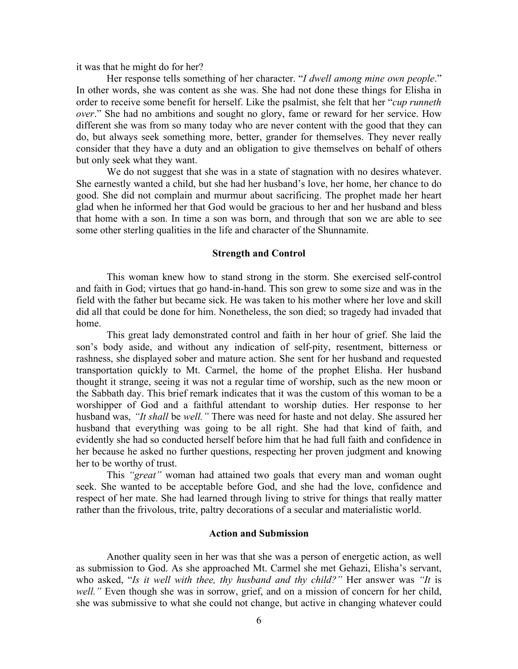it was that he might do for her?

Her response tells something of her character. "*I dwell among mine own people*." In other words, she was content as she was. She had not done these things for Elisha in order to receive some benefit for herself. Like the psalmist, she felt that her "*cup runneth over*." She had no ambitions and sought no glory, fame or reward for her service. How different she was from so many today who are never content with the good that they can do, but always seek something more, better, grander for themselves. They never really consider that they have a duty and an obligation to give themselves on behalf of others but only seek what they want.

We do not suggest that she was in a state of stagnation with no desires whatever. She earnestly wanted a child, but she had her husband's love, her home, her chance to do good. She did not complain and murmur about sacrificing. The prophet made her heart glad when he informed her that God would be gracious to her and her husband and bless that home with a son. In time a son was born, and through that son we are able to see some other sterling qualities in the life and character of the Shunnamite.

#### **Strength and Control**

This woman knew how to stand strong in the storm. She exercised self-control and faith in God; virtues that go hand-in-hand. This son grew to some size and was in the field with the father but became sick. He was taken to his mother where her love and skill did all that could be done for him. Nonetheless, the son died; so tragedy had invaded that home.

This great lady demonstrated control and faith in her hour of grief. She laid the son's body aside, and without any indication of self-pity, resentment, bitterness or rashness, she displayed sober and mature action. She sent for her husband and requested transportation quickly to Mt. Carmel, the home of the prophet Elisha. Her husband thought it strange, seeing it was not a regular time of worship, such as the new moon or the Sabbath day. This brief remark indicates that it was the custom of this woman to be a worshipper of God and a faithful attendant to worship duties. Her response to her husband was, *"It shall* be *well."* There was need for haste and not delay. She assured her husband that everything was going to be all right. She had that kind of faith, and evidently she had so conducted herself before him that he had full faith and confidence in her because he asked no further questions, respecting her proven judgment and knowing her to be worthy of trust.

This *"great"* woman had attained two goals that every man and woman ought seek. She wanted to be acceptable before God, and she had the love, confidence and respect of her mate. She had learned through living to strive for things that really matter rather than the frivolous, trite, paltry decorations of a secular and materialistic world.

#### **Action and Submission**

Another quality seen in her was that she was a person of energetic action, as well as submission to God. As she approached Mt. Carmel she met Gehazi, Elisha's servant, who asked, "*Is it well with thee, thy husband and thy child?"* Her answer was *"It* is *well."* Even though she was in sorrow, grief, and on a mission of concern for her child, she was submissive to what she could not change, but active in changing whatever could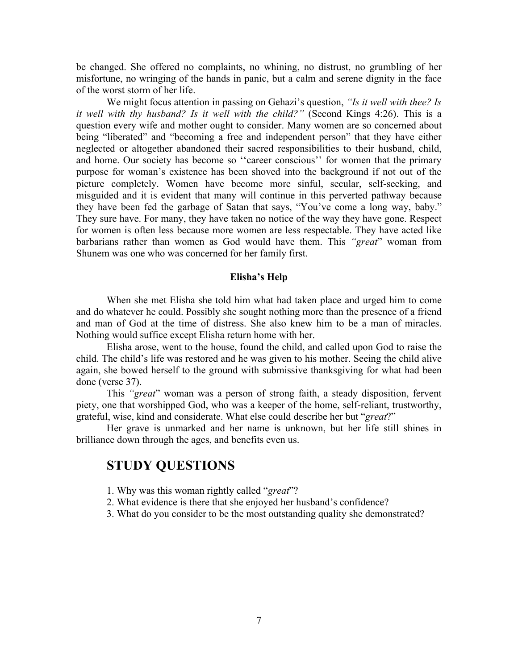be changed. She offered no complaints, no whining, no distrust, no grumbling of her misfortune, no wringing of the hands in panic, but a calm and serene dignity in the face of the worst storm of her life.

We might focus attention in passing on Gehazi's question, *"Is it well with thee? Is it well with thy husband? Is it well with the child?"* (Second Kings 4:26). This is a question every wife and mother ought to consider. Many women are so concerned about being "liberated" and "becoming a free and independent person" that they have either neglected or altogether abandoned their sacred responsibilities to their husband, child, and home. Our society has become so ''career conscious'' for women that the primary purpose for woman's existence has been shoved into the background if not out of the picture completely. Women have become more sinful, secular, self-seeking, and misguided and it is evident that many will continue in this perverted pathway because they have been fed the garbage of Satan that says, "You've come a long way, baby." They sure have. For many, they have taken no notice of the way they have gone. Respect for women is often less because more women are less respectable. They have acted like barbarians rather than women as God would have them. This *"great*" woman from Shunem was one who was concerned for her family first.

#### **Elisha's Help**

When she met Elisha she told him what had taken place and urged him to come and do whatever he could. Possibly she sought nothing more than the presence of a friend and man of God at the time of distress. She also knew him to be a man of miracles. Nothing would suffice except Elisha return home with her.

Elisha arose, went to the house, found the child, and called upon God to raise the child. The child's life was restored and he was given to his mother. Seeing the child alive again, she bowed herself to the ground with submissive thanksgiving for what had been done (verse 37).

This *"great*" woman was a person of strong faith, a steady disposition, fervent piety, one that worshipped God, who was a keeper of the home, self-reliant, trustworthy, grateful, wise, kind and considerate. What else could describe her but "*great*?"

Her grave is unmarked and her name is unknown, but her life still shines in brilliance down through the ages, and benefits even us.

#### **STUDY QUESTIONS**

- 1. Why was this woman rightly called "*great*"?
- 2. What evidence is there that she enjoyed her husband's confidence?
- 3. What do you consider to be the most outstanding quality she demonstrated?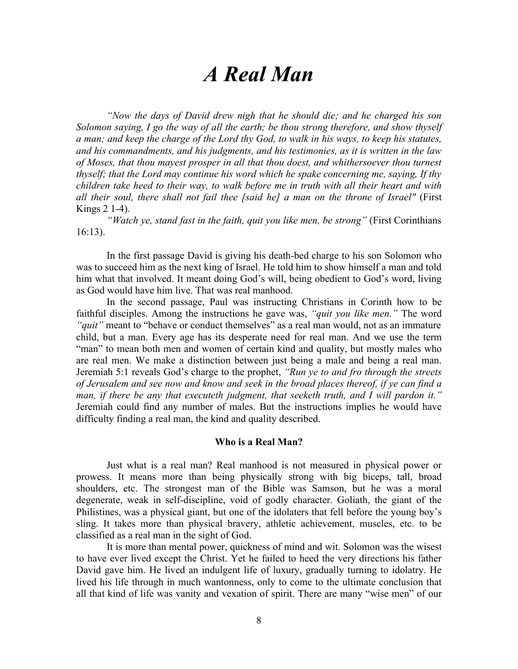# *A Real Man*

*"Now the days of David drew nigh that he should die; and he charged his son Solomon saying, I go the way of all the earth; be thou strong therefore, and show thyself a man; and keep the charge of the Lord thy God, to walk in his ways, to keep his statutes, and his commandments, and his judgments, and his testimonies, as it is written in the law of Moses, that thou mayest prosper in all that thou doest, and whithersoever thou turnest thyself; that the Lord may continue his word which he spake concerning me, saying, If thy children take heed to their way, to walk before me in truth with all their heart and with all their soul, there shall not fail thee [said he] a man on the throne of Israel"* (First Kings 2 1-4).

*"Watch ye, stand fast in the faith, quit you like men, be strong"* (First Corinthians 16:13).

In the first passage David is giving his death-bed charge to his son Solomon who was to succeed him as the next king of Israel. He told him to show himself a man and told him what that involved. It meant doing God's will, being obedient to God's word, living as God would have him live. That was real manhood.

In the second passage, Paul was instructing Christians in Corinth how to be faithful disciples. Among the instructions he gave was, *"quit you like men."* The word *"quit"* meant to "behave or conduct themselves" as a real man would, not as an immature child, but a man. Every age has its desperate need for real man. And we use the term "man" to mean both men and women of certain kind and quality, but mostly males who are real men. We make a distinction between just being a male and being a real man. Jeremiah 5:1 reveals God's charge to the prophet, *"Run ye to and fro through the streets of Jerusalem and see now and know and seek in the broad places thereof, if ye can find a man, if there be any that executeth judgment, that seeketh truth, and I will pardon it."* Jeremiah could find any number of males. But the instructions implies he would have difficulty finding a real man, the kind and quality described.

#### **Who is a Real Man?**

Just what is a real man? Real manhood is not measured in physical power or prowess. It means more than being physically strong with big biceps, tall, broad shoulders, etc. The strongest man of the Bible was Samson, but he was a moral degenerate, weak in self-discipline, void of godly character. Goliath, the giant of the Philistines, was a physical giant, but one of the idolaters that fell before the young boy's sling. It takes more than physical bravery, athletic achievement, muscles, etc. to be classified as a real man in the sight of God.

It is more than mental power, quickness of mind and wit. Solomon was the wisest to have ever lived except the Christ. Yet he failed to heed the very directions his father David gave him. He lived an indulgent life of luxury, gradually turning to idolatry. He lived his life through in much wantonness, only to come to the ultimate conclusion that all that kind of life was vanity and vexation of spirit. There are many "wise men" of our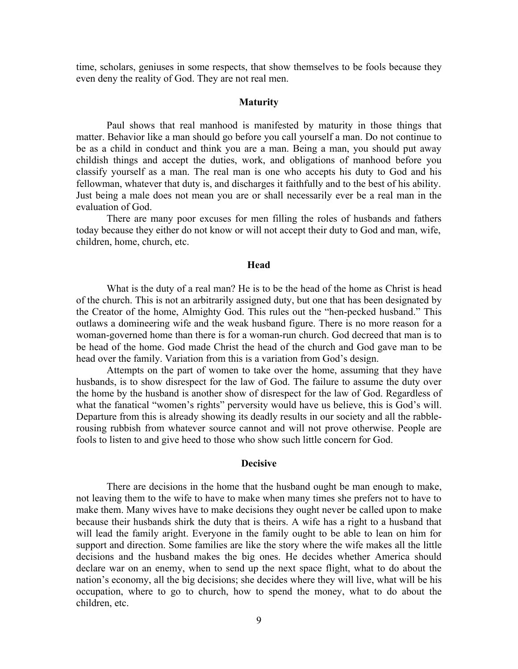time, scholars, geniuses in some respects, that show themselves to be fools because they even deny the reality of God. They are not real men.

#### **Maturity**

Paul shows that real manhood is manifested by maturity in those things that matter. Behavior like a man should go before you call yourself a man. Do not continue to be as a child in conduct and think you are a man. Being a man, you should put away childish things and accept the duties, work, and obligations of manhood before you classify yourself as a man. The real man is one who accepts his duty to God and his fellowman, whatever that duty is, and discharges it faithfully and to the best of his ability. Just being a male does not mean you are or shall necessarily ever be a real man in the evaluation of God.

There are many poor excuses for men filling the roles of husbands and fathers today because they either do not know or will not accept their duty to God and man, wife, children, home, church, etc.

#### **Head**

What is the duty of a real man? He is to be the head of the home as Christ is head of the church. This is not an arbitrarily assigned duty, but one that has been designated by the Creator of the home, Almighty God. This rules out the "hen-pecked husband." This outlaws a domineering wife and the weak husband figure. There is no more reason for a woman-governed home than there is for a woman-run church. God decreed that man is to be head of the home. God made Christ the head of the church and God gave man to be head over the family. Variation from this is a variation from God's design.

Attempts on the part of women to take over the home, assuming that they have husbands, is to show disrespect for the law of God. The failure to assume the duty over the home by the husband is another show of disrespect for the law of God. Regardless of what the fanatical "women's rights" perversity would have us believe, this is God's will. Departure from this is already showing its deadly results in our society and all the rabblerousing rubbish from whatever source cannot and will not prove otherwise. People are fools to listen to and give heed to those who show such little concern for God.

#### **Decisive**

There are decisions in the home that the husband ought be man enough to make, not leaving them to the wife to have to make when many times she prefers not to have to make them. Many wives have to make decisions they ought never be called upon to make because their husbands shirk the duty that is theirs. A wife has a right to a husband that will lead the family aright. Everyone in the family ought to be able to lean on him for support and direction. Some families are like the story where the wife makes all the little decisions and the husband makes the big ones. He decides whether America should declare war on an enemy, when to send up the next space flight, what to do about the nation's economy, all the big decisions; she decides where they will live, what will be his occupation, where to go to church, how to spend the money, what to do about the children, etc.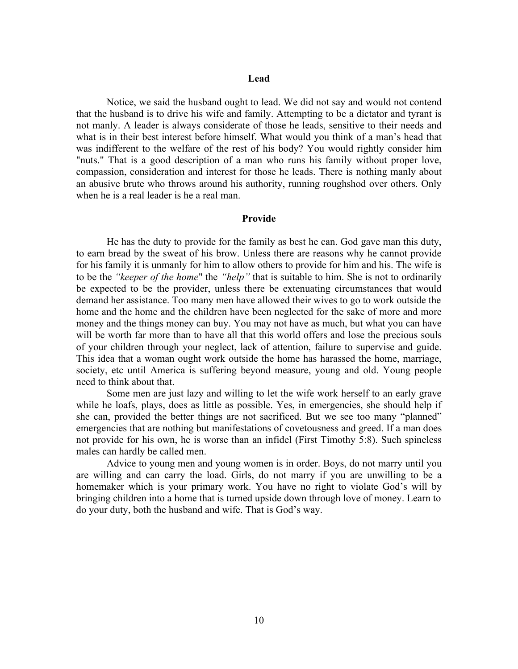#### **Lead**

Notice, we said the husband ought to lead. We did not say and would not contend that the husband is to drive his wife and family. Attempting to be a dictator and tyrant is not manly. A leader is always considerate of those he leads, sensitive to their needs and what is in their best interest before himself. What would you think of a man's head that was indifferent to the welfare of the rest of his body? You would rightly consider him "nuts." That is a good description of a man who runs his family without proper love, compassion, consideration and interest for those he leads. There is nothing manly about an abusive brute who throws around his authority, running roughshod over others. Only when he is a real leader is he a real man.

#### **Provide**

He has the duty to provide for the family as best he can. God gave man this duty, to earn bread by the sweat of his brow. Unless there are reasons why he cannot provide for his family it is unmanly for him to allow others to provide for him and his. The wife is to be the *"keeper of the home*" the *"help"* that is suitable to him. She is not to ordinarily be expected to be the provider, unless there be extenuating circumstances that would demand her assistance. Too many men have allowed their wives to go to work outside the home and the home and the children have been neglected for the sake of more and more money and the things money can buy. You may not have as much, but what you can have will be worth far more than to have all that this world offers and lose the precious souls of your children through your neglect, lack of attention, failure to supervise and guide. This idea that a woman ought work outside the home has harassed the home, marriage, society, etc until America is suffering beyond measure, young and old. Young people need to think about that.

Some men are just lazy and willing to let the wife work herself to an early grave while he loafs, plays, does as little as possible. Yes, in emergencies, she should help if she can, provided the better things are not sacrificed. But we see too many "planned" emergencies that are nothing but manifestations of covetousness and greed. If a man does not provide for his own, he is worse than an infidel (First Timothy 5:8). Such spineless males can hardly be called men.

Advice to young men and young women is in order. Boys, do not marry until you are willing and can carry the load. Girls, do not marry if you are unwilling to be a homemaker which is your primary work. You have no right to violate God's will by bringing children into a home that is turned upside down through love of money. Learn to do your duty, both the husband and wife. That is God's way.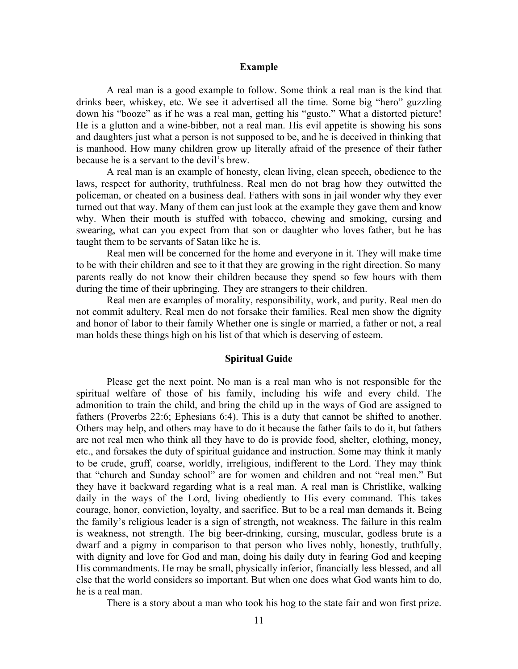#### **Example**

A real man is a good example to follow. Some think a real man is the kind that drinks beer, whiskey, etc. We see it advertised all the time. Some big "hero" guzzling down his "booze" as if he was a real man, getting his "gusto." What a distorted picture! He is a glutton and a wine-bibber, not a real man. His evil appetite is showing his sons and daughters just what a person is not supposed to be, and he is deceived in thinking that is manhood. How many children grow up literally afraid of the presence of their father because he is a servant to the devil's brew.

A real man is an example of honesty, clean living, clean speech, obedience to the laws, respect for authority, truthfulness. Real men do not brag how they outwitted the policeman, or cheated on a business deal. Fathers with sons in jail wonder why they ever turned out that way. Many of them can just look at the example they gave them and know why. When their mouth is stuffed with tobacco, chewing and smoking, cursing and swearing, what can you expect from that son or daughter who loves father, but he has taught them to be servants of Satan like he is.

Real men will be concerned for the home and everyone in it. They will make time to be with their children and see to it that they are growing in the right direction. So many parents really do not know their children because they spend so few hours with them during the time of their upbringing. They are strangers to their children.

Real men are examples of morality, responsibility, work, and purity. Real men do not commit adultery. Real men do not forsake their families. Real men show the dignity and honor of labor to their family Whether one is single or married, a father or not, a real man holds these things high on his list of that which is deserving of esteem.

#### **Spiritual Guide**

Please get the next point. No man is a real man who is not responsible for the spiritual welfare of those of his family, including his wife and every child. The admonition to train the child, and bring the child up in the ways of God are assigned to fathers (Proverbs 22:6; Ephesians 6:4). This is a duty that cannot be shifted to another. Others may help, and others may have to do it because the father fails to do it, but fathers are not real men who think all they have to do is provide food, shelter, clothing, money, etc., and forsakes the duty of spiritual guidance and instruction. Some may think it manly to be crude, gruff, coarse, worldly, irreligious, indifferent to the Lord. They may think that "church and Sunday school" are for women and children and not "real men." But they have it backward regarding what is a real man. A real man is Christlike, walking daily in the ways of the Lord, living obediently to His every command. This takes courage, honor, conviction, loyalty, and sacrifice. But to be a real man demands it. Being the family's religious leader is a sign of strength, not weakness. The failure in this realm is weakness, not strength. The big beer-drinking, cursing, muscular, godless brute is a dwarf and a pigmy in comparison to that person who lives nobly, honestly, truthfully, with dignity and love for God and man, doing his daily duty in fearing God and keeping His commandments. He may be small, physically inferior, financially less blessed, and all else that the world considers so important. But when one does what God wants him to do, he is a real man.

There is a story about a man who took his hog to the state fair and won first prize.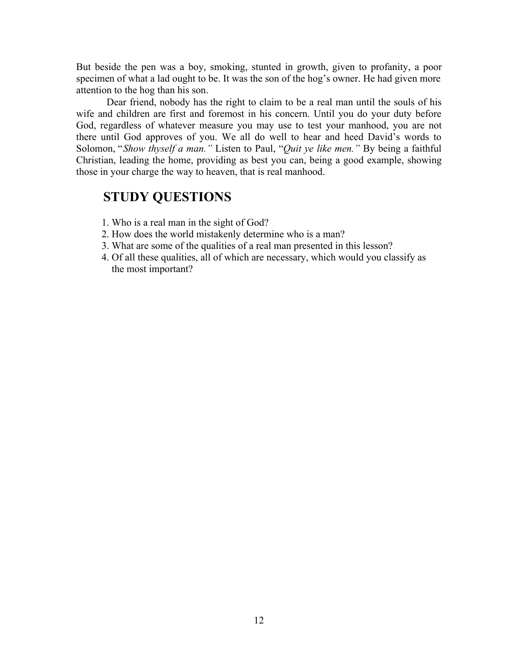But beside the pen was a boy, smoking, stunted in growth, given to profanity, a poor specimen of what a lad ought to be. It was the son of the hog's owner. He had given more attention to the hog than his son.

Dear friend, nobody has the right to claim to be a real man until the souls of his wife and children are first and foremost in his concern. Until you do your duty before God, regardless of whatever measure you may use to test your manhood, you are not there until God approves of you. We all do well to hear and heed David's words to Solomon, "*Show thyself a man."* Listen to Paul, "*Quit ye like men."* By being a faithful Christian, leading the home, providing as best you can, being a good example, showing those in your charge the way to heaven, that is real manhood.

### **STUDY QUESTIONS**

- 1. Who is a real man in the sight of God?
- 2. How does the world mistakenly determine who is a man?
- 3. What are some of the qualities of a real man presented in this lesson?
- 4. Of all these qualities, all of which are necessary, which would you classify as the most important?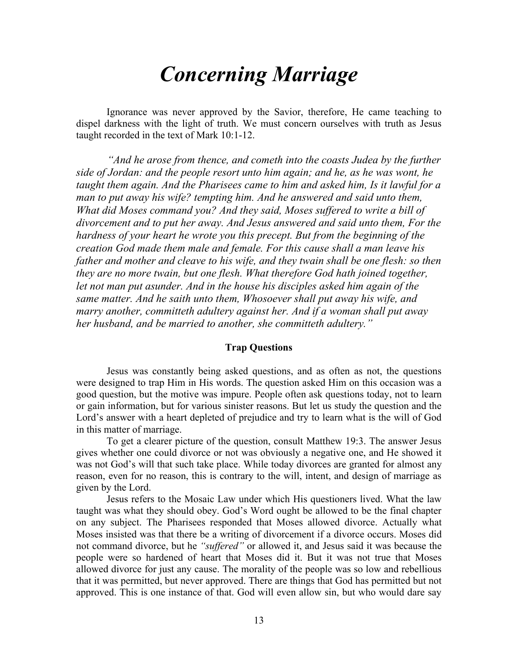# *Concerning Marriage*

Ignorance was never approved by the Savior, therefore, He came teaching to dispel darkness with the light of truth. We must concern ourselves with truth as Jesus taught recorded in the text of Mark 10:1-12.

*"And he arose from thence, and cometh into the coasts Judea by the further side of Jordan: and the people resort unto him again; and he, as he was wont, he taught them again. And the Pharisees came to him and asked him, Is it lawful for a man to put away his wife? tempting him. And he answered and said unto them, What did Moses command you? And they said, Moses suffered to write a bill of divorcement and to put her away. And Jesus answered and said unto them, For the hardness of your heart he wrote you this precept. But from the beginning of the creation God made them male and female. For this cause shall a man leave his father and mother and cleave to his wife, and they twain shall be one flesh: so then they are no more twain, but one flesh. What therefore God hath joined together, let not man put asunder. And in the house his disciples asked him again of the same matter. And he saith unto them, Whosoever shall put away his wife, and marry another, committeth adultery against her. And if a woman shall put away her husband, and be married to another, she committeth adultery."*

#### **Trap Questions**

Jesus was constantly being asked questions, and as often as not, the questions were designed to trap Him in His words. The question asked Him on this occasion was a good question, but the motive was impure. People often ask questions today, not to learn or gain information, but for various sinister reasons. But let us study the question and the Lord's answer with a heart depleted of prejudice and try to learn what is the will of God in this matter of marriage.

To get a clearer picture of the question, consult Matthew 19:3. The answer Jesus gives whether one could divorce or not was obviously a negative one, and He showed it was not God's will that such take place. While today divorces are granted for almost any reason, even for no reason, this is contrary to the will, intent, and design of marriage as given by the Lord.

Jesus refers to the Mosaic Law under which His questioners lived. What the law taught was what they should obey. God's Word ought be allowed to be the final chapter on any subject. The Pharisees responded that Moses allowed divorce. Actually what Moses insisted was that there be a writing of divorcement if a divorce occurs. Moses did not command divorce, but he *"suffered"* or allowed it, and Jesus said it was because the people were so hardened of heart that Moses did it. But it was not true that Moses allowed divorce for just any cause. The morality of the people was so low and rebellious that it was permitted, but never approved. There are things that God has permitted but not approved. This is one instance of that. God will even allow sin, but who would dare say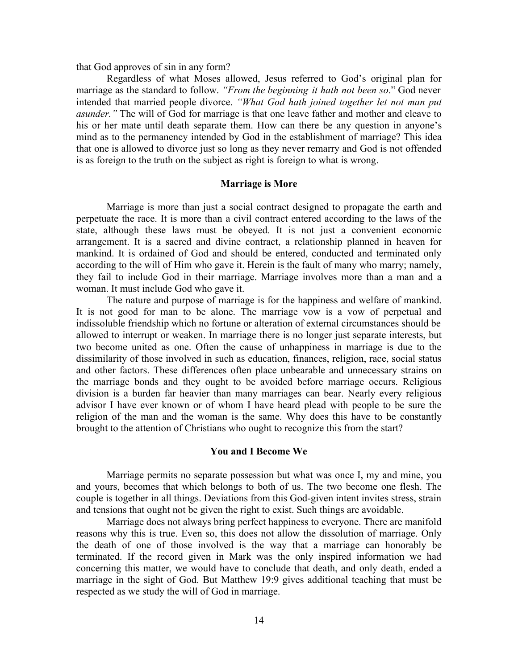that God approves of sin in any form?

Regardless of what Moses allowed, Jesus referred to God's original plan for marriage as the standard to follow. *"From the beginning it hath not been so*." God never intended that married people divorce. *"What God hath joined together let not man put asunder."* The will of God for marriage is that one leave father and mother and cleave to his or her mate until death separate them. How can there be any question in anyone's mind as to the permanency intended by God in the establishment of marriage? This idea that one is allowed to divorce just so long as they never remarry and God is not offended is as foreign to the truth on the subject as right is foreign to what is wrong.

#### **Marriage is More**

Marriage is more than just a social contract designed to propagate the earth and perpetuate the race. It is more than a civil contract entered according to the laws of the state, although these laws must be obeyed. It is not just a convenient economic arrangement. It is a sacred and divine contract, a relationship planned in heaven for mankind. It is ordained of God and should be entered, conducted and terminated only according to the will of Him who gave it. Herein is the fault of many who marry; namely, they fail to include God in their marriage. Marriage involves more than a man and a woman. It must include God who gave it.

The nature and purpose of marriage is for the happiness and welfare of mankind. It is not good for man to be alone. The marriage vow is a vow of perpetual and indissoluble friendship which no fortune or alteration of external circumstances should be allowed to interrupt or weaken. In marriage there is no longer just separate interests, but two become united as one. Often the cause of unhappiness in marriage is due to the dissimilarity of those involved in such as education, finances, religion, race, social status and other factors. These differences often place unbearable and unnecessary strains on the marriage bonds and they ought to be avoided before marriage occurs. Religious division is a burden far heavier than many marriages can bear. Nearly every religious advisor I have ever known or of whom I have heard plead with people to be sure the religion of the man and the woman is the same. Why does this have to be constantly brought to the attention of Christians who ought to recognize this from the start?

#### **You and I Become We**

Marriage permits no separate possession but what was once I, my and mine, you and yours, becomes that which belongs to both of us. The two become one flesh. The couple is together in all things. Deviations from this God-given intent invites stress, strain and tensions that ought not be given the right to exist. Such things are avoidable.

Marriage does not always bring perfect happiness to everyone. There are manifold reasons why this is true. Even so, this does not allow the dissolution of marriage. Only the death of one of those involved is the way that a marriage can honorably be terminated. If the record given in Mark was the only inspired information we had concerning this matter, we would have to conclude that death, and only death, ended a marriage in the sight of God. But Matthew 19:9 gives additional teaching that must be respected as we study the will of God in marriage.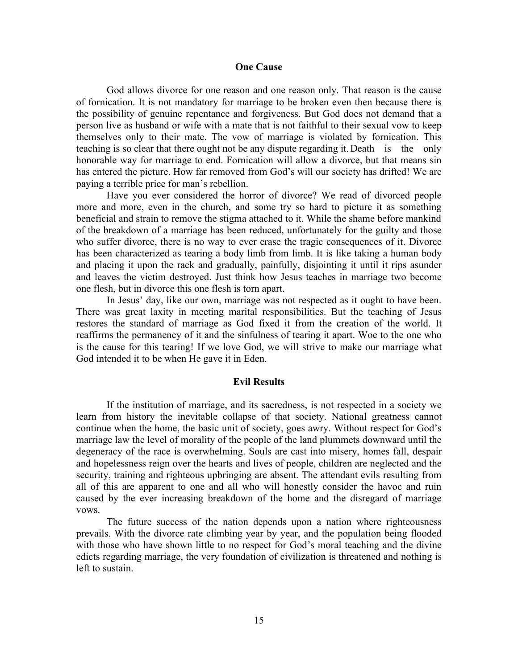#### **One Cause**

God allows divorce for one reason and one reason only. That reason is the cause of fornication. It is not mandatory for marriage to be broken even then because there is the possibility of genuine repentance and forgiveness. But God does not demand that a person live as husband or wife with a mate that is not faithful to their sexual vow to keep themselves only to their mate. The vow of marriage is violated by fornication. This teaching is so clear that there ought not be any dispute regarding it.Death is the only honorable way for marriage to end. Fornication will allow a divorce, but that means sin has entered the picture. How far removed from God's will our society has drifted! We are paying a terrible price for man's rebellion.

Have you ever considered the horror of divorce? We read of divorced people more and more, even in the church, and some try so hard to picture it as something beneficial and strain to remove the stigma attached to it. While the shame before mankind of the breakdown of a marriage has been reduced, unfortunately for the guilty and those who suffer divorce, there is no way to ever erase the tragic consequences of it. Divorce has been characterized as tearing a body limb from limb. It is like taking a human body and placing it upon the rack and gradually, painfully, disjointing it until it rips asunder and leaves the victim destroyed. Just think how Jesus teaches in marriage two become one flesh, but in divorce this one flesh is torn apart.

In Jesus' day, like our own, marriage was not respected as it ought to have been. There was great laxity in meeting marital responsibilities. But the teaching of Jesus restores the standard of marriage as God fixed it from the creation of the world. It reaffirms the permanency of it and the sinfulness of tearing it apart. Woe to the one who is the cause for this tearing! If we love God, we will strive to make our marriage what God intended it to be when He gave it in Eden.

#### **Evil Results**

If the institution of marriage, and its sacredness, is not respected in a society we learn from history the inevitable collapse of that society. National greatness cannot continue when the home, the basic unit of society, goes awry. Without respect for God's marriage law the level of morality of the people of the land plummets downward until the degeneracy of the race is overwhelming. Souls are cast into misery, homes fall, despair and hopelessness reign over the hearts and lives of people, children are neglected and the security, training and righteous upbringing are absent. The attendant evils resulting from all of this are apparent to one and all who will honestly consider the havoc and ruin caused by the ever increasing breakdown of the home and the disregard of marriage vows.

The future success of the nation depends upon a nation where righteousness prevails. With the divorce rate climbing year by year, and the population being flooded with those who have shown little to no respect for God's moral teaching and the divine edicts regarding marriage, the very foundation of civilization is threatened and nothing is left to sustain.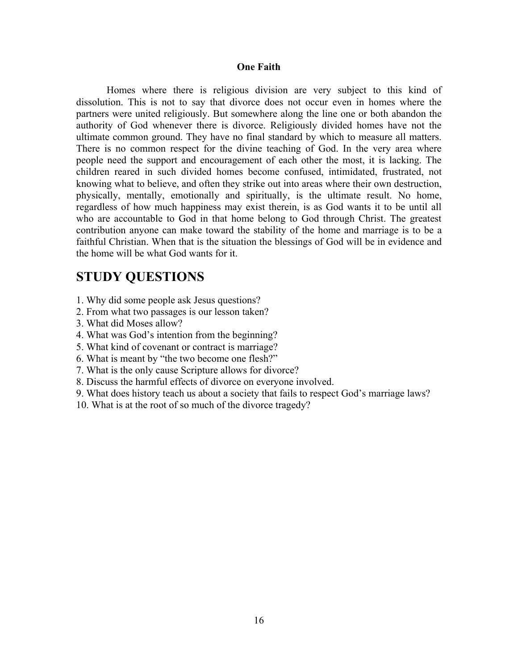#### **One Faith**

Homes where there is religious division are very subject to this kind of dissolution. This is not to say that divorce does not occur even in homes where the partners were united religiously. But somewhere along the line one or both abandon the authority of God whenever there is divorce. Religiously divided homes have not the ultimate common ground. They have no final standard by which to measure all matters. There is no common respect for the divine teaching of God. In the very area where people need the support and encouragement of each other the most, it is lacking. The children reared in such divided homes become confused, intimidated, frustrated, not knowing what to believe, and often they strike out into areas where their own destruction, physically, mentally, emotionally and spiritually, is the ultimate result. No home, regardless of how much happiness may exist therein, is as God wants it to be until all who are accountable to God in that home belong to God through Christ. The greatest contribution anyone can make toward the stability of the home and marriage is to be a faithful Christian. When that is the situation the blessings of God will be in evidence and the home will be what God wants for it.

### **STUDY QUESTIONS**

- 1. Why did some people ask Jesus questions?
- 2. From what two passages is our lesson taken?
- 3. What did Moses allow?
- 4. What was God's intention from the beginning?
- 5. What kind of covenant or contract is marriage?
- 6. What is meant by "the two become one flesh?"
- 7. What is the only cause Scripture allows for divorce?
- 8. Discuss the harmful effects of divorce on everyone involved.
- 9. What does history teach us about a society that fails to respect God's marriage laws?
- 10. What is at the root of so much of the divorce tragedy?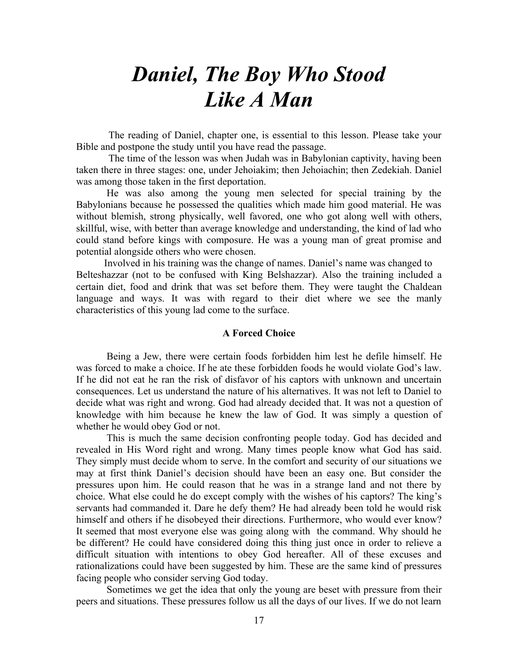# *Daniel, The Boy Who Stood Like A Man*

The reading of Daniel, chapter one, is essential to this lesson. Please take your Bible and postpone the study until you have read the passage.

The time of the lesson was when Judah was in Babylonian captivity, having been taken there in three stages: one, under Jehoiakim; then Jehoiachin; then Zedekiah. Daniel was among those taken in the first deportation.

He was also among the young men selected for special training by the Babylonians because he possessed the qualities which made him good material. He was without blemish, strong physically, well favored, one who got along well with others, skillful, wise, with better than average knowledge and understanding, the kind of lad who could stand before kings with composure. He was a young man of great promise and potential alongside others who were chosen.

 Involved in his training was the change of names. Daniel's name was changed to Belteshazzar (not to be confused with King Belshazzar). Also the training included a certain diet, food and drink that was set before them. They were taught the Chaldean language and ways. It was with regard to their diet where we see the manly characteristics of this young lad come to the surface.

#### **A Forced Choice**

Being a Jew, there were certain foods forbidden him lest he defile himself. He was forced to make a choice. If he ate these forbidden foods he would violate God's law. If he did not eat he ran the risk of disfavor of his captors with unknown and uncertain consequences. Let us understand the nature of his alternatives. It was not left to Daniel to decide what was right and wrong. God had already decided that. It was not a question of knowledge with him because he knew the law of God. It was simply a question of whether he would obey God or not.

This is much the same decision confronting people today. God has decided and revealed in His Word right and wrong. Many times people know what God has said. They simply must decide whom to serve. In the comfort and security of our situations we may at first think Daniel's decision should have been an easy one. But consider the pressures upon him. He could reason that he was in a strange land and not there by choice. What else could he do except comply with the wishes of his captors? The king's servants had commanded it. Dare he defy them? He had already been told he would risk himself and others if he disobeyed their directions. Furthermore, who would ever know? It seemed that most everyone else was going along with the command. Why should he be different? He could have considered doing this thing just once in order to relieve a difficult situation with intentions to obey God hereafter. All of these excuses and rationalizations could have been suggested by him. These are the same kind of pressures facing people who consider serving God today.

Sometimes we get the idea that only the young are beset with pressure from their peers and situations. These pressures follow us all the days of our lives. If we do not learn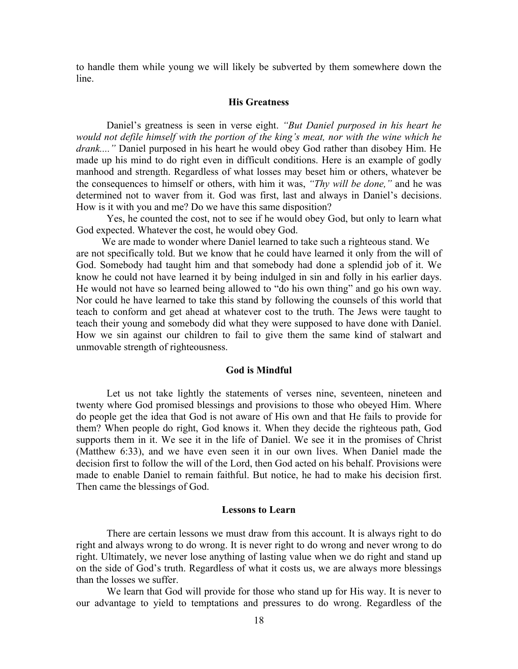to handle them while young we will likely be subverted by them somewhere down the line.

#### **His Greatness**

Daniel's greatness is seen in verse eight. *"But Daniel purposed in his heart he would not defile himself with the portion of the king's meat, nor with the wine which he drank...."* Daniel purposed in his heart he would obey God rather than disobey Him. He made up his mind to do right even in difficult conditions. Here is an example of godly manhood and strength. Regardless of what losses may beset him or others, whatever be the consequences to himself or others, with him it was, *"Thy will be done,"* and he was determined not to waver from it. God was first, last and always in Daniel's decisions. How is it with you and me? Do we have this same disposition?

Yes, he counted the cost, not to see if he would obey God, but only to learn what God expected. Whatever the cost, he would obey God.

 We are made to wonder where Daniel learned to take such a righteous stand. We are not specifically told. But we know that he could have learned it only from the will of God. Somebody had taught him and that somebody had done a splendid job of it. We know he could not have learned it by being indulged in sin and folly in his earlier days. He would not have so learned being allowed to "do his own thing" and go his own way. Nor could he have learned to take this stand by following the counsels of this world that teach to conform and get ahead at whatever cost to the truth. The Jews were taught to teach their young and somebody did what they were supposed to have done with Daniel. How we sin against our children to fail to give them the same kind of stalwart and unmovable strength of righteousness.

#### **God is Mindful**

Let us not take lightly the statements of verses nine, seventeen, nineteen and twenty where God promised blessings and provisions to those who obeyed Him. Where do people get the idea that God is not aware of His own and that He fails to provide for them? When people do right, God knows it. When they decide the righteous path, God supports them in it. We see it in the life of Daniel. We see it in the promises of Christ (Matthew 6:33), and we have even seen it in our own lives. When Daniel made the decision first to follow the will of the Lord, then God acted on his behalf. Provisions were made to enable Daniel to remain faithful. But notice, he had to make his decision first. Then came the blessings of God.

#### **Lessons to Learn**

There are certain lessons we must draw from this account. It is always right to do right and always wrong to do wrong. It is never right to do wrong and never wrong to do right. Ultimately, we never lose anything of lasting value when we do right and stand up on the side of God's truth. Regardless of what it costs us, we are always more blessings than the losses we suffer.

We learn that God will provide for those who stand up for His way. It is never to our advantage to yield to temptations and pressures to do wrong. Regardless of the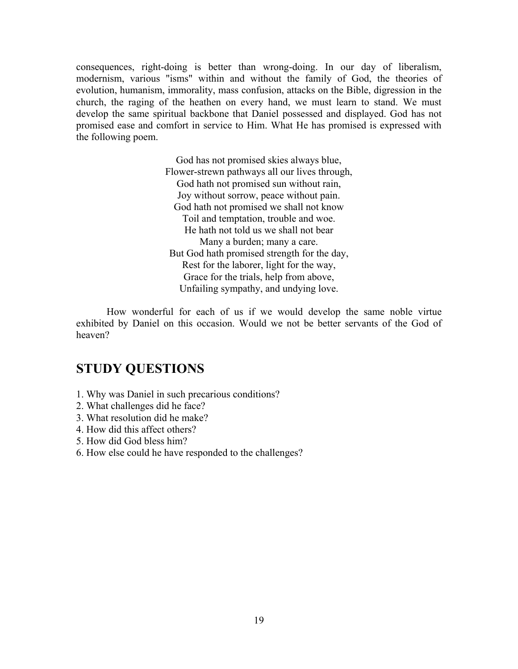consequences, right-doing is better than wrong-doing. In our day of liberalism, modernism, various "isms" within and without the family of God, the theories of evolution, humanism, immorality, mass confusion, attacks on the Bible, digression in the church, the raging of the heathen on every hand, we must learn to stand. We must develop the same spiritual backbone that Daniel possessed and displayed. God has not promised ease and comfort in service to Him. What He has promised is expressed with the following poem.

> God has not promised skies always blue, Flower-strewn pathways all our lives through, God hath not promised sun without rain, Joy without sorrow, peace without pain. God hath not promised we shall not know Toil and temptation, trouble and woe. He hath not told us we shall not bear Many a burden; many a care. But God hath promised strength for the day, Rest for the laborer, light for the way, Grace for the trials, help from above, Unfailing sympathy, and undying love.

How wonderful for each of us if we would develop the same noble virtue exhibited by Daniel on this occasion. Would we not be better servants of the God of heaven?

### **STUDY QUESTIONS**

- 1. Why was Daniel in such precarious conditions?
- 2. What challenges did he face?
- 3. What resolution did he make?
- 4. How did this affect others?
- 5. How did God bless him?
- 6. How else could he have responded to the challenges?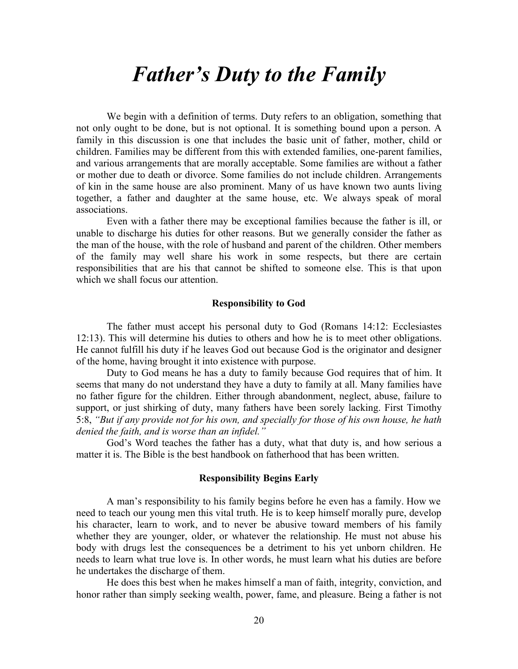### *Father's Duty to the Family*

We begin with a definition of terms. Duty refers to an obligation, something that not only ought to be done, but is not optional. It is something bound upon a person. A family in this discussion is one that includes the basic unit of father, mother, child or children. Families may be different from this with extended families, one-parent families, and various arrangements that are morally acceptable. Some families are without a father or mother due to death or divorce. Some families do not include children. Arrangements of kin in the same house are also prominent. Many of us have known two aunts living together, a father and daughter at the same house, etc. We always speak of moral associations.

Even with a father there may be exceptional families because the father is ill, or unable to discharge his duties for other reasons. But we generally consider the father as the man of the house, with the role of husband and parent of the children. Other members of the family may well share his work in some respects, but there are certain responsibilities that are his that cannot be shifted to someone else. This is that upon which we shall focus our attention.

#### **Responsibility to God**

The father must accept his personal duty to God (Romans 14:12: Ecclesiastes 12:13). This will determine his duties to others and how he is to meet other obligations. He cannot fulfill his duty if he leaves God out because God is the originator and designer of the home, having brought it into existence with purpose.

Duty to God means he has a duty to family because God requires that of him. It seems that many do not understand they have a duty to family at all. Many families have no father figure for the children. Either through abandonment, neglect, abuse, failure to support, or just shirking of duty, many fathers have been sorely lacking. First Timothy 5:8, *"But if any provide not for his own, and specially for those of his own house, he hath denied the faith, and is worse than an infidel."*

God's Word teaches the father has a duty, what that duty is, and how serious a matter it is. The Bible is the best handbook on fatherhood that has been written.

#### **Responsibility Begins Early**

A man's responsibility to his family begins before he even has a family. How we need to teach our young men this vital truth. He is to keep himself morally pure, develop his character, learn to work, and to never be abusive toward members of his family whether they are younger, older, or whatever the relationship. He must not abuse his body with drugs lest the consequences be a detriment to his yet unborn children. He needs to learn what true love is. In other words, he must learn what his duties are before he undertakes the discharge of them.

He does this best when he makes himself a man of faith, integrity, conviction, and honor rather than simply seeking wealth, power, fame, and pleasure. Being a father is not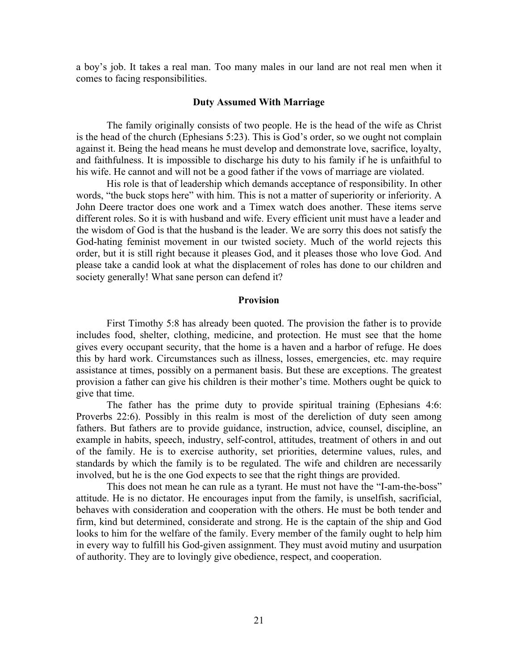a boy's job. It takes a real man. Too many males in our land are not real men when it comes to facing responsibilities.

#### **Duty Assumed With Marriage**

The family originally consists of two people. He is the head of the wife as Christ is the head of the church (Ephesians 5:23). This is God's order, so we ought not complain against it. Being the head means he must develop and demonstrate love, sacrifice, loyalty, and faithfulness. It is impossible to discharge his duty to his family if he is unfaithful to his wife. He cannot and will not be a good father if the vows of marriage are violated.

His role is that of leadership which demands acceptance of responsibility. In other words, "the buck stops here" with him. This is not a matter of superiority or inferiority. A John Deere tractor does one work and a Timex watch does another. These items serve different roles. So it is with husband and wife. Every efficient unit must have a leader and the wisdom of God is that the husband is the leader. We are sorry this does not satisfy the God-hating feminist movement in our twisted society. Much of the world rejects this order, but it is still right because it pleases God, and it pleases those who love God. And please take a candid look at what the displacement of roles has done to our children and society generally! What sane person can defend it?

#### **Provision**

First Timothy 5:8 has already been quoted. The provision the father is to provide includes food, shelter, clothing, medicine, and protection. He must see that the home gives every occupant security, that the home is a haven and a harbor of refuge. He does this by hard work. Circumstances such as illness, losses, emergencies, etc. may require assistance at times, possibly on a permanent basis. But these are exceptions. The greatest provision a father can give his children is their mother's time. Mothers ought be quick to give that time.

The father has the prime duty to provide spiritual training (Ephesians 4:6: Proverbs 22:6). Possibly in this realm is most of the dereliction of duty seen among fathers. But fathers are to provide guidance, instruction, advice, counsel, discipline, an example in habits, speech, industry, self-control, attitudes, treatment of others in and out of the family. He is to exercise authority, set priorities, determine values, rules, and standards by which the family is to be regulated. The wife and children are necessarily involved, but he is the one God expects to see that the right things are provided.

This does not mean he can rule as a tyrant. He must not have the "I-am-the-boss" attitude. He is no dictator. He encourages input from the family, is unselfish, sacrificial, behaves with consideration and cooperation with the others. He must be both tender and firm, kind but determined, considerate and strong. He is the captain of the ship and God looks to him for the welfare of the family. Every member of the family ought to help him in every way to fulfill his God-given assignment. They must avoid mutiny and usurpation of authority. They are to lovingly give obedience, respect, and cooperation.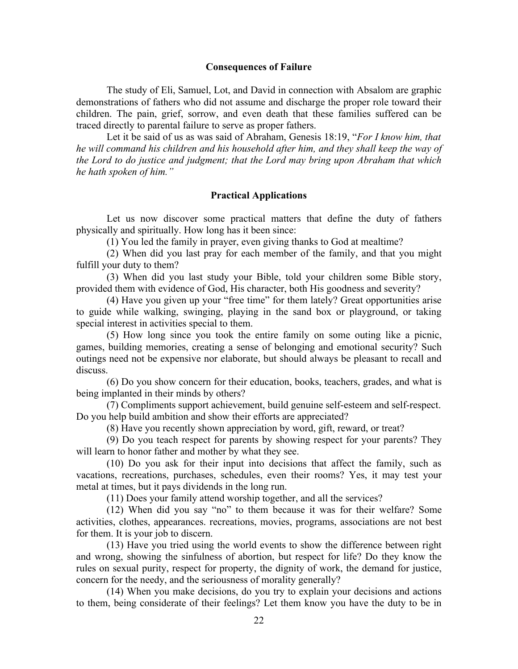#### **Consequences of Failure**

The study of Eli, Samuel, Lot, and David in connection with Absalom are graphic demonstrations of fathers who did not assume and discharge the proper role toward their children. The pain, grief, sorrow, and even death that these families suffered can be traced directly to parental failure to serve as proper fathers.

Let it be said of us as was said of Abraham, Genesis 18:19, "*For I know him, that he will command his children and his household after him, and they shall keep the way of the Lord to do justice and judgment; that the Lord may bring upon Abraham that which he hath spoken of him."*

#### **Practical Applications**

Let us now discover some practical matters that define the duty of fathers physically and spiritually. How long has it been since:

(1) You led the family in prayer, even giving thanks to God at mealtime?

(2) When did you last pray for each member of the family, and that you might fulfill your duty to them?

(3) When did you last study your Bible, told your children some Bible story, provided them with evidence of God, His character, both His goodness and severity?

(4) Have you given up your "free time" for them lately? Great opportunities arise to guide while walking, swinging, playing in the sand box or playground, or taking special interest in activities special to them.

(5) How long since you took the entire family on some outing like a picnic, games, building memories, creating a sense of belonging and emotional security? Such outings need not be expensive nor elaborate, but should always be pleasant to recall and discuss.

(6) Do you show concern for their education, books, teachers, grades, and what is being implanted in their minds by others?

(7) Compliments support achievement, build genuine self-esteem and self-respect. Do you help build ambition and show their efforts are appreciated?

(8) Have you recently shown appreciation by word, gift, reward, or treat?

(9) Do you teach respect for parents by showing respect for your parents? They will learn to honor father and mother by what they see.

(10) Do you ask for their input into decisions that affect the family, such as vacations, recreations, purchases, schedules, even their rooms? Yes, it may test your metal at times, but it pays dividends in the long run.

(11) Does your family attend worship together, and all the services?

(12) When did you say "no" to them because it was for their welfare? Some activities, clothes, appearances. recreations, movies, programs, associations are not best for them. It is your job to discern.

(13) Have you tried using the world events to show the difference between right and wrong, showing the sinfulness of abortion, but respect for life? Do they know the rules on sexual purity, respect for property, the dignity of work, the demand for justice, concern for the needy, and the seriousness of morality generally?

(14) When you make decisions, do you try to explain your decisions and actions to them, being considerate of their feelings? Let them know you have the duty to be in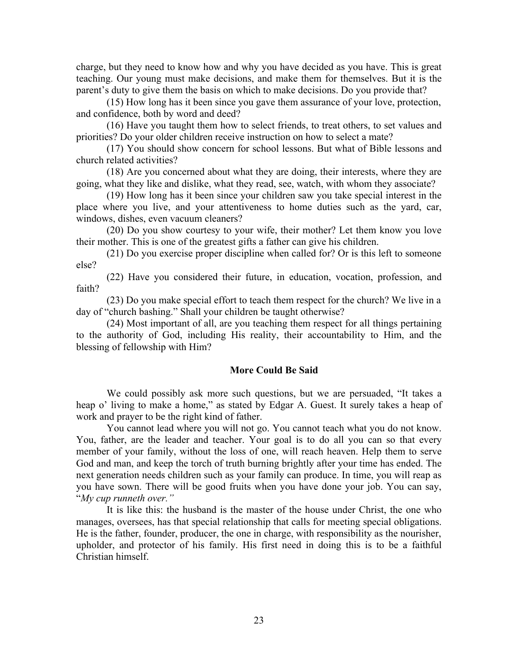charge, but they need to know how and why you have decided as you have. This is great teaching. Our young must make decisions, and make them for themselves. But it is the parent's duty to give them the basis on which to make decisions. Do you provide that?

(15) How long has it been since you gave them assurance of your love, protection, and confidence, both by word and deed?

(16) Have you taught them how to select friends, to treat others, to set values and priorities? Do your older children receive instruction on how to select a mate?

(17) You should show concern for school lessons. But what of Bible lessons and church related activities?

(18) Are you concerned about what they are doing, their interests, where they are going, what they like and dislike, what they read, see, watch, with whom they associate?

(19) How long has it been since your children saw you take special interest in the place where you live, and your attentiveness to home duties such as the yard, car, windows, dishes, even vacuum cleaners?

(20) Do you show courtesy to your wife, their mother? Let them know you love their mother. This is one of the greatest gifts a father can give his children.

(21) Do you exercise proper discipline when called for? Or is this left to someone else?

(22) Have you considered their future, in education, vocation, profession, and faith?

(23) Do you make special effort to teach them respect for the church? We live in a day of "church bashing." Shall your children be taught otherwise?

(24) Most important of all, are you teaching them respect for all things pertaining to the authority of God, including His reality, their accountability to Him, and the blessing of fellowship with Him?

#### **More Could Be Said**

We could possibly ask more such questions, but we are persuaded, "It takes a heap o' living to make a home," as stated by Edgar A. Guest. It surely takes a heap of work and prayer to be the right kind of father.

You cannot lead where you will not go. You cannot teach what you do not know. You, father, are the leader and teacher. Your goal is to do all you can so that every member of your family, without the loss of one, will reach heaven. Help them to serve God and man, and keep the torch of truth burning brightly after your time has ended. The next generation needs children such as your family can produce. In time, you will reap as you have sown. There will be good fruits when you have done your job. You can say, "*My cup runneth over."*

It is like this: the husband is the master of the house under Christ, the one who manages, oversees, has that special relationship that calls for meeting special obligations. He is the father, founder, producer, the one in charge, with responsibility as the nourisher, upholder, and protector of his family. His first need in doing this is to be a faithful Christian himself.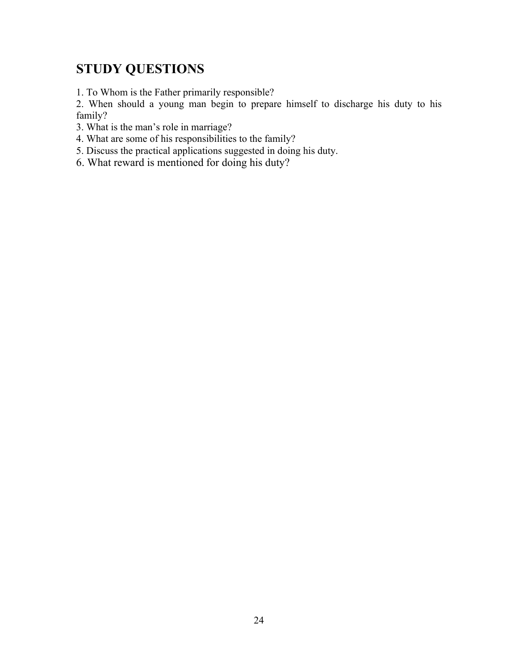### **STUDY QUESTIONS**

1. To Whom is the Father primarily responsible?

2. When should a young man begin to prepare himself to discharge his duty to his family?

- 3. What is the man's role in marriage?
- 4. What are some of his responsibilities to the family?
- 5. Discuss the practical applications suggested in doing his duty.
- 6. What reward is mentioned for doing his duty?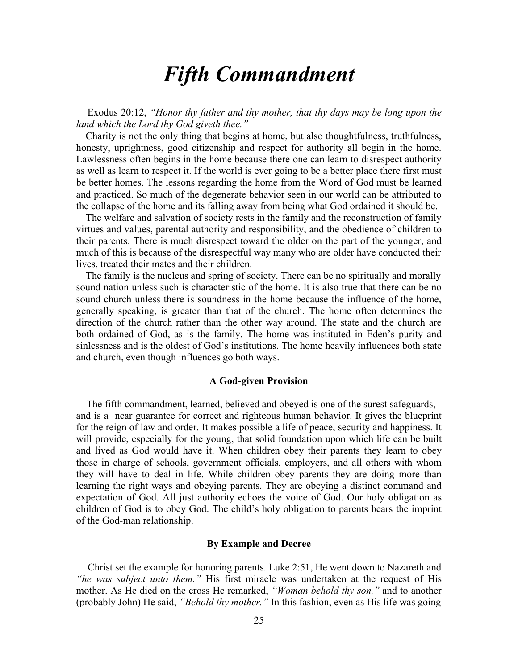### *Fifth Commandment*

Exodus 20:12, *"Honor thy father and thy mother, that thy days may be long upon the land which the Lord thy God giveth thee."*

Charity is not the only thing that begins at home, but also thoughtfulness, truthfulness, honesty, uprightness, good citizenship and respect for authority all begin in the home. Lawlessness often begins in the home because there one can learn to disrespect authority as well as learn to respect it. If the world is ever going to be a better place there first must be better homes. The lessons regarding the home from the Word of God must be learned and practiced. So much of the degenerate behavior seen in our world can be attributed to the collapse of the home and its falling away from being what God ordained it should be.

The welfare and salvation of society rests in the family and the reconstruction of family virtues and values, parental authority and responsibility, and the obedience of children to their parents. There is much disrespect toward the older on the part of the younger, and much of this is because of the disrespectful way many who are older have conducted their lives, treated their mates and their children.

The family is the nucleus and spring of society. There can be no spiritually and morally sound nation unless such is characteristic of the home. It is also true that there can be no sound church unless there is soundness in the home because the influence of the home, generally speaking, is greater than that of the church. The home often determines the direction of the church rather than the other way around. The state and the church are both ordained of God, as is the family. The home was instituted in Eden's purity and sinlessness and is the oldest of God's institutions. The home heavily influences both state and church, even though influences go both ways.

#### **A God-given Provision**

 The fifth commandment, learned, believed and obeyed is one of the surest safeguards, and is a near guarantee for correct and righteous human behavior. It gives the blueprint for the reign of law and order. It makes possible a life of peace, security and happiness. It will provide, especially for the young, that solid foundation upon which life can be built and lived as God would have it. When children obey their parents they learn to obey those in charge of schools, government officials, employers, and all others with whom they will have to deal in life. While children obey parents they are doing more than learning the right ways and obeying parents. They are obeying a distinct command and expectation of God. All just authority echoes the voice of God. Our holy obligation as children of God is to obey God. The child's holy obligation to parents bears the imprint of the God-man relationship.

#### **By Example and Decree**

Christ set the example for honoring parents. Luke 2:51, He went down to Nazareth and *"he was subject unto them."* His first miracle was undertaken at the request of His mother. As He died on the cross He remarked, *"Woman behold thy son,"* and to another (probably John) He said, *"Behold thy mother."* In this fashion, even as His life was going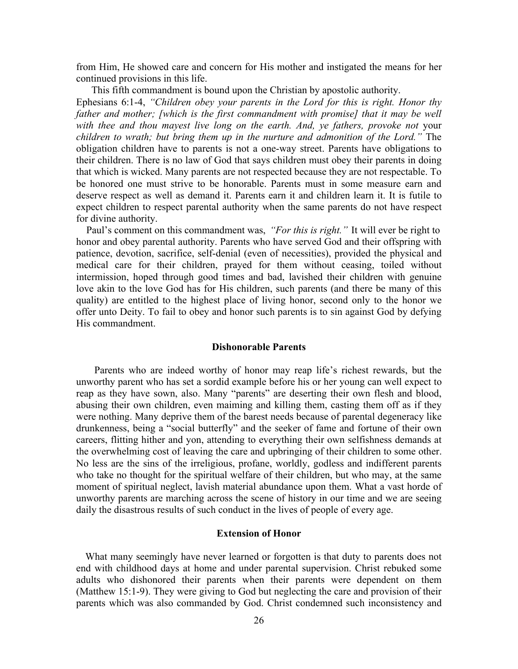from Him, He showed care and concern for His mother and instigated the means for her continued provisions in this life.

This fifth commandment is bound upon the Christian by apostolic authority.

Ephesians 6:1-4, *"Children obey your parents in the Lord for this is right. Honor thy father and mother; [which is the first commandment with promise] that it may be well* with thee and thou mayest live long on the earth. And, ye fathers, provoke not your *children to wrath; but bring them up in the nurture and admonition of the Lord."* The obligation children have to parents is not a one-way street. Parents have obligations to their children. There is no law of God that says children must obey their parents in doing that which is wicked. Many parents are not respected because they are not respectable. To be honored one must strive to be honorable. Parents must in some measure earn and deserve respect as well as demand it. Parents earn it and children learn it. It is futile to expect children to respect parental authority when the same parents do not have respect for divine authority.

 Paul's comment on this commandment was, *"For this is right."* It will ever be right to honor and obey parental authority. Parents who have served God and their offspring with patience, devotion, sacrifice, self-denial (even of necessities), provided the physical and medical care for their children, prayed for them without ceasing, toiled without intermission, hoped through good times and bad, lavished their children with genuine love akin to the love God has for His children, such parents (and there be many of this quality) are entitled to the highest place of living honor, second only to the honor we offer unto Deity. To fail to obey and honor such parents is to sin against God by defying His commandment.

#### **Dishonorable Parents**

Parents who are indeed worthy of honor may reap life's richest rewards, but the unworthy parent who has set a sordid example before his or her young can well expect to reap as they have sown, also. Many "parents" are deserting their own flesh and blood, abusing their own children, even maiming and killing them, casting them off as if they were nothing. Many deprive them of the barest needs because of parental degeneracy like drunkenness, being a "social butterfly" and the seeker of fame and fortune of their own careers, flitting hither and yon, attending to everything their own selfishness demands at the overwhelming cost of leaving the care and upbringing of their children to some other. No less are the sins of the irreligious, profane, worldly, godless and indifferent parents who take no thought for the spiritual welfare of their children, but who may, at the same moment of spiritual neglect, lavish material abundance upon them. What a vast horde of unworthy parents are marching across the scene of history in our time and we are seeing daily the disastrous results of such conduct in the lives of people of every age.

#### **Extension of Honor**

What many seemingly have never learned or forgotten is that duty to parents does not end with childhood days at home and under parental supervision. Christ rebuked some adults who dishonored their parents when their parents were dependent on them (Matthew 15:1-9). They were giving to God but neglecting the care and provision of their parents which was also commanded by God. Christ condemned such inconsistency and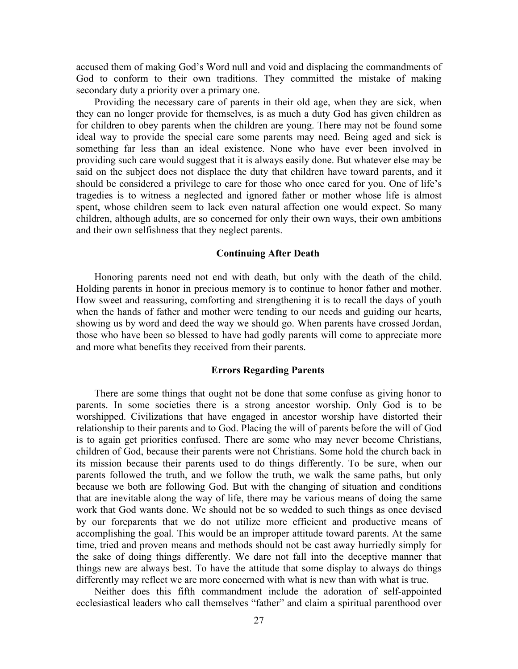accused them of making God's Word null and void and displacing the commandments of God to conform to their own traditions. They committed the mistake of making secondary duty a priority over a primary one.

Providing the necessary care of parents in their old age, when they are sick, when they can no longer provide for themselves, is as much a duty God has given children as for children to obey parents when the children are young. There may not be found some ideal way to provide the special care some parents may need. Being aged and sick is something far less than an ideal existence. None who have ever been involved in providing such care would suggest that it is always easily done. But whatever else may be said on the subject does not displace the duty that children have toward parents, and it should be considered a privilege to care for those who once cared for you. One of life's tragedies is to witness a neglected and ignored father or mother whose life is almost spent, whose children seem to lack even natural affection one would expect. So many children, although adults, are so concerned for only their own ways, their own ambitions and their own selfishness that they neglect parents.

#### **Continuing After Death**

Honoring parents need not end with death, but only with the death of the child. Holding parents in honor in precious memory is to continue to honor father and mother. How sweet and reassuring, comforting and strengthening it is to recall the days of youth when the hands of father and mother were tending to our needs and guiding our hearts, showing us by word and deed the way we should go. When parents have crossed Jordan, those who have been so blessed to have had godly parents will come to appreciate more and more what benefits they received from their parents.

#### **Errors Regarding Parents**

There are some things that ought not be done that some confuse as giving honor to parents. In some societies there is a strong ancestor worship. Only God is to be worshipped. Civilizations that have engaged in ancestor worship have distorted their relationship to their parents and to God. Placing the will of parents before the will of God is to again get priorities confused. There are some who may never become Christians, children of God, because their parents were not Christians. Some hold the church back in its mission because their parents used to do things differently. To be sure, when our parents followed the truth, and we follow the truth, we walk the same paths, but only because we both are following God. But with the changing of situation and conditions that are inevitable along the way of life, there may be various means of doing the same work that God wants done. We should not be so wedded to such things as once devised by our foreparents that we do not utilize more efficient and productive means of accomplishing the goal. This would be an improper attitude toward parents. At the same time, tried and proven means and methods should not be cast away hurriedly simply for the sake of doing things differently. We dare not fall into the deceptive manner that things new are always best. To have the attitude that some display to always do things differently may reflect we are more concerned with what is new than with what is true.

Neither does this fifth commandment include the adoration of self-appointed ecclesiastical leaders who call themselves "father" and claim a spiritual parenthood over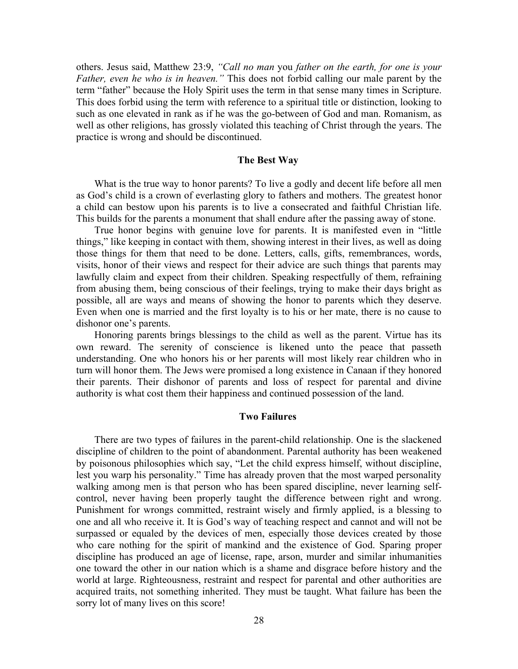others. Jesus said, Matthew 23:9, *"Call no man* you *father on the earth, for one is your Father, even he who is in heaven."* This does not forbid calling our male parent by the term "father" because the Holy Spirit uses the term in that sense many times in Scripture. This does forbid using the term with reference to a spiritual title or distinction, looking to such as one elevated in rank as if he was the go-between of God and man. Romanism, as well as other religions, has grossly violated this teaching of Christ through the years. The practice is wrong and should be discontinued.

#### **The Best Way**

What is the true way to honor parents? To live a godly and decent life before all men as God's child is a crown of everlasting glory to fathers and mothers. The greatest honor a child can bestow upon his parents is to live a consecrated and faithful Christian life. This builds for the parents a monument that shall endure after the passing away of stone.

True honor begins with genuine love for parents. It is manifested even in "little things," like keeping in contact with them, showing interest in their lives, as well as doing those things for them that need to be done. Letters, calls, gifts, remembrances, words, visits, honor of their views and respect for their advice are such things that parents may lawfully claim and expect from their children. Speaking respectfully of them, refraining from abusing them, being conscious of their feelings, trying to make their days bright as possible, all are ways and means of showing the honor to parents which they deserve. Even when one is married and the first loyalty is to his or her mate, there is no cause to dishonor one's parents.

Honoring parents brings blessings to the child as well as the parent. Virtue has its own reward. The serenity of conscience is likened unto the peace that passeth understanding. One who honors his or her parents will most likely rear children who in turn will honor them. The Jews were promised a long existence in Canaan if they honored their parents. Their dishonor of parents and loss of respect for parental and divine authority is what cost them their happiness and continued possession of the land.

#### **Two Failures**

There are two types of failures in the parent-child relationship. One is the slackened discipline of children to the point of abandonment. Parental authority has been weakened by poisonous philosophies which say, "Let the child express himself, without discipline, lest you warp his personality." Time has already proven that the most warped personality walking among men is that person who has been spared discipline, never learning selfcontrol, never having been properly taught the difference between right and wrong. Punishment for wrongs committed, restraint wisely and firmly applied, is a blessing to one and all who receive it. It is God's way of teaching respect and cannot and will not be surpassed or equaled by the devices of men, especially those devices created by those who care nothing for the spirit of mankind and the existence of God. Sparing proper discipline has produced an age of license, rape, arson, murder and similar inhumanities one toward the other in our nation which is a shame and disgrace before history and the world at large. Righteousness, restraint and respect for parental and other authorities are acquired traits, not something inherited. They must be taught. What failure has been the sorry lot of many lives on this score!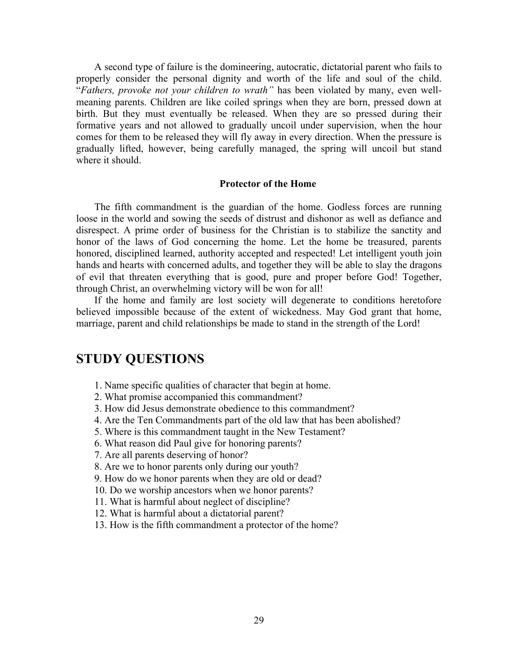A second type of failure is the domineering, autocratic, dictatorial parent who fails to properly consider the personal dignity and worth of the life and soul of the child. "*Fathers, provoke not your children to wrath"* has been violated by many, even wellmeaning parents. Children are like coiled springs when they are born, pressed down at birth. But they must eventually be released. When they are so pressed during their formative years and not allowed to gradually uncoil under supervision, when the hour comes for them to be released they will fly away in every direction. When the pressure is gradually lifted, however, being carefully managed, the spring will uncoil but stand where it should

#### **Protector of the Home**

The fifth commandment is the guardian of the home. Godless forces are running loose in the world and sowing the seeds of distrust and dishonor as well as defiance and disrespect. A prime order of business for the Christian is to stabilize the sanctity and honor of the laws of God concerning the home. Let the home be treasured, parents honored, disciplined learned, authority accepted and respected! Let intelligent youth join hands and hearts with concerned adults, and together they will be able to slay the dragons of evil that threaten everything that is good, pure and proper before God! Together, through Christ, an overwhelming victory will be won for all!

If the home and family are lost society will degenerate to conditions heretofore believed impossible because of the extent of wickedness. May God grant that home, marriage, parent and child relationships be made to stand in the strength of the Lord!

### **STUDY QUESTIONS**

- 1. Name specific qualities of character that begin at home.
- 2. What promise accompanied this commandment?
- 3. How did Jesus demonstrate obedience to this commandment?
- 4. Are the Ten Commandments part of the old law that has been abolished?
- 5. Where is this commandment taught in the New Testament?
- 6. What reason did Paul give for honoring parents?
- 7. Are all parents deserving of honor?
- 8. Are we to honor parents only during our youth?
- 9. How do we honor parents when they are old or dead?
- 10. Do we worship ancestors when we honor parents?
- 11. What is harmful about neglect of discipline?
- 12. What is harmful about a dictatorial parent?
- 13. How is the fifth commandment a protector of the home?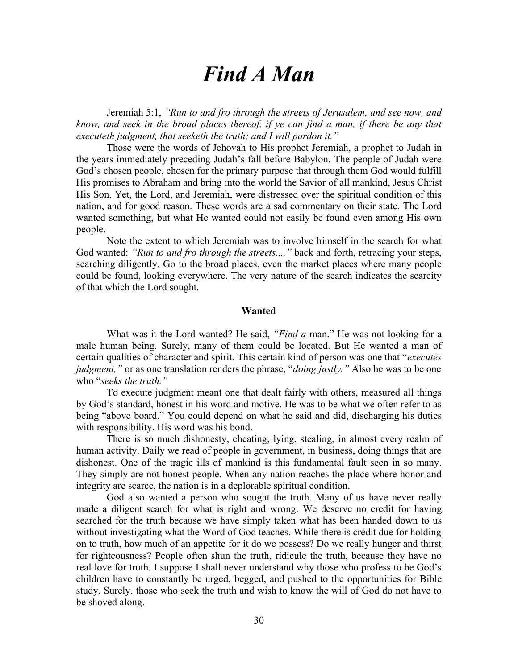### *Find A Man*

Jeremiah 5:1, *"Run to and fro through the streets of Jerusalem, and see now, and know, and seek in the broad places thereof, if ye can find a man, if there be any that executeth judgment, that seeketh the truth; and I will pardon it."*

Those were the words of Jehovah to His prophet Jeremiah, a prophet to Judah in the years immediately preceding Judah's fall before Babylon. The people of Judah were God's chosen people, chosen for the primary purpose that through them God would fulfill His promises to Abraham and bring into the world the Savior of all mankind, Jesus Christ His Son. Yet, the Lord, and Jeremiah, were distressed over the spiritual condition of this nation, and for good reason. These words are a sad commentary on their state. The Lord wanted something, but what He wanted could not easily be found even among His own people.

Note the extent to which Jeremiah was to involve himself in the search for what God wanted: *"Run to and fro through the streets...,"* back and forth, retracing your steps, searching diligently. Go to the broad places, even the market places where many people could be found, looking everywhere. The very nature of the search indicates the scarcity of that which the Lord sought.

#### **Wanted**

What was it the Lord wanted? He said, *"Find a* man." He was not looking for a male human being. Surely, many of them could be located. But He wanted a man of certain qualities of character and spirit. This certain kind of person was one that "*executes judgment,"* or as one translation renders the phrase, "*doing justly."* Also he was to be one who "*seeks the truth."*

To execute judgment meant one that dealt fairly with others, measured all things by God's standard, honest in his word and motive. He was to be what we often refer to as being "above board." You could depend on what he said and did, discharging his duties with responsibility. His word was his bond.

There is so much dishonesty, cheating, lying, stealing, in almost every realm of human activity. Daily we read of people in government, in business, doing things that are dishonest. One of the tragic ills of mankind is this fundamental fault seen in so many. They simply are not honest people. When any nation reaches the place where honor and integrity are scarce, the nation is in a deplorable spiritual condition.

God also wanted a person who sought the truth. Many of us have never really made a diligent search for what is right and wrong. We deserve no credit for having searched for the truth because we have simply taken what has been handed down to us without investigating what the Word of God teaches. While there is credit due for holding on to truth, how much of an appetite for it do we possess? Do we really hunger and thirst for righteousness? People often shun the truth, ridicule the truth, because they have no real love for truth. I suppose I shall never understand why those who profess to be God's children have to constantly be urged, begged, and pushed to the opportunities for Bible study. Surely, those who seek the truth and wish to know the will of God do not have to be shoved along.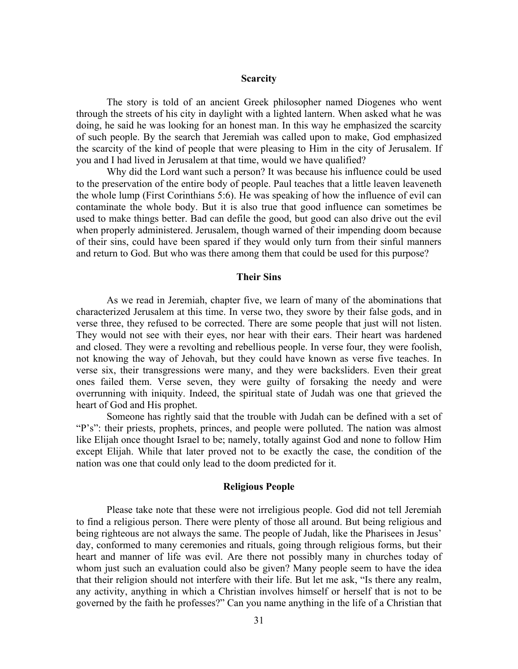#### **Scarcity**

The story is told of an ancient Greek philosopher named Diogenes who went through the streets of his city in daylight with a lighted lantern. When asked what he was doing, he said he was looking for an honest man. In this way he emphasized the scarcity of such people. By the search that Jeremiah was called upon to make, God emphasized the scarcity of the kind of people that were pleasing to Him in the city of Jerusalem. If you and I had lived in Jerusalem at that time, would we have qualified?

Why did the Lord want such a person? It was because his influence could be used to the preservation of the entire body of people. Paul teaches that a little leaven leaveneth the whole lump (First Corinthians 5:6). He was speaking of how the influence of evil can contaminate the whole body. But it is also true that good influence can sometimes be used to make things better. Bad can defile the good, but good can also drive out the evil when properly administered. Jerusalem, though warned of their impending doom because of their sins, could have been spared if they would only turn from their sinful manners and return to God. But who was there among them that could be used for this purpose?

#### **Their Sins**

As we read in Jeremiah, chapter five, we learn of many of the abominations that characterized Jerusalem at this time. In verse two, they swore by their false gods, and in verse three, they refused to be corrected. There are some people that just will not listen. They would not see with their eyes, nor hear with their ears. Their heart was hardened and closed. They were a revolting and rebellious people. In verse four, they were foolish, not knowing the way of Jehovah, but they could have known as verse five teaches. In verse six, their transgressions were many, and they were backsliders. Even their great ones failed them. Verse seven, they were guilty of forsaking the needy and were overrunning with iniquity. Indeed, the spiritual state of Judah was one that grieved the heart of God and His prophet.

Someone has rightly said that the trouble with Judah can be defined with a set of "P's": their priests, prophets, princes, and people were polluted. The nation was almost like Elijah once thought Israel to be; namely, totally against God and none to follow Him except Elijah. While that later proved not to be exactly the case, the condition of the nation was one that could only lead to the doom predicted for it.

#### **Religious People**

Please take note that these were not irreligious people. God did not tell Jeremiah to find a religious person. There were plenty of those all around. But being religious and being righteous are not always the same. The people of Judah, like the Pharisees in Jesus' day, conformed to many ceremonies and rituals, going through religious forms, but their heart and manner of life was evil. Are there not possibly many in churches today of whom just such an evaluation could also be given? Many people seem to have the idea that their religion should not interfere with their life. But let me ask, "Is there any realm, any activity, anything in which a Christian involves himself or herself that is not to be governed by the faith he professes?" Can you name anything in the life of a Christian that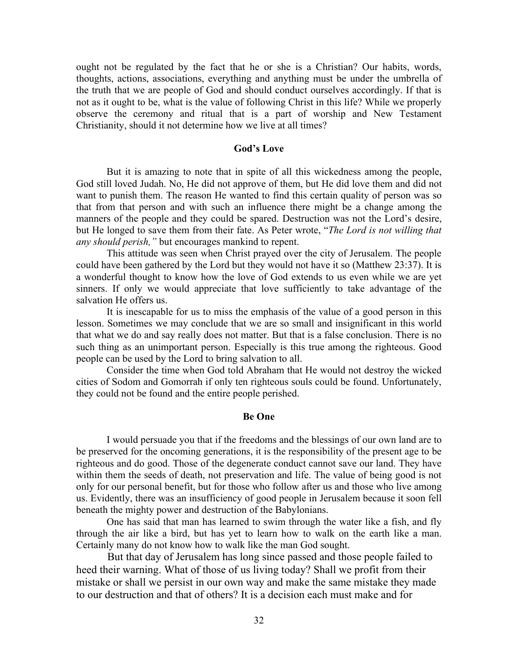ought not be regulated by the fact that he or she is a Christian? Our habits, words, thoughts, actions, associations, everything and anything must be under the umbrella of the truth that we are people of God and should conduct ourselves accordingly. If that is not as it ought to be, what is the value of following Christ in this life? While we properly observe the ceremony and ritual that is a part of worship and New Testament Christianity, should it not determine how we live at all times?

#### **God's Love**

But it is amazing to note that in spite of all this wickedness among the people, God still loved Judah. No, He did not approve of them, but He did love them and did not want to punish them. The reason He wanted to find this certain quality of person was so that from that person and with such an influence there might be a change among the manners of the people and they could be spared. Destruction was not the Lord's desire, but He longed to save them from their fate. As Peter wrote, "*The Lord is not willing that any should perish,"* but encourages mankind to repent.

This attitude was seen when Christ prayed over the city of Jerusalem. The people could have been gathered by the Lord but they would not have it so (Matthew 23:37). It is a wonderful thought to know how the love of God extends to us even while we are yet sinners. If only we would appreciate that love sufficiently to take advantage of the salvation He offers us.

It is inescapable for us to miss the emphasis of the value of a good person in this lesson. Sometimes we may conclude that we are so small and insignificant in this world that what we do and say really does not matter. But that is a false conclusion. There is no such thing as an unimportant person. Especially is this true among the righteous. Good people can be used by the Lord to bring salvation to all.

Consider the time when God told Abraham that He would not destroy the wicked cities of Sodom and Gomorrah if only ten righteous souls could be found. Unfortunately, they could not be found and the entire people perished.

#### **Be One**

I would persuade you that if the freedoms and the blessings of our own land are to be preserved for the oncoming generations, it is the responsibility of the present age to be righteous and do good. Those of the degenerate conduct cannot save our land. They have within them the seeds of death, not preservation and life. The value of being good is not only for our personal benefit, but for those who follow after us and those who live among us. Evidently, there was an insufficiency of good people in Jerusalem because it soon fell beneath the mighty power and destruction of the Babylonians.

One has said that man has learned to swim through the water like a fish, and fly through the air like a bird, but has yet to learn how to walk on the earth like a man. Certainly many do not know how to walk like the man God sought.

But that day of Jerusalem has long since passed and those people failed to heed their warning. What of those of us living today? Shall we profit from their mistake or shall we persist in our own way and make the same mistake they made to our destruction and that of others? It is a decision each must make and for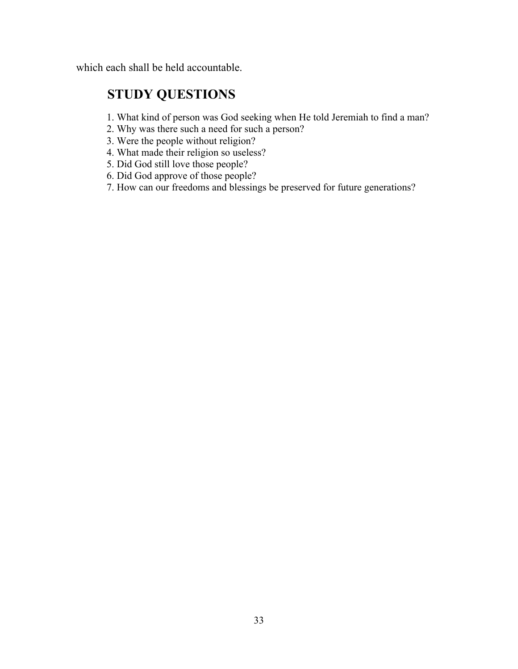which each shall be held accountable.

### **STUDY QUESTIONS**

- 1. What kind of person was God seeking when He told Jeremiah to find a man?
- 2. Why was there such a need for such a person?
- 3. Were the people without religion?
- 4. What made their religion so useless?
- 5. Did God still love those people?
- 6. Did God approve of those people?
- 7. How can our freedoms and blessings be preserved for future generations?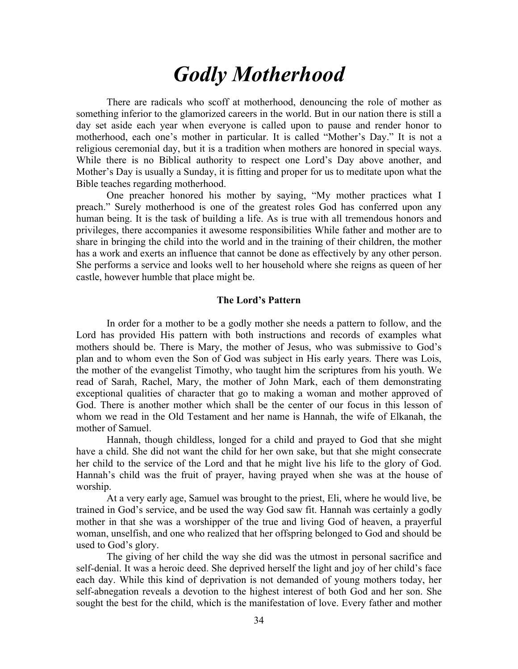# *Godly Motherhood*

There are radicals who scoff at motherhood, denouncing the role of mother as something inferior to the glamorized careers in the world. But in our nation there is still a day set aside each year when everyone is called upon to pause and render honor to motherhood, each one's mother in particular. It is called "Mother's Day." It is not a religious ceremonial day, but it is a tradition when mothers are honored in special ways. While there is no Biblical authority to respect one Lord's Day above another, and Mother's Day is usually a Sunday, it is fitting and proper for us to meditate upon what the Bible teaches regarding motherhood.

One preacher honored his mother by saying, "My mother practices what I preach." Surely motherhood is one of the greatest roles God has conferred upon any human being. It is the task of building a life. As is true with all tremendous honors and privileges, there accompanies it awesome responsibilities While father and mother are to share in bringing the child into the world and in the training of their children, the mother has a work and exerts an influence that cannot be done as effectively by any other person. She performs a service and looks well to her household where she reigns as queen of her castle, however humble that place might be.

#### **The Lord's Pattern**

In order for a mother to be a godly mother she needs a pattern to follow, and the Lord has provided His pattern with both instructions and records of examples what mothers should be. There is Mary, the mother of Jesus, who was submissive to God's plan and to whom even the Son of God was subject in His early years. There was Lois, the mother of the evangelist Timothy, who taught him the scriptures from his youth. We read of Sarah, Rachel, Mary, the mother of John Mark, each of them demonstrating exceptional qualities of character that go to making a woman and mother approved of God. There is another mother which shall be the center of our focus in this lesson of whom we read in the Old Testament and her name is Hannah, the wife of Elkanah, the mother of Samuel.

Hannah, though childless, longed for a child and prayed to God that she might have a child. She did not want the child for her own sake, but that she might consecrate her child to the service of the Lord and that he might live his life to the glory of God. Hannah's child was the fruit of prayer, having prayed when she was at the house of worship.

At a very early age, Samuel was brought to the priest, Eli, where he would live, be trained in God's service, and be used the way God saw fit. Hannah was certainly a godly mother in that she was a worshipper of the true and living God of heaven, a prayerful woman, unselfish, and one who realized that her offspring belonged to God and should be used to God's glory.

The giving of her child the way she did was the utmost in personal sacrifice and self-denial. It was a heroic deed. She deprived herself the light and joy of her child's face each day. While this kind of deprivation is not demanded of young mothers today, her self-abnegation reveals a devotion to the highest interest of both God and her son. She sought the best for the child, which is the manifestation of love. Every father and mother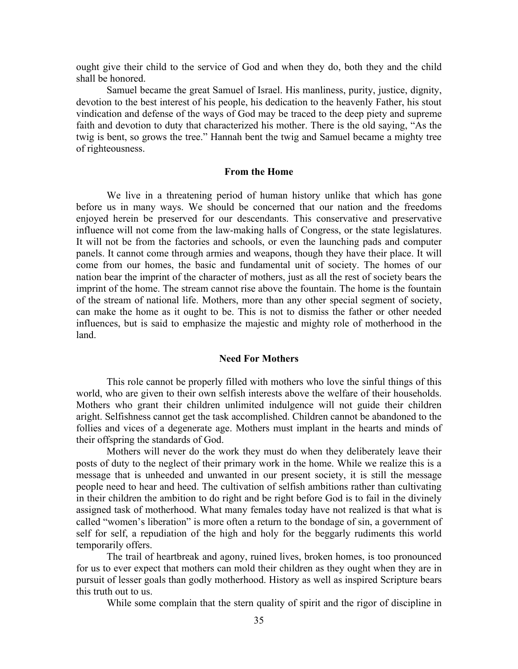ought give their child to the service of God and when they do, both they and the child shall be honored.

Samuel became the great Samuel of Israel. His manliness, purity, justice, dignity, devotion to the best interest of his people, his dedication to the heavenly Father, his stout vindication and defense of the ways of God may be traced to the deep piety and supreme faith and devotion to duty that characterized his mother. There is the old saying, "As the twig is bent, so grows the tree." Hannah bent the twig and Samuel became a mighty tree of righteousness.

#### **From the Home**

We live in a threatening period of human history unlike that which has gone before us in many ways. We should be concerned that our nation and the freedoms enjoyed herein be preserved for our descendants. This conservative and preservative influence will not come from the law-making halls of Congress, or the state legislatures. It will not be from the factories and schools, or even the launching pads and computer panels. It cannot come through armies and weapons, though they have their place. It will come from our homes, the basic and fundamental unit of society. The homes of our nation bear the imprint of the character of mothers, just as all the rest of society bears the imprint of the home. The stream cannot rise above the fountain. The home is the fountain of the stream of national life. Mothers, more than any other special segment of society, can make the home as it ought to be. This is not to dismiss the father or other needed influences, but is said to emphasize the majestic and mighty role of motherhood in the land.

#### **Need For Mothers**

This role cannot be properly filled with mothers who love the sinful things of this world, who are given to their own selfish interests above the welfare of their households. Mothers who grant their children unlimited indulgence will not guide their children aright. Selfishness cannot get the task accomplished. Children cannot be abandoned to the follies and vices of a degenerate age. Mothers must implant in the hearts and minds of their offspring the standards of God.

Mothers will never do the work they must do when they deliberately leave their posts of duty to the neglect of their primary work in the home. While we realize this is a message that is unheeded and unwanted in our present society, it is still the message people need to hear and heed. The cultivation of selfish ambitions rather than cultivating in their children the ambition to do right and be right before God is to fail in the divinely assigned task of motherhood. What many females today have not realized is that what is called "women's liberation" is more often a return to the bondage of sin, a government of self for self, a repudiation of the high and holy for the beggarly rudiments this world temporarily offers.

The trail of heartbreak and agony, ruined lives, broken homes, is too pronounced for us to ever expect that mothers can mold their children as they ought when they are in pursuit of lesser goals than godly motherhood. History as well as inspired Scripture bears this truth out to us.

While some complain that the stern quality of spirit and the rigor of discipline in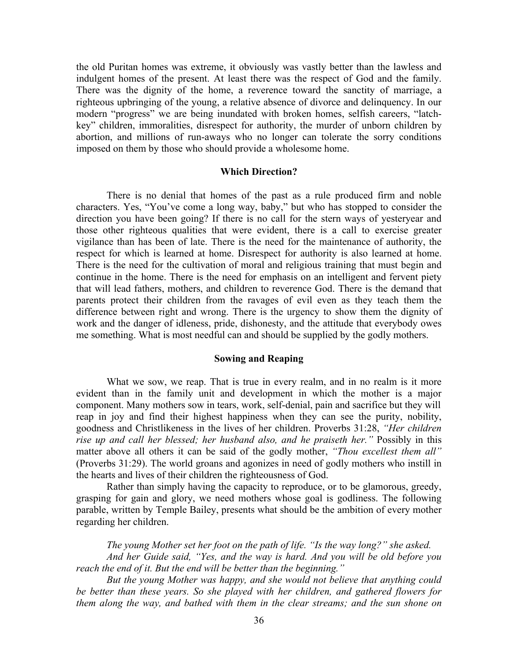the old Puritan homes was extreme, it obviously was vastly better than the lawless and indulgent homes of the present. At least there was the respect of God and the family. There was the dignity of the home, a reverence toward the sanctity of marriage, a righteous upbringing of the young, a relative absence of divorce and delinquency. In our modern "progress" we are being inundated with broken homes, selfish careers, "latchkey" children, immoralities, disrespect for authority, the murder of unborn children by abortion, and millions of run-aways who no longer can tolerate the sorry conditions imposed on them by those who should provide a wholesome home.

#### **Which Direction?**

There is no denial that homes of the past as a rule produced firm and noble characters. Yes, "You've come a long way, baby," but who has stopped to consider the direction you have been going? If there is no call for the stern ways of yesteryear and those other righteous qualities that were evident, there is a call to exercise greater vigilance than has been of late. There is the need for the maintenance of authority, the respect for which is learned at home. Disrespect for authority is also learned at home. There is the need for the cultivation of moral and religious training that must begin and continue in the home. There is the need for emphasis on an intelligent and fervent piety that will lead fathers, mothers, and children to reverence God. There is the demand that parents protect their children from the ravages of evil even as they teach them the difference between right and wrong. There is the urgency to show them the dignity of work and the danger of idleness, pride, dishonesty, and the attitude that everybody owes me something. What is most needful can and should be supplied by the godly mothers.

#### **Sowing and Reaping**

What we sow, we reap. That is true in every realm, and in no realm is it more evident than in the family unit and development in which the mother is a major component. Many mothers sow in tears, work, self-denial, pain and sacrifice but they will reap in joy and find their highest happiness when they can see the purity, nobility, goodness and Christlikeness in the lives of her children. Proverbs 31:28, *"Her children rise up and call her blessed; her husband also, and he praiseth her."* Possibly in this matter above all others it can be said of the godly mother, *"Thou excellest them all"* (Proverbs 31:29). The world groans and agonizes in need of godly mothers who instill in the hearts and lives of their children the righteousness of God.

Rather than simply having the capacity to reproduce, or to be glamorous, greedy, grasping for gain and glory, we need mothers whose goal is godliness. The following parable, written by Temple Bailey, presents what should be the ambition of every mother regarding her children.

*The young Mother set her foot on the path of life. "Is the way long?" she asked. And her Guide said, "Yes, and the way is hard. And you will be old before you reach the end of it. But the end will be better than the beginning."*

*But the young Mother was happy, and she would not believe that anything could be better than these years. So she played with her children, and gathered flowers for them along the way, and bathed with them in the clear streams; and the sun shone on*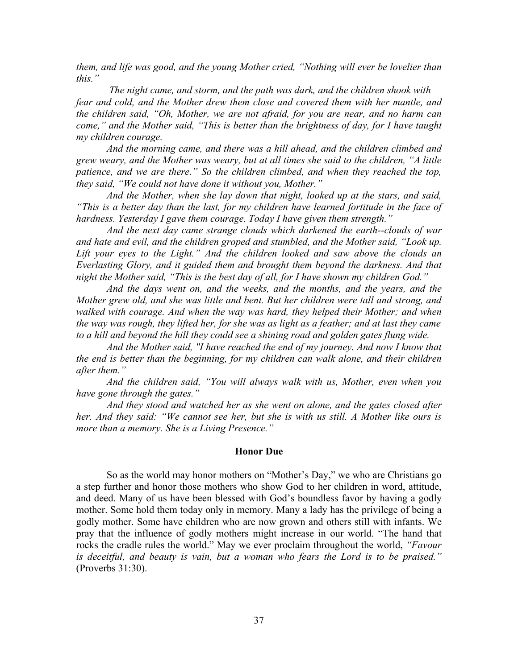*them, and life was good, and the young Mother cried, "Nothing will ever be lovelier than this."*

 *The night came, and storm, and the path was dark, and the children shook with fear and cold, and the Mother drew them close and covered them with her mantle, and the children said, "Oh, Mother, we are not afraid, for you are near, and no harm can come," and the Mother said, "This is better than the brightness of day, for I have taught my children courage.*

*And the morning came, and there was a hill ahead, and the children climbed and grew weary, and the Mother was weary, but at all times she said to the children, "A little patience, and we are there." So the children climbed, and when they reached the top, they said, "We could not have done it without you, Mother."*

*And the Mother, when she lay down that night, looked up at the stars, and said, "This is a better day than the last, for my children have learned fortitude in the face of hardness. Yesterday I gave them courage. Today I have given them strength."*

*And the next day came strange clouds which darkened the earth--clouds of war and hate and evil, and the children groped and stumbled, and the Mother said, "Look up. Lift your eyes to the Light." And the children looked and saw above the clouds an Everlasting Glory, and it guided them and brought them beyond the darkness. And that night the Mother said, "This is the best day of all, for I have shown my children God."*

*And the days went on, and the weeks, and the months, and the years, and the Mother grew old, and she was little and bent. But her children were tall and strong, and walked with courage. And when the way was hard, they helped their Mother; and when the way was rough, they lifted her, for she was as light as a feather; and at last they came to a hill and beyond the hill they could see a shining road and golden gates flung wide.*

*And the Mother said, "I have reached the end of my journey. And now I know that the end is better than the beginning, for my children can walk alone, and their children after them."*

*And the children said, "You will always walk with us, Mother, even when you have gone through the gates."*

*And they stood and watched her as she went on alone, and the gates closed after her. And they said: "We cannot see her, but she is with us still. A Mother like ours is more than a memory. She is a Living Presence."*

#### **Honor Due**

So as the world may honor mothers on "Mother's Day," we who are Christians go a step further and honor those mothers who show God to her children in word, attitude, and deed. Many of us have been blessed with God's boundless favor by having a godly mother. Some hold them today only in memory. Many a lady has the privilege of being a godly mother. Some have children who are now grown and others still with infants. We pray that the influence of godly mothers might increase in our world. "The hand that rocks the cradle rules the world." May we ever proclaim throughout the world, *"Favour is deceitful, and beauty is vain, but a woman who fears the Lord is to be praised."* (Proverbs 31:30).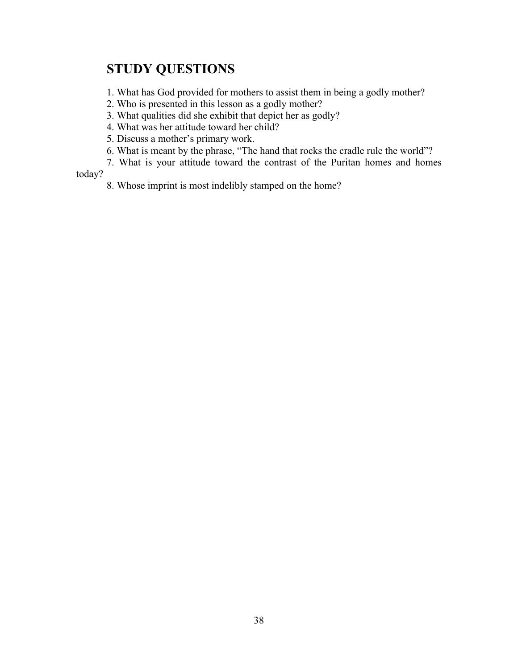## **STUDY QUESTIONS**

1. What has God provided for mothers to assist them in being a godly mother?

2. Who is presented in this lesson as a godly mother?

3. What qualities did she exhibit that depict her as godly?

4. What was her attitude toward her child?

5. Discuss a mother's primary work.

6. What is meant by the phrase, "The hand that rocks the cradle rule the world"?

7. What is your attitude toward the contrast of the Puritan homes and homes today?

8. Whose imprint is most indelibly stamped on the home?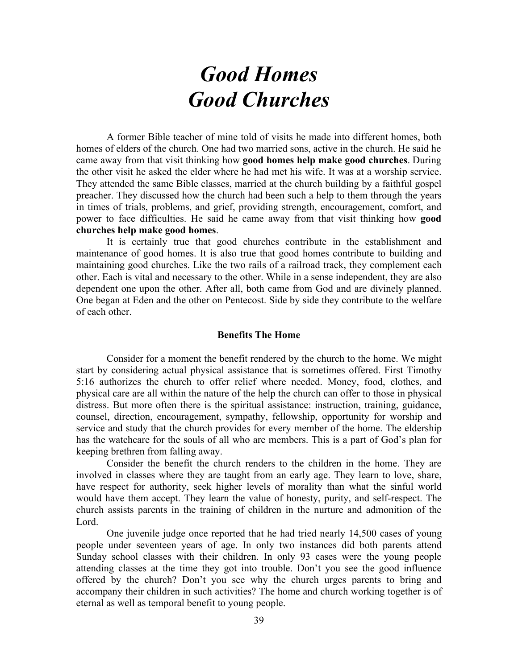# *Good Homes Good Churches*

A former Bible teacher of mine told of visits he made into different homes, both homes of elders of the church. One had two married sons, active in the church. He said he came away from that visit thinking how **good homes help make good churches**. During the other visit he asked the elder where he had met his wife. It was at a worship service. They attended the same Bible classes, married at the church building by a faithful gospel preacher. They discussed how the church had been such a help to them through the years in times of trials, problems, and grief, providing strength, encouragement, comfort, and power to face difficulties. He said he came away from that visit thinking how **good churches help make good homes**.

It is certainly true that good churches contribute in the establishment and maintenance of good homes. It is also true that good homes contribute to building and maintaining good churches. Like the two rails of a railroad track, they complement each other. Each is vital and necessary to the other. While in a sense independent, they are also dependent one upon the other. After all, both came from God and are divinely planned. One began at Eden and the other on Pentecost. Side by side they contribute to the welfare of each other.

#### **Benefits The Home**

Consider for a moment the benefit rendered by the church to the home. We might start by considering actual physical assistance that is sometimes offered. First Timothy 5:16 authorizes the church to offer relief where needed. Money, food, clothes, and physical care are all within the nature of the help the church can offer to those in physical distress. But more often there is the spiritual assistance: instruction, training, guidance, counsel, direction, encouragement, sympathy, fellowship, opportunity for worship and service and study that the church provides for every member of the home. The eldership has the watchcare for the souls of all who are members. This is a part of God's plan for keeping brethren from falling away.

Consider the benefit the church renders to the children in the home. They are involved in classes where they are taught from an early age. They learn to love, share, have respect for authority, seek higher levels of morality than what the sinful world would have them accept. They learn the value of honesty, purity, and self-respect. The church assists parents in the training of children in the nurture and admonition of the Lord.

One juvenile judge once reported that he had tried nearly 14,500 cases of young people under seventeen years of age. In only two instances did both parents attend Sunday school classes with their children. In only 93 cases were the young people attending classes at the time they got into trouble. Don't you see the good influence offered by the church? Don't you see why the church urges parents to bring and accompany their children in such activities? The home and church working together is of eternal as well as temporal benefit to young people.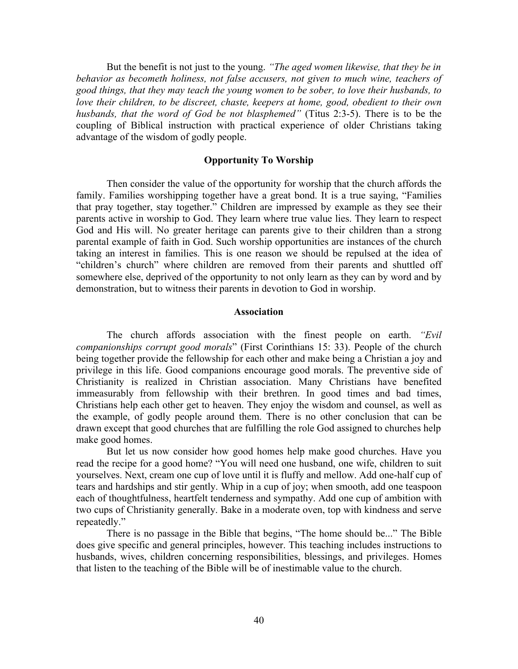But the benefit is not just to the young. *"The aged women likewise, that they be in behavior as becometh holiness, not false accusers, not given to much wine, teachers of good things, that they may teach the young women to be sober, to love their husbands, to love their children, to be discreet, chaste, keepers at home, good, obedient to their own husbands, that the word of God be not blasphemed"* (Titus 2:3-5). There is to be the coupling of Biblical instruction with practical experience of older Christians taking advantage of the wisdom of godly people.

#### **Opportunity To Worship**

Then consider the value of the opportunity for worship that the church affords the family. Families worshipping together have a great bond. It is a true saying, "Families that pray together, stay together." Children are impressed by example as they see their parents active in worship to God. They learn where true value lies. They learn to respect God and His will. No greater heritage can parents give to their children than a strong parental example of faith in God. Such worship opportunities are instances of the church taking an interest in families. This is one reason we should be repulsed at the idea of "children's church" where children are removed from their parents and shuttled off somewhere else, deprived of the opportunity to not only learn as they can by word and by demonstration, but to witness their parents in devotion to God in worship.

#### **Association**

The church affords association with the finest people on earth. *"Evil companionships corrupt good morals*" (First Corinthians 15: 33). People of the church being together provide the fellowship for each other and make being a Christian a joy and privilege in this life. Good companions encourage good morals. The preventive side of Christianity is realized in Christian association. Many Christians have benefited immeasurably from fellowship with their brethren. In good times and bad times, Christians help each other get to heaven. They enjoy the wisdom and counsel, as well as the example, of godly people around them. There is no other conclusion that can be drawn except that good churches that are fulfilling the role God assigned to churches help make good homes.

But let us now consider how good homes help make good churches. Have you read the recipe for a good home? "You will need one husband, one wife, children to suit yourselves. Next, cream one cup of love until it is fluffy and mellow. Add one-half cup of tears and hardships and stir gently. Whip in a cup of joy; when smooth, add one teaspoon each of thoughtfulness, heartfelt tenderness and sympathy. Add one cup of ambition with two cups of Christianity generally. Bake in a moderate oven, top with kindness and serve repeatedly."

There is no passage in the Bible that begins, "The home should be..." The Bible does give specific and general principles, however. This teaching includes instructions to husbands, wives, children concerning responsibilities, blessings, and privileges. Homes that listen to the teaching of the Bible will be of inestimable value to the church.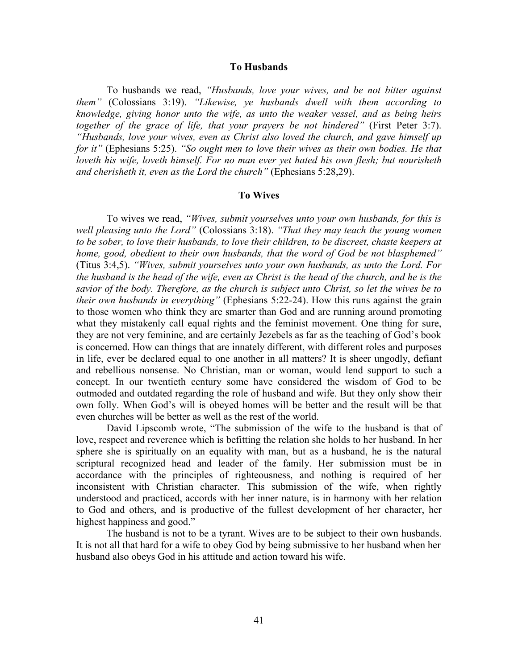#### **To Husbands**

To husbands we read, *"Husbands, love your wives, and be not bitter against them"* (Colossians 3:19). *"Likewise, ye husbands dwell with them according to knowledge, giving honor unto the wife, as unto the weaker vessel, and as being heirs together of the grace of life, that your prayers be not hindered"* (First Peter 3:7). *"Husbands, love your wives, even as Christ also loved the church, and gave himself up for it"* (Ephesians 5:25). *"So ought men to love their wives as their own bodies. He that loveth his wife, loveth himself. For no man ever yet hated his own flesh; but nourisheth and cherisheth it, even as the Lord the church"* (Ephesians 5:28,29).

#### **To Wives**

To wives we read, *"Wives, submit yourselves unto your own husbands, for this is well pleasing unto the Lord"* (Colossians 3:18). *"That they may teach the young women to be sober, to love their husbands, to love their children, to be discreet, chaste keepers at home, good, obedient to their own husbands, that the word of God be not blasphemed"* (Titus 3:4,5). *"Wives, submit yourselves unto your own husbands, as unto the Lord. For the husband is the head of the wife, even as Christ is the head of the church, and he is the savior of the body. Therefore, as the church is subject unto Christ, so let the wives be to their own husbands in everything"* (Ephesians 5:22-24). How this runs against the grain to those women who think they are smarter than God and are running around promoting what they mistakenly call equal rights and the feminist movement. One thing for sure, they are not very feminine, and are certainly Jezebels as far as the teaching of God's book is concerned. How can things that are innately different, with different roles and purposes in life, ever be declared equal to one another in all matters? It is sheer ungodly, defiant and rebellious nonsense. No Christian, man or woman, would lend support to such a concept. In our twentieth century some have considered the wisdom of God to be outmoded and outdated regarding the role of husband and wife. But they only show their own folly. When God's will is obeyed homes will be better and the result will be that even churches will be better as well as the rest of the world.

David Lipscomb wrote, "The submission of the wife to the husband is that of love, respect and reverence which is befitting the relation she holds to her husband. In her sphere she is spiritually on an equality with man, but as a husband, he is the natural scriptural recognized head and leader of the family. Her submission must be in accordance with the principles of righteousness, and nothing is required of her inconsistent with Christian character. This submission of the wife, when rightly understood and practiced, accords with her inner nature, is in harmony with her relation to God and others, and is productive of the fullest development of her character, her highest happiness and good."

The husband is not to be a tyrant. Wives are to be subject to their own husbands. It is not all that hard for a wife to obey God by being submissive to her husband when her husband also obeys God in his attitude and action toward his wife.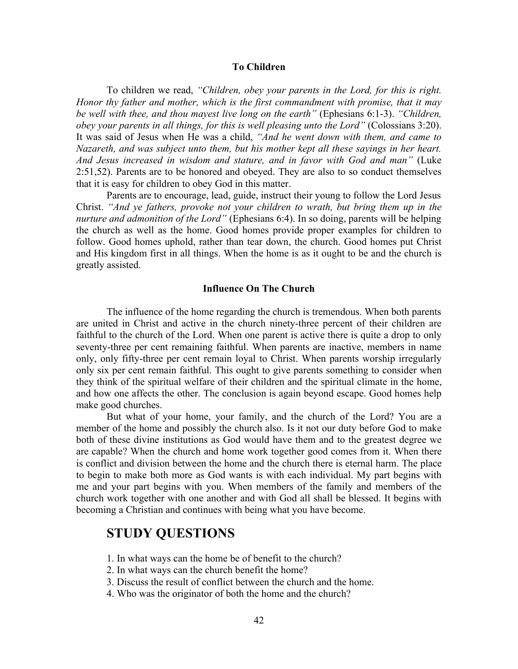#### **To Children**

To children we read, *"Children, obey your parents in the Lord, for this is right. Honor thy father and mother, which is the first commandment with promise, that it may be well with thee, and thou mayest live long on the earth"* (Ephesians 6:1-3). *"Children, obey your parents in all things, for this is well pleasing unto the Lord"* (Colossians 3:20). It was said of Jesus when He was a child, *"And he went down with them, and came to Nazareth, and was subject unto them, but his mother kept all these sayings in her heart. And Jesus increased in wisdom and stature, and in favor with God and man"* (Luke 2:51,52). Parents are to be honored and obeyed. They are also to so conduct themselves that it is easy for children to obey God in this matter.

Parents are to encourage, lead, guide, instruct their young to follow the Lord Jesus Christ. *"And ye fathers, provoke not your children to wrath, but bring them up in the nurture and admonition of the Lord"* (Ephesians 6:4). In so doing, parents will be helping the church as well as the home. Good homes provide proper examples for children to follow. Good homes uphold, rather than tear down, the church. Good homes put Christ and His kingdom first in all things. When the home is as it ought to be and the church is greatly assisted.

#### **Influence On The Church**

The influence of the home regarding the church is tremendous. When both parents are united in Christ and active in the church ninety-three percent of their children are faithful to the church of the Lord. When one parent is active there is quite a drop to only seventy-three per cent remaining faithful. When parents are inactive, members in name only, only fifty-three per cent remain loyal to Christ. When parents worship irregularly only six per cent remain faithful. This ought to give parents something to consider when they think of the spiritual welfare of their children and the spiritual climate in the home, and how one affects the other. The conclusion is again beyond escape. Good homes help make good churches.

But what of your home, your family, and the church of the Lord? You are a member of the home and possibly the church also. Is it not our duty before God to make both of these divine institutions as God would have them and to the greatest degree we are capable? When the church and home work together good comes from it. When there is conflict and division between the home and the church there is eternal harm. The place to begin to make both more as God wants is with each individual. My part begins with me and your part begins with you. When members of the family and members of the church work together with one another and with God all shall be blessed. It begins with becoming a Christian and continues with being what you have become.

### **STUDY QUESTIONS**

- 1. In what ways can the home be of benefit to the church?
- 2. In what ways can the church benefit the home?
- 3. Discuss the result of conflict between the church and the home.
- 4. Who was the originator of both the home and the church?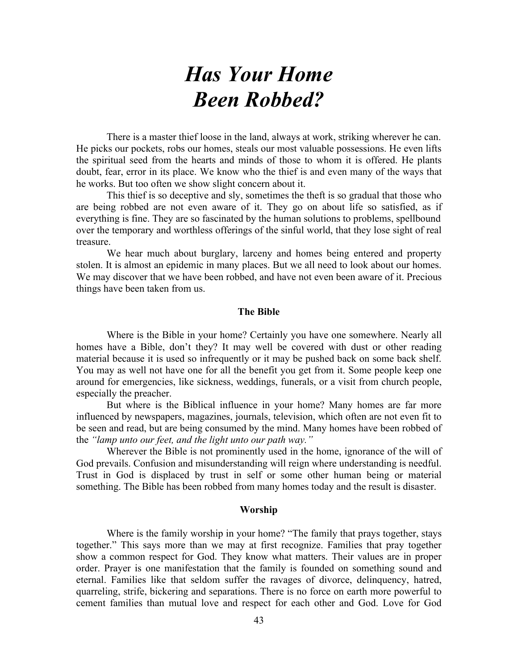# *Has Your Home Been Robbed?*

There is a master thief loose in the land, always at work, striking wherever he can. He picks our pockets, robs our homes, steals our most valuable possessions. He even lifts the spiritual seed from the hearts and minds of those to whom it is offered. He plants doubt, fear, error in its place. We know who the thief is and even many of the ways that he works. But too often we show slight concern about it.

This thief is so deceptive and sly, sometimes the theft is so gradual that those who are being robbed are not even aware of it. They go on about life so satisfied, as if everything is fine. They are so fascinated by the human solutions to problems, spellbound over the temporary and worthless offerings of the sinful world, that they lose sight of real treasure.

We hear much about burglary, larceny and homes being entered and property stolen. It is almost an epidemic in many places. But we all need to look about our homes. We may discover that we have been robbed, and have not even been aware of it. Precious things have been taken from us.

#### **The Bible**

Where is the Bible in your home? Certainly you have one somewhere. Nearly all homes have a Bible, don't they? It may well be covered with dust or other reading material because it is used so infrequently or it may be pushed back on some back shelf. You may as well not have one for all the benefit you get from it. Some people keep one around for emergencies, like sickness, weddings, funerals, or a visit from church people, especially the preacher.

But where is the Biblical influence in your home? Many homes are far more influenced by newspapers, magazines, journals, television, which often are not even fit to be seen and read, but are being consumed by the mind. Many homes have been robbed of the *"lamp unto our feet, and the light unto our path way."*

Wherever the Bible is not prominently used in the home, ignorance of the will of God prevails. Confusion and misunderstanding will reign where understanding is needful. Trust in God is displaced by trust in self or some other human being or material something. The Bible has been robbed from many homes today and the result is disaster.

#### **Worship**

Where is the family worship in your home? "The family that prays together, stays together." This says more than we may at first recognize. Families that pray together show a common respect for God. They know what matters. Their values are in proper order. Prayer is one manifestation that the family is founded on something sound and eternal. Families like that seldom suffer the ravages of divorce, delinquency, hatred, quarreling, strife, bickering and separations. There is no force on earth more powerful to cement families than mutual love and respect for each other and God. Love for God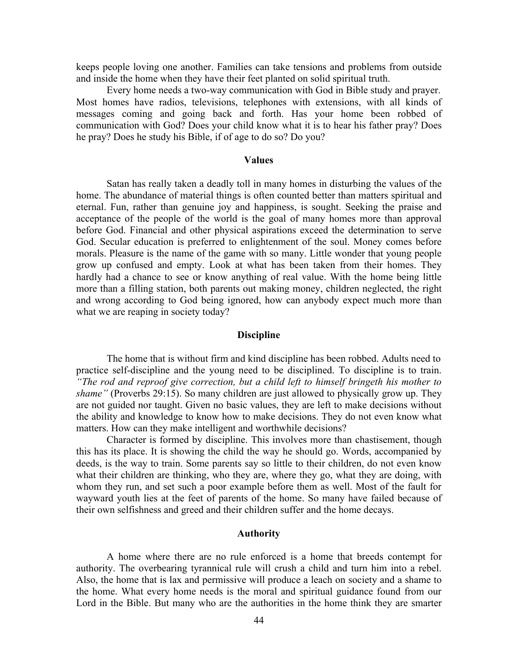keeps people loving one another. Families can take tensions and problems from outside and inside the home when they have their feet planted on solid spiritual truth.

Every home needs a two-way communication with God in Bible study and prayer. Most homes have radios, televisions, telephones with extensions, with all kinds of messages coming and going back and forth. Has your home been robbed of communication with God? Does your child know what it is to hear his father pray? Does he pray? Does he study his Bible, if of age to do so? Do you?

#### **Values**

Satan has really taken a deadly toll in many homes in disturbing the values of the home. The abundance of material things is often counted better than matters spiritual and eternal. Fun, rather than genuine joy and happiness, is sought. Seeking the praise and acceptance of the people of the world is the goal of many homes more than approval before God. Financial and other physical aspirations exceed the determination to serve God. Secular education is preferred to enlightenment of the soul. Money comes before morals. Pleasure is the name of the game with so many. Little wonder that young people grow up confused and empty. Look at what has been taken from their homes. They hardly had a chance to see or know anything of real value. With the home being little more than a filling station, both parents out making money, children neglected, the right and wrong according to God being ignored, how can anybody expect much more than what we are reaping in society today?

#### **Discipline**

The home that is without firm and kind discipline has been robbed. Adults need to practice self-discipline and the young need to be disciplined. To discipline is to train. *"The rod and reproof give correction, but a child left to himself bringeth his mother to shame"* (Proverbs 29:15). So many children are just allowed to physically grow up. They are not guided nor taught. Given no basic values, they are left to make decisions without the ability and knowledge to know how to make decisions. They do not even know what matters. How can they make intelligent and worthwhile decisions?

Character is formed by discipline. This involves more than chastisement, though this has its place. It is showing the child the way he should go. Words, accompanied by deeds, is the way to train. Some parents say so little to their children, do not even know what their children are thinking, who they are, where they go, what they are doing, with whom they run, and set such a poor example before them as well. Most of the fault for wayward youth lies at the feet of parents of the home. So many have failed because of their own selfishness and greed and their children suffer and the home decays.

#### **Authority**

A home where there are no rule enforced is a home that breeds contempt for authority. The overbearing tyrannical rule will crush a child and turn him into a rebel. Also, the home that is lax and permissive will produce a leach on society and a shame to the home. What every home needs is the moral and spiritual guidance found from our Lord in the Bible. But many who are the authorities in the home think they are smarter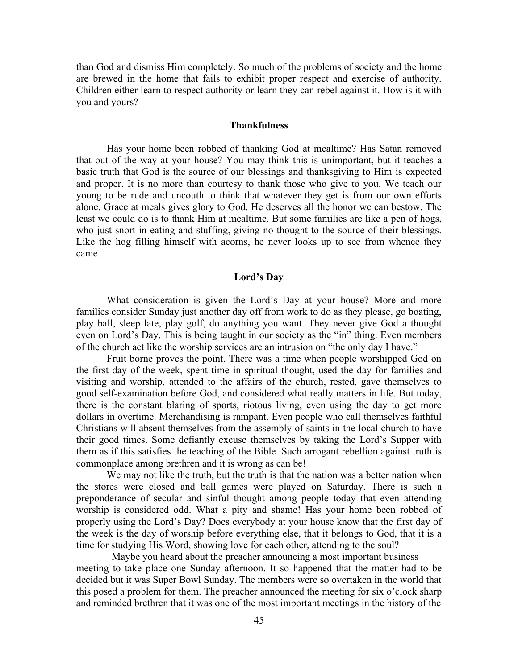than God and dismiss Him completely. So much of the problems of society and the home are brewed in the home that fails to exhibit proper respect and exercise of authority. Children either learn to respect authority or learn they can rebel against it. How is it with you and yours?

#### **Thankfulness**

Has your home been robbed of thanking God at mealtime? Has Satan removed that out of the way at your house? You may think this is unimportant, but it teaches a basic truth that God is the source of our blessings and thanksgiving to Him is expected and proper. It is no more than courtesy to thank those who give to you. We teach our young to be rude and uncouth to think that whatever they get is from our own efforts alone. Grace at meals gives glory to God. He deserves all the honor we can bestow. The least we could do is to thank Him at mealtime. But some families are like a pen of hogs, who just snort in eating and stuffing, giving no thought to the source of their blessings. Like the hog filling himself with acorns, he never looks up to see from whence they came.

#### **Lord's Day**

What consideration is given the Lord's Day at your house? More and more families consider Sunday just another day off from work to do as they please, go boating, play ball, sleep late, play golf, do anything you want. They never give God a thought even on Lord's Day. This is being taught in our society as the "in" thing. Even members of the church act like the worship services are an intrusion on "the only day I have."

Fruit borne proves the point. There was a time when people worshipped God on the first day of the week, spent time in spiritual thought, used the day for families and visiting and worship, attended to the affairs of the church, rested, gave themselves to good self-examination before God, and considered what really matters in life. But today, there is the constant blaring of sports, riotous living, even using the day to get more dollars in overtime. Merchandising is rampant. Even people who call themselves faithful Christians will absent themselves from the assembly of saints in the local church to have their good times. Some defiantly excuse themselves by taking the Lord's Supper with them as if this satisfies the teaching of the Bible. Such arrogant rebellion against truth is commonplace among brethren and it is wrong as can be!

We may not like the truth, but the truth is that the nation was a better nation when the stores were closed and ball games were played on Saturday. There is such a preponderance of secular and sinful thought among people today that even attending worship is considered odd. What a pity and shame! Has your home been robbed of properly using the Lord's Day? Does everybody at your house know that the first day of the week is the day of worship before everything else, that it belongs to God, that it is a time for studying His Word, showing love for each other, attending to the soul?

 Maybe you heard about the preacher announcing a most important business meeting to take place one Sunday afternoon. It so happened that the matter had to be decided but it was Super Bowl Sunday. The members were so overtaken in the world that this posed a problem for them. The preacher announced the meeting for six o'clock sharp and reminded brethren that it was one of the most important meetings in the history of the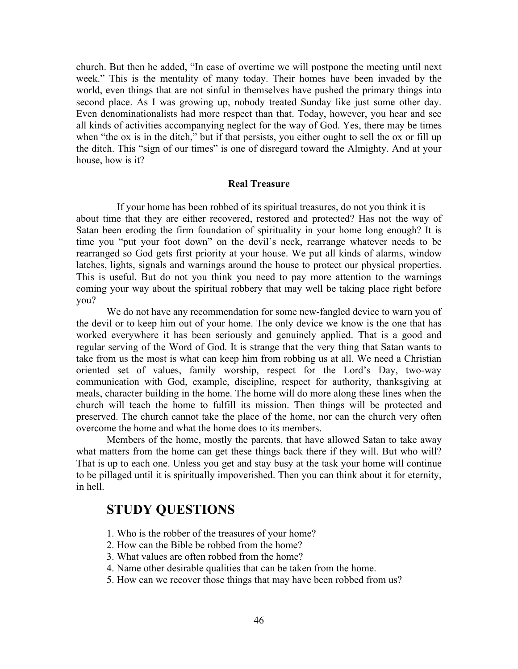church. But then he added, "In case of overtime we will postpone the meeting until next week." This is the mentality of many today. Their homes have been invaded by the world, even things that are not sinful in themselves have pushed the primary things into second place. As I was growing up, nobody treated Sunday like just some other day. Even denominationalists had more respect than that. Today, however, you hear and see all kinds of activities accompanying neglect for the way of God. Yes, there may be times when "the ox is in the ditch," but if that persists, you either ought to sell the ox or fill up the ditch. This "sign of our times" is one of disregard toward the Almighty. And at your house, how is it?

#### **Real Treasure**

 If your home has been robbed of its spiritual treasures, do not you think it is about time that they are either recovered, restored and protected? Has not the way of Satan been eroding the firm foundation of spirituality in your home long enough? It is time you "put your foot down" on the devil's neck, rearrange whatever needs to be rearranged so God gets first priority at your house. We put all kinds of alarms, window latches, lights, signals and warnings around the house to protect our physical properties. This is useful. But do not you think you need to pay more attention to the warnings coming your way about the spiritual robbery that may well be taking place right before you?

We do not have any recommendation for some new-fangled device to warn you of the devil or to keep him out of your home. The only device we know is the one that has worked everywhere it has been seriously and genuinely applied. That is a good and regular serving of the Word of God. It is strange that the very thing that Satan wants to take from us the most is what can keep him from robbing us at all. We need a Christian oriented set of values, family worship, respect for the Lord's Day, two-way communication with God, example, discipline, respect for authority, thanksgiving at meals, character building in the home. The home will do more along these lines when the church will teach the home to fulfill its mission. Then things will be protected and preserved. The church cannot take the place of the home, nor can the church very often overcome the home and what the home does to its members.

Members of the home, mostly the parents, that have allowed Satan to take away what matters from the home can get these things back there if they will. But who will? That is up to each one. Unless you get and stay busy at the task your home will continue to be pillaged until it is spiritually impoverished. Then you can think about it for eternity, in hell.

### **STUDY QUESTIONS**

- 1. Who is the robber of the treasures of your home?
- 2. How can the Bible be robbed from the home?
- 3. What values are often robbed from the home?
- 4. Name other desirable qualities that can be taken from the home.
- 5. How can we recover those things that may have been robbed from us?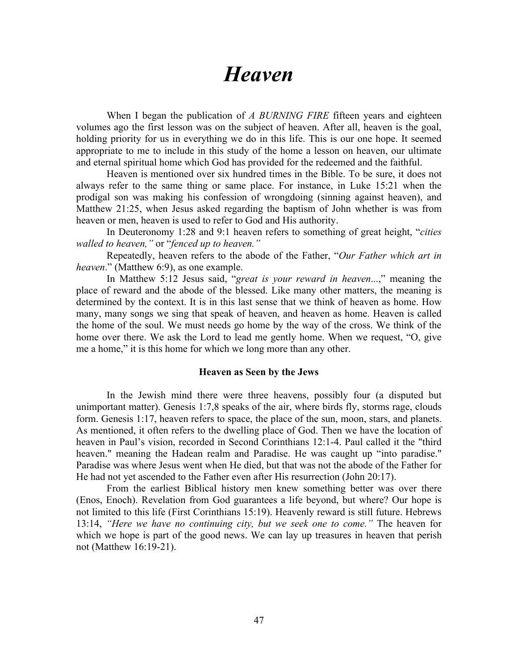## *Heaven*

When I began the publication of *A BURNING FIRE* fifteen years and eighteen volumes ago the first lesson was on the subject of heaven. After all, heaven is the goal, holding priority for us in everything we do in this life. This is our one hope. It seemed appropriate to me to include in this study of the home a lesson on heaven, our ultimate and eternal spiritual home which God has provided for the redeemed and the faithful.

Heaven is mentioned over six hundred times in the Bible. To be sure, it does not always refer to the same thing or same place. For instance, in Luke 15:21 when the prodigal son was making his confession of wrongdoing (sinning against heaven), and Matthew 21:25, when Jesus asked regarding the baptism of John whether is was from heaven or men, heaven is used to refer to God and His authority.

In Deuteronomy 1:28 and 9:1 heaven refers to something of great height, "*cities walled to heaven,"* or "*fenced up to heaven."*

Repeatedly, heaven refers to the abode of the Father, "*Our Father which art in heaven*." (Matthew 6:9), as one example.

In Matthew 5:12 Jesus said, "*great is your reward in heaven*...," meaning the place of reward and the abode of the blessed. Like many other matters, the meaning is determined by the context. It is in this last sense that we think of heaven as home. How many, many songs we sing that speak of heaven, and heaven as home. Heaven is called the home of the soul. We must needs go home by the way of the cross. We think of the home over there. We ask the Lord to lead me gently home. When we request, "O, give me a home," it is this home for which we long more than any other.

#### **Heaven as Seen by the Jews**

In the Jewish mind there were three heavens, possibly four (a disputed but unimportant matter). Genesis 1:7,8 speaks of the air, where birds fly, storms rage, clouds form. Genesis 1:17, heaven refers to space, the place of the sun, moon, stars, and planets. As mentioned, it often refers to the dwelling place of God. Then we have the location of heaven in Paul's vision, recorded in Second Corinthians 12:1-4. Paul called it the "third heaven." meaning the Hadean realm and Paradise. He was caught up "into paradise." Paradise was where Jesus went when He died, but that was not the abode of the Father for He had not yet ascended to the Father even after His resurrection (John 20:17).

From the earliest Biblical history men knew something better was over there (Enos, Enoch). Revelation from God guarantees a life beyond, but where? Our hope is not limited to this life (First Corinthians 15:19). Heavenly reward is still future. Hebrews 13:14, *"Here we have no continuing city, but we seek one to come."* The heaven for which we hope is part of the good news. We can lay up treasures in heaven that perish not (Matthew 16:19-21).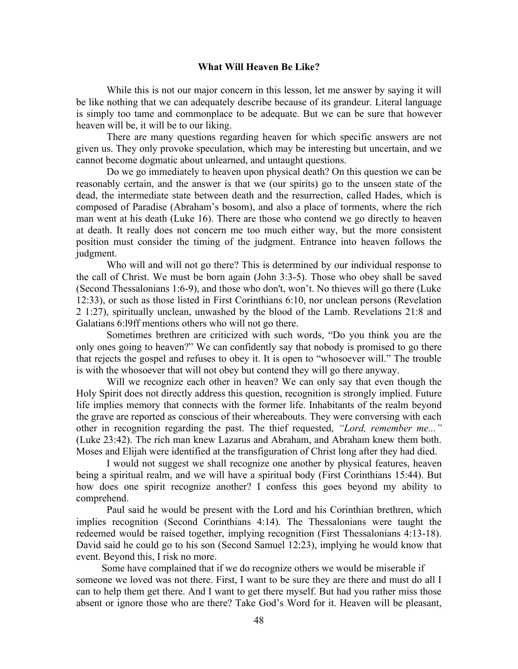#### **What Will Heaven Be Like?**

While this is not our major concern in this lesson, let me answer by saying it will be like nothing that we can adequately describe because of its grandeur. Literal language is simply too tame and commonplace to be adequate. But we can be sure that however heaven will be, it will be to our liking.

There are many questions regarding heaven for which specific answers are not given us. They only provoke speculation, which may be interesting but uncertain, and we cannot become dogmatic about unlearned, and untaught questions.

Do we go immediately to heaven upon physical death? On this question we can be reasonably certain, and the answer is that we (our spirits) go to the unseen state of the dead, the intermediate state between death and the resurrection, called Hades, which is composed of Paradise (Abraham's bosom), and also a place of torments, where the rich man went at his death (Luke 16). There are those who contend we go directly to heaven at death. It really does not concern me too much either way, but the more consistent position must consider the timing of the judgment. Entrance into heaven follows the judgment.

Who will and will not go there? This is determined by our individual response to the call of Christ. We must be born again (John 3:3-5). Those who obey shall be saved (Second Thessalonians 1:6-9), and those who don't, won't. No thieves will go there (Luke 12:33), or such as those listed in First Corinthians 6:10, nor unclean persons (Revelation 2 1:27), spiritually unclean, unwashed by the blood of the Lamb. Revelations 21:8 and Galatians 6:l9ff mentions others who will not go there.

Sometimes brethren are criticized with such words, "Do you think you are the only ones going to heaven?" We can confidently say that nobody is promised to go there that rejects the gospel and refuses to obey it. It is open to "whosoever will." The trouble is with the whosoever that will not obey but contend they will go there anyway.

Will we recognize each other in heaven? We can only say that even though the Holy Spirit does not directly address this question, recognition is strongly implied. Future life implies memory that connects with the former life. Inhabitants of the realm beyond the grave are reported as conscious of their whereabouts. They were conversing with each other in recognition regarding the past. The thief requested, *"Lord, remember me..."* (Luke 23:42). The rich man knew Lazarus and Abraham, and Abraham knew them both. Moses and Elijah were identified at the transfiguration of Christ long after they had died.

I would not suggest we shall recognize one another by physical features, heaven being a spiritual realm, and we will have a spiritual body (First Corinthians 15:44). But how does one spirit recognize another? I confess this goes beyond my ability to comprehend.

Paul said he would be present with the Lord and his Corinthian brethren, which implies recognition (Second Corinthians 4:14). The Thessalonians were taught the redeemed would be raised together, implying recognition (First Thessalonians 4:13-18). David said he could go to his son (Second Samuel 12:23), implying he would know that event. Beyond this, I risk no more.

 Some have complained that if we do recognize others we would be miserable if someone we loved was not there. First, I want to be sure they are there and must do all I can to help them get there. And I want to get there myself. But had you rather miss those absent or ignore those who are there? Take God's Word for it. Heaven will be pleasant,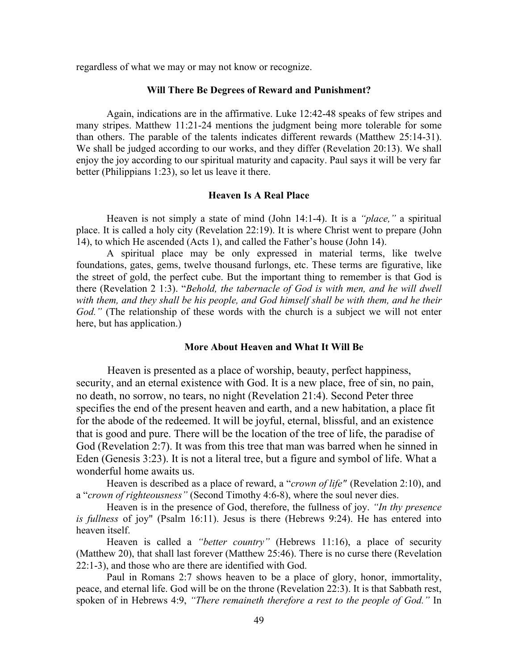regardless of what we may or may not know or recognize.

#### **Will There Be Degrees of Reward and Punishment?**

Again, indications are in the affirmative. Luke 12:42-48 speaks of few stripes and many stripes. Matthew 11:21-24 mentions the judgment being more tolerable for some than others. The parable of the talents indicates different rewards (Matthew 25:14-31). We shall be judged according to our works, and they differ (Revelation 20:13). We shall enjoy the joy according to our spiritual maturity and capacity. Paul says it will be very far better (Philippians 1:23), so let us leave it there.

#### **Heaven Is A Real Place**

Heaven is not simply a state of mind (John 14:1-4). It is a *"place,"* a spiritual place. It is called a holy city (Revelation 22:19). It is where Christ went to prepare (John 14), to which He ascended (Acts 1), and called the Father's house (John 14).

A spiritual place may be only expressed in material terms, like twelve foundations, gates, gems, twelve thousand furlongs, etc. These terms are figurative, like the street of gold, the perfect cube. But the important thing to remember is that God is there (Revelation 2 1:3). "*Behold, the tabernacle of God is with men, and he will dwell with them, and they shall be his people, and God himself shall be with them, and he their* God." (The relationship of these words with the church is a subject we will not enter here, but has application.)

#### **More About Heaven and What It Will Be**

Heaven is presented as a place of worship, beauty, perfect happiness, security, and an eternal existence with God. It is a new place, free of sin, no pain, no death, no sorrow, no tears, no night (Revelation 21:4). Second Peter three specifies the end of the present heaven and earth, and a new habitation, a place fit for the abode of the redeemed. It will be joyful, eternal, blissful, and an existence that is good and pure. There will be the location of the tree of life, the paradise of God (Revelation 2:7). It was from this tree that man was barred when he sinned in Eden (Genesis 3:23). It is not a literal tree, but a figure and symbol of life. What a wonderful home awaits us.

Heaven is described as a place of reward, a "*crown of life"* (Revelation 2:10), and a "*crown of righteousness"* (Second Timothy 4:6-8), where the soul never dies.

Heaven is in the presence of God, therefore, the fullness of joy. *"In thy presence is fullness* of joy" (Psalm 16:11). Jesus is there (Hebrews 9:24). He has entered into heaven itself.

Heaven is called a *"better country"* (Hebrews 11:16), a place of security (Matthew 20), that shall last forever (Matthew 25:46). There is no curse there (Revelation 22:1-3), and those who are there are identified with God.

Paul in Romans 2:7 shows heaven to be a place of glory, honor, immortality, peace, and eternal life. God will be on the throne (Revelation 22:3). It is that Sabbath rest, spoken of in Hebrews 4:9, *"There remaineth therefore a rest to the people of God."* In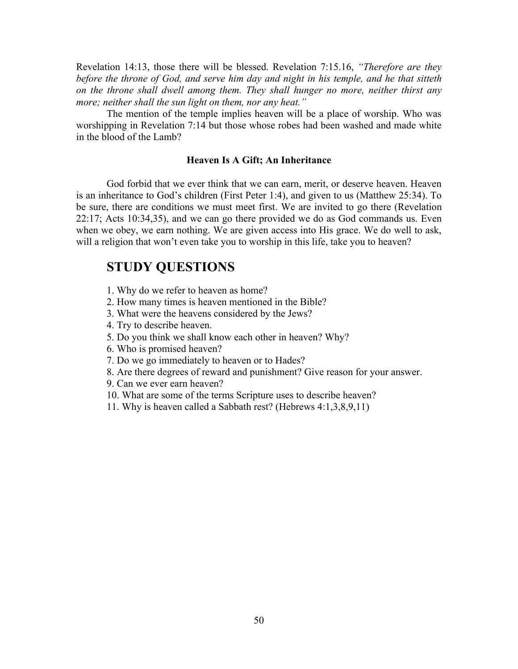Revelation 14:13, those there will be blessed. Revelation 7:15.16, *"Therefore are they before the throne of God, and serve him day and night in his temple, and he that sitteth on the throne shall dwell among them. They shall hunger no more, neither thirst any more; neither shall the sun light on them, nor any heat."*

The mention of the temple implies heaven will be a place of worship. Who was worshipping in Revelation 7:14 but those whose robes had been washed and made white in the blood of the Lamb?

#### **Heaven Is A Gift; An Inheritance**

God forbid that we ever think that we can earn, merit, or deserve heaven. Heaven is an inheritance to God's children (First Peter 1:4), and given to us (Matthew 25:34). To be sure, there are conditions we must meet first. We are invited to go there (Revelation 22:17; Acts 10:34,35), and we can go there provided we do as God commands us. Even when we obey, we earn nothing. We are given access into His grace. We do well to ask, will a religion that won't even take you to worship in this life, take you to heaven?

### **STUDY QUESTIONS**

- 1. Why do we refer to heaven as home?
- 2. How many times is heaven mentioned in the Bible?
- 3. What were the heavens considered by the Jews?
- 4. Try to describe heaven.
- 5. Do you think we shall know each other in heaven? Why?
- 6. Who is promised heaven?
- 7. Do we go immediately to heaven or to Hades?
- 8. Are there degrees of reward and punishment? Give reason for your answer.
- 9. Can we ever earn heaven?
- 10. What are some of the terms Scripture uses to describe heaven?
- 11. Why is heaven called a Sabbath rest? (Hebrews 4:1,3,8,9,11)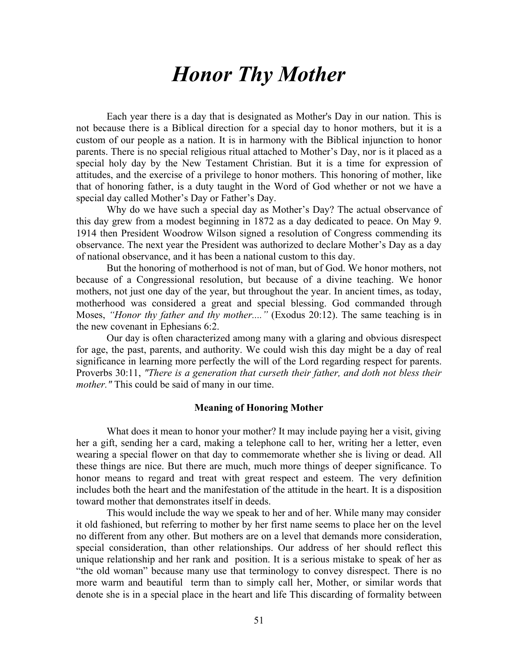## *Honor Thy Mother*

Each year there is a day that is designated as Mother's Day in our nation. This is not because there is a Biblical direction for a special day to honor mothers, but it is a custom of our people as a nation. It is in harmony with the Biblical injunction to honor parents. There is no special religious ritual attached to Mother's Day, nor is it placed as a special holy day by the New Testament Christian. But it is a time for expression of attitudes, and the exercise of a privilege to honor mothers. This honoring of mother, like that of honoring father, is a duty taught in the Word of God whether or not we have a special day called Mother's Day or Father's Day.

Why do we have such a special day as Mother's Day? The actual observance of this day grew from a modest beginning in 1872 as a day dedicated to peace. On May 9. 1914 then President Woodrow Wilson signed a resolution of Congress commending its observance. The next year the President was authorized to declare Mother's Day as a day of national observance, and it has been a national custom to this day.

But the honoring of motherhood is not of man, but of God. We honor mothers, not because of a Congressional resolution, but because of a divine teaching. We honor mothers, not just one day of the year, but throughout the year. In ancient times, as today, motherhood was considered a great and special blessing. God commanded through Moses, *"Honor thy father and thy mother...."* (Exodus 20:12). The same teaching is in the new covenant in Ephesians 6:2.

Our day is often characterized among many with a glaring and obvious disrespect for age, the past, parents, and authority. We could wish this day might be a day of real significance in learning more perfectly the will of the Lord regarding respect for parents. Proverbs 30:11, *"There is a generation that curseth their father, and doth not bless their mother."* This could be said of many in our time.

#### **Meaning of Honoring Mother**

What does it mean to honor your mother? It may include paying her a visit, giving her a gift, sending her a card, making a telephone call to her, writing her a letter, even wearing a special flower on that day to commemorate whether she is living or dead. All these things are nice. But there are much, much more things of deeper significance. To honor means to regard and treat with great respect and esteem. The very definition includes both the heart and the manifestation of the attitude in the heart. It is a disposition toward mother that demonstrates itself in deeds.

This would include the way we speak to her and of her. While many may consider it old fashioned, but referring to mother by her first name seems to place her on the level no different from any other. But mothers are on a level that demands more consideration, special consideration, than other relationships. Our address of her should reflect this unique relationship and her rank and position. It is a serious mistake to speak of her as "the old woman" because many use that terminology to convey disrespect. There is no more warm and beautiful term than to simply call her, Mother, or similar words that denote she is in a special place in the heart and life This discarding of formality between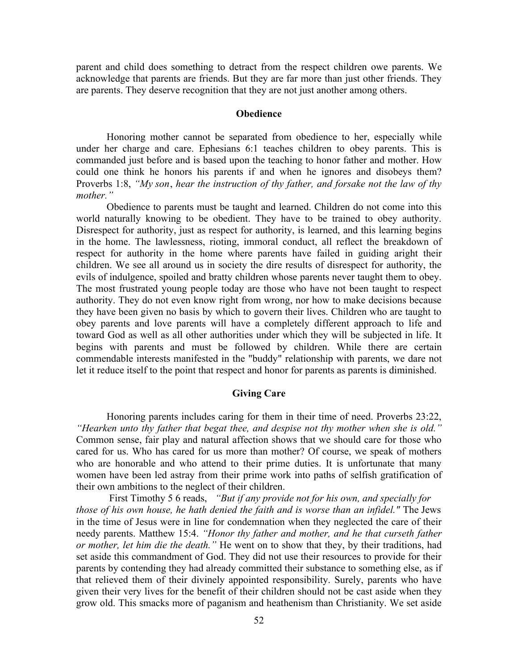parent and child does something to detract from the respect children owe parents. We acknowledge that parents are friends. But they are far more than just other friends. They are parents. They deserve recognition that they are not just another among others.

#### **Obedience**

Honoring mother cannot be separated from obedience to her, especially while under her charge and care. Ephesians 6:1 teaches children to obey parents. This is commanded just before and is based upon the teaching to honor father and mother. How could one think he honors his parents if and when he ignores and disobeys them? Proverbs 1:8, *"My son*, *hear the instruction of thy father, and forsake not the law of thy mother."*

Obedience to parents must be taught and learned. Children do not come into this world naturally knowing to be obedient. They have to be trained to obey authority. Disrespect for authority, just as respect for authority, is learned, and this learning begins in the home. The lawlessness, rioting, immoral conduct, all reflect the breakdown of respect for authority in the home where parents have failed in guiding aright their children. We see all around us in society the dire results of disrespect for authority, the evils of indulgence, spoiled and bratty children whose parents never taught them to obey. The most frustrated young people today are those who have not been taught to respect authority. They do not even know right from wrong, nor how to make decisions because they have been given no basis by which to govern their lives. Children who are taught to obey parents and love parents will have a completely different approach to life and toward God as well as all other authorities under which they will be subjected in life. It begins with parents and must be followed by children. While there are certain commendable interests manifested in the "buddy" relationship with parents, we dare not let it reduce itself to the point that respect and honor for parents as parents is diminished.

#### **Giving Care**

Honoring parents includes caring for them in their time of need. Proverbs 23:22, *"Hearken unto thy father that begat thee, and despise not thy mother when she is old."* Common sense, fair play and natural affection shows that we should care for those who cared for us. Who has cared for us more than mother? Of course, we speak of mothers who are honorable and who attend to their prime duties. It is unfortunate that many women have been led astray from their prime work into paths of selfish gratification of their own ambitions to the neglect of their children.

 First Timothy 5 6 reads, *"But if any provide not for his own, and specially for those of his own house, he hath denied the faith and is worse than an infidel."* The Jews in the time of Jesus were in line for condemnation when they neglected the care of their needy parents. Matthew 15:4. *"Honor thy father and mother, and he that curseth father or mother, let him die the death."* He went on to show that they, by their traditions, had set aside this commandment of God. They did not use their resources to provide for their parents by contending they had already committed their substance to something else, as if that relieved them of their divinely appointed responsibility. Surely, parents who have given their very lives for the benefit of their children should not be cast aside when they grow old. This smacks more of paganism and heathenism than Christianity. We set aside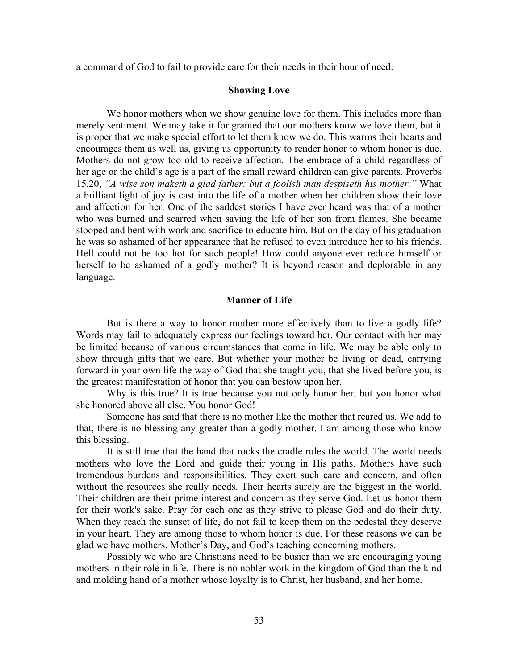a command of God to fail to provide care for their needs in their hour of need.

#### **Showing Love**

We honor mothers when we show genuine love for them. This includes more than merely sentiment. We may take it for granted that our mothers know we love them, but it is proper that we make special effort to let them know we do. This warms their hearts and encourages them as well us, giving us opportunity to render honor to whom honor is due. Mothers do not grow too old to receive affection. The embrace of a child regardless of her age or the child's age is a part of the small reward children can give parents. Proverbs 15.20, *"A wise son maketh a glad father: but a foolish man despiseth his mother."* What a brilliant light of joy is cast into the life of a mother when her children show their love and affection for her. One of the saddest stories I have ever heard was that of a mother who was burned and scarred when saving the life of her son from flames. She became stooped and bent with work and sacrifice to educate him. But on the day of his graduation he was so ashamed of her appearance that he refused to even introduce her to his friends. Hell could not be too hot for such people! How could anyone ever reduce himself or herself to be ashamed of a godly mother? It is beyond reason and deplorable in any language.

#### **Manner of Life**

But is there a way to honor mother more effectively than to live a godly life? Words may fail to adequately express our feelings toward her. Our contact with her may be limited because of various circumstances that come in life. We may be able only to show through gifts that we care. But whether your mother be living or dead, carrying forward in your own life the way of God that she taught you, that she lived before you, is the greatest manifestation of honor that you can bestow upon her.

Why is this true? It is true because you not only honor her, but you honor what she honored above all else. You honor God!

Someone has said that there is no mother like the mother that reared us. We add to that, there is no blessing any greater than a godly mother. I am among those who know this blessing.

It is still true that the hand that rocks the cradle rules the world. The world needs mothers who love the Lord and guide their young in His paths. Mothers have such tremendous burdens and responsibilities. They exert such care and concern, and often without the resources she really needs. Their hearts surely are the biggest in the world. Their children are their prime interest and concern as they serve God. Let us honor them for their work's sake. Pray for each one as they strive to please God and do their duty. When they reach the sunset of life, do not fail to keep them on the pedestal they deserve in your heart. They are among those to whom honor is due. For these reasons we can be glad we have mothers, Mother's Day, and God's teaching concerning mothers.

Possibly we who are Christians need to be busier than we are encouraging young mothers in their role in life. There is no nobler work in the kingdom of God than the kind and molding hand of a mother whose loyalty is to Christ, her husband, and her home.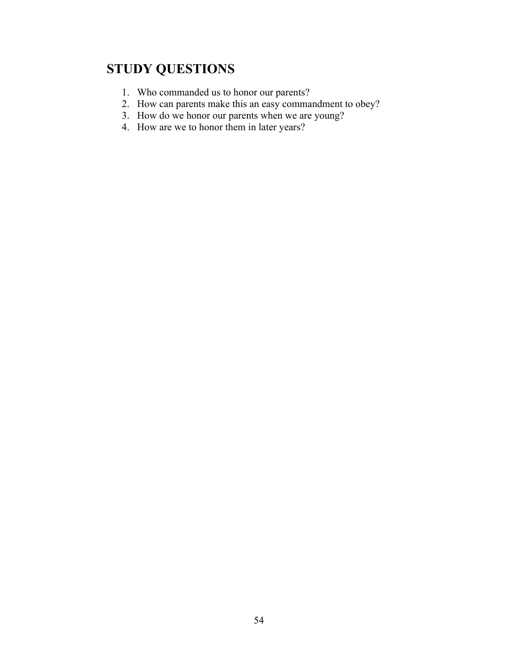## **STUDY QUESTIONS**

- 1. Who commanded us to honor our parents?
- 2. How can parents make this an easy commandment to obey?
- 3. How do we honor our parents when we are young?
- 4. How are we to honor them in later years?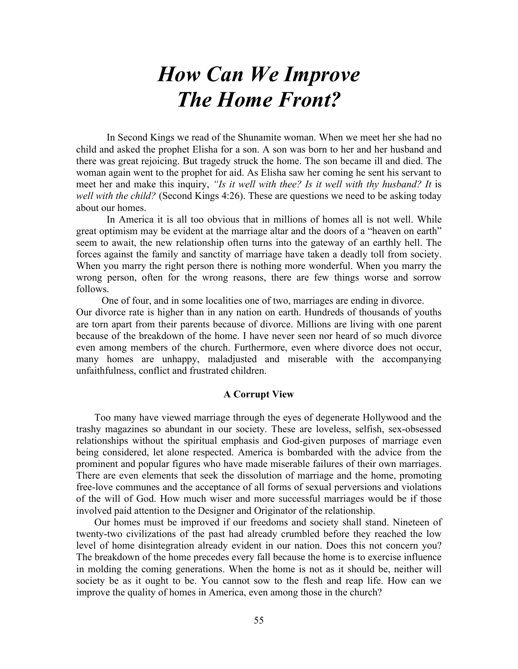# *How Can We Improve The Home Front?*

In Second Kings we read of the Shunamite woman. When we meet her she had no child and asked the prophet Elisha for a son. A son was born to her and her husband and there was great rejoicing. But tragedy struck the home. The son became ill and died. The woman again went to the prophet for aid. As Elisha saw her coming he sent his servant to meet her and make this inquiry, *"Is it well with thee? Is it well with thy husband? It* is *well with the child?* (Second Kings 4:26). These are questions we need to be asking today about our homes.

In America it is all too obvious that in millions of homes all is not well. While great optimism may be evident at the marriage altar and the doors of a "heaven on earth" seem to await, the new relationship often turns into the gateway of an earthly hell. The forces against the family and sanctity of marriage have taken a deadly toll from society. When you marry the right person there is nothing more wonderful. When you marry the wrong person, often for the wrong reasons, there are few things worse and sorrow follows.

 One of four, and in some localities one of two, marriages are ending in divorce. Our divorce rate is higher than in any nation on earth. Hundreds of thousands of youths are torn apart from their parents because of divorce. Millions are living with one parent because of the breakdown of the home. I have never seen nor heard of so much divorce even among members of the church. Furthermore, even where divorce does not occur, many homes are unhappy, maladjusted and miserable with the accompanying unfaithfulness, conflict and frustrated children.

#### **A Corrupt View**

Too many have viewed marriage through the eyes of degenerate Hollywood and the trashy magazines so abundant in our society. These are loveless, selfish, sex-obsessed relationships without the spiritual emphasis and God-given purposes of marriage even being considered, let alone respected. America is bombarded with the advice from the prominent and popular figures who have made miserable failures of their own marriages. There are even elements that seek the dissolution of marriage and the home, promoting free-love communes and the acceptance of all forms of sexual perversions and violations of the will of God. How much wiser and more successful marriages would be if those involved paid attention to the Designer and Originator of the relationship.

Our homes must be improved if our freedoms and society shall stand. Nineteen of twenty-two civilizations of the past had already crumbled before they reached the low level of home disintegration already evident in our nation. Does this not concern you? The breakdown of the home precedes every fall because the home is to exercise influence in molding the coming generations. When the home is not as it should be, neither will society be as it ought to be. You cannot sow to the flesh and reap life. How can we improve the quality of homes in America, even among those in the church?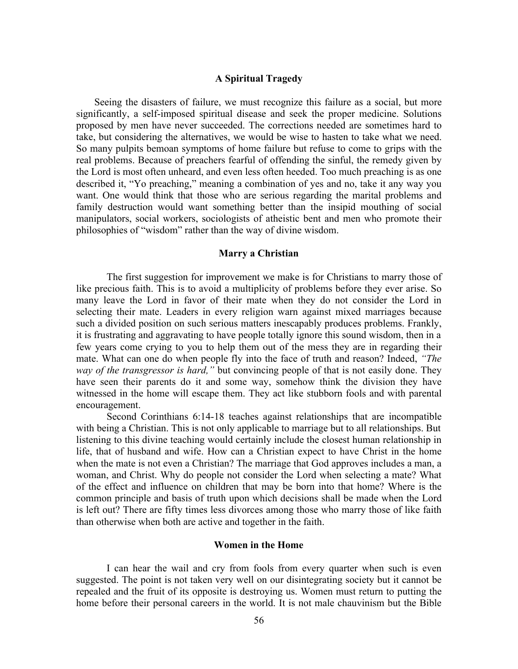#### **A Spiritual Tragedy**

Seeing the disasters of failure, we must recognize this failure as a social, but more significantly, a self-imposed spiritual disease and seek the proper medicine. Solutions proposed by men have never succeeded. The corrections needed are sometimes hard to take, but considering the alternatives, we would be wise to hasten to take what we need. So many pulpits bemoan symptoms of home failure but refuse to come to grips with the real problems. Because of preachers fearful of offending the sinful, the remedy given by the Lord is most often unheard, and even less often heeded. Too much preaching is as one described it, "Yo preaching," meaning a combination of yes and no, take it any way you want. One would think that those who are serious regarding the marital problems and family destruction would want something better than the insipid mouthing of social manipulators, social workers, sociologists of atheistic bent and men who promote their philosophies of "wisdom" rather than the way of divine wisdom.

#### **Marry a Christian**

The first suggestion for improvement we make is for Christians to marry those of like precious faith. This is to avoid a multiplicity of problems before they ever arise. So many leave the Lord in favor of their mate when they do not consider the Lord in selecting their mate. Leaders in every religion warn against mixed marriages because such a divided position on such serious matters inescapably produces problems. Frankly, it is frustrating and aggravating to have people totally ignore this sound wisdom, then in a few years come crying to you to help them out of the mess they are in regarding their mate. What can one do when people fly into the face of truth and reason? Indeed, *"The way of the transgressor is hard,"* but convincing people of that is not easily done. They have seen their parents do it and some way, somehow think the division they have witnessed in the home will escape them. They act like stubborn fools and with parental encouragement.

Second Corinthians 6:14-18 teaches against relationships that are incompatible with being a Christian. This is not only applicable to marriage but to all relationships. But listening to this divine teaching would certainly include the closest human relationship in life, that of husband and wife. How can a Christian expect to have Christ in the home when the mate is not even a Christian? The marriage that God approves includes a man, a woman, and Christ. Why do people not consider the Lord when selecting a mate? What of the effect and influence on children that may be born into that home? Where is the common principle and basis of truth upon which decisions shall be made when the Lord is left out? There are fifty times less divorces among those who marry those of like faith than otherwise when both are active and together in the faith.

#### **Women in the Home**

I can hear the wail and cry from fools from every quarter when such is even suggested. The point is not taken very well on our disintegrating society but it cannot be repealed and the fruit of its opposite is destroying us. Women must return to putting the home before their personal careers in the world. It is not male chauvinism but the Bible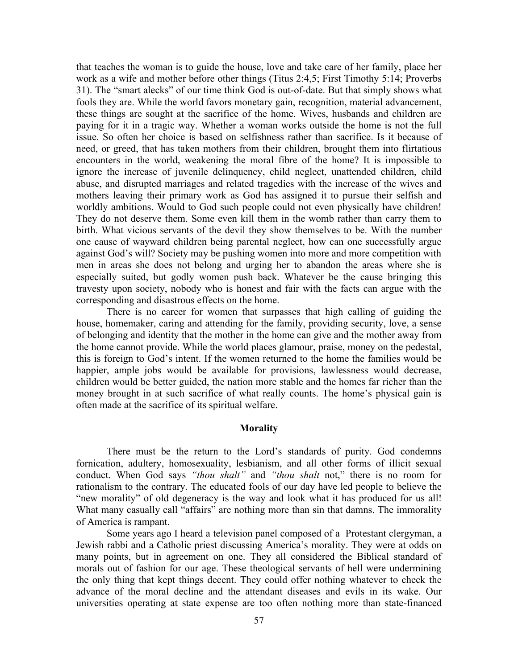that teaches the woman is to guide the house, love and take care of her family, place her work as a wife and mother before other things (Titus 2:4,5; First Timothy 5:14; Proverbs 31). The "smart alecks" of our time think God is out-of-date. But that simply shows what fools they are. While the world favors monetary gain, recognition, material advancement, these things are sought at the sacrifice of the home. Wives, husbands and children are paying for it in a tragic way. Whether a woman works outside the home is not the full issue. So often her choice is based on selfishness rather than sacrifice. Is it because of need, or greed, that has taken mothers from their children, brought them into flirtatious encounters in the world, weakening the moral fibre of the home? It is impossible to ignore the increase of juvenile delinquency, child neglect, unattended children, child abuse, and disrupted marriages and related tragedies with the increase of the wives and mothers leaving their primary work as God has assigned it to pursue their selfish and worldly ambitions. Would to God such people could not even physically have children! They do not deserve them. Some even kill them in the womb rather than carry them to birth. What vicious servants of the devil they show themselves to be. With the number one cause of wayward children being parental neglect, how can one successfully argue against God's will? Society may be pushing women into more and more competition with men in areas she does not belong and urging her to abandon the areas where she is especially suited, but godly women push back. Whatever be the cause bringing this travesty upon society, nobody who is honest and fair with the facts can argue with the corresponding and disastrous effects on the home.

There is no career for women that surpasses that high calling of guiding the house, homemaker, caring and attending for the family, providing security, love, a sense of belonging and identity that the mother in the home can give and the mother away from the home cannot provide. While the world places glamour, praise, money on the pedestal, this is foreign to God's intent. If the women returned to the home the families would be happier, ample jobs would be available for provisions, lawlessness would decrease, children would be better guided, the nation more stable and the homes far richer than the money brought in at such sacrifice of what really counts. The home's physical gain is often made at the sacrifice of its spiritual welfare.

#### **Morality**

There must be the return to the Lord's standards of purity. God condemns fornication, adultery, homosexuality, lesbianism, and all other forms of illicit sexual conduct. When God says *"thou shalt"* and *"thou shalt* not," there is no room for rationalism to the contrary. The educated fools of our day have led people to believe the "new morality" of old degeneracy is the way and look what it has produced for us all! What many casually call "affairs" are nothing more than sin that damns. The immorality of America is rampant.

Some years ago I heard a television panel composed of a Protestant clergyman, a Jewish rabbi and a Catholic priest discussing America's morality. They were at odds on many points, but in agreement on one. They all considered the Biblical standard of morals out of fashion for our age. These theological servants of hell were undermining the only thing that kept things decent. They could offer nothing whatever to check the advance of the moral decline and the attendant diseases and evils in its wake. Our universities operating at state expense are too often nothing more than state-financed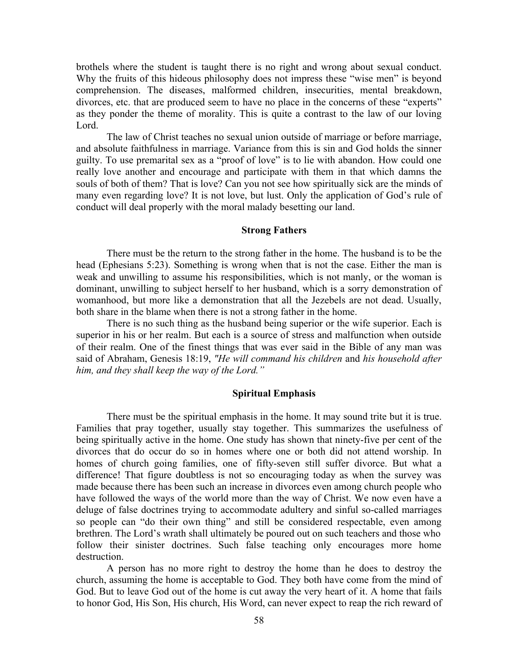brothels where the student is taught there is no right and wrong about sexual conduct. Why the fruits of this hideous philosophy does not impress these "wise men" is beyond comprehension. The diseases, malformed children, insecurities, mental breakdown, divorces, etc. that are produced seem to have no place in the concerns of these "experts" as they ponder the theme of morality. This is quite a contrast to the law of our loving Lord.

The law of Christ teaches no sexual union outside of marriage or before marriage, and absolute faithfulness in marriage. Variance from this is sin and God holds the sinner guilty. To use premarital sex as a "proof of love" is to lie with abandon. How could one really love another and encourage and participate with them in that which damns the souls of both of them? That is love? Can you not see how spiritually sick are the minds of many even regarding love? It is not love, but lust. Only the application of God's rule of conduct will deal properly with the moral malady besetting our land.

#### **Strong Fathers**

There must be the return to the strong father in the home. The husband is to be the head (Ephesians 5:23). Something is wrong when that is not the case. Either the man is weak and unwilling to assume his responsibilities, which is not manly, or the woman is dominant, unwilling to subject herself to her husband, which is a sorry demonstration of womanhood, but more like a demonstration that all the Jezebels are not dead. Usually, both share in the blame when there is not a strong father in the home.

There is no such thing as the husband being superior or the wife superior. Each is superior in his or her realm. But each is a source of stress and malfunction when outside of their realm. One of the finest things that was ever said in the Bible of any man was said of Abraham, Genesis 18:19, *"He will command his children* and *his household after him, and they shall keep the way of the Lord."*

#### **Spiritual Emphasis**

There must be the spiritual emphasis in the home. It may sound trite but it is true. Families that pray together, usually stay together. This summarizes the usefulness of being spiritually active in the home. One study has shown that ninety-five per cent of the divorces that do occur do so in homes where one or both did not attend worship. In homes of church going families, one of fifty-seven still suffer divorce. But what a difference! That figure doubtless is not so encouraging today as when the survey was made because there has been such an increase in divorces even among church people who have followed the ways of the world more than the way of Christ. We now even have a deluge of false doctrines trying to accommodate adultery and sinful so-called marriages so people can "do their own thing" and still be considered respectable, even among brethren. The Lord's wrath shall ultimately be poured out on such teachers and those who follow their sinister doctrines. Such false teaching only encourages more home destruction.

A person has no more right to destroy the home than he does to destroy the church, assuming the home is acceptable to God. They both have come from the mind of God. But to leave God out of the home is cut away the very heart of it. A home that fails to honor God, His Son, His church, His Word, can never expect to reap the rich reward of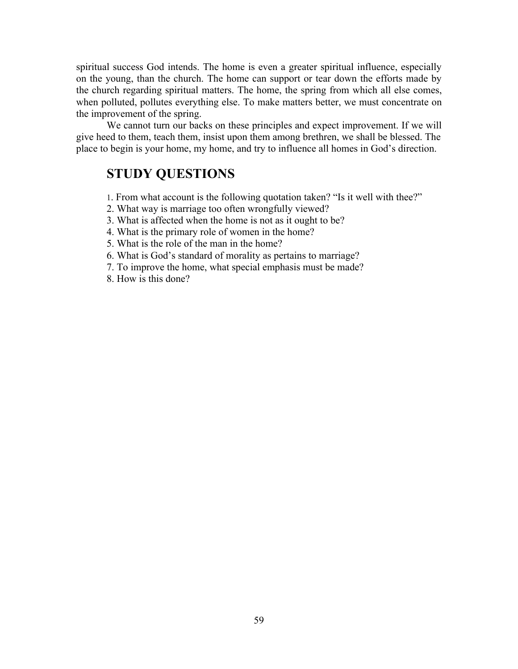spiritual success God intends. The home is even a greater spiritual influence, especially on the young, than the church. The home can support or tear down the efforts made by the church regarding spiritual matters. The home, the spring from which all else comes, when polluted, pollutes everything else. To make matters better, we must concentrate on the improvement of the spring.

We cannot turn our backs on these principles and expect improvement. If we will give heed to them, teach them, insist upon them among brethren, we shall be blessed. The place to begin is your home, my home, and try to influence all homes in God's direction.

### **STUDY QUESTIONS**

- 1. From what account is the following quotation taken? "Is it well with thee?"
- 2. What way is marriage too often wrongfully viewed?
- 3. What is affected when the home is not as it ought to be?
- 4. What is the primary role of women in the home?
- 5. What is the role of the man in the home?
- 6. What is God's standard of morality as pertains to marriage?
- 7. To improve the home, what special emphasis must be made?

8. How is this done?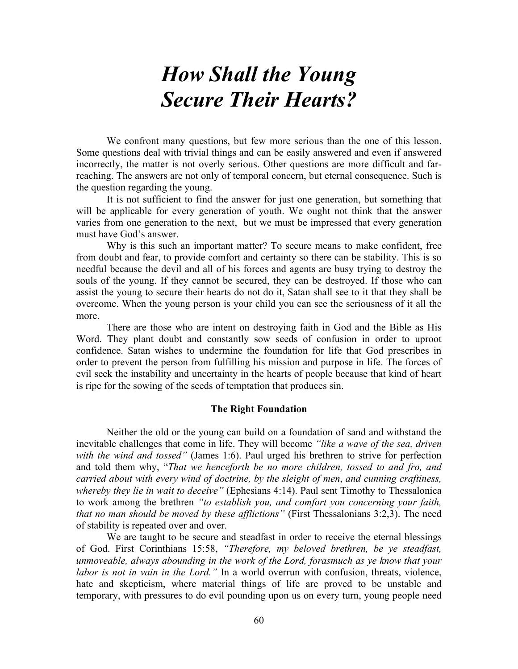# *How Shall the Young Secure Their Hearts?*

We confront many questions, but few more serious than the one of this lesson. Some questions deal with trivial things and can be easily answered and even if answered incorrectly, the matter is not overly serious. Other questions are more difficult and farreaching. The answers are not only of temporal concern, but eternal consequence. Such is the question regarding the young.

It is not sufficient to find the answer for just one generation, but something that will be applicable for every generation of youth. We ought not think that the answer varies from one generation to the next, but we must be impressed that every generation must have God's answer.

Why is this such an important matter? To secure means to make confident, free from doubt and fear, to provide comfort and certainty so there can be stability. This is so needful because the devil and all of his forces and agents are busy trying to destroy the souls of the young. If they cannot be secured, they can be destroyed. If those who can assist the young to secure their hearts do not do it, Satan shall see to it that they shall be overcome. When the young person is your child you can see the seriousness of it all the more.

There are those who are intent on destroying faith in God and the Bible as His Word. They plant doubt and constantly sow seeds of confusion in order to uproot confidence. Satan wishes to undermine the foundation for life that God prescribes in order to prevent the person from fulfilling his mission and purpose in life. The forces of evil seek the instability and uncertainty in the hearts of people because that kind of heart is ripe for the sowing of the seeds of temptation that produces sin.

#### **The Right Foundation**

Neither the old or the young can build on a foundation of sand and withstand the inevitable challenges that come in life. They will become *"like a wave of the sea, driven with the wind and tossed"* (James 1:6). Paul urged his brethren to strive for perfection and told them why, "*That we henceforth be no more children, tossed to and fro, and carried about with every wind of doctrine, by the sleight of men*, *and cunning craftiness, whereby they lie in wait to deceive"* (Ephesians 4:14). Paul sent Timothy to Thessalonica to work among the brethren *"to establish you, and comfort you concerning your faith, that no man should be moved by these afflictions"* (First Thessalonians 3:2,3). The need of stability is repeated over and over.

We are taught to be secure and steadfast in order to receive the eternal blessings of God. First Corinthians 15:58, *"Therefore, my beloved brethren, be ye steadfast, unmoveable, always abounding in the work of the Lord, forasmuch as ye know that your labor is not in vain in the Lord."* In a world overrun with confusion, threats, violence, hate and skepticism, where material things of life are proved to be unstable and temporary, with pressures to do evil pounding upon us on every turn, young people need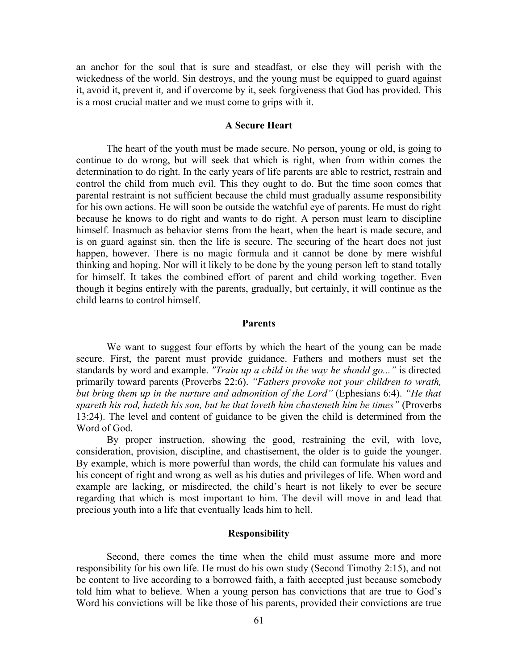an anchor for the soul that is sure and steadfast, or else they will perish with the wickedness of the world. Sin destroys, and the young must be equipped to guard against it, avoid it, prevent it*,* and if overcome by it, seek forgiveness that God has provided. This is a most crucial matter and we must come to grips with it.

#### **A Secure Heart**

The heart of the youth must be made secure. No person, young or old, is going to continue to do wrong, but will seek that which is right, when from within comes the determination to do right. In the early years of life parents are able to restrict, restrain and control the child from much evil. This they ought to do. But the time soon comes that parental restraint is not sufficient because the child must gradually assume responsibility for his own actions. He will soon be outside the watchful eye of parents. He must do right because he knows to do right and wants to do right. A person must learn to discipline himself. Inasmuch as behavior stems from the heart, when the heart is made secure, and is on guard against sin, then the life is secure. The securing of the heart does not just happen, however. There is no magic formula and it cannot be done by mere wishful thinking and hoping. Nor will it likely to be done by the young person left to stand totally for himself. It takes the combined effort of parent and child working together. Even though it begins entirely with the parents, gradually, but certainly, it will continue as the child learns to control himself.

#### **Parents**

We want to suggest four efforts by which the heart of the young can be made secure. First, the parent must provide guidance. Fathers and mothers must set the standards by word and example. *"Train up a child in the way he should go..."* is directed primarily toward parents (Proverbs 22:6). *"Fathers provoke not your children to wrath, but bring them up in the nurture and admonition of the Lord"* (Ephesians 6:4). *"He that spareth his rod, hateth his son, but he that loveth him chasteneth him be times"* (Proverbs 13:24). The level and content of guidance to be given the child is determined from the Word of God.

By proper instruction, showing the good, restraining the evil, with love, consideration, provision, discipline, and chastisement, the older is to guide the younger. By example, which is more powerful than words, the child can formulate his values and his concept of right and wrong as well as his duties and privileges of life. When word and example are lacking, or misdirected, the child's heart is not likely to ever be secure regarding that which is most important to him. The devil will move in and lead that precious youth into a life that eventually leads him to hell.

#### **Responsibility**

Second, there comes the time when the child must assume more and more responsibility for his own life. He must do his own study (Second Timothy 2:15), and not be content to live according to a borrowed faith, a faith accepted just because somebody told him what to believe. When a young person has convictions that are true to God's Word his convictions will be like those of his parents, provided their convictions are true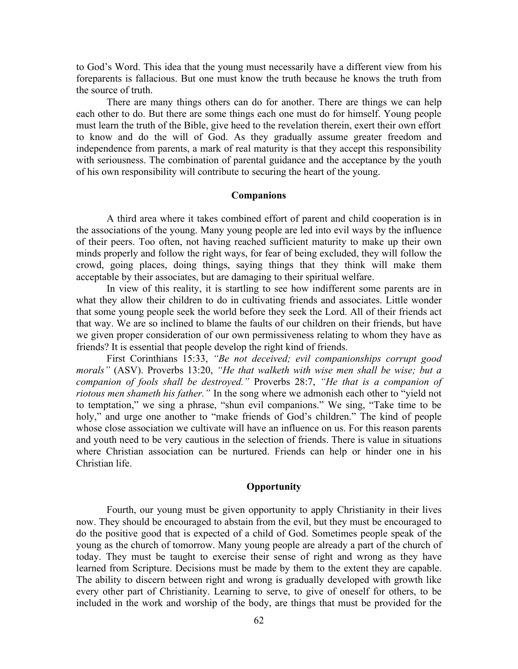to God's Word. This idea that the young must necessarily have a different view from his foreparents is fallacious. But one must know the truth because he knows the truth from the source of truth.

There are many things others can do for another. There are things we can help each other to do. But there are some things each one must do for himself. Young people must learn the truth of the Bible, give heed to the revelation therein, exert their own effort to know and do the will of God. As they gradually assume greater freedom and independence from parents, a mark of real maturity is that they accept this responsibility with seriousness. The combination of parental guidance and the acceptance by the youth of his own responsibility will contribute to securing the heart of the young.

#### **Companions**

A third area where it takes combined effort of parent and child cooperation is in the associations of the young. Many young people are led into evil ways by the influence of their peers. Too often, not having reached sufficient maturity to make up their own minds properly and follow the right ways, for fear of being excluded, they will follow the crowd, going places, doing things, saying things that they think will make them acceptable by their associates, but are damaging to their spiritual welfare.

In view of this reality, it is startling to see how indifferent some parents are in what they allow their children to do in cultivating friends and associates. Little wonder that some young people seek the world before they seek the Lord. All of their friends act that way. We are so inclined to blame the faults of our children on their friends, but have we given proper consideration of our own permissiveness relating to whom they have as friends? It is essential that people develop the right kind of friends.

First Corinthians 15:33, *"Be not deceived; evil companionships corrupt good morals"* (ASV). Proverbs 13:20, *"He that walketh with wise men shall be wise; but a companion of fools shall be destroyed."* Proverbs 28:7, *"He that is a companion of riotous men shameth his father."* In the song where we admonish each other to "yield not to temptation," we sing a phrase, "shun evil companions." We sing, "Take time to be holy," and urge one another to "make friends of God's children." The kind of people whose close association we cultivate will have an influence on us. For this reason parents and youth need to be very cautious in the selection of friends. There is value in situations where Christian association can be nurtured. Friends can help or hinder one in his Christian life.

#### **Opportunity**

Fourth, our young must be given opportunity to apply Christianity in their lives now. They should be encouraged to abstain from the evil, but they must be encouraged to do the positive good that is expected of a child of God. Sometimes people speak of the young as the church of tomorrow. Many young people are already a part of the church of today. They must be taught to exercise their sense of right and wrong as they have learned from Scripture. Decisions must be made by them to the extent they are capable. The ability to discern between right and wrong is gradually developed with growth like every other part of Christianity. Learning to serve, to give of oneself for others, to be included in the work and worship of the body, are things that must be provided for the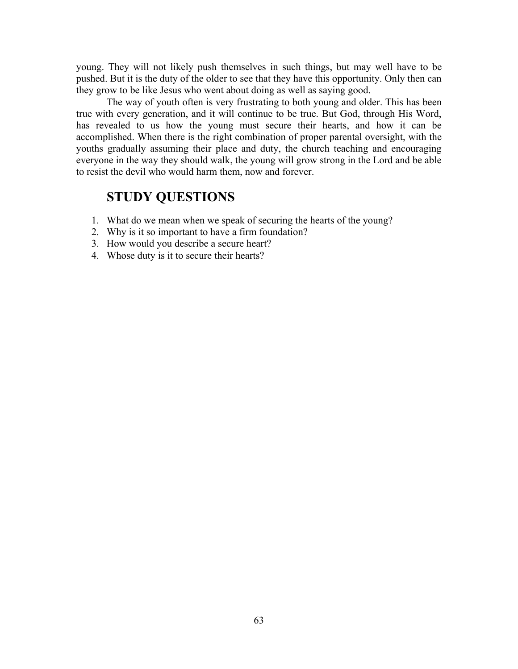young. They will not likely push themselves in such things, but may well have to be pushed. But it is the duty of the older to see that they have this opportunity. Only then can they grow to be like Jesus who went about doing as well as saying good.

The way of youth often is very frustrating to both young and older. This has been true with every generation, and it will continue to be true. But God, through His Word, has revealed to us how the young must secure their hearts, and how it can be accomplished. When there is the right combination of proper parental oversight, with the youths gradually assuming their place and duty, the church teaching and encouraging everyone in the way they should walk, the young will grow strong in the Lord and be able to resist the devil who would harm them, now and forever.

## **STUDY QUESTIONS**

- 1. What do we mean when we speak of securing the hearts of the young?
- 2. Why is it so important to have a firm foundation?
- 3. How would you describe a secure heart?
- 4. Whose duty is it to secure their hearts?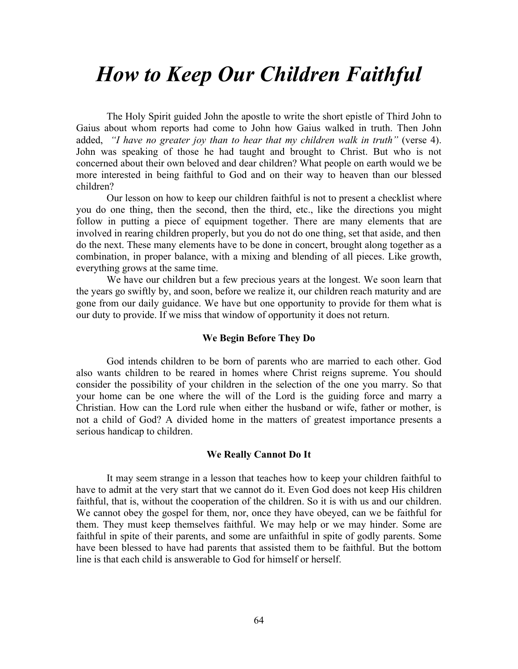## *How to Keep Our Children Faithful*

The Holy Spirit guided John the apostle to write the short epistle of Third John to Gaius about whom reports had come to John how Gaius walked in truth. Then John added, *"I have no greater joy than to hear that my children walk in truth"* (verse 4). John was speaking of those he had taught and brought to Christ. But who is not concerned about their own beloved and dear children? What people on earth would we be more interested in being faithful to God and on their way to heaven than our blessed children?

Our lesson on how to keep our children faithful is not to present a checklist where you do one thing, then the second, then the third, etc., like the directions you might follow in putting a piece of equipment together. There are many elements that are involved in rearing children properly, but you do not do one thing, set that aside, and then do the next. These many elements have to be done in concert, brought along together as a combination, in proper balance, with a mixing and blending of all pieces. Like growth, everything grows at the same time.

We have our children but a few precious years at the longest. We soon learn that the years go swiftly by, and soon, before we realize it, our children reach maturity and are gone from our daily guidance. We have but one opportunity to provide for them what is our duty to provide. If we miss that window of opportunity it does not return.

#### **We Begin Before They Do**

God intends children to be born of parents who are married to each other. God also wants children to be reared in homes where Christ reigns supreme. You should consider the possibility of your children in the selection of the one you marry. So that your home can be one where the will of the Lord is the guiding force and marry a Christian. How can the Lord rule when either the husband or wife, father or mother, is not a child of God? A divided home in the matters of greatest importance presents a serious handicap to children.

#### **We Really Cannot Do It**

It may seem strange in a lesson that teaches how to keep your children faithful to have to admit at the very start that we cannot do it. Even God does not keep His children faithful, that is, without the cooperation of the children. So it is with us and our children. We cannot obey the gospel for them, nor, once they have obeyed, can we be faithful for them. They must keep themselves faithful. We may help or we may hinder. Some are faithful in spite of their parents, and some are unfaithful in spite of godly parents. Some have been blessed to have had parents that assisted them to be faithful. But the bottom line is that each child is answerable to God for himself or herself.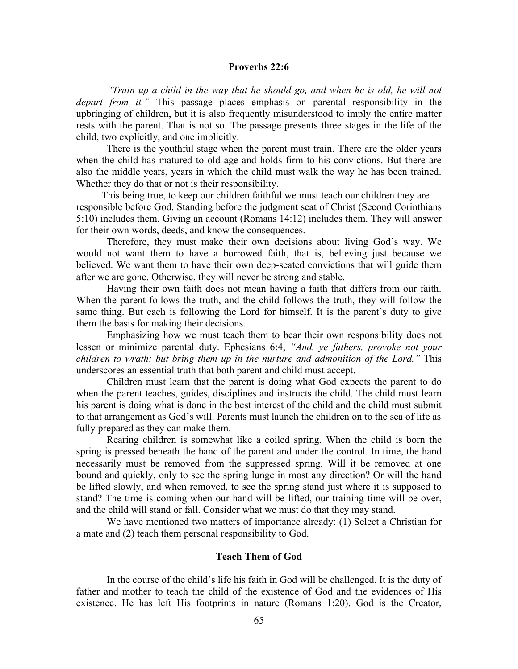#### **Proverbs 22:6**

*"Train up a child in the way that he should go, and when he is old, he will not depart from it."* This passage places emphasis on parental responsibility in the upbringing of children, but it is also frequently misunderstood to imply the entire matter rests with the parent. That is not so. The passage presents three stages in the life of the child, two explicitly, and one implicitly.

There is the youthful stage when the parent must train. There are the older years when the child has matured to old age and holds firm to his convictions. But there are also the middle years, years in which the child must walk the way he has been trained. Whether they do that or not is their responsibility.

 This being true, to keep our children faithful we must teach our children they are responsible before God. Standing before the judgment seat of Christ (Second Corinthians 5:10) includes them. Giving an account (Romans 14:12) includes them. They will answer for their own words, deeds, and know the consequences.

Therefore, they must make their own decisions about living God's way. We would not want them to have a borrowed faith, that is, believing just because we believed. We want them to have their own deep-seated convictions that will guide them after we are gone. Otherwise, they will never be strong and stable.

Having their own faith does not mean having a faith that differs from our faith. When the parent follows the truth, and the child follows the truth, they will follow the same thing. But each is following the Lord for himself. It is the parent's duty to give them the basis for making their decisions.

Emphasizing how we must teach them to bear their own responsibility does not lessen or minimize parental duty. Ephesians 6:4, *"And, ye fathers, provoke not your children to wrath: but bring them up in the nurture and admonition of the Lord."* This underscores an essential truth that both parent and child must accept.

Children must learn that the parent is doing what God expects the parent to do when the parent teaches, guides, disciplines and instructs the child. The child must learn his parent is doing what is done in the best interest of the child and the child must submit to that arrangement as God's will. Parents must launch the children on to the sea of life as fully prepared as they can make them.

Rearing children is somewhat like a coiled spring. When the child is born the spring is pressed beneath the hand of the parent and under the control. In time, the hand necessarily must be removed from the suppressed spring. Will it be removed at one bound and quickly, only to see the spring lunge in most any direction? Or will the hand be lifted slowly, and when removed, to see the spring stand just where it is supposed to stand? The time is coming when our hand will be lifted, our training time will be over, and the child will stand or fall. Consider what we must do that they may stand.

We have mentioned two matters of importance already: (1) Select a Christian for a mate and (2) teach them personal responsibility to God.

#### **Teach Them of God**

In the course of the child's life his faith in God will be challenged. It is the duty of father and mother to teach the child of the existence of God and the evidences of His existence. He has left His footprints in nature (Romans 1:20). God is the Creator,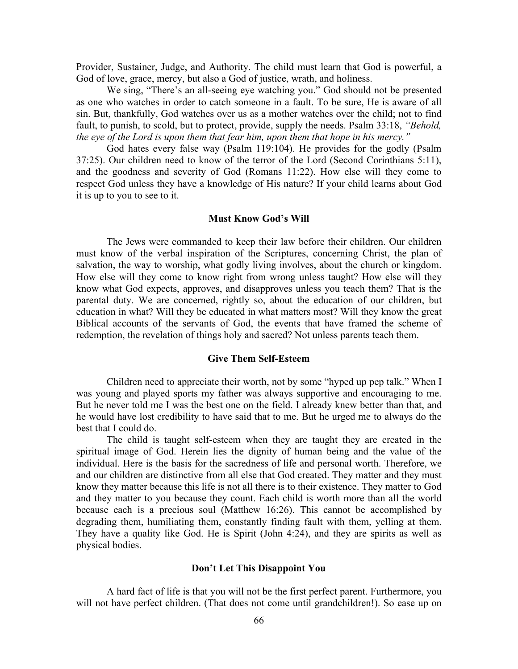Provider, Sustainer, Judge, and Authority. The child must learn that God is powerful, a God of love, grace, mercy, but also a God of justice, wrath, and holiness.

We sing, "There's an all-seeing eye watching you." God should not be presented as one who watches in order to catch someone in a fault. To be sure, He is aware of all sin. But, thankfully, God watches over us as a mother watches over the child; not to find fault, to punish, to scold, but to protect, provide, supply the needs. Psalm 33:18, *"Behold, the eye of the Lord is upon them that fear him, upon them that hope in his mercy."*

God hates every false way (Psalm 119:104). He provides for the godly (Psalm 37:25). Our children need to know of the terror of the Lord (Second Corinthians 5:11), and the goodness and severity of God (Romans 11:22). How else will they come to respect God unless they have a knowledge of His nature? If your child learns about God it is up to you to see to it.

#### **Must Know God's Will**

The Jews were commanded to keep their law before their children. Our children must know of the verbal inspiration of the Scriptures, concerning Christ, the plan of salvation, the way to worship, what godly living involves, about the church or kingdom. How else will they come to know right from wrong unless taught? How else will they know what God expects, approves, and disapproves unless you teach them? That is the parental duty. We are concerned, rightly so, about the education of our children, but education in what? Will they be educated in what matters most? Will they know the great Biblical accounts of the servants of God, the events that have framed the scheme of redemption, the revelation of things holy and sacred? Not unless parents teach them.

#### **Give Them Self-Esteem**

Children need to appreciate their worth, not by some "hyped up pep talk." When I was young and played sports my father was always supportive and encouraging to me. But he never told me I was the best one on the field. I already knew better than that, and he would have lost credibility to have said that to me. But he urged me to always do the best that I could do.

The child is taught self-esteem when they are taught they are created in the spiritual image of God. Herein lies the dignity of human being and the value of the individual. Here is the basis for the sacredness of life and personal worth. Therefore, we and our children are distinctive from all else that God created. They matter and they must know they matter because this life is not all there is to their existence. They matter to God and they matter to you because they count. Each child is worth more than all the world because each is a precious soul (Matthew 16:26). This cannot be accomplished by degrading them, humiliating them, constantly finding fault with them, yelling at them. They have a quality like God. He is Spirit (John 4:24), and they are spirits as well as physical bodies.

#### **Don't Let This Disappoint You**

A hard fact of life is that you will not be the first perfect parent. Furthermore, you will not have perfect children. (That does not come until grandchildren!). So ease up on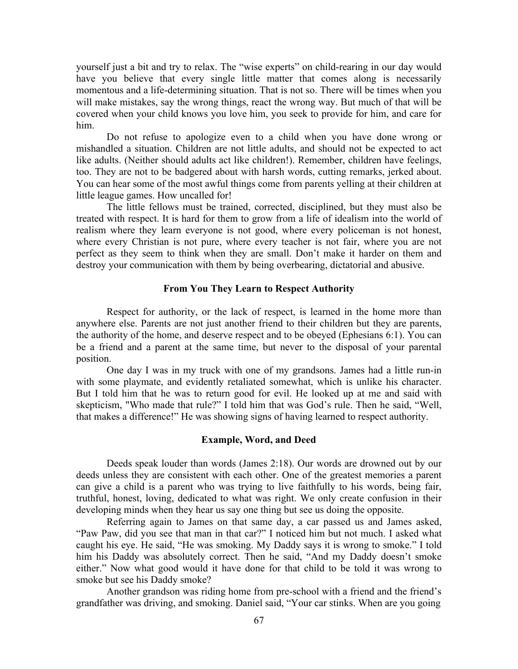yourself just a bit and try to relax. The "wise experts" on child-rearing in our day would have you believe that every single little matter that comes along is necessarily momentous and a life-determining situation. That is not so. There will be times when you will make mistakes, say the wrong things, react the wrong way. But much of that will be covered when your child knows you love him, you seek to provide for him, and care for him.

Do not refuse to apologize even to a child when you have done wrong or mishandled a situation. Children are not little adults, and should not be expected to act like adults. (Neither should adults act like children!). Remember, children have feelings, too. They are not to be badgered about with harsh words, cutting remarks, jerked about. You can hear some of the most awful things come from parents yelling at their children at little league games. How uncalled for!

The little fellows must be trained, corrected, disciplined, but they must also be treated with respect. It is hard for them to grow from a life of idealism into the world of realism where they learn everyone is not good, where every policeman is not honest, where every Christian is not pure, where every teacher is not fair, where you are not perfect as they seem to think when they are small. Don't make it harder on them and destroy your communication with them by being overbearing, dictatorial and abusive.

#### **From You They Learn to Respect Authority**

Respect for authority, or the lack of respect, is learned in the home more than anywhere else. Parents are not just another friend to their children but they are parents, the authority of the home, and deserve respect and to be obeyed (Ephesians 6:1). You can be a friend and a parent at the same time, but never to the disposal of your parental position.

One day I was in my truck with one of my grandsons. James had a little run-in with some playmate, and evidently retaliated somewhat, which is unlike his character. But I told him that he was to return good for evil. He looked up at me and said with skepticism, "Who made that rule?" I told him that was God's rule. Then he said, "Well, that makes a difference!" He was showing signs of having learned to respect authority.

#### **Example, Word, and Deed**

Deeds speak louder than words (James 2:18). Our words are drowned out by our deeds unless they are consistent with each other. One of the greatest memories a parent can give a child is a parent who was trying to live faithfully to his words, being fair, truthful, honest, loving, dedicated to what was right. We only create confusion in their developing minds when they hear us say one thing but see us doing the opposite.

Referring again to James on that same day, a car passed us and James asked, "Paw Paw, did you see that man in that car?" I noticed him but not much. I asked what caught his eye. He said, "He was smoking. My Daddy says it is wrong to smoke." I told him his Daddy was absolutely correct. Then he said, "And my Daddy doesn't smoke either." Now what good would it have done for that child to be told it was wrong to smoke but see his Daddy smoke?

Another grandson was riding home from pre-school with a friend and the friend's grandfather was driving, and smoking. Daniel said, "Your car stinks. When are you going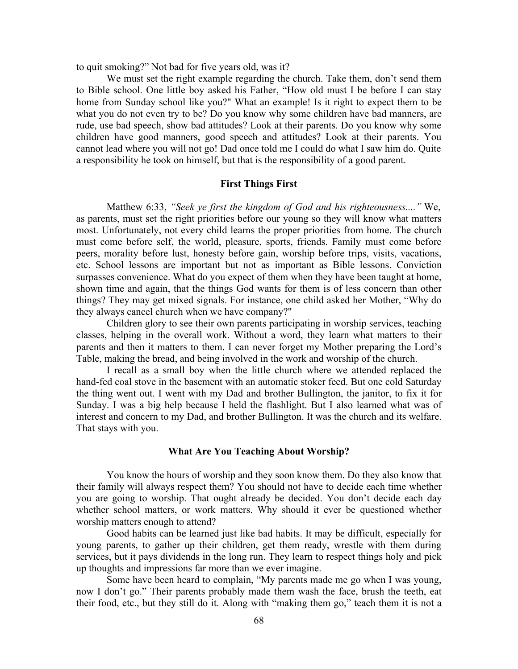to quit smoking?" Not bad for five years old, was it?

We must set the right example regarding the church. Take them, don't send them to Bible school. One little boy asked his Father, "How old must I be before I can stay home from Sunday school like you?" What an example! Is it right to expect them to be what you do not even try to be? Do you know why some children have bad manners, are rude, use bad speech, show bad attitudes? Look at their parents. Do you know why some children have good manners, good speech and attitudes? Look at their parents. You cannot lead where you will not go! Dad once told me I could do what I saw him do. Quite a responsibility he took on himself, but that is the responsibility of a good parent.

#### **First Things First**

Matthew 6:33, *"Seek ye first the kingdom of God and his righteousness...."* We, as parents, must set the right priorities before our young so they will know what matters most. Unfortunately, not every child learns the proper priorities from home. The church must come before self, the world, pleasure, sports, friends. Family must come before peers, morality before lust, honesty before gain, worship before trips, visits, vacations, etc. School lessons are important but not as important as Bible lessons. Conviction surpasses convenience. What do you expect of them when they have been taught at home, shown time and again, that the things God wants for them is of less concern than other things? They may get mixed signals. For instance, one child asked her Mother, "Why do they always cancel church when we have company?"

Children glory to see their own parents participating in worship services, teaching classes, helping in the overall work. Without a word, they learn what matters to their parents and then it matters to them. I can never forget my Mother preparing the Lord's Table, making the bread, and being involved in the work and worship of the church.

I recall as a small boy when the little church where we attended replaced the hand-fed coal stove in the basement with an automatic stoker feed. But one cold Saturday the thing went out. I went with my Dad and brother Bullington, the janitor, to fix it for Sunday. I was a big help because I held the flashlight. But I also learned what was of interest and concern to my Dad, and brother Bullington. It was the church and its welfare. That stays with you.

#### **What Are You Teaching About Worship?**

You know the hours of worship and they soon know them. Do they also know that their family will always respect them? You should not have to decide each time whether you are going to worship. That ought already be decided. You don't decide each day whether school matters, or work matters. Why should it ever be questioned whether worship matters enough to attend?

Good habits can be learned just like bad habits. It may be difficult, especially for young parents, to gather up their children, get them ready, wrestle with them during services, but it pays dividends in the long run. They learn to respect things holy and pick up thoughts and impressions far more than we ever imagine.

Some have been heard to complain, "My parents made me go when I was young, now I don't go." Their parents probably made them wash the face, brush the teeth, eat their food, etc., but they still do it. Along with "making them go," teach them it is not a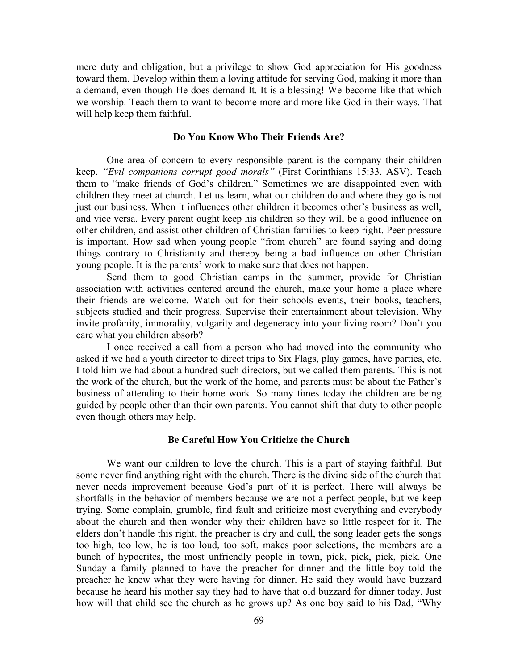mere duty and obligation, but a privilege to show God appreciation for His goodness toward them. Develop within them a loving attitude for serving God, making it more than a demand, even though He does demand It. It is a blessing! We become like that which we worship. Teach them to want to become more and more like God in their ways. That will help keep them faithful.

#### **Do You Know Who Their Friends Are?**

One area of concern to every responsible parent is the company their children keep. *"Evil companions corrupt good morals"* (First Corinthians 15:33. ASV). Teach them to "make friends of God's children." Sometimes we are disappointed even with children they meet at church. Let us learn, what our children do and where they go is not just our business. When it influences other children it becomes other's business as well, and vice versa. Every parent ought keep his children so they will be a good influence on other children, and assist other children of Christian families to keep right. Peer pressure is important. How sad when young people "from church" are found saying and doing things contrary to Christianity and thereby being a bad influence on other Christian young people. It is the parents' work to make sure that does not happen.

Send them to good Christian camps in the summer, provide for Christian association with activities centered around the church, make your home a place where their friends are welcome. Watch out for their schools events, their books, teachers, subjects studied and their progress. Supervise their entertainment about television. Why invite profanity, immorality, vulgarity and degeneracy into your living room? Don't you care what you children absorb?

I once received a call from a person who had moved into the community who asked if we had a youth director to direct trips to Six Flags, play games, have parties, etc. I told him we had about a hundred such directors, but we called them parents. This is not the work of the church, but the work of the home, and parents must be about the Father's business of attending to their home work. So many times today the children are being guided by people other than their own parents. You cannot shift that duty to other people even though others may help.

#### **Be Careful How You Criticize the Church**

We want our children to love the church. This is a part of staying faithful. But some never find anything right with the church. There is the divine side of the church that never needs improvement because God's part of it is perfect. There will always be shortfalls in the behavior of members because we are not a perfect people, but we keep trying. Some complain, grumble, find fault and criticize most everything and everybody about the church and then wonder why their children have so little respect for it. The elders don't handle this right, the preacher is dry and dull, the song leader gets the songs too high, too low, he is too loud, too soft, makes poor selections, the members are a bunch of hypocrites, the most unfriendly people in town, pick, pick, pick, pick. One Sunday a family planned to have the preacher for dinner and the little boy told the preacher he knew what they were having for dinner. He said they would have buzzard because he heard his mother say they had to have that old buzzard for dinner today. Just how will that child see the church as he grows up? As one boy said to his Dad, "Why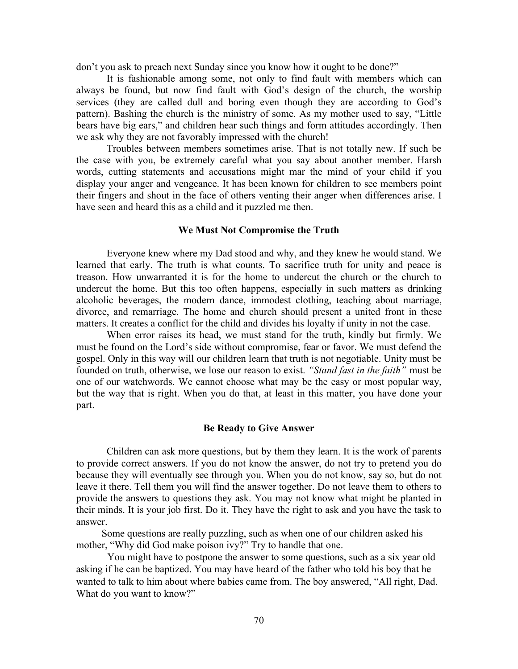don't you ask to preach next Sunday since you know how it ought to be done?"

It is fashionable among some, not only to find fault with members which can always be found, but now find fault with God's design of the church, the worship services (they are called dull and boring even though they are according to God's pattern). Bashing the church is the ministry of some. As my mother used to say, "Little bears have big ears," and children hear such things and form attitudes accordingly. Then we ask why they are not favorably impressed with the church!

Troubles between members sometimes arise. That is not totally new. If such be the case with you, be extremely careful what you say about another member. Harsh words, cutting statements and accusations might mar the mind of your child if you display your anger and vengeance. It has been known for children to see members point their fingers and shout in the face of others venting their anger when differences arise. I have seen and heard this as a child and it puzzled me then.

#### **We Must Not Compromise the Truth**

Everyone knew where my Dad stood and why, and they knew he would stand. We learned that early. The truth is what counts. To sacrifice truth for unity and peace is treason. How unwarranted it is for the home to undercut the church or the church to undercut the home. But this too often happens, especially in such matters as drinking alcoholic beverages, the modern dance, immodest clothing, teaching about marriage, divorce, and remarriage. The home and church should present a united front in these matters. It creates a conflict for the child and divides his loyalty if unity in not the case.

When error raises its head, we must stand for the truth, kindly but firmly. We must be found on the Lord's side without compromise, fear or favor. We must defend the gospel. Only in this way will our children learn that truth is not negotiable. Unity must be founded on truth, otherwise, we lose our reason to exist. *"Stand fast in the faith"* must be one of our watchwords. We cannot choose what may be the easy or most popular way, but the way that is right. When you do that, at least in this matter, you have done your part.

#### **Be Ready to Give Answer**

Children can ask more questions, but by them they learn. It is the work of parents to provide correct answers. If you do not know the answer, do not try to pretend you do because they will eventually see through you. When you do not know, say so, but do not leave it there. Tell them you will find the answer together. Do not leave them to others to provide the answers to questions they ask. You may not know what might be planted in their minds. It is your job first. Do it. They have the right to ask and you have the task to answer.

 Some questions are really puzzling, such as when one of our children asked his mother, "Why did God make poison ivy?" Try to handle that one.

You might have to postpone the answer to some questions, such as a six year old asking if he can be baptized. You may have heard of the father who told his boy that he wanted to talk to him about where babies came from. The boy answered, "All right, Dad. What do you want to know?"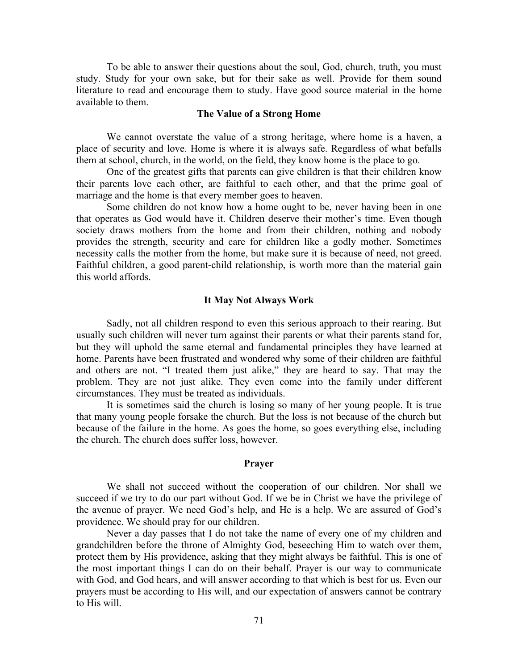To be able to answer their questions about the soul, God, church, truth, you must study. Study for your own sake, but for their sake as well. Provide for them sound literature to read and encourage them to study. Have good source material in the home available to them.

#### **The Value of a Strong Home**

We cannot overstate the value of a strong heritage, where home is a haven, a place of security and love. Home is where it is always safe. Regardless of what befalls them at school, church, in the world, on the field, they know home is the place to go.

One of the greatest gifts that parents can give children is that their children know their parents love each other, are faithful to each other, and that the prime goal of marriage and the home is that every member goes to heaven.

Some children do not know how a home ought to be, never having been in one that operates as God would have it. Children deserve their mother's time. Even though society draws mothers from the home and from their children, nothing and nobody provides the strength, security and care for children like a godly mother. Sometimes necessity calls the mother from the home, but make sure it is because of need, not greed. Faithful children, a good parent-child relationship, is worth more than the material gain this world affords.

#### **It May Not Always Work**

Sadly, not all children respond to even this serious approach to their rearing. But usually such children will never turn against their parents or what their parents stand for, but they will uphold the same eternal and fundamental principles they have learned at home. Parents have been frustrated and wondered why some of their children are faithful and others are not. "I treated them just alike," they are heard to say. That may the problem. They are not just alike. They even come into the family under different circumstances. They must be treated as individuals.

It is sometimes said the church is losing so many of her young people. It is true that many young people forsake the church. But the loss is not because of the church but because of the failure in the home. As goes the home, so goes everything else, including the church. The church does suffer loss, however.

#### **Prayer**

We shall not succeed without the cooperation of our children. Nor shall we succeed if we try to do our part without God. If we be in Christ we have the privilege of the avenue of prayer. We need God's help, and He is a help. We are assured of God's providence. We should pray for our children.

Never a day passes that I do not take the name of every one of my children and grandchildren before the throne of Almighty God, beseeching Him to watch over them, protect them by His providence, asking that they might always be faithful. This is one of the most important things I can do on their behalf. Prayer is our way to communicate with God, and God hears, and will answer according to that which is best for us. Even our prayers must be according to His will, and our expectation of answers cannot be contrary to His will.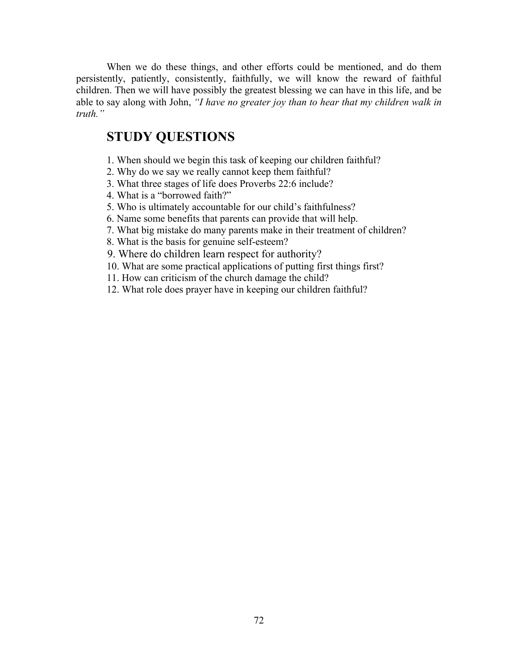When we do these things, and other efforts could be mentioned, and do them persistently, patiently, consistently, faithfully, we will know the reward of faithful children. Then we will have possibly the greatest blessing we can have in this life, and be able to say along with John, *"I have no greater joy than to hear that my children walk in truth."*

## **STUDY QUESTIONS**

- 1. When should we begin this task of keeping our children faithful?
- 2. Why do we say we really cannot keep them faithful?
- 3. What three stages of life does Proverbs 22:6 include?
- 4. What is a "borrowed faith?"
- 5. Who is ultimately accountable for our child's faithfulness?
- 6. Name some benefits that parents can provide that will help.
- 7. What big mistake do many parents make in their treatment of children?
- 8. What is the basis for genuine self-esteem?
- 9. Where do children learn respect for authority?
- 10. What are some practical applications of putting first things first?
- 11. How can criticism of the church damage the child?
- 12. What role does prayer have in keeping our children faithful?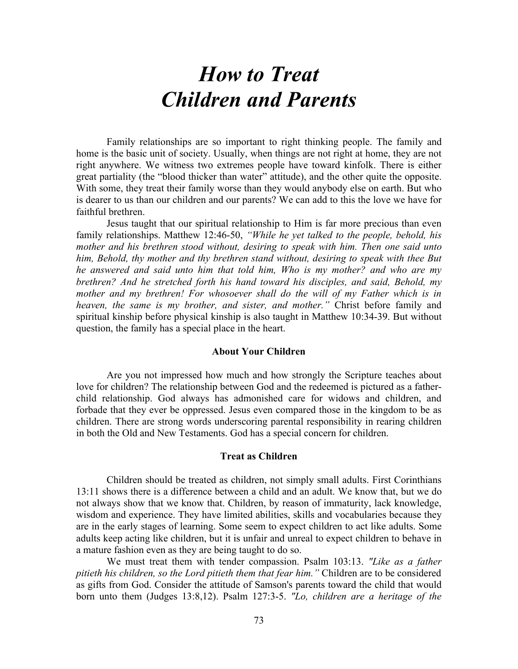# *How to Treat Children and Parents*

Family relationships are so important to right thinking people. The family and home is the basic unit of society. Usually, when things are not right at home, they are not right anywhere. We witness two extremes people have toward kinfolk. There is either great partiality (the "blood thicker than water" attitude), and the other quite the opposite. With some, they treat their family worse than they would anybody else on earth. But who is dearer to us than our children and our parents? We can add to this the love we have for faithful brethren.

Jesus taught that our spiritual relationship to Him is far more precious than even family relationships. Matthew 12:46-50, *"While he yet talked to the people, behold, his mother and his brethren stood without, desiring to speak with him. Then one said unto him, Behold, thy mother and thy brethren stand without, desiring to speak with thee But he answered and said unto him that told him, Who is my mother? and who are my brethren? And he stretched forth his hand toward his disciples, and said, Behold, my mother and my brethren! For whosoever shall do the will of my Father which is in heaven, the same is my brother, and sister, and mother."* Christ before family and spiritual kinship before physical kinship is also taught in Matthew 10:34-39. But without question, the family has a special place in the heart.

### **About Your Children**

Are you not impressed how much and how strongly the Scripture teaches about love for children? The relationship between God and the redeemed is pictured as a fatherchild relationship. God always has admonished care for widows and children, and forbade that they ever be oppressed. Jesus even compared those in the kingdom to be as children. There are strong words underscoring parental responsibility in rearing children in both the Old and New Testaments. God has a special concern for children.

### **Treat as Children**

Children should be treated as children, not simply small adults. First Corinthians 13:11 shows there is a difference between a child and an adult. We know that, but we do not always show that we know that. Children, by reason of immaturity, lack knowledge, wisdom and experience. They have limited abilities, skills and vocabularies because they are in the early stages of learning. Some seem to expect children to act like adults. Some adults keep acting like children, but it is unfair and unreal to expect children to behave in a mature fashion even as they are being taught to do so.

We must treat them with tender compassion. Psalm 103:13. *"Like as a father pitieth his children, so the Lord pitieth them that fear him."* Children are to be considered as gifts from God. Consider the attitude of Samson's parents toward the child that would born unto them (Judges 13:8,12). Psalm 127:3-5. *"Lo, children are a heritage of the*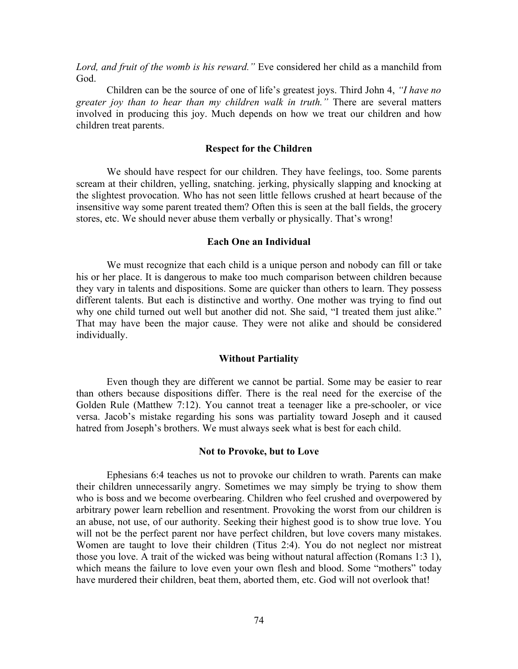*Lord, and fruit of the womb is his reward."* Eve considered her child as a manchild from God.

Children can be the source of one of life's greatest joys. Third John 4, *"I have no greater joy than to hear than my children walk in truth."* There are several matters involved in producing this joy. Much depends on how we treat our children and how children treat parents.

### **Respect for the Children**

We should have respect for our children. They have feelings, too. Some parents scream at their children, yelling, snatching. jerking, physically slapping and knocking at the slightest provocation. Who has not seen little fellows crushed at heart because of the insensitive way some parent treated them? Often this is seen at the ball fields, the grocery stores, etc. We should never abuse them verbally or physically. That's wrong!

### **Each One an Individual**

We must recognize that each child is a unique person and nobody can fill or take his or her place. It is dangerous to make too much comparison between children because they vary in talents and dispositions. Some are quicker than others to learn. They possess different talents. But each is distinctive and worthy. One mother was trying to find out why one child turned out well but another did not. She said, "I treated them just alike." That may have been the major cause. They were not alike and should be considered individually.

### **Without Partiality**

Even though they are different we cannot be partial. Some may be easier to rear than others because dispositions differ. There is the real need for the exercise of the Golden Rule (Matthew 7:12). You cannot treat a teenager like a pre-schooler, or vice versa. Jacob's mistake regarding his sons was partiality toward Joseph and it caused hatred from Joseph's brothers. We must always seek what is best for each child.

### **Not to Provoke, but to Love**

Ephesians 6:4 teaches us not to provoke our children to wrath. Parents can make their children unnecessarily angry. Sometimes we may simply be trying to show them who is boss and we become overbearing. Children who feel crushed and overpowered by arbitrary power learn rebellion and resentment. Provoking the worst from our children is an abuse, not use, of our authority. Seeking their highest good is to show true love. You will not be the perfect parent nor have perfect children, but love covers many mistakes. Women are taught to love their children (Titus 2:4). You do not neglect nor mistreat those you love. A trait of the wicked was being without natural affection (Romans 1:3 1), which means the failure to love even your own flesh and blood. Some "mothers" today have murdered their children, beat them, aborted them, etc. God will not overlook that!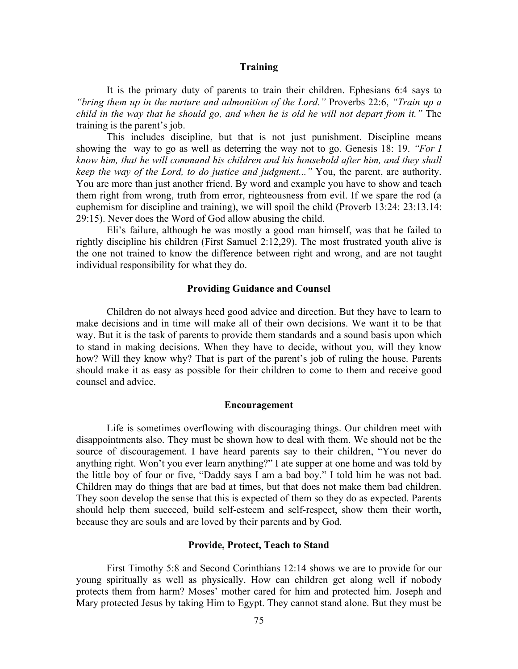### **Training**

It is the primary duty of parents to train their children. Ephesians 6:4 says to *"bring them up in the nurture and admonition of the Lord."* Proverbs 22:6, *"Train up a child in the way that he should go, and when he is old he will not depart from it."* The training is the parent's job.

This includes discipline, but that is not just punishment. Discipline means showing the way to go as well as deterring the way not to go. Genesis 18: 19. *"For I know him, that he will command his children and his household after him, and they shall keep the way of the Lord, to do justice and judgment..."* You, the parent, are authority. You are more than just another friend. By word and example you have to show and teach them right from wrong, truth from error, righteousness from evil. If we spare the rod (a euphemism for discipline and training), we will spoil the child (Proverb 13:24: 23:13.14: 29:15). Never does the Word of God allow abusing the child.

Eli's failure, although he was mostly a good man himself, was that he failed to rightly discipline his children (First Samuel 2:12,29). The most frustrated youth alive is the one not trained to know the difference between right and wrong, and are not taught individual responsibility for what they do.

### **Providing Guidance and Counsel**

Children do not always heed good advice and direction. But they have to learn to make decisions and in time will make all of their own decisions. We want it to be that way. But it is the task of parents to provide them standards and a sound basis upon which to stand in making decisions. When they have to decide, without you, will they know how? Will they know why? That is part of the parent's job of ruling the house. Parents should make it as easy as possible for their children to come to them and receive good counsel and advice.

### **Encouragement**

Life is sometimes overflowing with discouraging things. Our children meet with disappointments also. They must be shown how to deal with them. We should not be the source of discouragement. I have heard parents say to their children, "You never do anything right. Won't you ever learn anything?" I ate supper at one home and was told by the little boy of four or five, "Daddy says I am a bad boy." I told him he was not bad. Children may do things that are bad at times, but that does not make them bad children. They soon develop the sense that this is expected of them so they do as expected. Parents should help them succeed, build self-esteem and self-respect, show them their worth, because they are souls and are loved by their parents and by God.

### **Provide, Protect, Teach to Stand**

First Timothy 5:8 and Second Corinthians 12:14 shows we are to provide for our young spiritually as well as physically. How can children get along well if nobody protects them from harm? Moses' mother cared for him and protected him. Joseph and Mary protected Jesus by taking Him to Egypt. They cannot stand alone. But they must be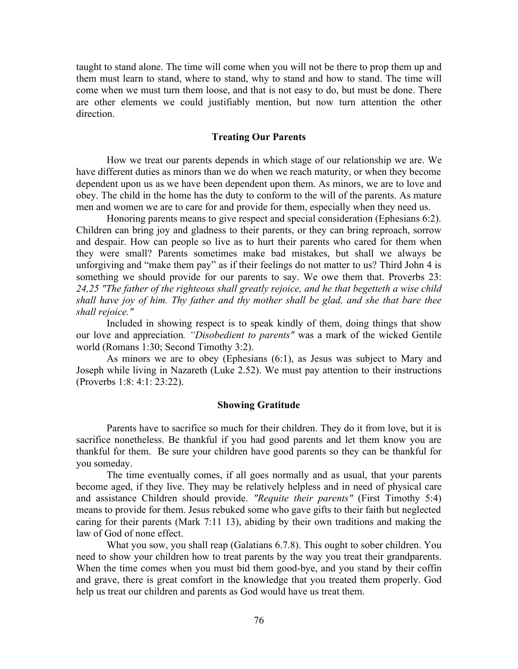taught to stand alone. The time will come when you will not be there to prop them up and them must learn to stand, where to stand, why to stand and how to stand. The time will come when we must turn them loose, and that is not easy to do, but must be done. There are other elements we could justifiably mention, but now turn attention the other direction.

### **Treating Our Parents**

How we treat our parents depends in which stage of our relationship we are. We have different duties as minors than we do when we reach maturity, or when they become dependent upon us as we have been dependent upon them. As minors, we are to love and obey. The child in the home has the duty to conform to the will of the parents. As mature men and women we are to care for and provide for them, especially when they need us.

Honoring parents means to give respect and special consideration (Ephesians 6:2). Children can bring joy and gladness to their parents, or they can bring reproach, sorrow and despair. How can people so live as to hurt their parents who cared for them when they were small? Parents sometimes make bad mistakes, but shall we always be unforgiving and "make them pay" as if their feelings do not matter to us? Third John 4 is something we should provide for our parents to say. We owe them that. Proverbs 23: *24,25 "The father of the righteous shall greatly rejoice, and he that begetteth a wise child shall have joy of him. Thy father and thy mother shall be glad, and she that bare thee shall rejoice."*

Included in showing respect is to speak kindly of them, doing things that show our love and appreciation*. "Disobedient to parents"* was a mark of the wicked Gentile world (Romans 1:30; Second Timothy 3:2).

As minors we are to obey (Ephesians (6:1), as Jesus was subject to Mary and Joseph while living in Nazareth (Luke 2.52). We must pay attention to their instructions (Proverbs 1:8: 4:1: 23:22).

### **Showing Gratitude**

Parents have to sacrifice so much for their children. They do it from love, but it is sacrifice nonetheless. Be thankful if you had good parents and let them know you are thankful for them. Be sure your children have good parents so they can be thankful for you someday.

The time eventually comes, if all goes normally and as usual, that your parents become aged, if they live. They may be relatively helpless and in need of physical care and assistance Children should provide. *"Requite their parents"* (First Timothy 5:4) means to provide for them. Jesus rebuked some who gave gifts to their faith but neglected caring for their parents (Mark 7:11 13), abiding by their own traditions and making the law of God of none effect.

What you sow, you shall reap (Galatians 6.7.8). This ought to sober children. You need to show your children how to treat parents by the way you treat their grandparents. When the time comes when you must bid them good-bye, and you stand by their coffin and grave, there is great comfort in the knowledge that you treated them properly. God help us treat our children and parents as God would have us treat them.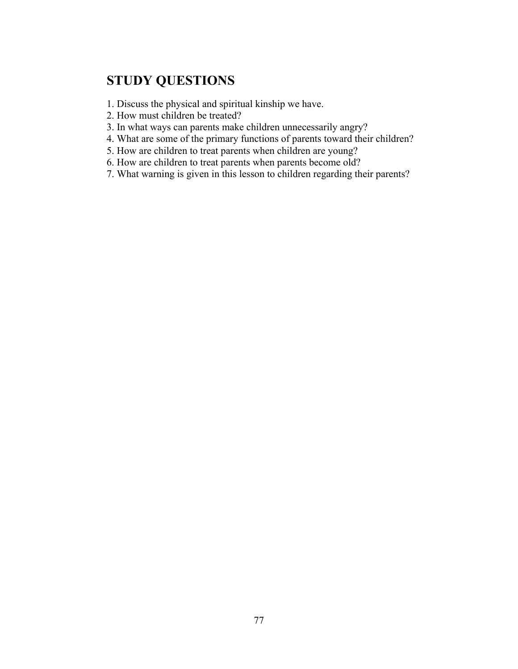## **STUDY QUESTIONS**

- 1. Discuss the physical and spiritual kinship we have.
- 2. How must children be treated?
- 3. In what ways can parents make children unnecessarily angry?
- 4. What are some of the primary functions of parents toward their children?
- 5. How are children to treat parents when children are young?
- 6. How are children to treat parents when parents become old?
- 7. What warning is given in this lesson to children regarding their parents?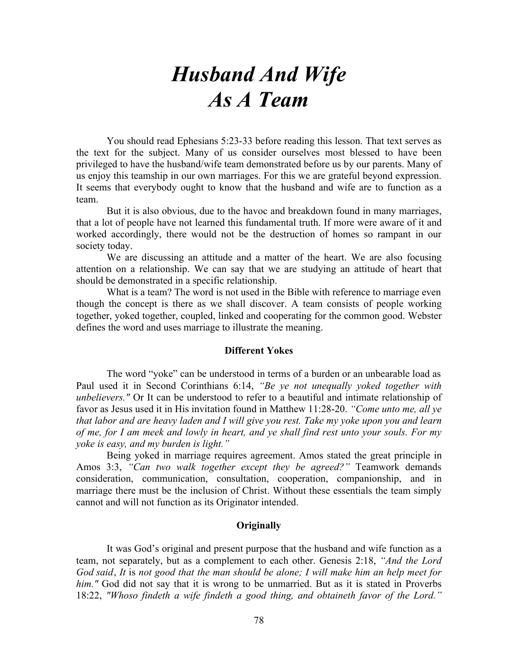# *Husband And Wife As A Team*

You should read Ephesians 5:23-33 before reading this lesson. That text serves as the text for the subject. Many of us consider ourselves most blessed to have been privileged to have the husband/wife team demonstrated before us by our parents. Many of us enjoy this teamship in our own marriages. For this we are grateful beyond expression. It seems that everybody ought to know that the husband and wife are to function as a team.

But it is also obvious, due to the havoc and breakdown found in many marriages, that a lot of people have not learned this fundamental truth. If more were aware of it and worked accordingly, there would not be the destruction of homes so rampant in our society today.

We are discussing an attitude and a matter of the heart. We are also focusing attention on a relationship. We can say that we are studying an attitude of heart that should be demonstrated in a specific relationship.

What is a team? The word is not used in the Bible with reference to marriage even though the concept is there as we shall discover. A team consists of people working together, yoked together, coupled, linked and cooperating for the common good. Webster defines the word and uses marriage to illustrate the meaning.

### **Different Yokes**

The word "yoke" can be understood in terms of a burden or an unbearable load as Paul used it in Second Corinthians 6:14, *"Be ye not unequally yoked together with unbelievers."* Or It can be understood to refer to a beautiful and intimate relationship of favor as Jesus used it in His invitation found in Matthew 11:28-20. *"Come unto me, all ye that labor and are heavy laden and I will give you rest. Take my yoke upon you and learn of me, for I am meek and lowly in heart, and ye shall find rest unto your souls. For my yoke is easy, and my burden is light."*

Being yoked in marriage requires agreement. Amos stated the great principle in Amos 3:3, *"Can two walk together except they be agreed?"* Teamwork demands consideration, communication, consultation, cooperation, companionship, and in marriage there must be the inclusion of Christ. Without these essentials the team simply cannot and will not function as its Originator intended.

### **Originally**

It was God's original and present purpose that the husband and wife function as a team, not separately, but as a complement to each other. Genesis 2:18, *"And the Lord God said*, *It* is *not good that the man should be alone; I will make him an help meet for him."* God did not say that it is wrong to be unmarried. But as it is stated in Proverbs 18:22, *"Whoso findeth a wife findeth a good thing, and obtaineth favor of the Lord."*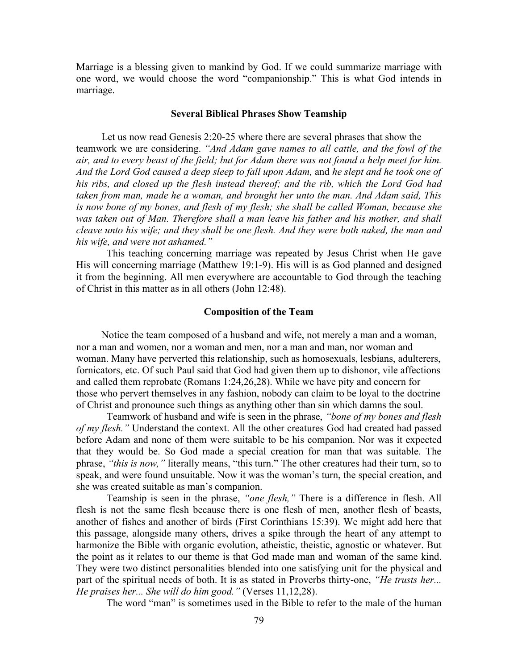Marriage is a blessing given to mankind by God. If we could summarize marriage with one word, we would choose the word "companionship." This is what God intends in marriage.

### **Several Biblical Phrases Show Teamship**

 Let us now read Genesis 2:20-25 where there are several phrases that show the teamwork we are considering. *"And Adam gave names to all cattle, and the fowl of the air, and to every beast of the field; but for Adam there was not found a help meet for him. And the Lord God caused a deep sleep to fall upon Adam,* and *he slept and he took one of his ribs, and closed up the flesh instead thereof; and the rib, which the Lord God had taken from man, made he a woman, and brought her unto the man. And Adam said, This is now bone of my bones, and flesh of my flesh; she shall be called Woman, because she was taken out of Man. Therefore shall a man leave his father and his mother, and shall cleave unto his wife; and they shall be one flesh. And they were both naked, the man and his wife, and were not ashamed."*

This teaching concerning marriage was repeated by Jesus Christ when He gave His will concerning marriage (Matthew 19:1-9). His will is as God planned and designed it from the beginning. All men everywhere are accountable to God through the teaching of Christ in this matter as in all others (John 12:48).

### **Composition of the Team**

 Notice the team composed of a husband and wife, not merely a man and a woman, nor a man and women, nor a woman and men, nor a man and man, nor woman and woman. Many have perverted this relationship, such as homosexuals, lesbians, adulterers, fornicators, etc. Of such Paul said that God had given them up to dishonor, vile affections and called them reprobate (Romans 1:24,26,28). While we have pity and concern for those who pervert themselves in any fashion, nobody can claim to be loyal to the doctrine of Christ and pronounce such things as anything other than sin which damns the soul.

Teamwork of husband and wife is seen in the phrase, *"bone of my bones and flesh of my flesh."* Understand the context. All the other creatures God had created had passed before Adam and none of them were suitable to be his companion. Nor was it expected that they would be. So God made a special creation for man that was suitable. The phrase, *"this is now,"* literally means, "this turn." The other creatures had their turn, so to speak, and were found unsuitable. Now it was the woman's turn, the special creation, and she was created suitable as man's companion.

Teamship is seen in the phrase, *"one flesh,"* There is a difference in flesh. All flesh is not the same flesh because there is one flesh of men, another flesh of beasts, another of fishes and another of birds (First Corinthians 15:39). We might add here that this passage, alongside many others, drives a spike through the heart of any attempt to harmonize the Bible with organic evolution, atheistic, theistic, agnostic or whatever. But the point as it relates to our theme is that God made man and woman of the same kind. They were two distinct personalities blended into one satisfying unit for the physical and part of the spiritual needs of both. It is as stated in Proverbs thirty-one, *"He trusts her... He praises her... She will do him good."* (Verses 11,12,28).

The word "man" is sometimes used in the Bible to refer to the male of the human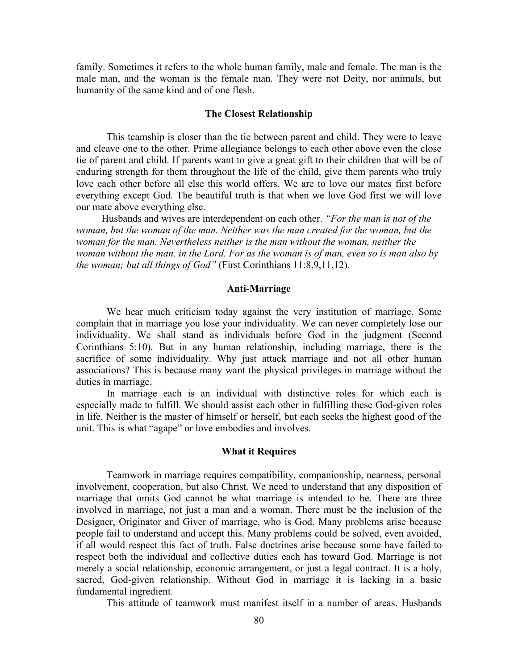family. Sometimes it refers to the whole human family, male and female. The man is the male man, and the woman is the female man. They were not Deity, nor animals, but humanity of the same kind and of one flesh.

### **The Closest Relationship**

This teamship is closer than the tie between parent and child. They were to leave and cleave one to the other. Prime allegiance belongs to each other above even the close tie of parent and child. If parents want to give a great gift to their children that will be of enduring strength for them throughout the life of the child, give them parents who truly love each other before all else this world offers. We are to love our mates first before everything except God. The beautiful truth is that when we love God first we will love our mate above everything else.

 Husbands and wives are interdependent on each other. *"For the man is not of the woman, but the woman of the man. Neither was the man created for the woman, but the woman for the man. Nevertheless neither is the man without the woman, neither the woman without the man. in the Lord. For as the woman is of man, even so is man also by the woman; but all things of God"* (First Corinthians 11:8,9,11,12).

### **Anti-Marriage**

We hear much criticism today against the very institution of marriage. Some complain that in marriage you lose your individuality. We can never completely lose our individuality. We shall stand as individuals before God in the judgment (Second Corinthians 5:10). But in any human relationship, including marriage, there is the sacrifice of some individuality. Why just attack marriage and not all other human associations? This is because many want the physical privileges in marriage without the duties in marriage.

In marriage each is an individual with distinctive roles for which each is especially made to fulfill. We should assist each other in fulfilling these God-given roles in life. Neither is the master of himself or herself, but each seeks the highest good of the unit. This is what "agape" or love embodies and involves.

### **What it Requires**

Teamwork in marriage requires compatibility, companionship, nearness, personal involvement, cooperation, but also Christ. We need to understand that any disposition of marriage that omits God cannot be what marriage is intended to be. There are three involved in marriage, not just a man and a woman. There must be the inclusion of the Designer, Originator and Giver of marriage, who is God. Many problems arise because people fail to understand and accept this. Many problems could be solved, even avoided, if all would respect this fact of truth. False doctrines arise because some have failed to respect both the individual and collective duties each has toward God. Marriage is not merely a social relationship, economic arrangement, or just a legal contract. It is a holy, sacred, God-given relationship. Without God in marriage it is lacking in a basic fundamental ingredient.

This attitude of teamwork must manifest itself in a number of areas. Husbands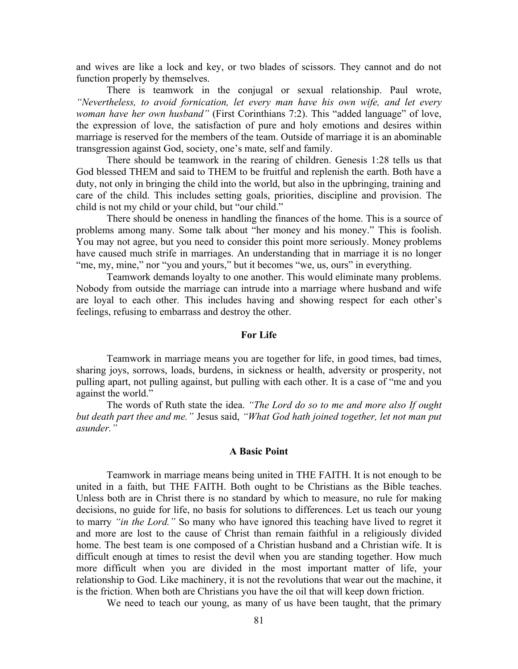and wives are like a lock and key, or two blades of scissors. They cannot and do not function properly by themselves.

There is teamwork in the conjugal or sexual relationship. Paul wrote, *"Nevertheless, to avoid fornication, let every man have his own wife, and let every woman have her own husband"* (First Corinthians 7:2). This "added language" of love, the expression of love, the satisfaction of pure and holy emotions and desires within marriage is reserved for the members of the team. Outside of marriage it is an abominable transgression against God, society, one's mate, self and family.

There should be teamwork in the rearing of children. Genesis 1:28 tells us that God blessed THEM and said to THEM to be fruitful and replenish the earth. Both have a duty, not only in bringing the child into the world, but also in the upbringing, training and care of the child. This includes setting goals, priorities, discipline and provision. The child is not my child or your child, but "our child."

There should be oneness in handling the finances of the home. This is a source of problems among many. Some talk about "her money and his money." This is foolish. You may not agree, but you need to consider this point more seriously. Money problems have caused much strife in marriages. An understanding that in marriage it is no longer "me, my, mine," nor "you and yours," but it becomes "we, us, ours" in everything.

Teamwork demands loyalty to one another. This would eliminate many problems. Nobody from outside the marriage can intrude into a marriage where husband and wife are loyal to each other. This includes having and showing respect for each other's feelings, refusing to embarrass and destroy the other.

### **For Life**

Teamwork in marriage means you are together for life, in good times, bad times, sharing joys, sorrows, loads, burdens, in sickness or health, adversity or prosperity, not pulling apart, not pulling against, but pulling with each other. It is a case of "me and you against the world."

The words of Ruth state the idea. *"The Lord do so to me and more also If ought but death part thee and me."* Jesus said, *"What God hath joined together, let not man put asunder."*

### **A Basic Point**

Teamwork in marriage means being united in THE FAITH. It is not enough to be united in a faith, but THE FAITH. Both ought to be Christians as the Bible teaches. Unless both are in Christ there is no standard by which to measure, no rule for making decisions, no guide for life, no basis for solutions to differences. Let us teach our young to marry *"in the Lord."* So many who have ignored this teaching have lived to regret it and more are lost to the cause of Christ than remain faithful in a religiously divided home. The best team is one composed of a Christian husband and a Christian wife. It is difficult enough at times to resist the devil when you are standing together. How much more difficult when you are divided in the most important matter of life, your relationship to God. Like machinery, it is not the revolutions that wear out the machine, it is the friction. When both are Christians you have the oil that will keep down friction.

We need to teach our young, as many of us have been taught, that the primary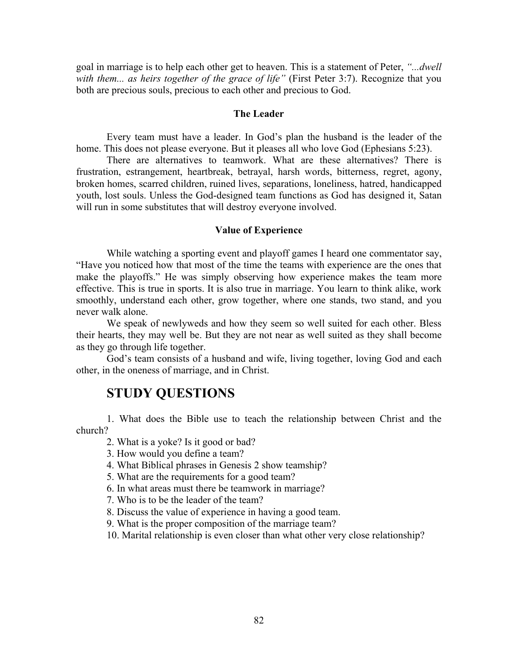goal in marriage is to help each other get to heaven. This is a statement of Peter, *"...dwell with them... as heirs together of the grace of life"* (First Peter 3:7). Recognize that you both are precious souls, precious to each other and precious to God.

### **The Leader**

Every team must have a leader. In God's plan the husband is the leader of the home. This does not please everyone. But it pleases all who love God (Ephesians 5:23).

There are alternatives to teamwork. What are these alternatives? There is frustration, estrangement, heartbreak, betrayal, harsh words, bitterness, regret, agony, broken homes, scarred children, ruined lives, separations, loneliness, hatred, handicapped youth, lost souls. Unless the God-designed team functions as God has designed it, Satan will run in some substitutes that will destroy everyone involved.

### **Value of Experience**

While watching a sporting event and playoff games I heard one commentator say, "Have you noticed how that most of the time the teams with experience are the ones that make the playoffs." He was simply observing how experience makes the team more effective. This is true in sports. It is also true in marriage. You learn to think alike, work smoothly, understand each other, grow together, where one stands, two stand, and you never walk alone.

We speak of newlyweds and how they seem so well suited for each other. Bless their hearts, they may well be. But they are not near as well suited as they shall become as they go through life together.

God's team consists of a husband and wife, living together, loving God and each other, in the oneness of marriage, and in Christ.

## **STUDY QUESTIONS**

1. What does the Bible use to teach the relationship between Christ and the church?

2. What is a yoke? Is it good or bad?

- 3. How would you define a team?
- 4. What Biblical phrases in Genesis 2 show teamship?
- 5. What are the requirements for a good team?
- 6. In what areas must there be teamwork in marriage?
- 7. Who is to be the leader of the team?
- 8. Discuss the value of experience in having a good team.
- 9. What is the proper composition of the marriage team?
- 10. Marital relationship is even closer than what other very close relationship?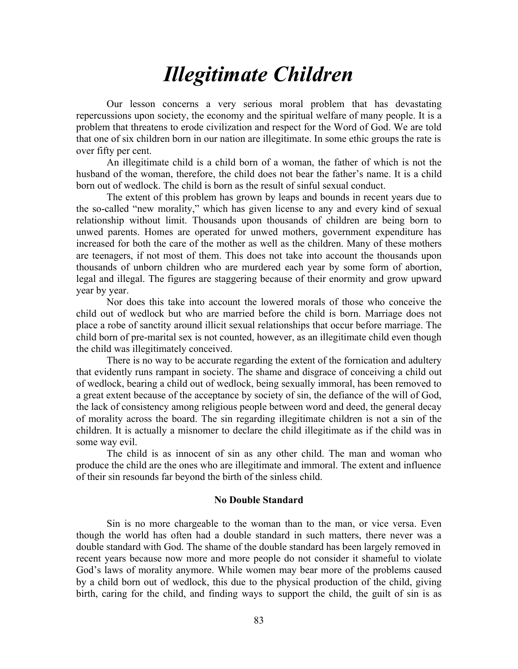# *Illegitimate Children*

Our lesson concerns a very serious moral problem that has devastating repercussions upon society, the economy and the spiritual welfare of many people. It is a problem that threatens to erode civilization and respect for the Word of God. We are told that one of six children born in our nation are illegitimate. In some ethic groups the rate is over fifty per cent.

An illegitimate child is a child born of a woman, the father of which is not the husband of the woman, therefore, the child does not bear the father's name. It is a child born out of wedlock. The child is born as the result of sinful sexual conduct.

The extent of this problem has grown by leaps and bounds in recent years due to the so-called "new morality," which has given license to any and every kind of sexual relationship without limit. Thousands upon thousands of children are being born to unwed parents. Homes are operated for unwed mothers, government expenditure has increased for both the care of the mother as well as the children. Many of these mothers are teenagers, if not most of them. This does not take into account the thousands upon thousands of unborn children who are murdered each year by some form of abortion, legal and illegal. The figures are staggering because of their enormity and grow upward year by year.

Nor does this take into account the lowered morals of those who conceive the child out of wedlock but who are married before the child is born. Marriage does not place a robe of sanctity around illicit sexual relationships that occur before marriage. The child born of pre-marital sex is not counted, however, as an illegitimate child even though the child was illegitimately conceived.

There is no way to be accurate regarding the extent of the fornication and adultery that evidently runs rampant in society. The shame and disgrace of conceiving a child out of wedlock, bearing a child out of wedlock, being sexually immoral, has been removed to a great extent because of the acceptance by society of sin, the defiance of the will of God, the lack of consistency among religious people between word and deed, the general decay of morality across the board. The sin regarding illegitimate children is not a sin of the children. It is actually a misnomer to declare the child illegitimate as if the child was in some way evil.

The child is as innocent of sin as any other child. The man and woman who produce the child are the ones who are illegitimate and immoral. The extent and influence of their sin resounds far beyond the birth of the sinless child.

### **No Double Standard**

Sin is no more chargeable to the woman than to the man, or vice versa. Even though the world has often had a double standard in such matters, there never was a double standard with God. The shame of the double standard has been largely removed in recent years because now more and more people do not consider it shameful to violate God's laws of morality anymore. While women may bear more of the problems caused by a child born out of wedlock, this due to the physical production of the child, giving birth, caring for the child, and finding ways to support the child, the guilt of sin is as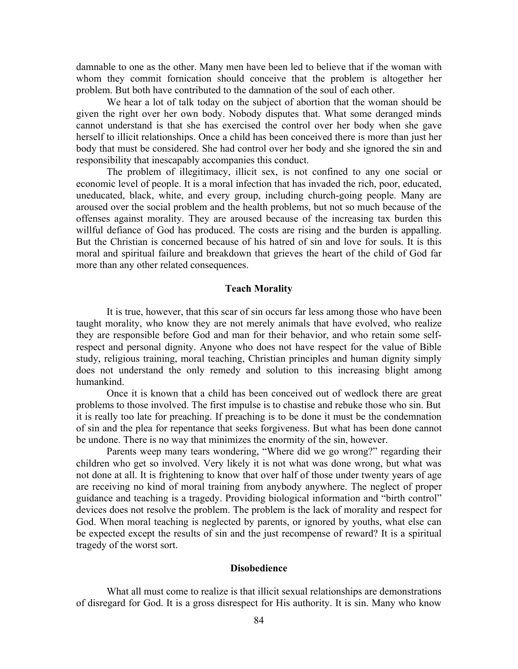damnable to one as the other. Many men have been led to believe that if the woman with whom they commit fornication should conceive that the problem is altogether her problem. But both have contributed to the damnation of the soul of each other.

We hear a lot of talk today on the subject of abortion that the woman should be given the right over her own body. Nobody disputes that. What some deranged minds cannot understand is that she has exercised the control over her body when she gave herself to illicit relationships. Once a child has been conceived there is more than just her body that must be considered. She had control over her body and she ignored the sin and responsibility that inescapably accompanies this conduct.

The problem of illegitimacy, illicit sex, is not confined to any one social or economic level of people. It is a moral infection that has invaded the rich, poor, educated, uneducated, black, white, and every group, including church-going people. Many are aroused over the social problem and the health problems, but not so much because of the offenses against morality. They are aroused because of the increasing tax burden this willful defiance of God has produced. The costs are rising and the burden is appalling. But the Christian is concerned because of his hatred of sin and love for souls. It is this moral and spiritual failure and breakdown that grieves the heart of the child of God far more than any other related consequences.

### **Teach Morality**

It is true, however, that this scar of sin occurs far less among those who have been taught morality, who know they are not merely animals that have evolved, who realize they are responsible before God and man for their behavior, and who retain some selfrespect and personal dignity. Anyone who does not have respect for the value of Bible study, religious training, moral teaching, Christian principles and human dignity simply does not understand the only remedy and solution to this increasing blight among humankind.

Once it is known that a child has been conceived out of wedlock there are great problems to those involved. The first impulse is to chastise and rebuke those who sin. But it is really too late for preaching. If preaching is to be done it must be the condemnation of sin and the plea for repentance that seeks forgiveness. But what has been done cannot be undone. There is no way that minimizes the enormity of the sin, however.

Parents weep many tears wondering, "Where did we go wrong?" regarding their children who get so involved. Very likely it is not what was done wrong, but what was not done at all. It is frightening to know that over half of those under twenty years of age are receiving no kind of moral training from anybody anywhere. The neglect of proper guidance and teaching is a tragedy. Providing biological information and "birth control" devices does not resolve the problem. The problem is the lack of morality and respect for God. When moral teaching is neglected by parents, or ignored by youths, what else can be expected except the results of sin and the just recompense of reward? It is a spiritual tragedy of the worst sort.

### **Disobedience**

What all must come to realize is that illicit sexual relationships are demonstrations of disregard for God. It is a gross disrespect for His authority. It is sin. Many who know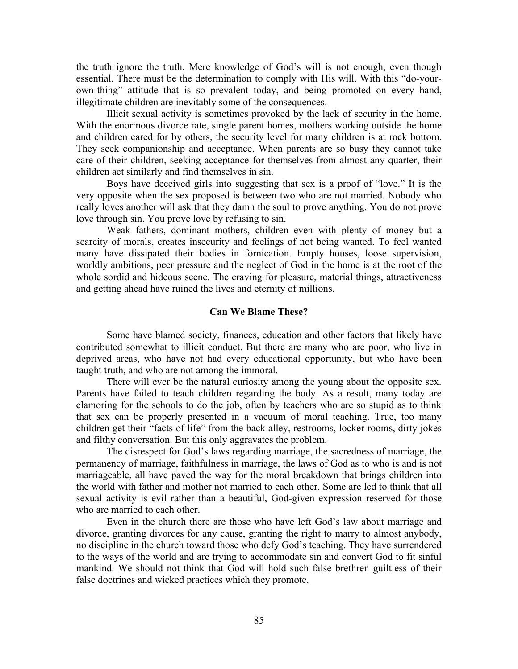the truth ignore the truth. Mere knowledge of God's will is not enough, even though essential. There must be the determination to comply with His will. With this "do-yourown-thing" attitude that is so prevalent today, and being promoted on every hand, illegitimate children are inevitably some of the consequences.

Illicit sexual activity is sometimes provoked by the lack of security in the home. With the enormous divorce rate, single parent homes, mothers working outside the home and children cared for by others, the security level for many children is at rock bottom. They seek companionship and acceptance. When parents are so busy they cannot take care of their children, seeking acceptance for themselves from almost any quarter, their children act similarly and find themselves in sin.

Boys have deceived girls into suggesting that sex is a proof of "love." It is the very opposite when the sex proposed is between two who are not married. Nobody who really loves another will ask that they damn the soul to prove anything. You do not prove love through sin. You prove love by refusing to sin.

Weak fathers, dominant mothers, children even with plenty of money but a scarcity of morals, creates insecurity and feelings of not being wanted. To feel wanted many have dissipated their bodies in fornication. Empty houses, loose supervision, worldly ambitions, peer pressure and the neglect of God in the home is at the root of the whole sordid and hideous scene. The craving for pleasure, material things, attractiveness and getting ahead have ruined the lives and eternity of millions.

### **Can We Blame These?**

Some have blamed society, finances, education and other factors that likely have contributed somewhat to illicit conduct. But there are many who are poor, who live in deprived areas, who have not had every educational opportunity, but who have been taught truth, and who are not among the immoral.

There will ever be the natural curiosity among the young about the opposite sex. Parents have failed to teach children regarding the body. As a result, many today are clamoring for the schools to do the job, often by teachers who are so stupid as to think that sex can be properly presented in a vacuum of moral teaching. True, too many children get their "facts of life" from the back alley, restrooms, locker rooms, dirty jokes and filthy conversation. But this only aggravates the problem.

The disrespect for God's laws regarding marriage, the sacredness of marriage, the permanency of marriage, faithfulness in marriage, the laws of God as to who is and is not marriageable, all have paved the way for the moral breakdown that brings children into the world with father and mother not married to each other. Some are led to think that all sexual activity is evil rather than a beautiful, God-given expression reserved for those who are married to each other.

Even in the church there are those who have left God's law about marriage and divorce, granting divorces for any cause, granting the right to marry to almost anybody, no discipline in the church toward those who defy God's teaching. They have surrendered to the ways of the world and are trying to accommodate sin and convert God to fit sinful mankind. We should not think that God will hold such false brethren guiltless of their false doctrines and wicked practices which they promote.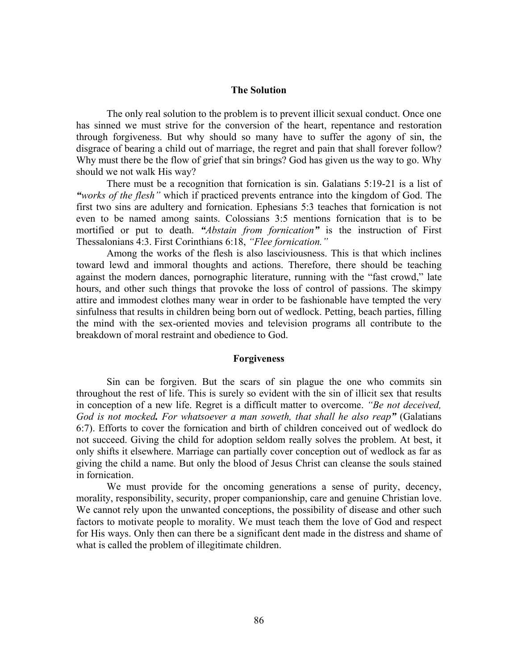### **The Solution**

The only real solution to the problem is to prevent illicit sexual conduct. Once one has sinned we must strive for the conversion of the heart, repentance and restoration through forgiveness. But why should so many have to suffer the agony of sin, the disgrace of bearing a child out of marriage, the regret and pain that shall forever follow? Why must there be the flow of grief that sin brings? God has given us the way to go. Why should we not walk His way?

There must be a recognition that fornication is sin. Galatians 5:19-21 is a list of *"works of the flesh"* which if practiced prevents entrance into the kingdom of God. The first two sins are adultery and fornication. Ephesians 5:3 teaches that fornication is not even to be named among saints. Colossians 3:5 mentions fornication that is to be mortified or put to death. *"Abstain from fornication"* is the instruction of First Thessalonians 4:3. First Corinthians 6:18, *"Flee fornication."*

Among the works of the flesh is also lasciviousness. This is that which inclines toward lewd and immoral thoughts and actions. Therefore, there should be teaching against the modern dances, pornographic literature, running with the "fast crowd," late hours, and other such things that provoke the loss of control of passions. The skimpy attire and immodest clothes many wear in order to be fashionable have tempted the very sinfulness that results in children being born out of wedlock. Petting, beach parties, filling the mind with the sex-oriented movies and television programs all contribute to the breakdown of moral restraint and obedience to God.

### **Forgiveness**

Sin can be forgiven. But the scars of sin plague the one who commits sin throughout the rest of life. This is surely so evident with the sin of illicit sex that results in conception of a new life. Regret is a difficult matter to overcome. *"Be not deceived, God is not mocked. For whatsoever a man soweth, that shall he also reap"* (Galatians 6:7). Efforts to cover the fornication and birth of children conceived out of wedlock do not succeed. Giving the child for adoption seldom really solves the problem. At best, it only shifts it elsewhere. Marriage can partially cover conception out of wedlock as far as giving the child a name. But only the blood of Jesus Christ can cleanse the souls stained in fornication.

We must provide for the oncoming generations a sense of purity, decency, morality, responsibility, security, proper companionship, care and genuine Christian love. We cannot rely upon the unwanted conceptions, the possibility of disease and other such factors to motivate people to morality. We must teach them the love of God and respect for His ways. Only then can there be a significant dent made in the distress and shame of what is called the problem of illegitimate children.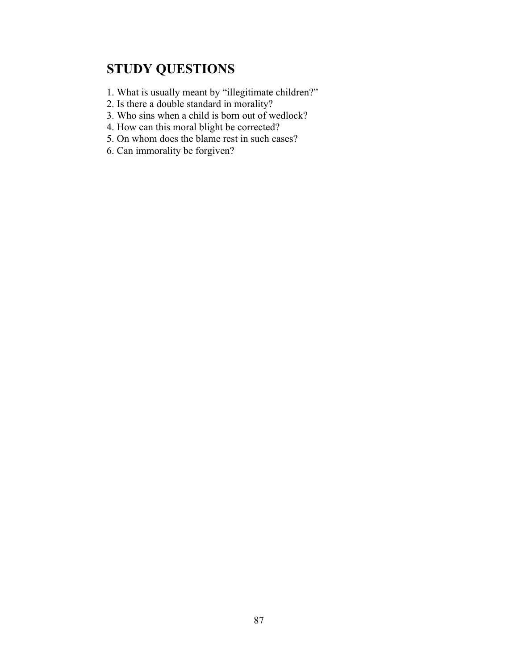## **STUDY QUESTIONS**

- 1. What is usually meant by "illegitimate children?"
- 2. Is there a double standard in morality?
- 3. Who sins when a child is born out of wedlock?
- 4. How can this moral blight be corrected?
- 5. On whom does the blame rest in such cases?
- 6. Can immorality be forgiven?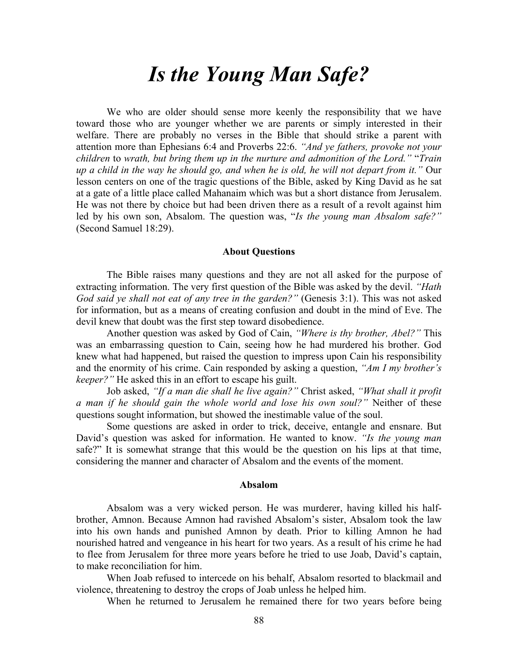## *Is the Young Man Safe?*

We who are older should sense more keenly the responsibility that we have toward those who are younger whether we are parents or simply interested in their welfare. There are probably no verses in the Bible that should strike a parent with attention more than Ephesians 6:4 and Proverbs 22:6. *"And ye fathers, provoke not your children* to *wrath, but bring them up in the nurture and admonition of the Lord."* "*Train up a child in the way he should go, and when he is old, he will not depart from it."* Our lesson centers on one of the tragic questions of the Bible, asked by King David as he sat at a gate of a little place called Mahanaim which was but a short distance from Jerusalem. He was not there by choice but had been driven there as a result of a revolt against him led by his own son, Absalom. The question was, "*Is the young man Absalom safe?"* (Second Samuel 18:29).

### **About Questions**

The Bible raises many questions and they are not all asked for the purpose of extracting information. The very first question of the Bible was asked by the devil. *"Hath God said ye shall not eat of any tree in the garden?"* (Genesis 3:1). This was not asked for information, but as a means of creating confusion and doubt in the mind of Eve. The devil knew that doubt was the first step toward disobedience.

Another question was asked by God of Cain, *"Where is thy brother, Abel?"* This was an embarrassing question to Cain, seeing how he had murdered his brother. God knew what had happened, but raised the question to impress upon Cain his responsibility and the enormity of his crime. Cain responded by asking a question, *"Am I my brother's keeper?"* He asked this in an effort to escape his guilt.

Job asked, *"If a man die shall he live again?"* Christ asked, *"What shall it profit a man if he should gain the whole world and lose his own soul?"* Neither of these questions sought information, but showed the inestimable value of the soul.

Some questions are asked in order to trick, deceive, entangle and ensnare. But David's question was asked for information. He wanted to know. *"Is the young man* safe?" It is somewhat strange that this would be the question on his lips at that time, considering the manner and character of Absalom and the events of the moment.

### **Absalom**

Absalom was a very wicked person. He was murderer, having killed his halfbrother, Amnon. Because Amnon had ravished Absalom's sister, Absalom took the law into his own hands and punished Amnon by death. Prior to killing Amnon he had nourished hatred and vengeance in his heart for two years. As a result of his crime he had to flee from Jerusalem for three more years before he tried to use Joab, David's captain, to make reconciliation for him.

When Joab refused to intercede on his behalf, Absalom resorted to blackmail and violence, threatening to destroy the crops of Joab unless he helped him.

When he returned to Jerusalem he remained there for two years before being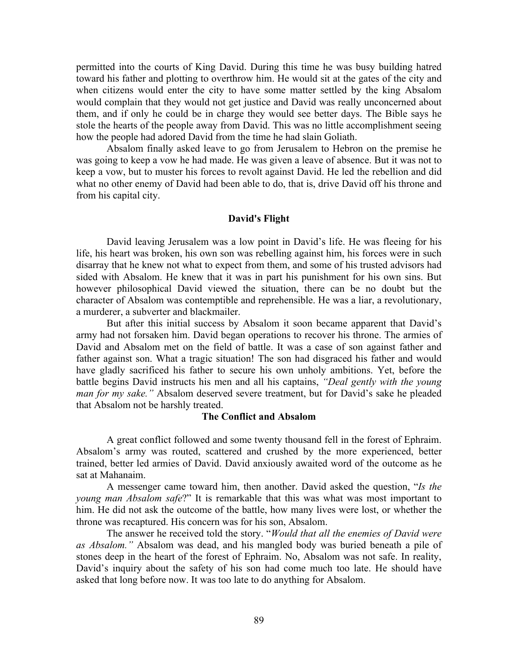permitted into the courts of King David. During this time he was busy building hatred toward his father and plotting to overthrow him. He would sit at the gates of the city and when citizens would enter the city to have some matter settled by the king Absalom would complain that they would not get justice and David was really unconcerned about them, and if only he could be in charge they would see better days. The Bible says he stole the hearts of the people away from David. This was no little accomplishment seeing how the people had adored David from the time he had slain Goliath.

Absalom finally asked leave to go from Jerusalem to Hebron on the premise he was going to keep a vow he had made. He was given a leave of absence. But it was not to keep a vow, but to muster his forces to revolt against David. He led the rebellion and did what no other enemy of David had been able to do, that is, drive David off his throne and from his capital city.

### **David's Flight**

David leaving Jerusalem was a low point in David's life. He was fleeing for his life, his heart was broken, his own son was rebelling against him, his forces were in such disarray that he knew not what to expect from them, and some of his trusted advisors had sided with Absalom. He knew that it was in part his punishment for his own sins. But however philosophical David viewed the situation, there can be no doubt but the character of Absalom was contemptible and reprehensible. He was a liar, a revolutionary, a murderer, a subverter and blackmailer.

But after this initial success by Absalom it soon became apparent that David's army had not forsaken him. David began operations to recover his throne. The armies of David and Absalom met on the field of battle. It was a case of son against father and father against son. What a tragic situation! The son had disgraced his father and would have gladly sacrificed his father to secure his own unholy ambitions. Yet, before the battle begins David instructs his men and all his captains, *"Deal gently with the young man for my sake."* Absalom deserved severe treatment, but for David's sake he pleaded that Absalom not be harshly treated.

#### **The Conflict and Absalom**

A great conflict followed and some twenty thousand fell in the forest of Ephraim. Absalom's army was routed, scattered and crushed by the more experienced, better trained, better led armies of David. David anxiously awaited word of the outcome as he sat at Mahanaim.

A messenger came toward him, then another. David asked the question, "*Is the young man Absalom safe*?" It is remarkable that this was what was most important to him. He did not ask the outcome of the battle, how many lives were lost, or whether the throne was recaptured. His concern was for his son, Absalom.

The answer he received told the story. "*Would that all the enemies of David were as Absalom."* Absalom was dead, and his mangled body was buried beneath a pile of stones deep in the heart of the forest of Ephraim. No, Absalom was not safe. In reality, David's inquiry about the safety of his son had come much too late. He should have asked that long before now. It was too late to do anything for Absalom.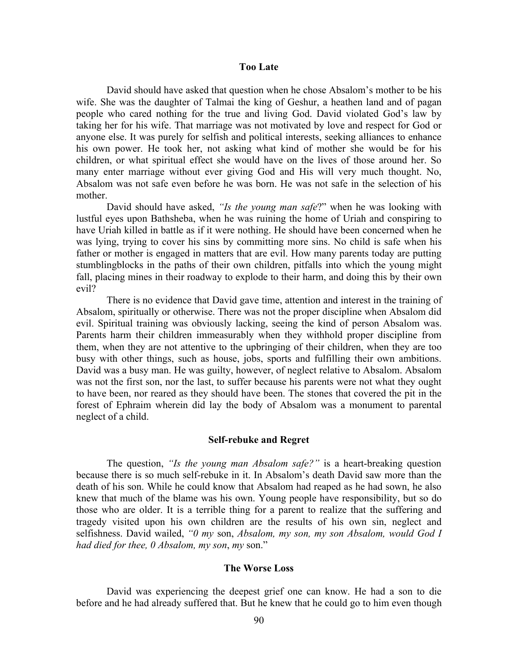### **Too Late**

David should have asked that question when he chose Absalom's mother to be his wife. She was the daughter of Talmai the king of Geshur, a heathen land and of pagan people who cared nothing for the true and living God. David violated God's law by taking her for his wife. That marriage was not motivated by love and respect for God or anyone else. It was purely for selfish and political interests, seeking alliances to enhance his own power. He took her, not asking what kind of mother she would be for his children, or what spiritual effect she would have on the lives of those around her. So many enter marriage without ever giving God and His will very much thought. No, Absalom was not safe even before he was born. He was not safe in the selection of his mother.

David should have asked, *"Is the young man safe*?" when he was looking with lustful eyes upon Bathsheba, when he was ruining the home of Uriah and conspiring to have Uriah killed in battle as if it were nothing. He should have been concerned when he was lying, trying to cover his sins by committing more sins. No child is safe when his father or mother is engaged in matters that are evil. How many parents today are putting stumblingblocks in the paths of their own children, pitfalls into which the young might fall, placing mines in their roadway to explode to their harm, and doing this by their own evil?

There is no evidence that David gave time, attention and interest in the training of Absalom, spiritually or otherwise. There was not the proper discipline when Absalom did evil. Spiritual training was obviously lacking, seeing the kind of person Absalom was. Parents harm their children immeasurably when they withhold proper discipline from them, when they are not attentive to the upbringing of their children, when they are too busy with other things, such as house, jobs, sports and fulfilling their own ambitions. David was a busy man. He was guilty, however, of neglect relative to Absalom. Absalom was not the first son, nor the last, to suffer because his parents were not what they ought to have been, nor reared as they should have been. The stones that covered the pit in the forest of Ephraim wherein did lay the body of Absalom was a monument to parental neglect of a child.

### **Self-rebuke and Regret**

The question, *"Is the young man Absalom safe?"* is a heart-breaking question because there is so much self-rebuke in it. In Absalom's death David saw more than the death of his son. While he could know that Absalom had reaped as he had sown, he also knew that much of the blame was his own. Young people have responsibility, but so do those who are older. It is a terrible thing for a parent to realize that the suffering and tragedy visited upon his own children are the results of his own sin, neglect and selfishness. David wailed, *"0 my* son, *Absalom, my son, my son Absalom, would God I had died for thee, 0 Absalom, my son*, *my* son."

### **The Worse Loss**

David was experiencing the deepest grief one can know. He had a son to die before and he had already suffered that. But he knew that he could go to him even though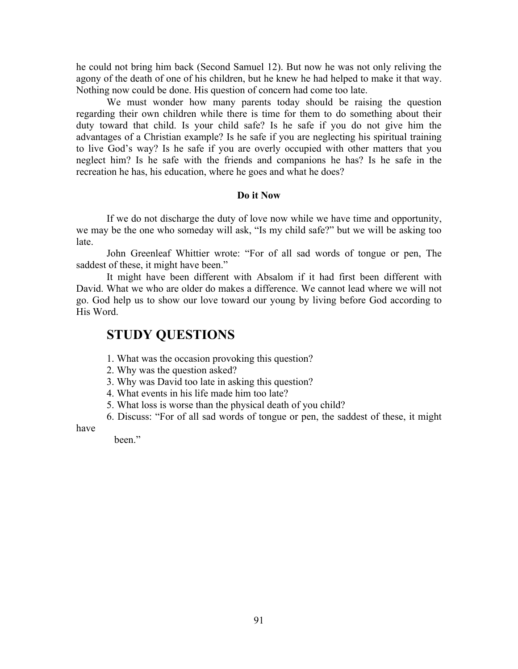he could not bring him back (Second Samuel 12). But now he was not only reliving the agony of the death of one of his children, but he knew he had helped to make it that way. Nothing now could be done. His question of concern had come too late.

We must wonder how many parents today should be raising the question regarding their own children while there is time for them to do something about their duty toward that child. Is your child safe? Is he safe if you do not give him the advantages of a Christian example? Is he safe if you are neglecting his spiritual training to live God's way? Is he safe if you are overly occupied with other matters that you neglect him? Is he safe with the friends and companions he has? Is he safe in the recreation he has, his education, where he goes and what he does?

### **Do it Now**

If we do not discharge the duty of love now while we have time and opportunity, we may be the one who someday will ask, "Is my child safe?" but we will be asking too late.

John Greenleaf Whittier wrote: "For of all sad words of tongue or pen, The saddest of these, it might have been."

It might have been different with Absalom if it had first been different with David. What we who are older do makes a difference. We cannot lead where we will not go. God help us to show our love toward our young by living before God according to His Word.

## **STUDY QUESTIONS**

1. What was the occasion provoking this question?

2. Why was the question asked?

3. Why was David too late in asking this question?

4. What events in his life made him too late?

5. What loss is worse than the physical death of you child?

6. Discuss: "For of all sad words of tongue or pen, the saddest of these, it might

have

been."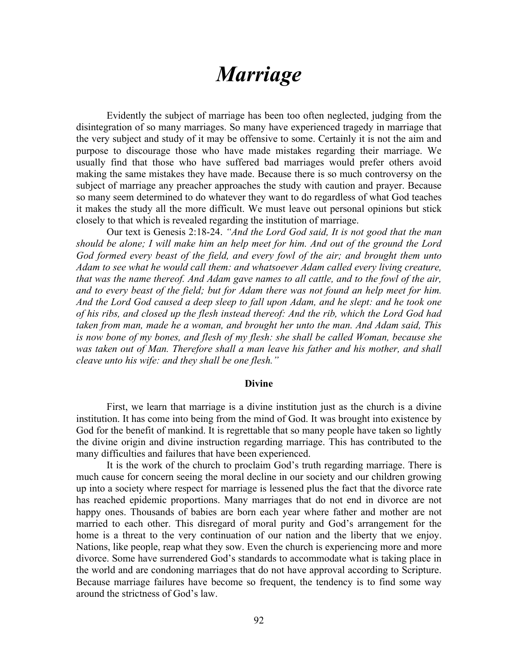## *Marriage*

Evidently the subject of marriage has been too often neglected, judging from the disintegration of so many marriages. So many have experienced tragedy in marriage that the very subject and study of it may be offensive to some. Certainly it is not the aim and purpose to discourage those who have made mistakes regarding their marriage. We usually find that those who have suffered bad marriages would prefer others avoid making the same mistakes they have made. Because there is so much controversy on the subject of marriage any preacher approaches the study with caution and prayer. Because so many seem determined to do whatever they want to do regardless of what God teaches it makes the study all the more difficult. We must leave out personal opinions but stick closely to that which is revealed regarding the institution of marriage.

Our text is Genesis 2:18-24. *"And the Lord God said, It is not good that the man should be alone; I will make him an help meet for him. And out of the ground the Lord God formed every beast of the field, and every fowl of the air; and brought them unto Adam to see what he would call them: and whatsoever Adam called every living creature, that was the name thereof. And Adam gave names to all cattle, and to the fowl of the air, and to every beast of the field; but for Adam there was not found an help meet for him. And the Lord God caused a deep sleep to fall upon Adam, and he slept: and he took one of his ribs, and closed up the flesh instead thereof: And the rib, which the Lord God had taken from man, made he a woman, and brought her unto the man. And Adam said, This is now bone of my bones, and flesh of my flesh: she shall be called Woman, because she was taken out of Man. Therefore shall a man leave his father and his mother, and shall cleave unto his wife: and they shall be one flesh."*

### **Divine**

First, we learn that marriage is a divine institution just as the church is a divine institution. It has come into being from the mind of God. It was brought into existence by God for the benefit of mankind. It is regrettable that so many people have taken so lightly the divine origin and divine instruction regarding marriage. This has contributed to the many difficulties and failures that have been experienced.

It is the work of the church to proclaim God's truth regarding marriage. There is much cause for concern seeing the moral decline in our society and our children growing up into a society where respect for marriage is lessened plus the fact that the divorce rate has reached epidemic proportions. Many marriages that do not end in divorce are not happy ones. Thousands of babies are born each year where father and mother are not married to each other. This disregard of moral purity and God's arrangement for the home is a threat to the very continuation of our nation and the liberty that we enjoy. Nations, like people, reap what they sow. Even the church is experiencing more and more divorce. Some have surrendered God's standards to accommodate what is taking place in the world and are condoning marriages that do not have approval according to Scripture. Because marriage failures have become so frequent, the tendency is to find some way around the strictness of God's law.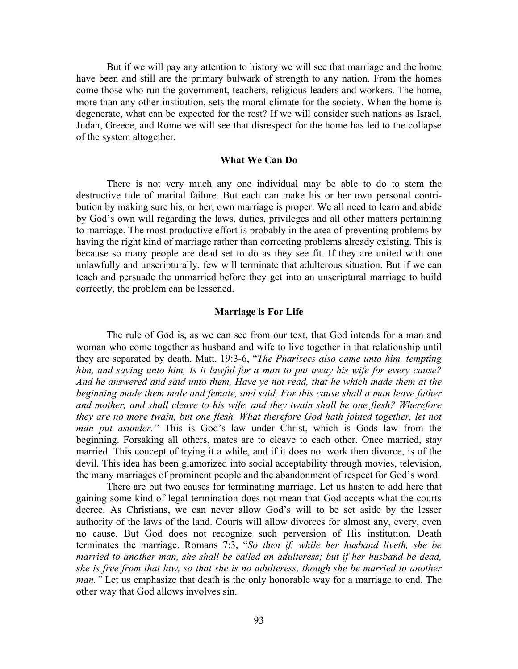But if we will pay any attention to history we will see that marriage and the home have been and still are the primary bulwark of strength to any nation. From the homes come those who run the government, teachers, religious leaders and workers. The home, more than any other institution, sets the moral climate for the society. When the home is degenerate, what can be expected for the rest? If we will consider such nations as Israel, Judah, Greece, and Rome we will see that disrespect for the home has led to the collapse of the system altogether.

### **What We Can Do**

There is not very much any one individual may be able to do to stem the destructive tide of marital failure. But each can make his or her own personal contribution by making sure his, or her, own marriage is proper. We all need to learn and abide by God's own will regarding the laws, duties, privileges and all other matters pertaining to marriage. The most productive effort is probably in the area of preventing problems by having the right kind of marriage rather than correcting problems already existing. This is because so many people are dead set to do as they see fit. If they are united with one unlawfully and unscripturally, few will terminate that adulterous situation. But if we can teach and persuade the unmarried before they get into an unscriptural marriage to build correctly, the problem can be lessened.

### **Marriage is For Life**

The rule of God is, as we can see from our text, that God intends for a man and woman who come together as husband and wife to live together in that relationship until they are separated by death. Matt. 19:3-6, "*The Pharisees also came unto him, tempting him, and saying unto him, Is it lawful for a man to put away his wife for every cause? And he answered and said unto them, Have ye not read, that he which made them at the beginning made them male and female, and said, For this cause shall a man leave father and mother, and shall cleave to his wife, and they twain shall be one flesh? Wherefore they are no more twain, but one flesh. What therefore God hath joined together, let not man put asunder."* This is God's law under Christ, which is Gods law from the beginning. Forsaking all others, mates are to cleave to each other. Once married, stay married. This concept of trying it a while, and if it does not work then divorce, is of the devil. This idea has been glamorized into social acceptability through movies, television, the many marriages of prominent people and the abandonment of respect for God's word.

There are but two causes for terminating marriage. Let us hasten to add here that gaining some kind of legal termination does not mean that God accepts what the courts decree. As Christians, we can never allow God's will to be set aside by the lesser authority of the laws of the land. Courts will allow divorces for almost any, every, even no cause. But God does not recognize such perversion of His institution. Death terminates the marriage. Romans 7:3, "*So then if, while her husband liveth, she be married to another man, she shall be called an adulteress; but if her husband be dead, she is free from that law, so that she is no adulteress, though she be married to another man."* Let us emphasize that death is the only honorable way for a marriage to end. The other way that God allows involves sin.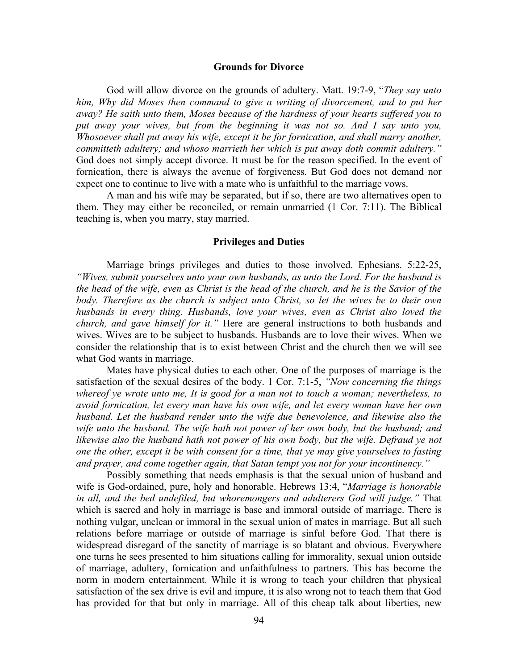### **Grounds for Divorce**

God will allow divorce on the grounds of adultery. Matt. 19:7-9, "*They say unto him, Why did Moses then command to give a writing of divorcement, and to put her away? He saith unto them, Moses because of the hardness of your hearts suffered you to put away your wives, but from the beginning it was not so. And I say unto you, Whosoever shall put away his wife, except it be for fornication, and shall marry another, committeth adultery; and whoso marrieth her which is put away doth commit adultery."* God does not simply accept divorce. It must be for the reason specified. In the event of fornication, there is always the avenue of forgiveness. But God does not demand nor expect one to continue to live with a mate who is unfaithful to the marriage vows.

A man and his wife may be separated, but if so, there are two alternatives open to them. They may either be reconciled, or remain unmarried (1 Cor. 7:11). The Biblical teaching is, when you marry, stay married.

### **Privileges and Duties**

Marriage brings privileges and duties to those involved. Ephesians. 5:22-25, *"Wives, submit yourselves unto your own husbands, as unto the Lord. For the husband is the head of the wife, even as Christ is the head of the church, and he is the Savior of the body. Therefore as the church is subject unto Christ, so let the wives be to their own husbands in every thing. Husbands, love your wives, even as Christ also loved the church, and gave himself for it."* Here are general instructions to both husbands and wives. Wives are to be subject to husbands. Husbands are to love their wives. When we consider the relationship that is to exist between Christ and the church then we will see what God wants in marriage.

Mates have physical duties to each other. One of the purposes of marriage is the satisfaction of the sexual desires of the body. 1 Cor. 7:1-5, *"Now concerning the things whereof ye wrote unto me, It is good for a man not to touch a woman; nevertheless, to avoid fornication, let every man have his own wife, and let every woman have her own husband. Let the husband render unto the wife due benevolence, and likewise also the wife unto the husband. The wife hath not power of her own body, but the husband; and likewise also the husband hath not power of his own body, but the wife. Defraud ye not one the other, except it be with consent for a time, that ye may give yourselves to fasting and prayer, and come together again, that Satan tempt you not for your incontinency."*

Possibly something that needs emphasis is that the sexual union of husband and wife is God-ordained, pure, holy and honorable. Hebrews 13:4, "*Marriage is honorable in all, and the bed undefiled, but whoremongers and adulterers God will judge."* That which is sacred and holy in marriage is base and immoral outside of marriage. There is nothing vulgar, unclean or immoral in the sexual union of mates in marriage. But all such relations before marriage or outside of marriage is sinful before God. That there is widespread disregard of the sanctity of marriage is so blatant and obvious. Everywhere one turns he sees presented to him situations calling for immorality, sexual union outside of marriage, adultery, fornication and unfaithfulness to partners. This has become the norm in modern entertainment. While it is wrong to teach your children that physical satisfaction of the sex drive is evil and impure, it is also wrong not to teach them that God has provided for that but only in marriage. All of this cheap talk about liberties, new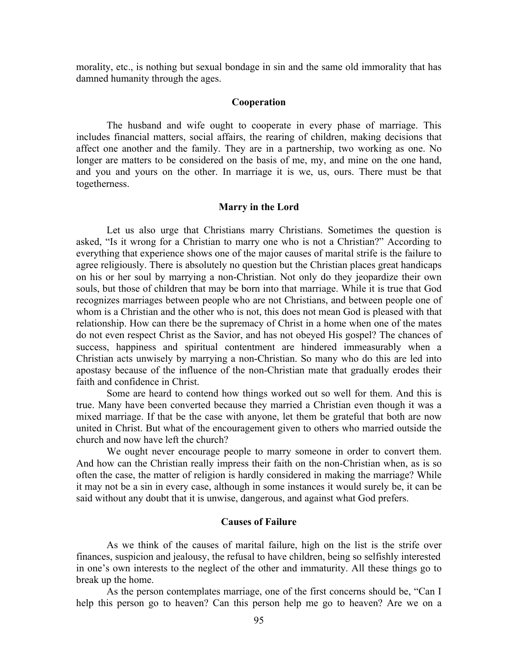morality, etc., is nothing but sexual bondage in sin and the same old immorality that has damned humanity through the ages.

### **Cooperation**

The husband and wife ought to cooperate in every phase of marriage. This includes financial matters, social affairs, the rearing of children, making decisions that affect one another and the family. They are in a partnership, two working as one. No longer are matters to be considered on the basis of me, my, and mine on the one hand, and you and yours on the other. In marriage it is we, us, ours. There must be that togetherness.

### **Marry in the Lord**

Let us also urge that Christians marry Christians. Sometimes the question is asked, "Is it wrong for a Christian to marry one who is not a Christian?" According to everything that experience shows one of the major causes of marital strife is the failure to agree religiously. There is absolutely no question but the Christian places great handicaps on his or her soul by marrying a non-Christian. Not only do they jeopardize their own souls, but those of children that may be born into that marriage. While it is true that God recognizes marriages between people who are not Christians, and between people one of whom is a Christian and the other who is not, this does not mean God is pleased with that relationship. How can there be the supremacy of Christ in a home when one of the mates do not even respect Christ as the Savior, and has not obeyed His gospel? The chances of success, happiness and spiritual contentment are hindered immeasurably when a Christian acts unwisely by marrying a non-Christian. So many who do this are led into apostasy because of the influence of the non-Christian mate that gradually erodes their faith and confidence in Christ.

Some are heard to contend how things worked out so well for them. And this is true. Many have been converted because they married a Christian even though it was a mixed marriage. If that be the case with anyone, let them be grateful that both are now united in Christ. But what of the encouragement given to others who married outside the church and now have left the church?

We ought never encourage people to marry someone in order to convert them. And how can the Christian really impress their faith on the non-Christian when, as is so often the case, the matter of religion is hardly considered in making the marriage? While it may not be a sin in every case, although in some instances it would surely be, it can be said without any doubt that it is unwise, dangerous, and against what God prefers.

### **Causes of Failure**

As we think of the causes of marital failure, high on the list is the strife over finances, suspicion and jealousy, the refusal to have children, being so selfishly interested in one's own interests to the neglect of the other and immaturity. All these things go to break up the home.

As the person contemplates marriage, one of the first concerns should be, "Can I help this person go to heaven? Can this person help me go to heaven? Are we on a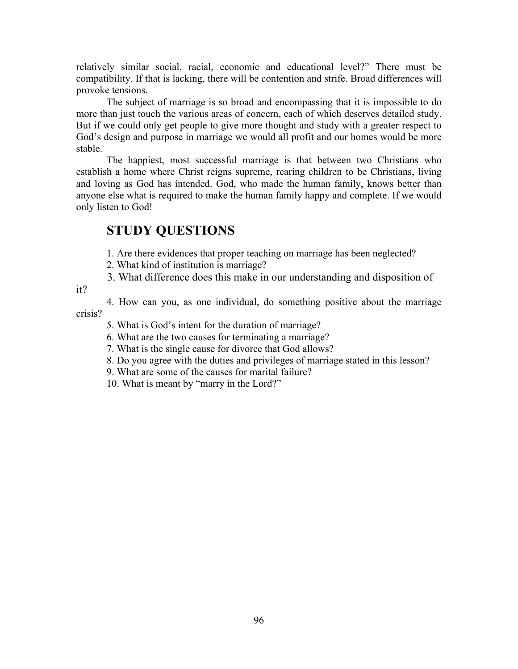relatively similar social, racial, economic and educational level?" There must be compatibility. If that is lacking, there will be contention and strife. Broad differences will provoke tensions.

The subject of marriage is so broad and encompassing that it is impossible to do more than just touch the various areas of concern, each of which deserves detailed study. But if we could only get people to give more thought and study with a greater respect to God's design and purpose in marriage we would all profit and our homes would be more stable.

The happiest, most successful marriage is that between two Christians who establish a home where Christ reigns supreme, rearing children to be Christians, living and loving as God has intended. God, who made the human family, knows better than anyone else what is required to make the human family happy and complete. If we would only listen to God!

## **STUDY QUESTIONS**

1. Are there evidences that proper teaching on marriage has been neglected?

2. What kind of institution is marriage?

3. What difference does this make in our understanding and disposition of

it?

4. How can you, as one individual, do something positive about the marriage crisis?

5. What is God's intent for the duration of marriage?

6. What are the two causes for terminating a marriage?

7. What is the single cause for divorce that God allows?

8. Do you agree with the duties and privileges of marriage stated in this lesson?

9. What are some of the causes for marital failure?

10. What is meant by "marry in the Lord?"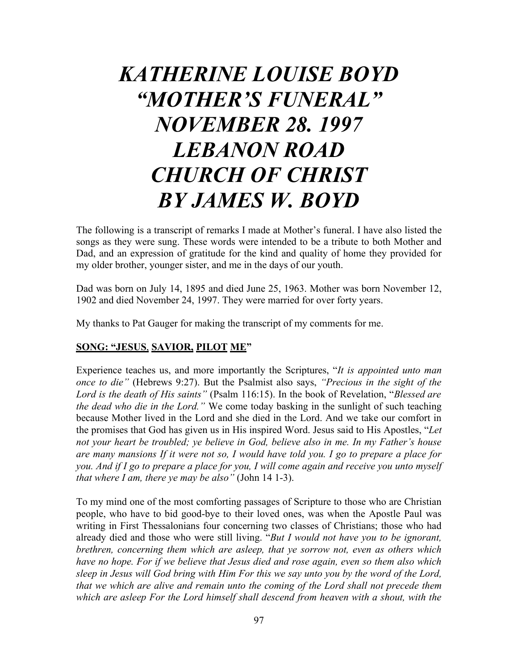# *KATHERINE LOUISE BOYD "MOTHER'S FUNERAL" NOVEMBER 28. 1997 LEBANON ROAD CHURCH OF CHRIST BY JAMES W. BOYD*

The following is a transcript of remarks I made at Mother's funeral. I have also listed the songs as they were sung. These words were intended to be a tribute to both Mother and Dad, and an expression of gratitude for the kind and quality of home they provided for my older brother, younger sister, and me in the days of our youth.

Dad was born on July 14, 1895 and died June 25, 1963. Mother was born November 12, 1902 and died November 24, 1997. They were married for over forty years.

My thanks to Pat Gauger for making the transcript of my comments for me.

### **SONG: "JESUS**, **SAVIOR, PILOT ME"**

Experience teaches us, and more importantly the Scriptures, "*It is appointed unto man once to die"* (Hebrews 9:27). But the Psalmist also says, *"Precious in the sight of the Lord is the death of His saints"* (Psalm 116:15). In the book of Revelation, "*Blessed are the dead who die in the Lord."* We come today basking in the sunlight of such teaching because Mother lived in the Lord and she died in the Lord. And we take our comfort in the promises that God has given us in His inspired Word. Jesus said to His Apostles, "*Let not your heart be troubled; ye believe in God, believe also in me. In my Father's house are many mansions If it were not so, I would have told you. I go to prepare a place for you. And if I go to prepare a place for you, I will come again and receive you unto myself that where I am, there ye may be also"* (John 14 1-3).

To my mind one of the most comforting passages of Scripture to those who are Christian people, who have to bid good-bye to their loved ones, was when the Apostle Paul was writing in First Thessalonians four concerning two classes of Christians; those who had already died and those who were still living. "*But I would not have you to be ignorant, brethren, concerning them which are asleep, that ye sorrow not, even as others which have no hope. For if we believe that Jesus died and rose again, even so them also which sleep in Jesus will God bring with Him For this we say unto you by the word of the Lord, that we which are alive and remain unto the coming of the Lord shall not precede them which are asleep For the Lord himself shall descend from heaven with a shout, with the*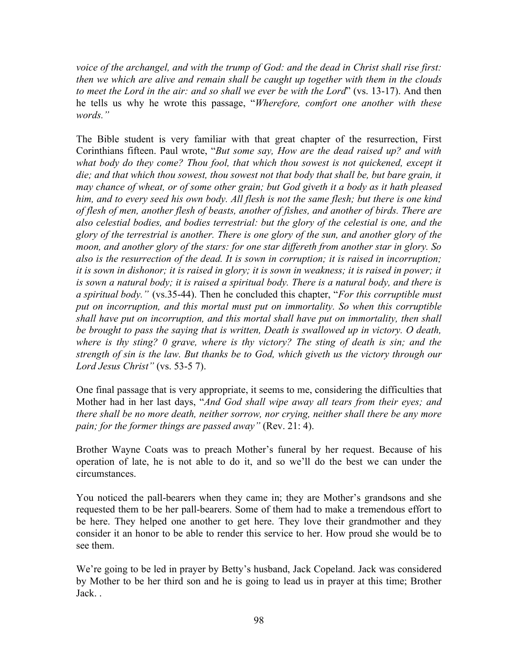*voice of the archangel, and with the trump of God: and the dead in Christ shall rise first: then we which are alive and remain shall be caught up together with them in the clouds to meet the Lord in the air: and so shall we ever be with the Lord*" (vs. 13-17). And then he tells us why he wrote this passage, "*Wherefore, comfort one another with these words."*

The Bible student is very familiar with that great chapter of the resurrection, First Corinthians fifteen. Paul wrote, "*But some say, How are the dead raised up? and with what body do they come? Thou fool, that which thou sowest is not quickened, except it die; and that which thou sowest, thou sowest not that body that shall be, but bare grain, it may chance of wheat, or of some other grain; but God giveth it a body as it hath pleased him, and to every seed his own body. All flesh is not the same flesh; but there is one kind of flesh of men, another flesh of beasts, another of fishes, and another of birds. There are also celestial bodies, and bodies terrestrial: but the glory of the celestial is one, and the glory of the terrestrial is another. There is one glory of the sun, and another glory of the moon, and another glory of the stars: for one star differeth from another star in glory. So also is the resurrection of the dead. It is sown in corruption; it is raised in incorruption; it is sown in dishonor; it is raised in glory; it is sown in weakness; it is raised in power; it is sown a natural body; it is raised a spiritual body. There is a natural body, and there is a spiritual body."* (vs.35-44). Then he concluded this chapter, "*For this corruptible must put on incorruption, and this mortal must put on immortality. So when this corruptible shall have put on incorruption, and this mortal shall have put on immortality, then shall be brought to pass the saying that is written, Death is swallowed up in victory. O death, where is thy sting? 0 grave, where is thy victory? The sting of death is sin; and the strength of sin is the law. But thanks be to God, which giveth us the victory through our Lord Jesus Christ"* (vs. 53-5 7).

One final passage that is very appropriate, it seems to me, considering the difficulties that Mother had in her last days, "*And God shall wipe away all tears from their eyes; and there shall be no more death, neither sorrow, nor crying, neither shall there be any more pain; for the former things are passed away"* (Rev. 21: 4).

Brother Wayne Coats was to preach Mother's funeral by her request. Because of his operation of late, he is not able to do it, and so we'll do the best we can under the circumstances.

You noticed the pall-bearers when they came in; they are Mother's grandsons and she requested them to be her pall-bearers. Some of them had to make a tremendous effort to be here. They helped one another to get here. They love their grandmother and they consider it an honor to be able to render this service to her. How proud she would be to see them.

We're going to be led in prayer by Betty's husband, Jack Copeland. Jack was considered by Mother to be her third son and he is going to lead us in prayer at this time; Brother Jack. .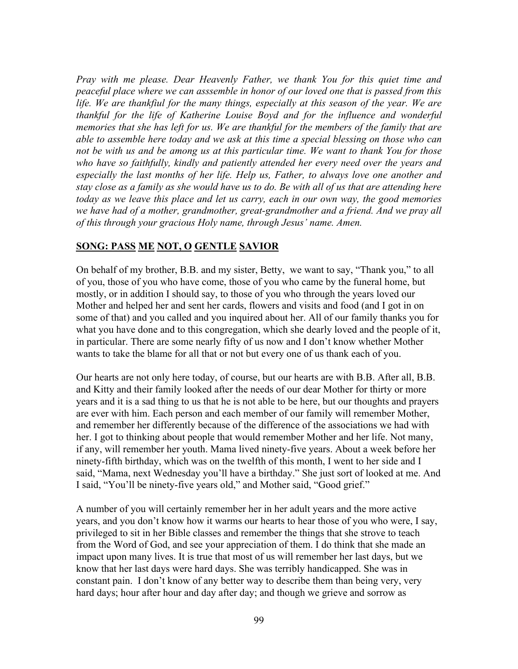*Pray with me please. Dear Heavenly Father, we thank You for this quiet time and peaceful place where we can asssemble in honor of our loved one that is passed from this life. We are thankfiul for the many things, especially at this season of the year. We are thankful for the life of Katherine Louise Boyd and for the influence and wonderful memories that she has left for us. We are thankful for the members of the family that are able to assemble here today and we ask at this time a special blessing on those who can not be with us and be among us at this particular time. We want to thank You for those who have so faithfully, kindly and patiently attended her every need over the years and especially the last months of her life. Help us, Father, to always love one another and stay close as a family as she would have us to do. Be with all of us that are attending here today as we leave this place and let us carry, each in our own way, the good memories we have had of a mother, grandmother, great-grandmother and a friend. And we pray all of this through your gracious Holy name, through Jesus' name. Amen.*

### **SONG: PASS ME NOT, O GENTLE SAVIOR**

On behalf of my brother, B.B. and my sister, Betty, we want to say, "Thank you," to all of you, those of you who have come, those of you who came by the funeral home, but mostly, or in addition I should say, to those of you who through the years loved our Mother and helped her and sent her cards, flowers and visits and food (and I got in on some of that) and you called and you inquired about her. All of our family thanks you for what you have done and to this congregation, which she dearly loved and the people of it, in particular. There are some nearly fifty of us now and I don't know whether Mother wants to take the blame for all that or not but every one of us thank each of you.

Our hearts are not only here today, of course, but our hearts are with B.B. After all, B.B. and Kitty and their family looked after the needs of our dear Mother for thirty or more years and it is a sad thing to us that he is not able to be here, but our thoughts and prayers are ever with him. Each person and each member of our family will remember Mother, and remember her differently because of the difference of the associations we had with her. I got to thinking about people that would remember Mother and her life. Not many, if any, will remember her youth. Mama lived ninety-five years. About a week before her ninety-fifth birthday, which was on the twelfth of this month, I went to her side and I said, "Mama, next Wednesday you'll have a birthday." She just sort of looked at me. And I said, "You'll be ninety-five years old," and Mother said, "Good grief."

A number of you will certainly remember her in her adult years and the more active years, and you don't know how it warms our hearts to hear those of you who were, I say, privileged to sit in her Bible classes and remember the things that she strove to teach from the Word of God, and see your appreciation of them. I do think that she made an impact upon many lives. It is true that most of us will remember her last days, but we know that her last days were hard days. She was terribly handicapped. She was in constant pain. I don't know of any better way to describe them than being very, very hard days; hour after hour and day after day; and though we grieve and sorrow as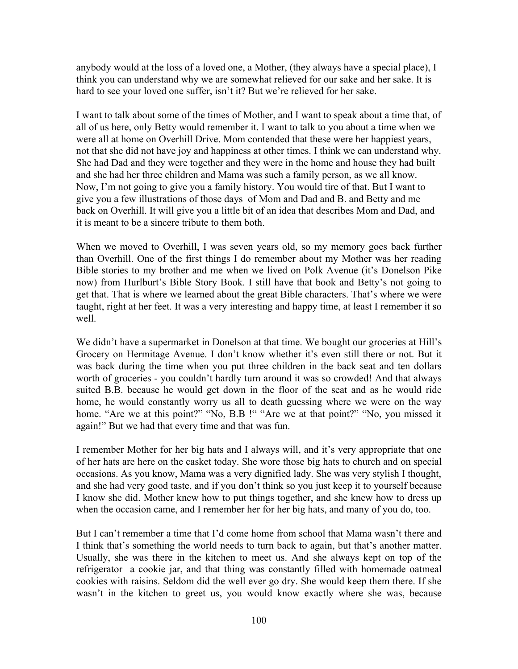anybody would at the loss of a loved one, a Mother, (they always have a special place), I think you can understand why we are somewhat relieved for our sake and her sake. It is hard to see your loved one suffer, isn't it? But we're relieved for her sake.

I want to talk about some of the times of Mother, and I want to speak about a time that, of all of us here, only Betty would remember it. I want to talk to you about a time when we were all at home on Overhill Drive. Mom contended that these were her happiest years, not that she did not have joy and happiness at other times. I think we can understand why. She had Dad and they were together and they were in the home and house they had built and she had her three children and Mama was such a family person, as we all know. Now, I'm not going to give you a family history. You would tire of that. But I want to give you a few illustrations of those days of Mom and Dad and B. and Betty and me back on Overhill. It will give you a little bit of an idea that describes Mom and Dad, and it is meant to be a sincere tribute to them both.

When we moved to Overhill, I was seven years old, so my memory goes back further than Overhill. One of the first things I do remember about my Mother was her reading Bible stories to my brother and me when we lived on Polk Avenue (it's Donelson Pike now) from Hurlburt's Bible Story Book. I still have that book and Betty's not going to get that. That is where we learned about the great Bible characters. That's where we were taught, right at her feet. It was a very interesting and happy time, at least I remember it so well.

We didn't have a supermarket in Donelson at that time. We bought our groceries at Hill's Grocery on Hermitage Avenue. I don't know whether it's even still there or not. But it was back during the time when you put three children in the back seat and ten dollars worth of groceries - you couldn't hardly turn around it was so crowded! And that always suited B.B. because he would get down in the floor of the seat and as he would ride home, he would constantly worry us all to death guessing where we were on the way home. "Are we at this point?" "No, B.B !" "Are we at that point?" "No, you missed it again!" But we had that every time and that was fun.

I remember Mother for her big hats and I always will, and it's very appropriate that one of her hats are here on the casket today. She wore those big hats to church and on special occasions. As you know, Mama was a very dignified lady. She was very stylish I thought, and she had very good taste, and if you don't think so you just keep it to yourself because I know she did. Mother knew how to put things together, and she knew how to dress up when the occasion came, and I remember her for her big hats, and many of you do, too.

But I can't remember a time that I'd come home from school that Mama wasn't there and I think that's something the world needs to turn back to again, but that's another matter. Usually, she was there in the kitchen to meet us. And she always kept on top of the refrigerator a cookie jar, and that thing was constantly filled with homemade oatmeal cookies with raisins. Seldom did the well ever go dry. She would keep them there. If she wasn't in the kitchen to greet us, you would know exactly where she was, because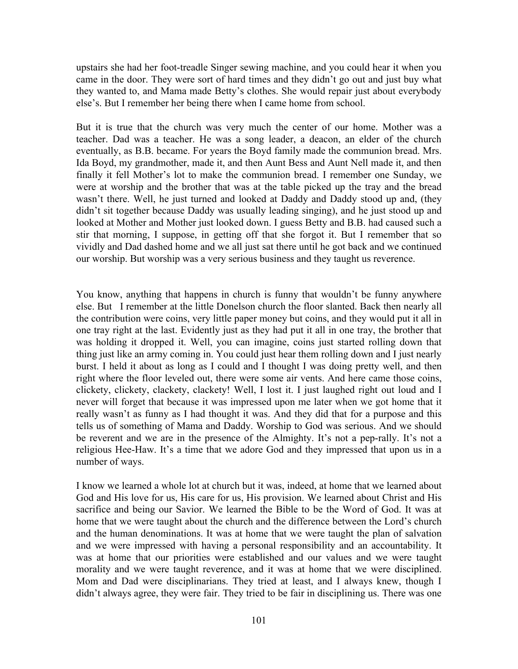upstairs she had her foot-treadle Singer sewing machine, and you could hear it when you came in the door. They were sort of hard times and they didn't go out and just buy what they wanted to, and Mama made Betty's clothes. She would repair just about everybody else's. But I remember her being there when I came home from school.

But it is true that the church was very much the center of our home. Mother was a teacher. Dad was a teacher. He was a song leader, a deacon, an elder of the church eventually, as B.B. became. For years the Boyd family made the communion bread. Mrs. Ida Boyd, my grandmother, made it, and then Aunt Bess and Aunt Nell made it, and then finally it fell Mother's lot to make the communion bread. I remember one Sunday, we were at worship and the brother that was at the table picked up the tray and the bread wasn't there. Well, he just turned and looked at Daddy and Daddy stood up and, (they didn't sit together because Daddy was usually leading singing), and he just stood up and looked at Mother and Mother just looked down. I guess Betty and B.B. had caused such a stir that morning, I suppose, in getting off that she forgot it. But I remember that so vividly and Dad dashed home and we all just sat there until he got back and we continued our worship. But worship was a very serious business and they taught us reverence.

You know, anything that happens in church is funny that wouldn't be funny anywhere else. But I remember at the little Donelson church the floor slanted. Back then nearly all the contribution were coins, very little paper money but coins, and they would put it all in one tray right at the last. Evidently just as they had put it all in one tray, the brother that was holding it dropped it. Well, you can imagine, coins just started rolling down that thing just like an army coming in. You could just hear them rolling down and I just nearly burst. I held it about as long as I could and I thought I was doing pretty well, and then right where the floor leveled out, there were some air vents. And here came those coins, clickety, clickety, clackety, clackety! Well, I lost it. I just laughed right out loud and I never will forget that because it was impressed upon me later when we got home that it really wasn't as funny as I had thought it was. And they did that for a purpose and this tells us of something of Mama and Daddy. Worship to God was serious. And we should be reverent and we are in the presence of the Almighty. It's not a pep-rally. It's not a religious Hee-Haw. It's a time that we adore God and they impressed that upon us in a number of ways.

I know we learned a whole lot at church but it was, indeed, at home that we learned about God and His love for us, His care for us, His provision. We learned about Christ and His sacrifice and being our Savior. We learned the Bible to be the Word of God. It was at home that we were taught about the church and the difference between the Lord's church and the human denominations. It was at home that we were taught the plan of salvation and we were impressed with having a personal responsibility and an accountability. It was at home that our priorities were established and our values and we were taught morality and we were taught reverence, and it was at home that we were disciplined. Mom and Dad were disciplinarians. They tried at least, and I always knew, though I didn't always agree, they were fair. They tried to be fair in disciplining us. There was one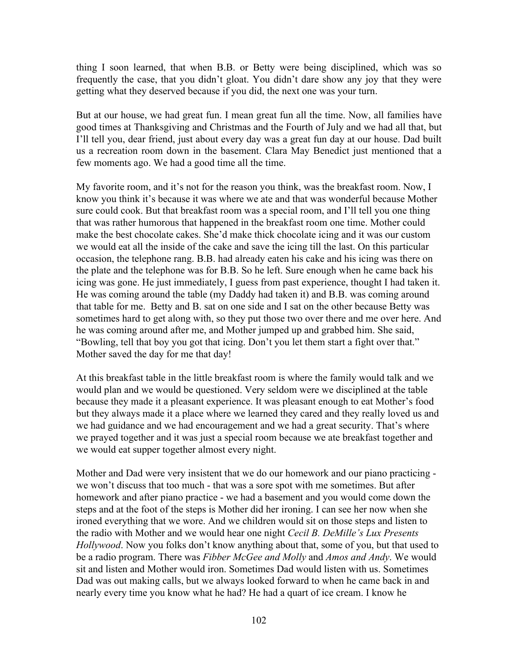thing I soon learned, that when B.B. or Betty were being disciplined, which was so frequently the case, that you didn't gloat. You didn't dare show any joy that they were getting what they deserved because if you did, the next one was your turn.

But at our house, we had great fun. I mean great fun all the time. Now, all families have good times at Thanksgiving and Christmas and the Fourth of July and we had all that, but I'll tell you, dear friend, just about every day was a great fun day at our house. Dad built us a recreation room down in the basement. Clara May Benedict just mentioned that a few moments ago. We had a good time all the time.

My favorite room, and it's not for the reason you think, was the breakfast room. Now, I know you think it's because it was where we ate and that was wonderful because Mother sure could cook. But that breakfast room was a special room, and I'll tell you one thing that was rather humorous that happened in the breakfast room one time. Mother could make the best chocolate cakes. She'd make thick chocolate icing and it was our custom we would eat all the inside of the cake and save the icing till the last. On this particular occasion, the telephone rang. B.B. had already eaten his cake and his icing was there on the plate and the telephone was for B.B. So he left. Sure enough when he came back his icing was gone. He just immediately, I guess from past experience, thought I had taken it. He was coming around the table (my Daddy had taken it) and B.B. was coming around that table for me. Betty and B. sat on one side and I sat on the other because Betty was sometimes hard to get along with, so they put those two over there and me over here. And he was coming around after me, and Mother jumped up and grabbed him. She said, "Bowling, tell that boy you got that icing. Don't you let them start a fight over that." Mother saved the day for me that day!

At this breakfast table in the little breakfast room is where the family would talk and we would plan and we would be questioned. Very seldom were we disciplined at the table because they made it a pleasant experience. It was pleasant enough to eat Mother's food but they always made it a place where we learned they cared and they really loved us and we had guidance and we had encouragement and we had a great security. That's where we prayed together and it was just a special room because we ate breakfast together and we would eat supper together almost every night.

Mother and Dad were very insistent that we do our homework and our piano practicing we won't discuss that too much - that was a sore spot with me sometimes. But after homework and after piano practice - we had a basement and you would come down the steps and at the foot of the steps is Mother did her ironing. I can see her now when she ironed everything that we wore. And we children would sit on those steps and listen to the radio with Mother and we would hear one night *Cecil B. DeMille's Lux Presents Hollywood*. Now you folks don't know anything about that, some of you, but that used to be a radio program. There was *Fibber McGee and Molly* and *Amos and Andy*. We would sit and listen and Mother would iron. Sometimes Dad would listen with us. Sometimes Dad was out making calls, but we always looked forward to when he came back in and nearly every time you know what he had? He had a quart of ice cream. I know he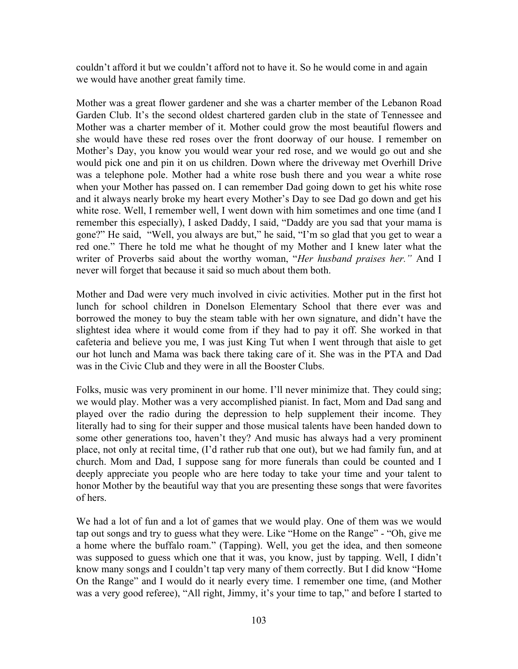couldn't afford it but we couldn't afford not to have it. So he would come in and again we would have another great family time.

Mother was a great flower gardener and she was a charter member of the Lebanon Road Garden Club. It's the second oldest chartered garden club in the state of Tennessee and Mother was a charter member of it. Mother could grow the most beautiful flowers and she would have these red roses over the front doorway of our house. I remember on Mother's Day, you know you would wear your red rose, and we would go out and she would pick one and pin it on us children. Down where the driveway met Overhill Drive was a telephone pole. Mother had a white rose bush there and you wear a white rose when your Mother has passed on. I can remember Dad going down to get his white rose and it always nearly broke my heart every Mother's Day to see Dad go down and get his white rose. Well, I remember well, I went down with him sometimes and one time (and I remember this especially), I asked Daddy, I said, "Daddy are you sad that your mama is gone?" He said, "Well, you always are but," he said, "I'm so glad that you get to wear a red one." There he told me what he thought of my Mother and I knew later what the writer of Proverbs said about the worthy woman, "*Her husband praises her."* And I never will forget that because it said so much about them both.

Mother and Dad were very much involved in civic activities. Mother put in the first hot lunch for school children in Donelson Elementary School that there ever was and borrowed the money to buy the steam table with her own signature, and didn't have the slightest idea where it would come from if they had to pay it off. She worked in that cafeteria and believe you me, I was just King Tut when I went through that aisle to get our hot lunch and Mama was back there taking care of it. She was in the PTA and Dad was in the Civic Club and they were in all the Booster Clubs.

Folks, music was very prominent in our home. I'll never minimize that. They could sing; we would play. Mother was a very accomplished pianist. In fact, Mom and Dad sang and played over the radio during the depression to help supplement their income. They literally had to sing for their supper and those musical talents have been handed down to some other generations too, haven't they? And music has always had a very prominent place, not only at recital time, (I'd rather rub that one out), but we had family fun, and at church. Mom and Dad, I suppose sang for more funerals than could be counted and I deeply appreciate you people who are here today to take your time and your talent to honor Mother by the beautiful way that you are presenting these songs that were favorites of hers.

We had a lot of fun and a lot of games that we would play. One of them was we would tap out songs and try to guess what they were. Like "Home on the Range" - "Oh, give me a home where the buffalo roam." (Tapping). Well, you get the idea, and then someone was supposed to guess which one that it was, you know, just by tapping. Well, I didn't know many songs and I couldn't tap very many of them correctly. But I did know "Home On the Range" and I would do it nearly every time. I remember one time, (and Mother was a very good referee), "All right, Jimmy, it's your time to tap," and before I started to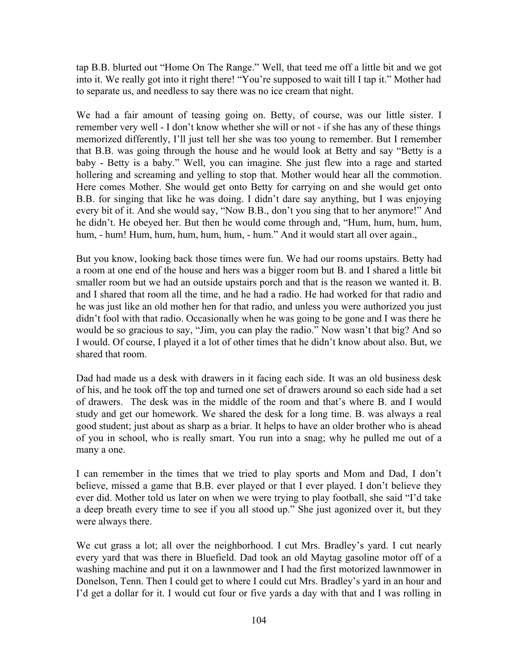tap B.B. blurted out "Home On The Range." Well, that teed me off a little bit and we got into it. We really got into it right there! "You're supposed to wait till I tap it." Mother had to separate us, and needless to say there was no ice cream that night.

We had a fair amount of teasing going on. Betty, of course, was our little sister. I remember very well - I don't know whether she will or not - if she has any of these things memorized differently, I'll just tell her she was too young to remember. But I remember that B.B. was going through the house and he would look at Betty and say "Betty is a baby - Betty is a baby." Well, you can imagine. She just flew into a rage and started hollering and screaming and yelling to stop that. Mother would hear all the commotion. Here comes Mother. She would get onto Betty for carrying on and she would get onto B.B. for singing that like he was doing. I didn't dare say anything, but I was enjoying every bit of it. And she would say, "Now B.B., don't you sing that to her anymore!" And he didn't. He obeyed her. But then he would come through and, "Hum, hum, hum, hum, hum, - hum! Hum, hum, hum, hum, hum, - hum." And it would start all over again.,

But you know, looking back those times were fun. We had our rooms upstairs. Betty had a room at one end of the house and hers was a bigger room but B. and I shared a little bit smaller room but we had an outside upstairs porch and that is the reason we wanted it. B. and I shared that room all the time, and he had a radio. He had worked for that radio and he was just like an old mother hen for that radio, and unless you were authorized you just didn't fool with that radio. Occasionally when he was going to be gone and I was there he would be so gracious to say, "Jim, you can play the radio." Now wasn't that big? And so I would. Of course, I played it a lot of other times that he didn't know about also. But, we shared that room.

Dad had made us a desk with drawers in it facing each side. It was an old business desk of his, and he took off the top and turned one set of drawers around so each side had a set of drawers. The desk was in the middle of the room and that's where B. and I would study and get our homework. We shared the desk for a long time. B. was always a real good student; just about as sharp as a briar. It helps to have an older brother who is ahead of you in school, who is really smart. You run into a snag; why he pulled me out of a many a one.

I can remember in the times that we tried to play sports and Mom and Dad, I don't believe, missed a game that B.B. ever played or that I ever played. I don't believe they ever did. Mother told us later on when we were trying to play football, she said "I'd take a deep breath every time to see if you all stood up." She just agonized over it, but they were always there.

We cut grass a lot; all over the neighborhood. I cut Mrs. Bradley's yard. I cut nearly every yard that was there in Bluefield. Dad took an old Maytag gasoline motor off of a washing machine and put it on a lawnmower and I had the first motorized lawnmower in Donelson, Tenn. Then I could get to where I could cut Mrs. Bradley's yard in an hour and I'd get a dollar for it. I would cut four or five yards a day with that and I was rolling in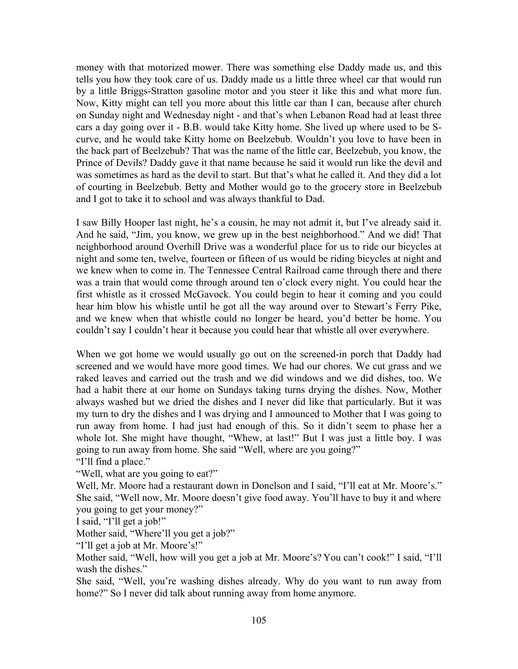money with that motorized mower. There was something else Daddy made us, and this tells you how they took care of us. Daddy made us a little three wheel car that would run by a little Briggs-Stratton gasoline motor and you steer it like this and what more fun. Now, Kitty might can tell you more about this little car than I can, because after church on Sunday night and Wednesday night - and that's when Lebanon Road had at least three cars a day going over it - B.B. would take Kitty home. She lived up where used to be Scurve, and he would take Kitty home on Beelzebub. Wouldn't you love to have been in the back part of Beelzebub? That was the name of the little car, Beelzebub, you know, the Prince of Devils? Daddy gave it that name because he said it would run like the devil and was sometimes as hard as the devil to start. But that's what he called it. And they did a lot of courting in Beelzebub. Betty and Mother would go to the grocery store in Beelzebub and I got to take it to school and was always thankful to Dad.

I saw Billy Hooper last night, he's a cousin, he may not admit it, but I've already said it. And he said, "Jim, you know, we grew up in the best neighborhood." And we did! That neighborhood around Overhill Drive was a wonderful place for us to ride our bicycles at night and some ten, twelve, fourteen or fifteen of us would be riding bicycles at night and we knew when to come in. The Tennessee Central Railroad came through there and there was a train that would come through around ten o'clock every night. You could hear the first whistle as it crossed McGavock. You could begin to hear it coming and you could hear him blow his whistle until he got all the way around over to Stewart's Ferry Pike, and we knew when that whistle could no longer be heard, you'd better be home. You couldn't say I couldn't hear it because you could hear that whistle all over everywhere.

When we got home we would usually go out on the screened-in porch that Daddy had screened and we would have more good times. We had our chores. We cut grass and we raked leaves and carried out the trash and we did windows and we did dishes, too. We had a habit there at our home on Sundays taking turns drying the dishes. Now, Mother always washed but we dried the dishes and I never did like that particularly. But it was my turn to dry the dishes and I was drying and I announced to Mother that I was going to run away from home. I had just had enough of this. So it didn't seem to phase her a whole lot. She might have thought, "Whew, at last!" But I was just a little boy. I was going to run away from home. She said "Well, where are you going?"

"I'll find a place."

"Well, what are you going to eat?"

Well, Mr. Moore had a restaurant down in Donelson and I said, "I'll eat at Mr. Moore's." She said, "Well now, Mr. Moore doesn't give food away. You'll have to buy it and where you going to get your money?"

I said, "I'll get a job!"

Mother said, "Where'll you get a job?"

"I'll get a job at Mr. Moore's!"

Mother said, "Well, how will you get a job at Mr. Moore's? You can't cook!" I said, "I'll wash the dishes."

She said, "Well, you're washing dishes already. Why do you want to run away from home?" So I never did talk about running away from home anymore.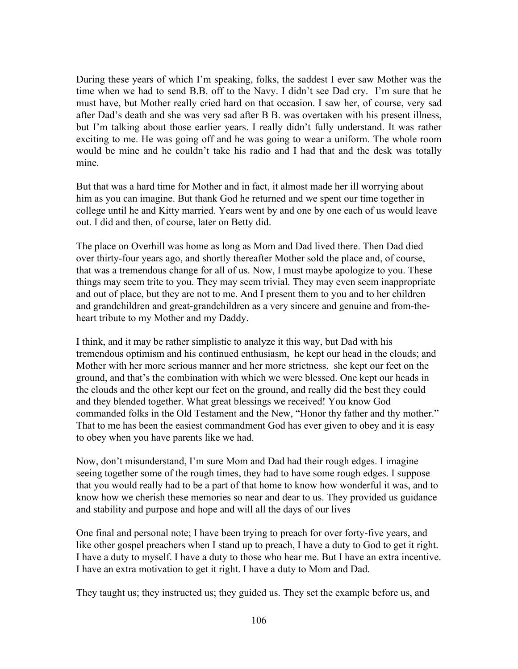During these years of which I'm speaking, folks, the saddest I ever saw Mother was the time when we had to send B.B. off to the Navy. I didn't see Dad cry. I'm sure that he must have, but Mother really cried hard on that occasion. I saw her, of course, very sad after Dad's death and she was very sad after B B. was overtaken with his present illness, but I'm talking about those earlier years. I really didn't fully understand. It was rather exciting to me. He was going off and he was going to wear a uniform. The whole room would be mine and he couldn't take his radio and I had that and the desk was totally mine.

But that was a hard time for Mother and in fact, it almost made her ill worrying about him as you can imagine. But thank God he returned and we spent our time together in college until he and Kitty married. Years went by and one by one each of us would leave out. I did and then, of course, later on Betty did.

The place on Overhill was home as long as Mom and Dad lived there. Then Dad died over thirty-four years ago, and shortly thereafter Mother sold the place and, of course, that was a tremendous change for all of us. Now, I must maybe apologize to you. These things may seem trite to you. They may seem trivial. They may even seem inappropriate and out of place, but they are not to me. And I present them to you and to her children and grandchildren and great-grandchildren as a very sincere and genuine and from-theheart tribute to my Mother and my Daddy.

I think, and it may be rather simplistic to analyze it this way, but Dad with his tremendous optimism and his continued enthusiasm, he kept our head in the clouds; and Mother with her more serious manner and her more strictness, she kept our feet on the ground, and that's the combination with which we were blessed. One kept our heads in the clouds and the other kept our feet on the ground, and really did the best they could and they blended together. What great blessings we received! You know God commanded folks in the Old Testament and the New, "Honor thy father and thy mother." That to me has been the easiest commandment God has ever given to obey and it is easy to obey when you have parents like we had.

Now, don't misunderstand, I'm sure Mom and Dad had their rough edges. I imagine seeing together some of the rough times, they had to have some rough edges. I suppose that you would really had to be a part of that home to know how wonderful it was, and to know how we cherish these memories so near and dear to us. They provided us guidance and stability and purpose and hope and will all the days of our lives

One final and personal note; I have been trying to preach for over forty-five years, and like other gospel preachers when I stand up to preach, I have a duty to God to get it right. I have a duty to myself. I have a duty to those who hear me. But I have an extra incentive. I have an extra motivation to get it right. I have a duty to Mom and Dad.

They taught us; they instructed us; they guided us. They set the example before us, and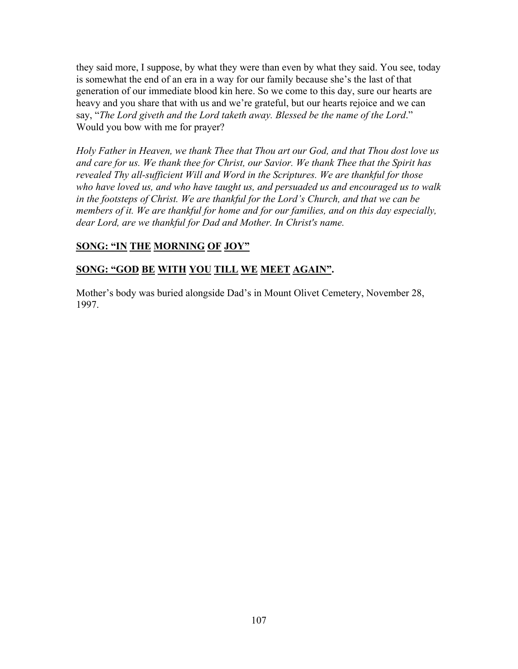they said more, I suppose, by what they were than even by what they said. You see, today is somewhat the end of an era in a way for our family because she's the last of that generation of our immediate blood kin here. So we come to this day, sure our hearts are heavy and you share that with us and we're grateful, but our hearts rejoice and we can say, "*The Lord giveth and the Lord taketh away. Blessed be the name of the Lord*." Would you bow with me for prayer?

*Holy Father in Heaven, we thank Thee that Thou art our God, and that Thou dost love us and care for us. We thank thee for Christ, our Savior. We thank Thee that the Spirit has revealed Thy all-sufficient Will and Word in the Scriptures. We are thankful for those who have loved us, and who have taught us, and persuaded us and encouraged us to walk in the footsteps of Christ. We are thankful for the Lord's Church, and that we can be members of it. We are thankful for home and for our families, and on this day especially, dear Lord, are we thankful for Dad and Mother. In Christ's name.*

### **SONG: "IN THE MORNING OF JOY"**

### **SONG: "GOD BE WITH YOU TILL WE MEET AGAIN".**

Mother's body was buried alongside Dad's in Mount Olivet Cemetery, November 28, 1997.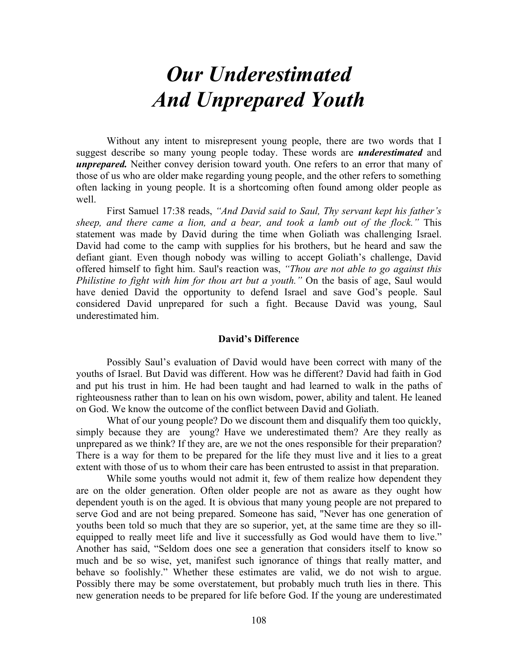# *Our Underestimated And Unprepared Youth*

Without any intent to misrepresent young people, there are two words that I suggest describe so many young people today. These words are *underestimated* and *unprepared.* Neither convey derision toward youth. One refers to an error that many of those of us who are older make regarding young people, and the other refers to something often lacking in young people. It is a shortcoming often found among older people as well.

First Samuel 17:38 reads, *"And David said to Saul, Thy servant kept his father's sheep, and there came a lion, and a bear, and took a lamb out of the flock."* This statement was made by David during the time when Goliath was challenging Israel. David had come to the camp with supplies for his brothers, but he heard and saw the defiant giant. Even though nobody was willing to accept Goliath's challenge, David offered himself to fight him. Saul's reaction was, *"Thou are not able to go against this Philistine to fight with him for thou art but a youth."* On the basis of age, Saul would have denied David the opportunity to defend Israel and save God's people. Saul considered David unprepared for such a fight. Because David was young, Saul underestimated him.

### **David's Difference**

Possibly Saul's evaluation of David would have been correct with many of the youths of Israel. But David was different. How was he different? David had faith in God and put his trust in him. He had been taught and had learned to walk in the paths of righteousness rather than to lean on his own wisdom, power, ability and talent. He leaned on God. We know the outcome of the conflict between David and Goliath.

What of our young people? Do we discount them and disqualify them too quickly, simply because they are young? Have we underestimated them? Are they really as unprepared as we think? If they are, are we not the ones responsible for their preparation? There is a way for them to be prepared for the life they must live and it lies to a great extent with those of us to whom their care has been entrusted to assist in that preparation.

While some youths would not admit it, few of them realize how dependent they are on the older generation. Often older people are not as aware as they ought how dependent youth is on the aged. It is obvious that many young people are not prepared to serve God and are not being prepared. Someone has said, "Never has one generation of youths been told so much that they are so superior, yet, at the same time are they so illequipped to really meet life and live it successfully as God would have them to live." Another has said, "Seldom does one see a generation that considers itself to know so much and be so wise, yet, manifest such ignorance of things that really matter, and behave so foolishly." Whether these estimates are valid, we do not wish to argue. Possibly there may be some overstatement, but probably much truth lies in there. This new generation needs to be prepared for life before God. If the young are underestimated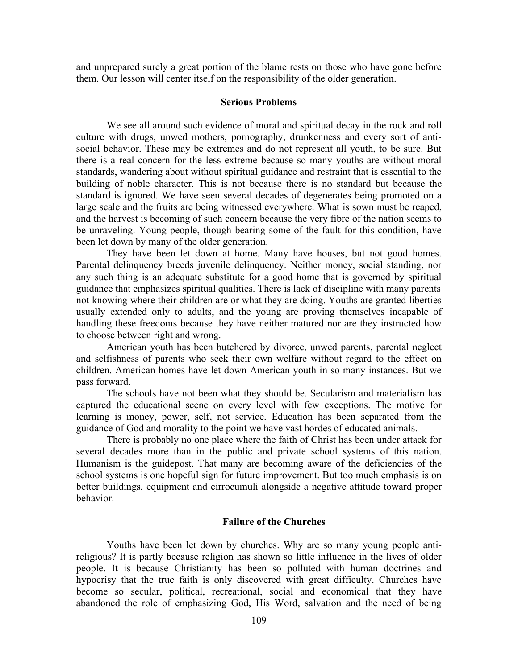and unprepared surely a great portion of the blame rests on those who have gone before them. Our lesson will center itself on the responsibility of the older generation.

#### **Serious Problems**

We see all around such evidence of moral and spiritual decay in the rock and roll culture with drugs, unwed mothers, pornography, drunkenness and every sort of antisocial behavior. These may be extremes and do not represent all youth, to be sure. But there is a real concern for the less extreme because so many youths are without moral standards, wandering about without spiritual guidance and restraint that is essential to the building of noble character. This is not because there is no standard but because the standard is ignored. We have seen several decades of degenerates being promoted on a large scale and the fruits are being witnessed everywhere. What is sown must be reaped, and the harvest is becoming of such concern because the very fibre of the nation seems to be unraveling. Young people, though bearing some of the fault for this condition, have been let down by many of the older generation.

They have been let down at home. Many have houses, but not good homes. Parental delinquency breeds juvenile delinquency. Neither money, social standing, nor any such thing is an adequate substitute for a good home that is governed by spiritual guidance that emphasizes spiritual qualities. There is lack of discipline with many parents not knowing where their children are or what they are doing. Youths are granted liberties usually extended only to adults, and the young are proving themselves incapable of handling these freedoms because they have neither matured nor are they instructed how to choose between right and wrong.

American youth has been butchered by divorce, unwed parents, parental neglect and selfishness of parents who seek their own welfare without regard to the effect on children. American homes have let down American youth in so many instances. But we pass forward.

The schools have not been what they should be. Secularism and materialism has captured the educational scene on every level with few exceptions. The motive for learning is money, power, self, not service. Education has been separated from the guidance of God and morality to the point we have vast hordes of educated animals.

There is probably no one place where the faith of Christ has been under attack for several decades more than in the public and private school systems of this nation. Humanism is the guidepost. That many are becoming aware of the deficiencies of the school systems is one hopeful sign for future improvement. But too much emphasis is on better buildings, equipment and cirrocumuli alongside a negative attitude toward proper behavior.

#### **Failure of the Churches**

Youths have been let down by churches. Why are so many young people antireligious? It is partly because religion has shown so little influence in the lives of older people. It is because Christianity has been so polluted with human doctrines and hypocrisy that the true faith is only discovered with great difficulty. Churches have become so secular, political, recreational, social and economical that they have abandoned the role of emphasizing God, His Word, salvation and the need of being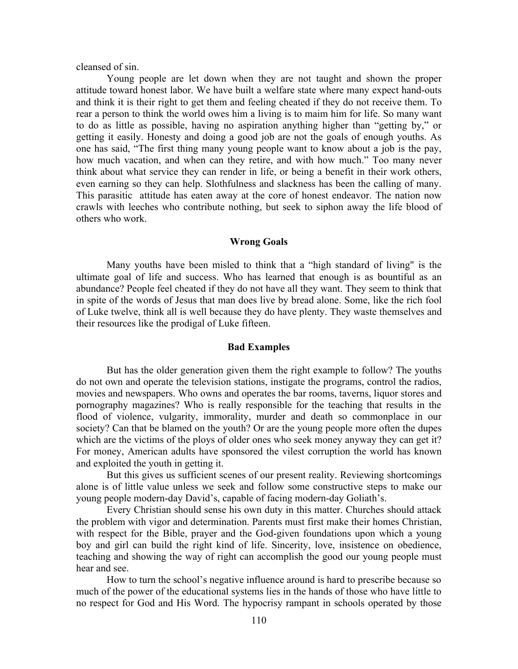cleansed of sin.

Young people are let down when they are not taught and shown the proper attitude toward honest labor. We have built a welfare state where many expect hand-outs and think it is their right to get them and feeling cheated if they do not receive them. To rear a person to think the world owes him a living is to maim him for life. So many want to do as little as possible, having no aspiration anything higher than "getting by," or getting it easily. Honesty and doing a good job are not the goals of enough youths. As one has said, "The first thing many young people want to know about a job is the pay, how much vacation, and when can they retire, and with how much." Too many never think about what service they can render in life, or being a benefit in their work others, even earning so they can help. Slothfulness and slackness has been the calling of many. This parasitic attitude has eaten away at the core of honest endeavor. The nation now crawls with leeches who contribute nothing, but seek to siphon away the life blood of others who work.

#### **Wrong Goals**

Many youths have been misled to think that a "high standard of living" is the ultimate goal of life and success. Who has learned that enough is as bountiful as an abundance? People feel cheated if they do not have all they want. They seem to think that in spite of the words of Jesus that man does live by bread alone. Some, like the rich fool of Luke twelve, think all is well because they do have plenty. They waste themselves and their resources like the prodigal of Luke fifteen.

#### **Bad Examples**

But has the older generation given them the right example to follow? The youths do not own and operate the television stations, instigate the programs, control the radios, movies and newspapers. Who owns and operates the bar rooms, taverns, liquor stores and pornography magazines? Who is really responsible for the teaching that results in the flood of violence, vulgarity, immorality, murder and death so commonplace in our society? Can that be blamed on the youth? Or are the young people more often the dupes which are the victims of the ploys of older ones who seek money anyway they can get it? For money, American adults have sponsored the vilest corruption the world has known and exploited the youth in getting it.

But this gives us sufficient scenes of our present reality. Reviewing shortcomings alone is of little value unless we seek and follow some constructive steps to make our young people modern-day David's, capable of facing modern-day Goliath's.

Every Christian should sense his own duty in this matter. Churches should attack the problem with vigor and determination. Parents must first make their homes Christian, with respect for the Bible, prayer and the God-given foundations upon which a young boy and girl can build the right kind of life. Sincerity, love, insistence on obedience, teaching and showing the way of right can accomplish the good our young people must hear and see.

How to turn the school's negative influence around is hard to prescribe because so much of the power of the educational systems lies in the hands of those who have little to no respect for God and His Word. The hypocrisy rampant in schools operated by those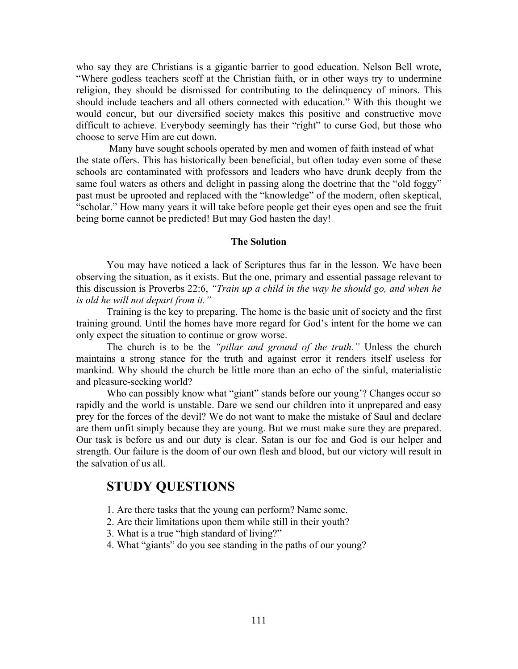who say they are Christians is a gigantic barrier to good education. Nelson Bell wrote, "Where godless teachers scoff at the Christian faith, or in other ways try to undermine religion, they should be dismissed for contributing to the delinquency of minors. This should include teachers and all others connected with education." With this thought we would concur, but our diversified society makes this positive and constructive move difficult to achieve. Everybody seemingly has their "right" to curse God, but those who choose to serve Him are cut down.

 Many have sought schools operated by men and women of faith instead of what the state offers. This has historically been beneficial, but often today even some of these schools are contaminated with professors and leaders who have drunk deeply from the same foul waters as others and delight in passing along the doctrine that the "old foggy" past must be uprooted and replaced with the "knowledge" of the modern, often skeptical, "scholar." How many years it will take before people get their eyes open and see the fruit being borne cannot be predicted! But may God hasten the day!

#### **The Solution**

You may have noticed a lack of Scriptures thus far in the lesson. We have been observing the situation, as it exists. But the one, primary and essential passage relevant to this discussion is Proverbs 22:6, *"Train up a child in the way he should go, and when he is old he will not depart from it."*

Training is the key to preparing. The home is the basic unit of society and the first training ground. Until the homes have more regard for God's intent for the home we can only expect the situation to continue or grow worse.

The church is to be the *"pillar and ground of the truth."* Unless the church maintains a strong stance for the truth and against error it renders itself useless for mankind. Why should the church be little more than an echo of the sinful, materialistic and pleasure-seeking world?

Who can possibly know what "giant" stands before our young'? Changes occur so rapidly and the world is unstable. Dare we send our children into it unprepared and easy prey for the forces of the devil? We do not want to make the mistake of Saul and declare are them unfit simply because they are young. But we must make sure they are prepared. Our task is before us and our duty is clear. Satan is our foe and God is our helper and strength. Our failure is the doom of our own flesh and blood, but our victory will result in the salvation of us all.

### **STUDY QUESTIONS**

- 1. Are there tasks that the young can perform? Name some.
- 2. Are their limitations upon them while still in their youth?
- 3. What is a true "high standard of living?"
- 4. What "giants" do you see standing in the paths of our young?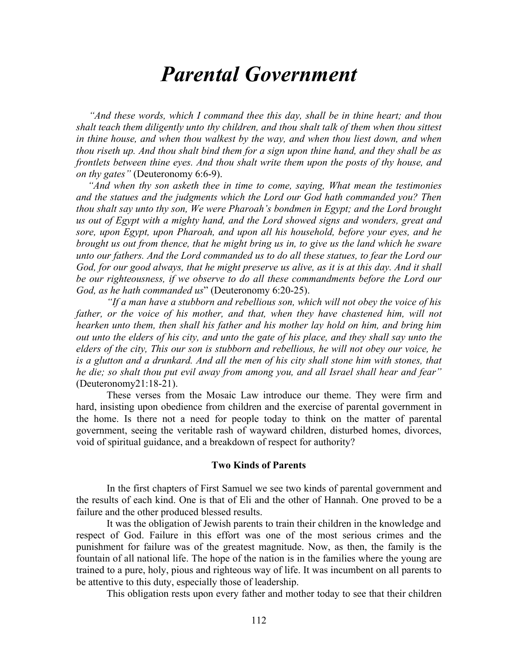## *Parental Government*

*"And these words, which I command thee this day, shall be in thine heart; and thou shalt teach them diligently unto thy children, and thou shalt talk of them when thou sittest in thine house, and when thou walkest by the way, and when thou liest down, and when thou riseth up. And thou shalt bind them for a sign upon thine hand, and they shall be as frontlets between thine eyes. And thou shalt write them upon the posts of thy house, and on thy gates"* (Deuteronomy 6:6-9).

*"And when thy son asketh thee in time to come, saying, What mean the testimonies and the statues and the judgments which the Lord our God hath commanded you? Then thou shalt say unto thy son, We were Pharoah's bondmen in Egypt; and the Lord brought us out of Egypt with a mighty hand, and the Lord showed signs and wonders, great and sore, upon Egypt, upon Pharoah, and upon all his household, before your eyes, and he brought us out from thence, that he might bring us in, to give us the land which he sware unto our fathers. And the Lord commanded us to do all these statues, to fear the Lord our God, for our good always, that he might preserve us alive, as it is at this day. And it shall be our righteousness, if we observe to do all these commandments before the Lord our God, as he hath commanded us*" (Deuteronomy 6:20-25).

*"If a man have a stubborn and rebellious son, which will not obey the voice of his father, or the voice of his mother, and that, when they have chastened him, will not hearken unto them, then shall his father and his mother lay hold on him, and bring him out unto the elders of his city, and unto the gate of his place, and they shall say unto the elders of the city, This our son is stubborn and rebellious, he will not obey our voice, he is a glutton and a drunkard. And all the men of his city shall stone him with stones, that he die; so shalt thou put evil away from among you, and all Israel shall hear and fear"* (Deuteronomy21:18-21).

These verses from the Mosaic Law introduce our theme. They were firm and hard, insisting upon obedience from children and the exercise of parental government in the home. Is there not a need for people today to think on the matter of parental government, seeing the veritable rash of wayward children, disturbed homes, divorces, void of spiritual guidance, and a breakdown of respect for authority?

#### **Two Kinds of Parents**

In the first chapters of First Samuel we see two kinds of parental government and the results of each kind. One is that of Eli and the other of Hannah. One proved to be a failure and the other produced blessed results.

It was the obligation of Jewish parents to train their children in the knowledge and respect of God. Failure in this effort was one of the most serious crimes and the punishment for failure was of the greatest magnitude. Now, as then, the family is the fountain of all national life. The hope of the nation is in the families where the young are trained to a pure, holy, pious and righteous way of life. It was incumbent on all parents to be attentive to this duty, especially those of leadership.

This obligation rests upon every father and mother today to see that their children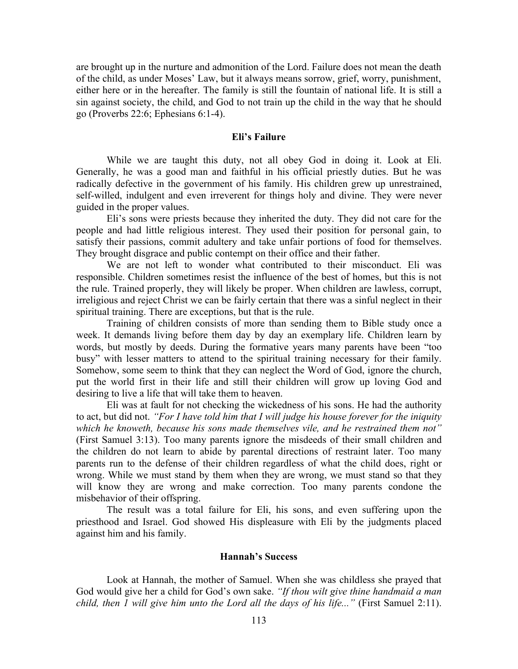are brought up in the nurture and admonition of the Lord. Failure does not mean the death of the child, as under Moses' Law, but it always means sorrow, grief, worry, punishment, either here or in the hereafter. The family is still the fountain of national life. It is still a sin against society, the child, and God to not train up the child in the way that he should go (Proverbs 22:6; Ephesians 6:1-4).

#### **Eli's Failure**

While we are taught this duty, not all obey God in doing it. Look at Eli. Generally, he was a good man and faithful in his official priestly duties. But he was radically defective in the government of his family. His children grew up unrestrained, self-willed, indulgent and even irreverent for things holy and divine. They were never guided in the proper values.

Eli's sons were priests because they inherited the duty. They did not care for the people and had little religious interest. They used their position for personal gain, to satisfy their passions, commit adultery and take unfair portions of food for themselves. They brought disgrace and public contempt on their office and their father.

We are not left to wonder what contributed to their misconduct. Eli was responsible. Children sometimes resist the influence of the best of homes, but this is not the rule. Trained properly, they will likely be proper. When children are lawless, corrupt, irreligious and reject Christ we can be fairly certain that there was a sinful neglect in their spiritual training. There are exceptions, but that is the rule.

Training of children consists of more than sending them to Bible study once a week. It demands living before them day by day an exemplary life. Children learn by words, but mostly by deeds. During the formative years many parents have been "too busy" with lesser matters to attend to the spiritual training necessary for their family. Somehow, some seem to think that they can neglect the Word of God, ignore the church, put the world first in their life and still their children will grow up loving God and desiring to live a life that will take them to heaven.

Eli was at fault for not checking the wickedness of his sons. He had the authority to act, but did not. *"For I have told him that I will judge his house forever for the iniquity which he knoweth, because his sons made themselves vile, and he restrained them not"* (First Samuel 3:13). Too many parents ignore the misdeeds of their small children and the children do not learn to abide by parental directions of restraint later. Too many parents run to the defense of their children regardless of what the child does, right or wrong. While we must stand by them when they are wrong, we must stand so that they will know they are wrong and make correction. Too many parents condone the misbehavior of their offspring.

The result was a total failure for Eli, his sons, and even suffering upon the priesthood and Israel. God showed His displeasure with Eli by the judgments placed against him and his family.

#### **Hannah's Success**

Look at Hannah, the mother of Samuel. When she was childless she prayed that God would give her a child for God's own sake. *"If thou wilt give thine handmaid a man child, then 1 will give him unto the Lord all the days of his life..."* (First Samuel 2:11).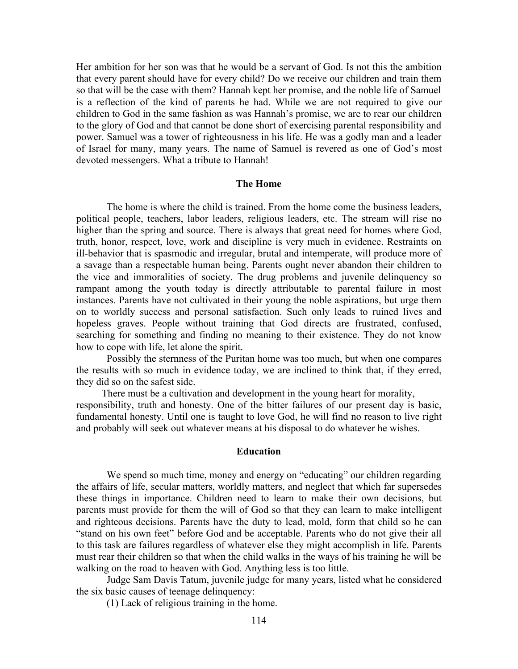Her ambition for her son was that he would be a servant of God. Is not this the ambition that every parent should have for every child? Do we receive our children and train them so that will be the case with them? Hannah kept her promise, and the noble life of Samuel is a reflection of the kind of parents he had. While we are not required to give our children to God in the same fashion as was Hannah's promise, we are to rear our children to the glory of God and that cannot be done short of exercising parental responsibility and power. Samuel was a tower of righteousness in his life. He was a godly man and a leader of Israel for many, many years. The name of Samuel is revered as one of God's most devoted messengers. What a tribute to Hannah!

#### **The Home**

The home is where the child is trained. From the home come the business leaders, political people, teachers, labor leaders, religious leaders, etc. The stream will rise no higher than the spring and source. There is always that great need for homes where God, truth, honor, respect, love, work and discipline is very much in evidence. Restraints on ill-behavior that is spasmodic and irregular, brutal and intemperate, will produce more of a savage than a respectable human being. Parents ought never abandon their children to the vice and immoralities of society. The drug problems and juvenile delinquency so rampant among the youth today is directly attributable to parental failure in most instances. Parents have not cultivated in their young the noble aspirations, but urge them on to worldly success and personal satisfaction. Such only leads to ruined lives and hopeless graves. People without training that God directs are frustrated, confused, searching for something and finding no meaning to their existence. They do not know how to cope with life, let alone the spirit.

Possibly the sternness of the Puritan home was too much, but when one compares the results with so much in evidence today, we are inclined to think that, if they erred, they did so on the safest side.

 There must be a cultivation and development in the young heart for morality, responsibility, truth and honesty. One of the bitter failures of our present day is basic, fundamental honesty. Until one is taught to love God, he will find no reason to live right and probably will seek out whatever means at his disposal to do whatever he wishes.

#### **Education**

We spend so much time, money and energy on "educating" our children regarding the affairs of life, secular matters, worldly matters, and neglect that which far supersedes these things in importance. Children need to learn to make their own decisions, but parents must provide for them the will of God so that they can learn to make intelligent and righteous decisions. Parents have the duty to lead, mold, form that child so he can "stand on his own feet" before God and be acceptable. Parents who do not give their all to this task are failures regardless of whatever else they might accomplish in life. Parents must rear their children so that when the child walks in the ways of his training he will be walking on the road to heaven with God. Anything less is too little.

Judge Sam Davis Tatum, juvenile judge for many years, listed what he considered the six basic causes of teenage delinquency:

(1) Lack of religious training in the home.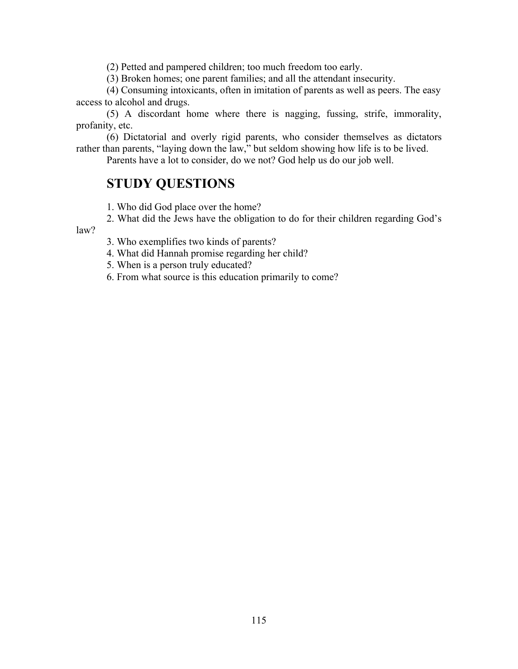(2) Petted and pampered children; too much freedom too early.

(3) Broken homes; one parent families; and all the attendant insecurity.

(4) Consuming intoxicants, often in imitation of parents as well as peers. The easy access to alcohol and drugs.

(5) A discordant home where there is nagging, fussing, strife, immorality, profanity, etc.

(6) Dictatorial and overly rigid parents, who consider themselves as dictators rather than parents, "laying down the law," but seldom showing how life is to be lived.

Parents have a lot to consider, do we not? God help us do our job well.

### **STUDY QUESTIONS**

1. Who did God place over the home?

2. What did the Jews have the obligation to do for their children regarding God's law?

3. Who exemplifies two kinds of parents?

4. What did Hannah promise regarding her child?

5. When is a person truly educated?

6. From what source is this education primarily to come?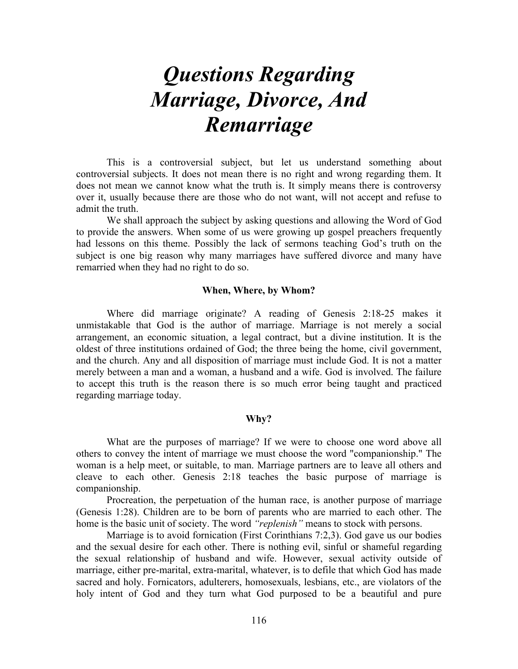# *Questions Regarding Marriage, Divorce, And Remarriage*

This is a controversial subject, but let us understand something about controversial subjects. It does not mean there is no right and wrong regarding them. It does not mean we cannot know what the truth is. It simply means there is controversy over it, usually because there are those who do not want, will not accept and refuse to admit the truth.

We shall approach the subject by asking questions and allowing the Word of God to provide the answers. When some of us were growing up gospel preachers frequently had lessons on this theme. Possibly the lack of sermons teaching God's truth on the subject is one big reason why many marriages have suffered divorce and many have remarried when they had no right to do so.

#### **When, Where, by Whom?**

Where did marriage originate? A reading of Genesis 2:18-25 makes it unmistakable that God is the author of marriage. Marriage is not merely a social arrangement, an economic situation, a legal contract, but a divine institution. It is the oldest of three institutions ordained of God; the three being the home, civil government, and the church. Any and all disposition of marriage must include God. It is not a matter merely between a man and a woman, a husband and a wife. God is involved. The failure to accept this truth is the reason there is so much error being taught and practiced regarding marriage today.

#### **Why?**

What are the purposes of marriage? If we were to choose one word above all others to convey the intent of marriage we must choose the word "companionship." The woman is a help meet, or suitable, to man. Marriage partners are to leave all others and cleave to each other. Genesis 2:18 teaches the basic purpose of marriage is companionship.

Procreation, the perpetuation of the human race, is another purpose of marriage (Genesis 1:28). Children are to be born of parents who are married to each other. The home is the basic unit of society. The word *"replenish"* means to stock with persons.

Marriage is to avoid fornication (First Corinthians 7:2,3). God gave us our bodies and the sexual desire for each other. There is nothing evil, sinful or shameful regarding the sexual relationship of husband and wife. However, sexual activity outside of marriage, either pre-marital, extra-marital, whatever, is to defile that which God has made sacred and holy. Fornicators, adulterers, homosexuals, lesbians, etc., are violators of the holy intent of God and they turn what God purposed to be a beautiful and pure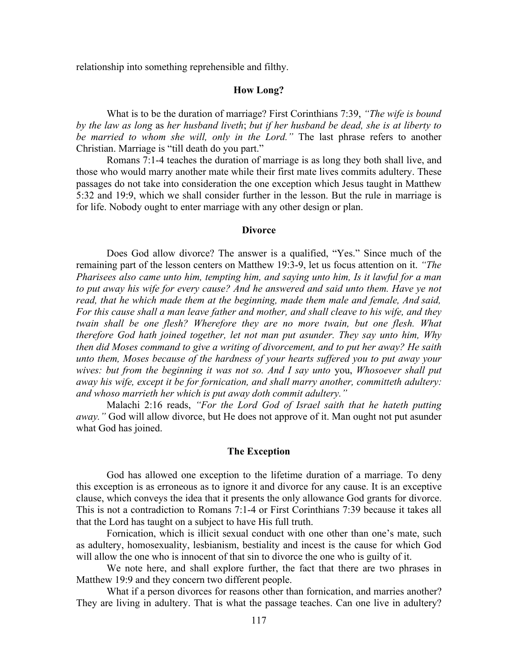relationship into something reprehensible and filthy.

#### **How Long?**

What is to be the duration of marriage? First Corinthians 7:39, *"The wife is bound by the law as long* as *her husband liveth*; *but if her husband be dead, she is at liberty to be married to whom she will, only in the Lord."* The last phrase refers to another Christian. Marriage is "till death do you part."

Romans 7:1-4 teaches the duration of marriage is as long they both shall live, and those who would marry another mate while their first mate lives commits adultery. These passages do not take into consideration the one exception which Jesus taught in Matthew 5:32 and 19:9, which we shall consider further in the lesson. But the rule in marriage is for life. Nobody ought to enter marriage with any other design or plan.

#### **Divorce**

Does God allow divorce? The answer is a qualified, "Yes." Since much of the remaining part of the lesson centers on Matthew 19:3-9, let us focus attention on it. *"The Pharisees also came unto him, tempting him, and saying unto him, Is it lawful for a man to put away his wife for every cause? And he answered and said unto them. Have ye not read, that he which made them at the beginning, made them male and female, And said, For this cause shall a man leave father and mother, and shall cleave to his wife, and they twain shall be one flesh? Wherefore they are no more twain, but one flesh. What therefore God hath joined together, let not man put asunder. They say unto him, Why then did Moses command to give a writing of divorcement, and to put her away? He saith unto them, Moses because of the hardness of your hearts suffered you to put away your wives: but from the beginning it was not so. And I say unto* you, *Whosoever shall put away his wife, except it be for fornication, and shall marry another, committeth adultery: and whoso marrieth her which is put away doth commit adultery."*

Malachi 2:16 reads, *"For the Lord God of Israel saith that he hateth putting away."* God will allow divorce, but He does not approve of it. Man ought not put asunder what God has joined.

#### **The Exception**

God has allowed one exception to the lifetime duration of a marriage. To deny this exception is as erroneous as to ignore it and divorce for any cause. It is an exceptive clause, which conveys the idea that it presents the only allowance God grants for divorce. This is not a contradiction to Romans 7:1-4 or First Corinthians 7:39 because it takes all that the Lord has taught on a subject to have His full truth.

Fornication, which is illicit sexual conduct with one other than one's mate, such as adultery, homosexuality, lesbianism, bestiality and incest is the cause for which God will allow the one who is innocent of that sin to divorce the one who is guilty of it.

We note here, and shall explore further, the fact that there are two phrases in Matthew 19:9 and they concern two different people.

What if a person divorces for reasons other than fornication, and marries another? They are living in adultery. That is what the passage teaches. Can one live in adultery?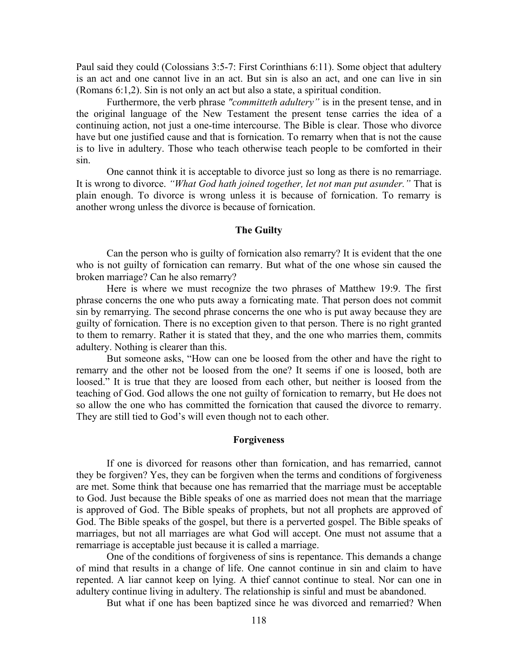Paul said they could (Colossians 3:5-7: First Corinthians 6:11). Some object that adultery is an act and one cannot live in an act. But sin is also an act, and one can live in sin (Romans 6:1,2). Sin is not only an act but also a state, a spiritual condition.

Furthermore, the verb phrase *"committeth adultery"* is in the present tense, and in the original language of the New Testament the present tense carries the idea of a continuing action, not just a one-time intercourse. The Bible is clear. Those who divorce have but one justified cause and that is fornication. To remarry when that is not the cause is to live in adultery. Those who teach otherwise teach people to be comforted in their sin.

One cannot think it is acceptable to divorce just so long as there is no remarriage. It is wrong to divorce. *"What God hath joined together, let not man put asunder."* That is plain enough. To divorce is wrong unless it is because of fornication. To remarry is another wrong unless the divorce is because of fornication.

#### **The Guilty**

Can the person who is guilty of fornication also remarry? It is evident that the one who is not guilty of fornication can remarry. But what of the one whose sin caused the broken marriage? Can he also remarry?

Here is where we must recognize the two phrases of Matthew 19:9. The first phrase concerns the one who puts away a fornicating mate. That person does not commit sin by remarrying. The second phrase concerns the one who is put away because they are guilty of fornication. There is no exception given to that person. There is no right granted to them to remarry. Rather it is stated that they, and the one who marries them, commits adultery. Nothing is clearer than this.

But someone asks, "How can one be loosed from the other and have the right to remarry and the other not be loosed from the one? It seems if one is loosed, both are loosed." It is true that they are loosed from each other, but neither is loosed from the teaching of God. God allows the one not guilty of fornication to remarry, but He does not so allow the one who has committed the fornication that caused the divorce to remarry. They are still tied to God's will even though not to each other.

#### **Forgiveness**

If one is divorced for reasons other than fornication, and has remarried, cannot they be forgiven? Yes, they can be forgiven when the terms and conditions of forgiveness are met. Some think that because one has remarried that the marriage must be acceptable to God. Just because the Bible speaks of one as married does not mean that the marriage is approved of God. The Bible speaks of prophets, but not all prophets are approved of God. The Bible speaks of the gospel, but there is a perverted gospel. The Bible speaks of marriages, but not all marriages are what God will accept. One must not assume that a remarriage is acceptable just because it is called a marriage.

One of the conditions of forgiveness of sins is repentance. This demands a change of mind that results in a change of life. One cannot continue in sin and claim to have repented. A liar cannot keep on lying. A thief cannot continue to steal. Nor can one in adultery continue living in adultery. The relationship is sinful and must be abandoned.

But what if one has been baptized since he was divorced and remarried? When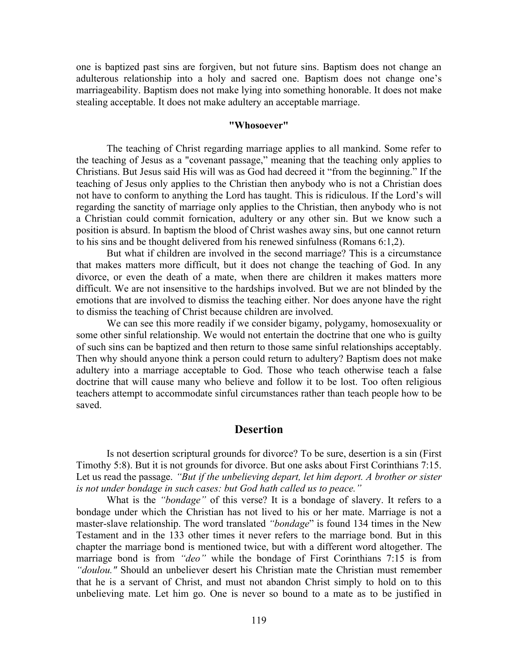one is baptized past sins are forgiven, but not future sins. Baptism does not change an adulterous relationship into a holy and sacred one. Baptism does not change one's marriageability. Baptism does not make lying into something honorable. It does not make stealing acceptable. It does not make adultery an acceptable marriage.

#### **"Whosoever"**

The teaching of Christ regarding marriage applies to all mankind. Some refer to the teaching of Jesus as a "covenant passage," meaning that the teaching only applies to Christians. But Jesus said His will was as God had decreed it "from the beginning." If the teaching of Jesus only applies to the Christian then anybody who is not a Christian does not have to conform to anything the Lord has taught. This is ridiculous. If the Lord's will regarding the sanctity of marriage only applies to the Christian, then anybody who is not a Christian could commit fornication, adultery or any other sin. But we know such a position is absurd. In baptism the blood of Christ washes away sins, but one cannot return to his sins and be thought delivered from his renewed sinfulness (Romans 6:1,2).

But what if children are involved in the second marriage? This is a circumstance that makes matters more difficult, but it does not change the teaching of God. In any divorce, or even the death of a mate, when there are children it makes matters more difficult. We are not insensitive to the hardships involved. But we are not blinded by the emotions that are involved to dismiss the teaching either. Nor does anyone have the right to dismiss the teaching of Christ because children are involved.

We can see this more readily if we consider bigamy, polygamy, homosexuality or some other sinful relationship. We would not entertain the doctrine that one who is guilty of such sins can be baptized and then return to those same sinful relationships acceptably. Then why should anyone think a person could return to adultery? Baptism does not make adultery into a marriage acceptable to God. Those who teach otherwise teach a false doctrine that will cause many who believe and follow it to be lost. Too often religious teachers attempt to accommodate sinful circumstances rather than teach people how to be saved.

### **Desertion**

Is not desertion scriptural grounds for divorce? To be sure, desertion is a sin (First Timothy 5:8). But it is not grounds for divorce. But one asks about First Corinthians 7:15. Let us read the passage. *"But if the unbelieving depart, let him deport. A brother or sister is not under bondage in such cases: but God hath called us to peace."*

What is the *"bondage"* of this verse? It is a bondage of slavery. It refers to a bondage under which the Christian has not lived to his or her mate. Marriage is not a master-slave relationship. The word translated *"bondage*" is found 134 times in the New Testament and in the 133 other times it never refers to the marriage bond. But in this chapter the marriage bond is mentioned twice, but with a different word altogether. The marriage bond is from *"deo"* while the bondage of First Corinthians 7:15 is from *"doulou."* Should an unbeliever desert his Christian mate the Christian must remember that he is a servant of Christ, and must not abandon Christ simply to hold on to this unbelieving mate. Let him go. One is never so bound to a mate as to be justified in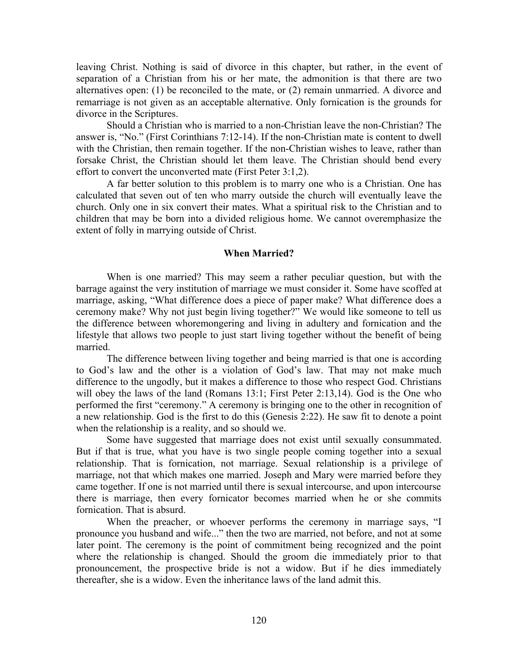leaving Christ. Nothing is said of divorce in this chapter, but rather, in the event of separation of a Christian from his or her mate, the admonition is that there are two alternatives open: (1) be reconciled to the mate, or (2) remain unmarried. A divorce and remarriage is not given as an acceptable alternative. Only fornication is the grounds for divorce in the Scriptures.

Should a Christian who is married to a non-Christian leave the non-Christian? The answer is, "No." (First Corinthians 7:12-14). If the non-Christian mate is content to dwell with the Christian, then remain together. If the non-Christian wishes to leave, rather than forsake Christ, the Christian should let them leave. The Christian should bend every effort to convert the unconverted mate (First Peter 3:1,2).

A far better solution to this problem is to marry one who is a Christian. One has calculated that seven out of ten who marry outside the church will eventually leave the church. Only one in six convert their mates. What a spiritual risk to the Christian and to children that may be born into a divided religious home. We cannot overemphasize the extent of folly in marrying outside of Christ.

#### **When Married?**

When is one married? This may seem a rather peculiar question, but with the barrage against the very institution of marriage we must consider it. Some have scoffed at marriage, asking, "What difference does a piece of paper make? What difference does a ceremony make? Why not just begin living together?" We would like someone to tell us the difference between whoremongering and living in adultery and fornication and the lifestyle that allows two people to just start living together without the benefit of being married.

The difference between living together and being married is that one is according to God's law and the other is a violation of God's law. That may not make much difference to the ungodly, but it makes a difference to those who respect God. Christians will obey the laws of the land (Romans 13:1; First Peter 2:13,14). God is the One who performed the first "ceremony." A ceremony is bringing one to the other in recognition of a new relationship. God is the first to do this (Genesis 2:22). He saw fit to denote a point when the relationship is a reality, and so should we.

Some have suggested that marriage does not exist until sexually consummated. But if that is true, what you have is two single people coming together into a sexual relationship. That is fornication, not marriage. Sexual relationship is a privilege of marriage, not that which makes one married. Joseph and Mary were married before they came together. If one is not married until there is sexual intercourse, and upon intercourse there is marriage, then every fornicator becomes married when he or she commits fornication. That is absurd.

When the preacher, or whoever performs the ceremony in marriage says, "I pronounce you husband and wife..." then the two are married, not before, and not at some later point. The ceremony is the point of commitment being recognized and the point where the relationship is changed. Should the groom die immediately prior to that pronouncement, the prospective bride is not a widow. But if he dies immediately thereafter, she is a widow. Even the inheritance laws of the land admit this.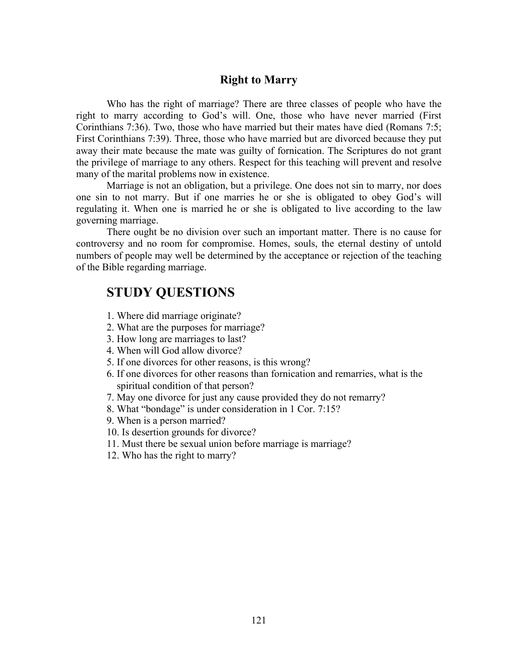### **Right to Marry**

Who has the right of marriage? There are three classes of people who have the right to marry according to God's will. One, those who have never married (First Corinthians 7:36). Two, those who have married but their mates have died (Romans 7:5; First Corinthians 7:39). Three, those who have married but are divorced because they put away their mate because the mate was guilty of fornication. The Scriptures do not grant the privilege of marriage to any others. Respect for this teaching will prevent and resolve many of the marital problems now in existence.

Marriage is not an obligation, but a privilege. One does not sin to marry, nor does one sin to not marry. But if one marries he or she is obligated to obey God's will regulating it. When one is married he or she is obligated to live according to the law governing marriage.

There ought be no division over such an important matter. There is no cause for controversy and no room for compromise. Homes, souls, the eternal destiny of untold numbers of people may well be determined by the acceptance or rejection of the teaching of the Bible regarding marriage.

### **STUDY QUESTIONS**

- 1. Where did marriage originate?
- 2. What are the purposes for marriage?
- 3. How long are marriages to last?
- 4. When will God allow divorce?
- 5. If one divorces for other reasons, is this wrong?
- 6. If one divorces for other reasons than fornication and remarries, what is the spiritual condition of that person?
- 7. May one divorce for just any cause provided they do not remarry?
- 8. What "bondage" is under consideration in 1 Cor. 7:15?
- 9. When is a person married?
- 10. Is desertion grounds for divorce?
- 11. Must there be sexual union before marriage is marriage?
- 12. Who has the right to marry?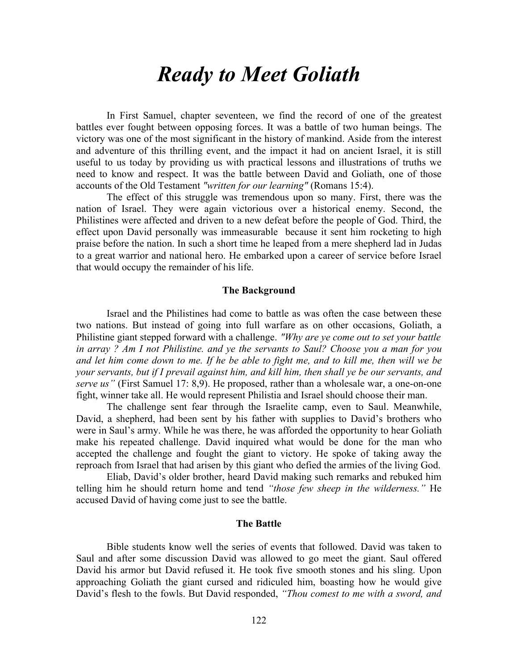# *Ready to Meet Goliath*

In First Samuel, chapter seventeen, we find the record of one of the greatest battles ever fought between opposing forces. It was a battle of two human beings. The victory was one of the most significant in the history of mankind. Aside from the interest and adventure of this thrilling event, and the impact it had on ancient Israel, it is still useful to us today by providing us with practical lessons and illustrations of truths we need to know and respect. It was the battle between David and Goliath, one of those accounts of the Old Testament *"written for our learning"* (Romans 15:4).

The effect of this struggle was tremendous upon so many. First, there was the nation of Israel. They were again victorious over a historical enemy. Second, the Philistines were affected and driven to a new defeat before the people of God. Third, the effect upon David personally was immeasurable because it sent him rocketing to high praise before the nation. In such a short time he leaped from a mere shepherd lad in Judas to a great warrior and national hero. He embarked upon a career of service before Israel that would occupy the remainder of his life.

#### **The Background**

Israel and the Philistines had come to battle as was often the case between these two nations. But instead of going into full warfare as on other occasions, Goliath, a Philistine giant stepped forward with a challenge. *"Why are ye come out to set your battle in array ? Am I not Philistine. and ye the servants to Saul? Choose you a man for you and let him come down to me. If he be able to fight me, and to kill me, then will we be your servants, but if I prevail against him, and kill him, then shall ye be our servants, and serve us"* (First Samuel 17: 8,9). He proposed, rather than a wholesale war, a one-on-one fight, winner take all. He would represent Philistia and Israel should choose their man.

The challenge sent fear through the Israelite camp, even to Saul. Meanwhile, David, a shepherd, had been sent by his father with supplies to David's brothers who were in Saul's army. While he was there, he was afforded the opportunity to hear Goliath make his repeated challenge. David inquired what would be done for the man who accepted the challenge and fought the giant to victory. He spoke of taking away the reproach from Israel that had arisen by this giant who defied the armies of the living God.

Eliab, David's older brother, heard David making such remarks and rebuked him telling him he should return home and tend *"those few sheep in the wilderness."* He accused David of having come just to see the battle.

#### **The Battle**

Bible students know well the series of events that followed. David was taken to Saul and after some discussion David was allowed to go meet the giant. Saul offered David his armor but David refused it. He took five smooth stones and his sling. Upon approaching Goliath the giant cursed and ridiculed him, boasting how he would give David's flesh to the fowls. But David responded, *"Thou comest to me with a sword, and*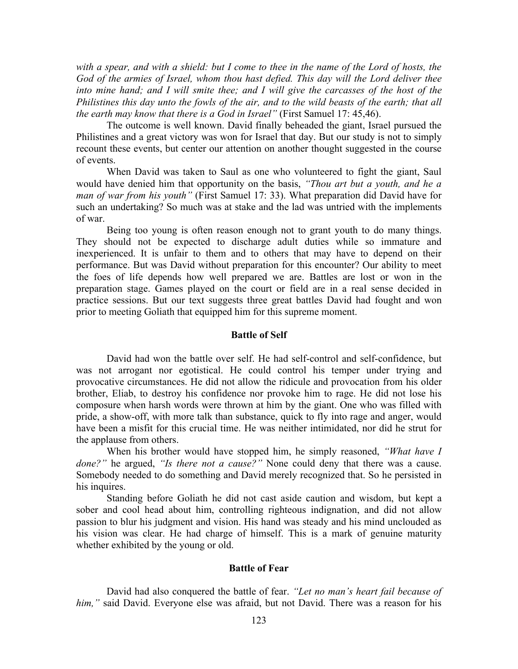*with a spear, and with a shield: but I come to thee in the name of the Lord of hosts, the God of the armies of Israel, whom thou hast defied. This day will the Lord deliver thee into mine hand; and I will smite thee; and I will give the carcasses of the host of the Philistines this day unto the fowls of the air, and to the wild beasts of the earth; that all the earth may know that there is a God in Israel"* (First Samuel 17: 45,46).

The outcome is well known. David finally beheaded the giant, Israel pursued the Philistines and a great victory was won for Israel that day. But our study is not to simply recount these events, but center our attention on another thought suggested in the course of events.

When David was taken to Saul as one who volunteered to fight the giant, Saul would have denied him that opportunity on the basis, *"Thou art but a youth, and he a man of war from his youth"* (First Samuel 17: 33). What preparation did David have for such an undertaking? So much was at stake and the lad was untried with the implements of war.

Being too young is often reason enough not to grant youth to do many things. They should not be expected to discharge adult duties while so immature and inexperienced. It is unfair to them and to others that may have to depend on their performance. But was David without preparation for this encounter? Our ability to meet the foes of life depends how well prepared we are. Battles are lost or won in the preparation stage. Games played on the court or field are in a real sense decided in practice sessions. But our text suggests three great battles David had fought and won prior to meeting Goliath that equipped him for this supreme moment.

#### **Battle of Self**

David had won the battle over self. He had self-control and self-confidence, but was not arrogant nor egotistical. He could control his temper under trying and provocative circumstances. He did not allow the ridicule and provocation from his older brother, Eliab, to destroy his confidence nor provoke him to rage. He did not lose his composure when harsh words were thrown at him by the giant. One who was filled with pride, a show-off, with more talk than substance, quick to fly into rage and anger, would have been a misfit for this crucial time. He was neither intimidated, nor did he strut for the applause from others.

When his brother would have stopped him, he simply reasoned, *"What have I done?"* he argued, *"Is there not a cause?"* None could deny that there was a cause. Somebody needed to do something and David merely recognized that. So he persisted in his inquires.

Standing before Goliath he did not cast aside caution and wisdom, but kept a sober and cool head about him, controlling righteous indignation, and did not allow passion to blur his judgment and vision. His hand was steady and his mind unclouded as his vision was clear. He had charge of himself. This is a mark of genuine maturity whether exhibited by the young or old.

#### **Battle of Fear**

David had also conquered the battle of fear. *"Let no man's heart fail because of him,"* said David. Everyone else was afraid, but not David. There was a reason for his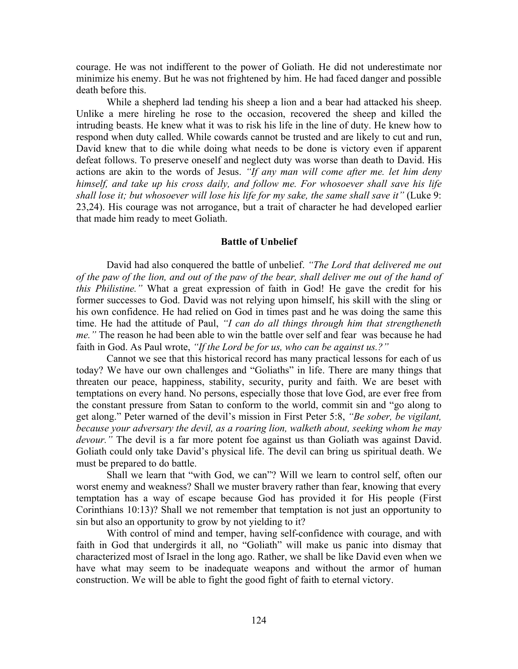courage. He was not indifferent to the power of Goliath. He did not underestimate nor minimize his enemy. But he was not frightened by him. He had faced danger and possible death before this.

While a shepherd lad tending his sheep a lion and a bear had attacked his sheep. Unlike a mere hireling he rose to the occasion, recovered the sheep and killed the intruding beasts. He knew what it was to risk his life in the line of duty. He knew how to respond when duty called. While cowards cannot be trusted and are likely to cut and run, David knew that to die while doing what needs to be done is victory even if apparent defeat follows. To preserve oneself and neglect duty was worse than death to David. His actions are akin to the words of Jesus. *"If any man will come after me. let him deny himself, and take up his cross daily, and follow me. For whosoever shall save his life shall lose it; but whosoever will lose his life for my sake, the same shall save it"* (Luke 9: 23,24). His courage was not arrogance, but a trait of character he had developed earlier that made him ready to meet Goliath.

#### **Battle of Unbelief**

David had also conquered the battle of unbelief. *"The Lord that delivered me out of the paw of the lion, and out of the paw of the bear, shall deliver me out of the hand of this Philistine."* What a great expression of faith in God! He gave the credit for his former successes to God. David was not relying upon himself, his skill with the sling or his own confidence. He had relied on God in times past and he was doing the same this time. He had the attitude of Paul, *"I can do all things through him that strengtheneth me."* The reason he had been able to win the battle over self and fear was because he had faith in God. As Paul wrote, *"If the Lord be for us, who can be against us.?"*

Cannot we see that this historical record has many practical lessons for each of us today? We have our own challenges and "Goliaths" in life. There are many things that threaten our peace, happiness, stability, security, purity and faith. We are beset with temptations on every hand. No persons, especially those that love God, are ever free from the constant pressure from Satan to conform to the world, commit sin and "go along to get along." Peter warned of the devil's mission in First Peter 5:8, *"Be sober, be vigilant, because your adversary the devil, as a roaring lion, walketh about, seeking whom he may devour."* The devil is a far more potent foe against us than Goliath was against David. Goliath could only take David's physical life. The devil can bring us spiritual death. We must be prepared to do battle.

Shall we learn that "with God, we can"? Will we learn to control self, often our worst enemy and weakness? Shall we muster bravery rather than fear, knowing that every temptation has a way of escape because God has provided it for His people (First Corinthians 10:13)? Shall we not remember that temptation is not just an opportunity to sin but also an opportunity to grow by not yielding to it?

With control of mind and temper, having self-confidence with courage, and with faith in God that undergirds it all, no "Goliath" will make us panic into dismay that characterized most of Israel in the long ago. Rather, we shall be like David even when we have what may seem to be inadequate weapons and without the armor of human construction. We will be able to fight the good fight of faith to eternal victory.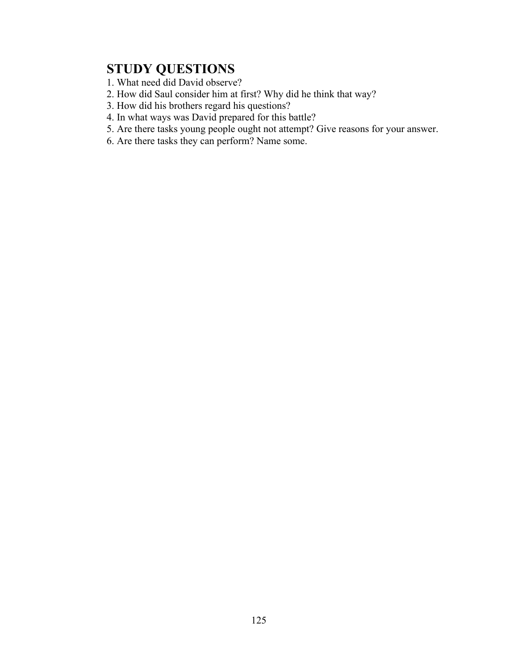## **STUDY QUESTIONS**

- 1. What need did David observe?
- 2. How did Saul consider him at first? Why did he think that way?
- 3. How did his brothers regard his questions?
- 4. In what ways was David prepared for this battle?
- 5. Are there tasks young people ought not attempt? Give reasons for your answer.
- 6. Are there tasks they can perform? Name some.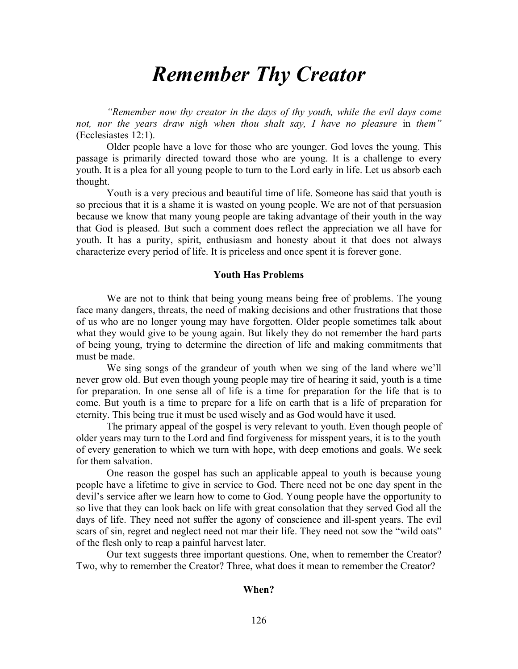# *Remember Thy Creator*

*"Remember now thy creator in the days of thy youth, while the evil days come not, nor the years draw nigh when thou shalt say, I have no pleasure in them"* (Ecclesiastes 12:1).

Older people have a love for those who are younger. God loves the young. This passage is primarily directed toward those who are young. It is a challenge to every youth. It is a plea for all young people to turn to the Lord early in life. Let us absorb each thought.

Youth is a very precious and beautiful time of life. Someone has said that youth is so precious that it is a shame it is wasted on young people. We are not of that persuasion because we know that many young people are taking advantage of their youth in the way that God is pleased. But such a comment does reflect the appreciation we all have for youth. It has a purity, spirit, enthusiasm and honesty about it that does not always characterize every period of life. It is priceless and once spent it is forever gone.

#### **Youth Has Problems**

We are not to think that being young means being free of problems. The young face many dangers, threats, the need of making decisions and other frustrations that those of us who are no longer young may have forgotten. Older people sometimes talk about what they would give to be young again. But likely they do not remember the hard parts of being young, trying to determine the direction of life and making commitments that must be made.

We sing songs of the grandeur of youth when we sing of the land where we'll never grow old. But even though young people may tire of hearing it said, youth is a time for preparation. In one sense all of life is a time for preparation for the life that is to come. But youth is a time to prepare for a life on earth that is a life of preparation for eternity. This being true it must be used wisely and as God would have it used.

The primary appeal of the gospel is very relevant to youth. Even though people of older years may turn to the Lord and find forgiveness for misspent years, it is to the youth of every generation to which we turn with hope, with deep emotions and goals. We seek for them salvation.

One reason the gospel has such an applicable appeal to youth is because young people have a lifetime to give in service to God. There need not be one day spent in the devil's service after we learn how to come to God. Young people have the opportunity to so live that they can look back on life with great consolation that they served God all the days of life. They need not suffer the agony of conscience and ill-spent years. The evil scars of sin, regret and neglect need not mar their life. They need not sow the "wild oats" of the flesh only to reap a painful harvest later.

Our text suggests three important questions. One, when to remember the Creator? Two, why to remember the Creator? Three, what does it mean to remember the Creator?

#### **When?**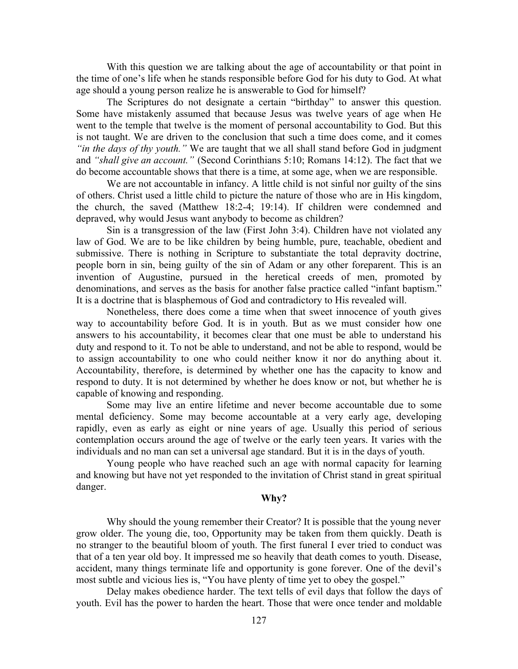With this question we are talking about the age of accountability or that point in the time of one's life when he stands responsible before God for his duty to God. At what age should a young person realize he is answerable to God for himself?

The Scriptures do not designate a certain "birthday" to answer this question. Some have mistakenly assumed that because Jesus was twelve years of age when He went to the temple that twelve is the moment of personal accountability to God. But this is not taught. We are driven to the conclusion that such a time does come, and it comes *"in the days of thy youth."* We are taught that we all shall stand before God in judgment and *"shall give an account."* (Second Corinthians 5:10; Romans 14:12). The fact that we do become accountable shows that there is a time, at some age, when we are responsible.

We are not accountable in infancy. A little child is not sinful nor guilty of the sins of others. Christ used a little child to picture the nature of those who are in His kingdom, the church, the saved (Matthew 18:2-4; 19:14). If children were condemned and depraved, why would Jesus want anybody to become as children?

Sin is a transgression of the law (First John 3:4). Children have not violated any law of God. We are to be like children by being humble, pure, teachable, obedient and submissive. There is nothing in Scripture to substantiate the total depravity doctrine, people born in sin, being guilty of the sin of Adam or any other foreparent. This is an invention of Augustine, pursued in the heretical creeds of men, promoted by denominations, and serves as the basis for another false practice called "infant baptism." It is a doctrine that is blasphemous of God and contradictory to His revealed will.

Nonetheless, there does come a time when that sweet innocence of youth gives way to accountability before God. It is in youth. But as we must consider how one answers to his accountability, it becomes clear that one must be able to understand his duty and respond to it. To not be able to understand, and not be able to respond, would be to assign accountability to one who could neither know it nor do anything about it. Accountability, therefore, is determined by whether one has the capacity to know and respond to duty. It is not determined by whether he does know or not, but whether he is capable of knowing and responding.

Some may live an entire lifetime and never become accountable due to some mental deficiency. Some may become accountable at a very early age, developing rapidly, even as early as eight or nine years of age. Usually this period of serious contemplation occurs around the age of twelve or the early teen years. It varies with the individuals and no man can set a universal age standard. But it is in the days of youth.

Young people who have reached such an age with normal capacity for learning and knowing but have not yet responded to the invitation of Christ stand in great spiritual danger.

### **Why?**

Why should the young remember their Creator? It is possible that the young never grow older. The young die, too, Opportunity may be taken from them quickly. Death is no stranger to the beautiful bloom of youth. The first funeral I ever tried to conduct was that of a ten year old boy. It impressed me so heavily that death comes to youth. Disease, accident, many things terminate life and opportunity is gone forever. One of the devil's most subtle and vicious lies is, "You have plenty of time yet to obey the gospel."

Delay makes obedience harder. The text tells of evil days that follow the days of youth. Evil has the power to harden the heart. Those that were once tender and moldable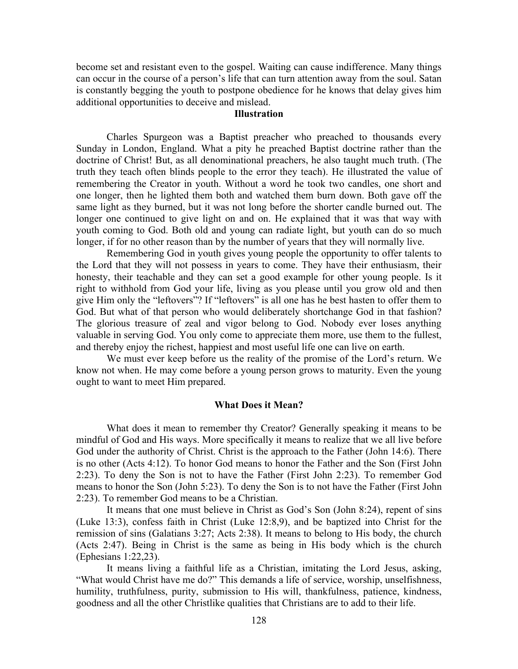become set and resistant even to the gospel. Waiting can cause indifference. Many things can occur in the course of a person's life that can turn attention away from the soul. Satan is constantly begging the youth to postpone obedience for he knows that delay gives him additional opportunities to deceive and mislead.

#### **Illustration**

Charles Spurgeon was a Baptist preacher who preached to thousands every Sunday in London, England. What a pity he preached Baptist doctrine rather than the doctrine of Christ! But, as all denominational preachers, he also taught much truth. (The truth they teach often blinds people to the error they teach). He illustrated the value of remembering the Creator in youth. Without a word he took two candles, one short and one longer, then he lighted them both and watched them burn down. Both gave off the same light as they burned, but it was not long before the shorter candle burned out. The longer one continued to give light on and on. He explained that it was that way with youth coming to God. Both old and young can radiate light, but youth can do so much longer, if for no other reason than by the number of years that they will normally live.

Remembering God in youth gives young people the opportunity to offer talents to the Lord that they will not possess in years to come. They have their enthusiasm, their honesty, their teachable and they can set a good example for other young people. Is it right to withhold from God your life, living as you please until you grow old and then give Him only the "leftovers"? If "leftovers" is all one has he best hasten to offer them to God. But what of that person who would deliberately shortchange God in that fashion? The glorious treasure of zeal and vigor belong to God. Nobody ever loses anything valuable in serving God. You only come to appreciate them more, use them to the fullest, and thereby enjoy the richest, happiest and most useful life one can live on earth.

We must ever keep before us the reality of the promise of the Lord's return. We know not when. He may come before a young person grows to maturity. Even the young ought to want to meet Him prepared.

#### **What Does it Mean?**

What does it mean to remember thy Creator? Generally speaking it means to be mindful of God and His ways. More specifically it means to realize that we all live before God under the authority of Christ. Christ is the approach to the Father (John 14:6). There is no other (Acts 4:12). To honor God means to honor the Father and the Son (First John 2:23). To deny the Son is not to have the Father (First John 2:23). To remember God means to honor the Son (John 5:23). To deny the Son is to not have the Father (First John 2:23). To remember God means to be a Christian.

It means that one must believe in Christ as God's Son (John 8:24), repent of sins (Luke 13:3), confess faith in Christ (Luke 12:8,9), and be baptized into Christ for the remission of sins (Galatians 3:27; Acts 2:38). It means to belong to His body, the church (Acts 2:47). Being in Christ is the same as being in His body which is the church (Ephesians 1:22,23).

It means living a faithful life as a Christian, imitating the Lord Jesus, asking, "What would Christ have me do?" This demands a life of service, worship, unselfishness, humility, truthfulness, purity, submission to His will, thankfulness, patience, kindness, goodness and all the other Christlike qualities that Christians are to add to their life.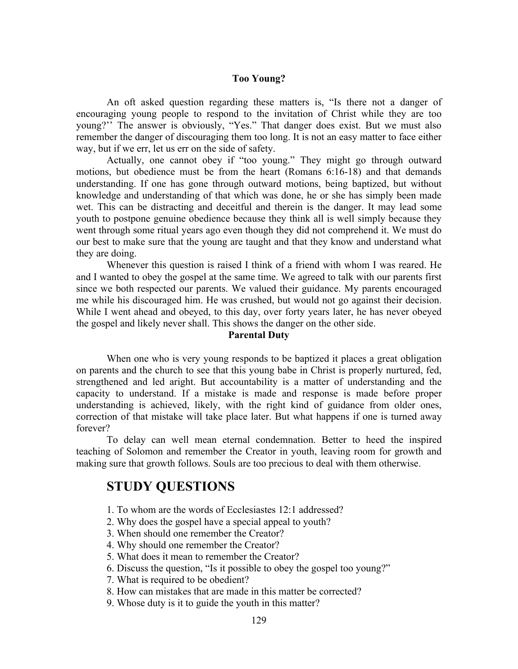#### **Too Young?**

An oft asked question regarding these matters is, "Is there not a danger of encouraging young people to respond to the invitation of Christ while they are too young?'' The answer is obviously, "Yes." That danger does exist. But we must also remember the danger of discouraging them too long. It is not an easy matter to face either way, but if we err, let us err on the side of safety.

Actually, one cannot obey if "too young." They might go through outward motions, but obedience must be from the heart (Romans 6:16-18) and that demands understanding. If one has gone through outward motions, being baptized, but without knowledge and understanding of that which was done, he or she has simply been made wet. This can be distracting and deceitful and therein is the danger. It may lead some youth to postpone genuine obedience because they think all is well simply because they went through some ritual years ago even though they did not comprehend it. We must do our best to make sure that the young are taught and that they know and understand what they are doing.

Whenever this question is raised I think of a friend with whom I was reared. He and I wanted to obey the gospel at the same time. We agreed to talk with our parents first since we both respected our parents. We valued their guidance. My parents encouraged me while his discouraged him. He was crushed, but would not go against their decision. While I went ahead and obeyed, to this day, over forty years later, he has never obeyed the gospel and likely never shall. This shows the danger on the other side.

#### **Parental Duty**

When one who is very young responds to be baptized it places a great obligation on parents and the church to see that this young babe in Christ is properly nurtured, fed, strengthened and led aright. But accountability is a matter of understanding and the capacity to understand. If a mistake is made and response is made before proper understanding is achieved, likely, with the right kind of guidance from older ones, correction of that mistake will take place later. But what happens if one is turned away forever?

To delay can well mean eternal condemnation. Better to heed the inspired teaching of Solomon and remember the Creator in youth, leaving room for growth and making sure that growth follows. Souls are too precious to deal with them otherwise.

### **STUDY QUESTIONS**

- 1. To whom are the words of Ecclesiastes 12:1 addressed?
- 2. Why does the gospel have a special appeal to youth?
- 3. When should one remember the Creator?
- 4. Why should one remember the Creator?
- 5. What does it mean to remember the Creator?
- 6. Discuss the question, "Is it possible to obey the gospel too young?"
- 7. What is required to be obedient?
- 8. How can mistakes that are made in this matter be corrected?
- 9. Whose duty is it to guide the youth in this matter?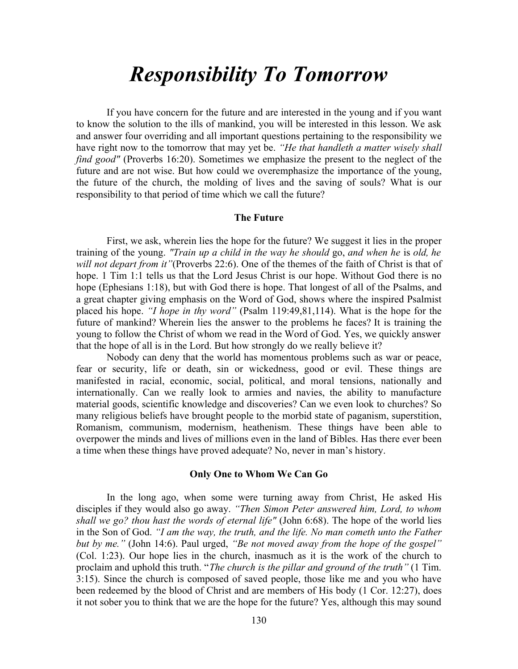# *Responsibility To Tomorrow*

If you have concern for the future and are interested in the young and if you want to know the solution to the ills of mankind, you will be interested in this lesson. We ask and answer four overriding and all important questions pertaining to the responsibility we have right now to the tomorrow that may yet be. *"He that handleth a matter wisely shall find good"* (Proverbs 16:20). Sometimes we emphasize the present to the neglect of the future and are not wise. But how could we overemphasize the importance of the young, the future of the church, the molding of lives and the saving of souls? What is our responsibility to that period of time which we call the future?

#### **The Future**

First, we ask, wherein lies the hope for the future? We suggest it lies in the proper training of the young. *"Train up a child in the way he should* go, *and when he* is *old, he will not depart from it"*(Proverbs 22:6). One of the themes of the faith of Christ is that of hope. 1 Tim 1:1 tells us that the Lord Jesus Christ is our hope. Without God there is no hope (Ephesians 1:18), but with God there is hope. That longest of all of the Psalms, and a great chapter giving emphasis on the Word of God, shows where the inspired Psalmist placed his hope. *"I hope in thy word"* (Psalm 119:49,81,114). What is the hope for the future of mankind? Wherein lies the answer to the problems he faces? It is training the young to follow the Christ of whom we read in the Word of God. Yes, we quickly answer that the hope of all is in the Lord. But how strongly do we really believe it?

Nobody can deny that the world has momentous problems such as war or peace, fear or security, life or death, sin or wickedness, good or evil. These things are manifested in racial, economic, social, political, and moral tensions, nationally and internationally. Can we really look to armies and navies, the ability to manufacture material goods, scientific knowledge and discoveries? Can we even look to churches? So many religious beliefs have brought people to the morbid state of paganism, superstition, Romanism, communism, modernism, heathenism. These things have been able to overpower the minds and lives of millions even in the land of Bibles. Has there ever been a time when these things have proved adequate? No, never in man's history.

#### **Only One to Whom We Can Go**

In the long ago, when some were turning away from Christ, He asked His disciples if they would also go away. *"Then Simon Peter answered him, Lord, to whom shall we go? thou hast the words of eternal life"* (John 6:68). The hope of the world lies in the Son of God. *"I am the way, the truth, and the life. No man cometh unto the Father but by me."* (John 14:6). Paul urged, *"Be not moved away from the hope of the gospel"* (Col. 1:23). Our hope lies in the church, inasmuch as it is the work of the church to proclaim and uphold this truth. "*The church is the pillar and ground of the truth"* (1 Tim. 3:15). Since the church is composed of saved people, those like me and you who have been redeemed by the blood of Christ and are members of His body (1 Cor. 12:27), does it not sober you to think that we are the hope for the future? Yes, although this may sound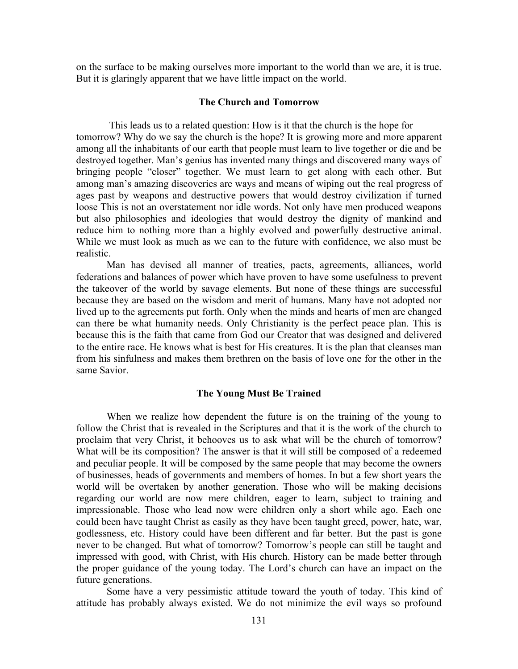on the surface to be making ourselves more important to the world than we are, it is true. But it is glaringly apparent that we have little impact on the world.

#### **The Church and Tomorrow**

 This leads us to a related question: How is it that the church is the hope for tomorrow? Why do we say the church is the hope? It is growing more and more apparent among all the inhabitants of our earth that people must learn to live together or die and be destroyed together. Man's genius has invented many things and discovered many ways of bringing people "closer" together. We must learn to get along with each other. But among man's amazing discoveries are ways and means of wiping out the real progress of ages past by weapons and destructive powers that would destroy civilization if turned loose This is not an overstatement nor idle words. Not only have men produced weapons but also philosophies and ideologies that would destroy the dignity of mankind and reduce him to nothing more than a highly evolved and powerfully destructive animal. While we must look as much as we can to the future with confidence, we also must be realistic.

Man has devised all manner of treaties, pacts, agreements, alliances, world federations and balances of power which have proven to have some usefulness to prevent the takeover of the world by savage elements. But none of these things are successful because they are based on the wisdom and merit of humans. Many have not adopted nor lived up to the agreements put forth. Only when the minds and hearts of men are changed can there be what humanity needs. Only Christianity is the perfect peace plan. This is because this is the faith that came from God our Creator that was designed and delivered to the entire race. He knows what is best for His creatures. It is the plan that cleanses man from his sinfulness and makes them brethren on the basis of love one for the other in the same Savior.

#### **The Young Must Be Trained**

When we realize how dependent the future is on the training of the young to follow the Christ that is revealed in the Scriptures and that it is the work of the church to proclaim that very Christ, it behooves us to ask what will be the church of tomorrow? What will be its composition? The answer is that it will still be composed of a redeemed and peculiar people. It will be composed by the same people that may become the owners of businesses, heads of governments and members of homes. In but a few short years the world will be overtaken by another generation. Those who will be making decisions regarding our world are now mere children, eager to learn, subject to training and impressionable. Those who lead now were children only a short while ago. Each one could been have taught Christ as easily as they have been taught greed, power, hate, war, godlessness, etc. History could have been different and far better. But the past is gone never to be changed. But what of tomorrow? Tomorrow's people can still be taught and impressed with good, with Christ, with His church. History can be made better through the proper guidance of the young today. The Lord's church can have an impact on the future generations.

Some have a very pessimistic attitude toward the youth of today. This kind of attitude has probably always existed. We do not minimize the evil ways so profound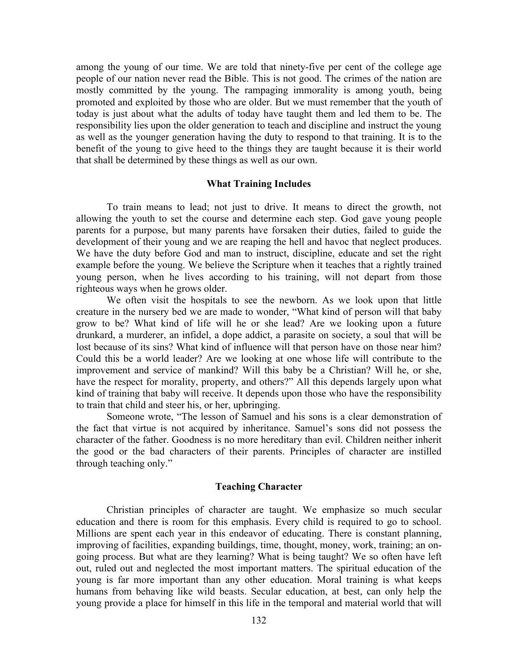among the young of our time. We are told that ninety-five per cent of the college age people of our nation never read the Bible. This is not good. The crimes of the nation are mostly committed by the young. The rampaging immorality is among youth, being promoted and exploited by those who are older. But we must remember that the youth of today is just about what the adults of today have taught them and led them to be. The responsibility lies upon the older generation to teach and discipline and instruct the young as well as the younger generation having the duty to respond to that training. It is to the benefit of the young to give heed to the things they are taught because it is their world that shall be determined by these things as well as our own.

#### **What Training Includes**

To train means to lead; not just to drive. It means to direct the growth, not allowing the youth to set the course and determine each step. God gave young people parents for a purpose, but many parents have forsaken their duties, failed to guide the development of their young and we are reaping the hell and havoc that neglect produces. We have the duty before God and man to instruct, discipline, educate and set the right example before the young. We believe the Scripture when it teaches that a rightly trained young person, when he lives according to his training, will not depart from those righteous ways when he grows older.

We often visit the hospitals to see the newborn. As we look upon that little creature in the nursery bed we are made to wonder, "What kind of person will that baby grow to be? What kind of life will he or she lead? Are we looking upon a future drunkard, a murderer, an infidel, a dope addict, a parasite on society, a soul that will be lost because of its sins? What kind of influence will that person have on those near him? Could this be a world leader? Are we looking at one whose life will contribute to the improvement and service of mankind? Will this baby be a Christian? Will he, or she, have the respect for morality, property, and others?" All this depends largely upon what kind of training that baby will receive. It depends upon those who have the responsibility to train that child and steer his, or her, upbringing.

Someone wrote, "The lesson of Samuel and his sons is a clear demonstration of the fact that virtue is not acquired by inheritance. Samuel's sons did not possess the character of the father. Goodness is no more hereditary than evil. Children neither inherit the good or the bad characters of their parents. Principles of character are instilled through teaching only."

#### **Teaching Character**

Christian principles of character are taught. We emphasize so much secular education and there is room for this emphasis. Every child is required to go to school. Millions are spent each year in this endeavor of educating. There is constant planning, improving of facilities, expanding buildings, time, thought, money, work, training; an ongoing process. But what are they learning? What is being taught? We so often have left out, ruled out and neglected the most important matters. The spiritual education of the young is far more important than any other education. Moral training is what keeps humans from behaving like wild beasts. Secular education, at best, can only help the young provide a place for himself in this life in the temporal and material world that will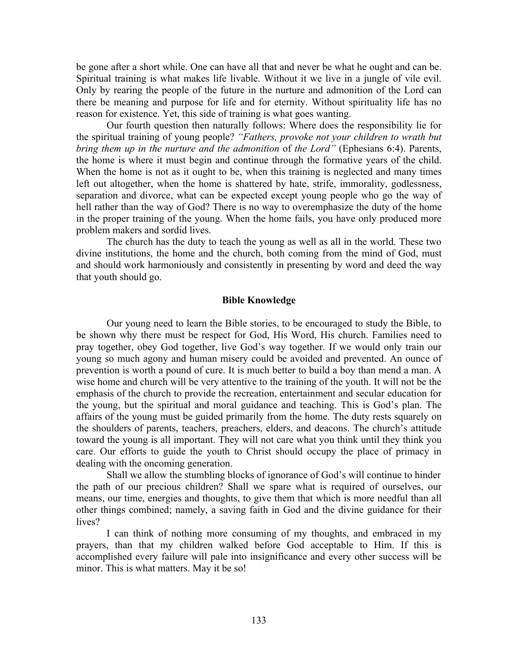be gone after a short while. One can have all that and never be what he ought and can be. Spiritual training is what makes life livable. Without it we live in a jungle of vile evil. Only by rearing the people of the future in the nurture and admonition of the Lord can there be meaning and purpose for life and for eternity. Without spirituality life has no reason for existence. Yet, this side of training is what goes wanting.

Our fourth question then naturally follows: Where does the responsibility lie for the spiritual training of young people? *"Fathers, provoke not your children to wrath but bring them up in the nurture and the admonition* of *the Lord"* (Ephesians 6:4). Parents, the home is where it must begin and continue through the formative years of the child. When the home is not as it ought to be, when this training is neglected and many times left out altogether, when the home is shattered by hate, strife, immorality, godlessness, separation and divorce, what can be expected except young people who go the way of hell rather than the way of God? There is no way to overemphasize the duty of the home in the proper training of the young. When the home fails, you have only produced more problem makers and sordid lives.

The church has the duty to teach the young as well as all in the world. These two divine institutions, the home and the church, both coming from the mind of God, must and should work harmoniously and consistently in presenting by word and deed the way that youth should go.

#### **Bible Knowledge**

Our young need to learn the Bible stories, to be encouraged to study the Bible, to be shown why there must be respect for God, His Word, His church. Families need to pray together, obey God together, live God's way together. If we would only train our young so much agony and human misery could be avoided and prevented. An ounce of prevention is worth a pound of cure. It is much better to build a boy than mend a man. A wise home and church will be very attentive to the training of the youth. It will not be the emphasis of the church to provide the recreation, entertainment and secular education for the young, but the spiritual and moral guidance and teaching. This is God's plan. The affairs of the young must be guided primarily from the home. The duty rests squarely on the shoulders of parents, teachers, preachers, elders, and deacons. The church's attitude toward the young is all important. They will not care what you think until they think you care. Our efforts to guide the youth to Christ should occupy the place of primacy in dealing with the oncoming generation.

Shall we allow the stumbling blocks of ignorance of God's will continue to hinder the path of our precious children? Shall we spare what is required of ourselves, our means, our time, energies and thoughts, to give them that which is more needful than all other things combined; namely, a saving faith in God and the divine guidance for their lives?

I can think of nothing more consuming of my thoughts, and embraced in my prayers, than that my children walked before God acceptable to Him. If this is accomplished every failure will pale into insignificance and every other success will be minor. This is what matters. May it be so!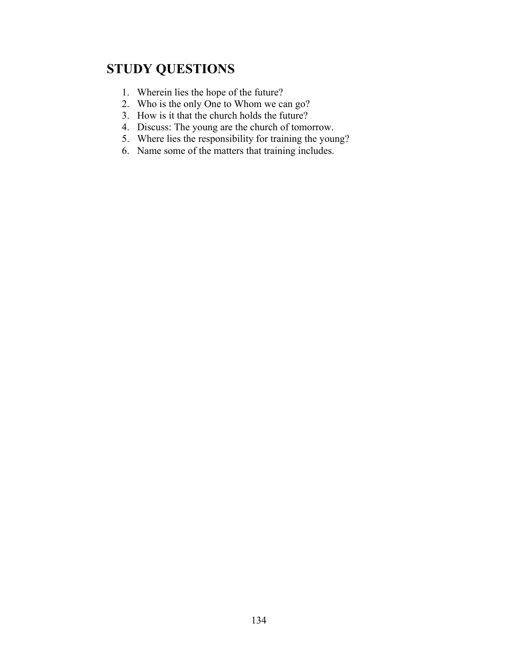## **STUDY QUESTIONS**

- 1. Wherein lies the hope of the future?
- 2. Who is the only One to Whom we can go?
- 3. How is it that the church holds the future?
- 4. Discuss: The young are the church of tomorrow.
- 5. Where lies the responsibility for training the young?
- 6. Name some of the matters that training includes.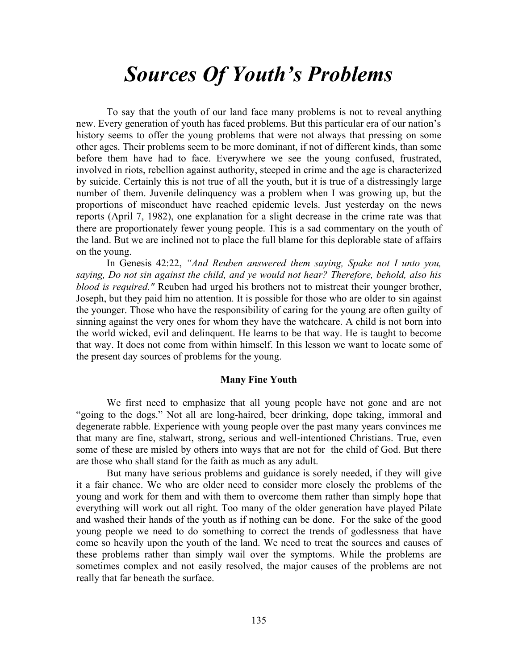# *Sources Of Youth's Problems*

To say that the youth of our land face many problems is not to reveal anything new. Every generation of youth has faced problems. But this particular era of our nation's history seems to offer the young problems that were not always that pressing on some other ages. Their problems seem to be more dominant, if not of different kinds, than some before them have had to face. Everywhere we see the young confused, frustrated, involved in riots, rebellion against authority, steeped in crime and the age is characterized by suicide. Certainly this is not true of all the youth, but it is true of a distressingly large number of them. Juvenile delinquency was a problem when I was growing up, but the proportions of misconduct have reached epidemic levels. Just yesterday on the news reports (April 7, 1982), one explanation for a slight decrease in the crime rate was that there are proportionately fewer young people. This is a sad commentary on the youth of the land. But we are inclined not to place the full blame for this deplorable state of affairs on the young.

In Genesis 42:22, *"And Reuben answered them saying, Spake not I unto you, saying, Do not sin against the child, and ye would not hear? Therefore, behold, also his blood is required."* Reuben had urged his brothers not to mistreat their younger brother, Joseph, but they paid him no attention. It is possible for those who are older to sin against the younger. Those who have the responsibility of caring for the young are often guilty of sinning against the very ones for whom they have the watchcare. A child is not born into the world wicked, evil and delinquent. He learns to be that way. He is taught to become that way. It does not come from within himself. In this lesson we want to locate some of the present day sources of problems for the young.

#### **Many Fine Youth**

We first need to emphasize that all young people have not gone and are not "going to the dogs." Not all are long-haired, beer drinking, dope taking, immoral and degenerate rabble. Experience with young people over the past many years convinces me that many are fine, stalwart, strong, serious and well-intentioned Christians. True, even some of these are misled by others into ways that are not for the child of God. But there are those who shall stand for the faith as much as any adult.

But many have serious problems and guidance is sorely needed, if they will give it a fair chance. We who are older need to consider more closely the problems of the young and work for them and with them to overcome them rather than simply hope that everything will work out all right. Too many of the older generation have played Pilate and washed their hands of the youth as if nothing can be done. For the sake of the good young people we need to do something to correct the trends of godlessness that have come so heavily upon the youth of the land. We need to treat the sources and causes of these problems rather than simply wail over the symptoms. While the problems are sometimes complex and not easily resolved, the major causes of the problems are not really that far beneath the surface.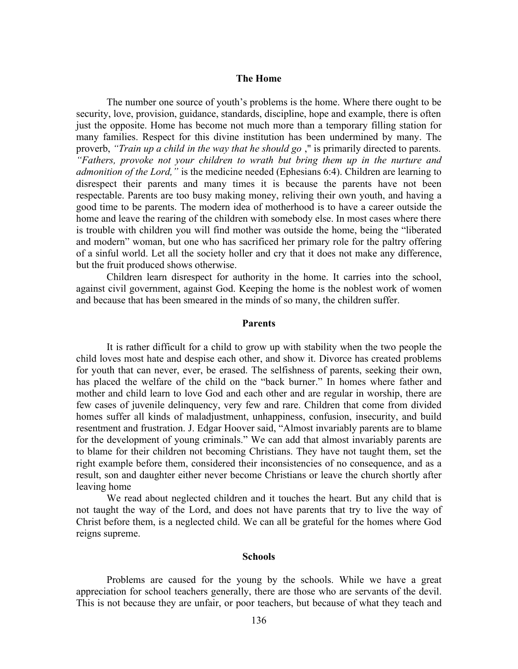#### **The Home**

The number one source of youth's problems is the home. Where there ought to be security, love, provision, guidance, standards, discipline, hope and example, there is often just the opposite. Home has become not much more than a temporary filling station for many families. Respect for this divine institution has been undermined by many. The proverb, *"Train up a child in the way that he should go* ," is primarily directed to parents. *"Fathers, provoke not your children to wrath but bring them up in the nurture and admonition of the Lord,"* is the medicine needed (Ephesians 6:4). Children are learning to disrespect their parents and many times it is because the parents have not been respectable. Parents are too busy making money, reliving their own youth, and having a good time to be parents. The modern idea of motherhood is to have a career outside the home and leave the rearing of the children with somebody else. In most cases where there is trouble with children you will find mother was outside the home, being the "liberated and modern" woman, but one who has sacrificed her primary role for the paltry offering of a sinful world. Let all the society holler and cry that it does not make any difference, but the fruit produced shows otherwise.

Children learn disrespect for authority in the home. It carries into the school, against civil government, against God. Keeping the home is the noblest work of women and because that has been smeared in the minds of so many, the children suffer.

#### **Parents**

It is rather difficult for a child to grow up with stability when the two people the child loves most hate and despise each other, and show it. Divorce has created problems for youth that can never, ever, be erased. The selfishness of parents, seeking their own, has placed the welfare of the child on the "back burner." In homes where father and mother and child learn to love God and each other and are regular in worship, there are few cases of juvenile delinquency, very few and rare. Children that come from divided homes suffer all kinds of maladjustment, unhappiness, confusion, insecurity, and build resentment and frustration. J. Edgar Hoover said, "Almost invariably parents are to blame for the development of young criminals." We can add that almost invariably parents are to blame for their children not becoming Christians. They have not taught them, set the right example before them, considered their inconsistencies of no consequence, and as a result, son and daughter either never become Christians or leave the church shortly after leaving home

We read about neglected children and it touches the heart. But any child that is not taught the way of the Lord, and does not have parents that try to live the way of Christ before them, is a neglected child. We can all be grateful for the homes where God reigns supreme.

#### **Schools**

Problems are caused for the young by the schools. While we have a great appreciation for school teachers generally, there are those who are servants of the devil. This is not because they are unfair, or poor teachers, but because of what they teach and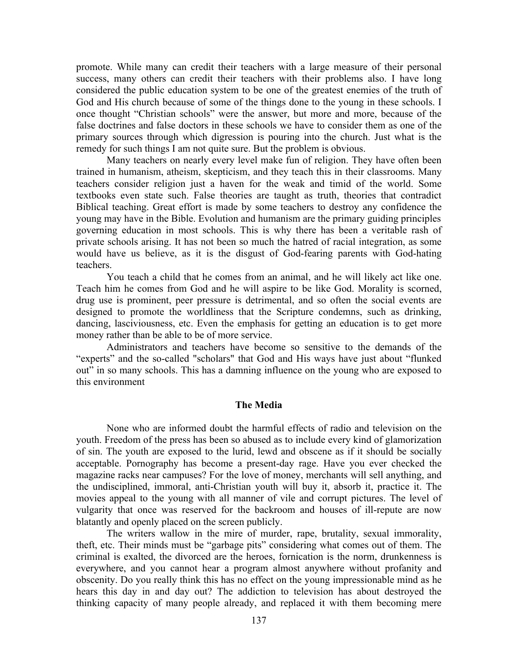promote. While many can credit their teachers with a large measure of their personal success, many others can credit their teachers with their problems also. I have long considered the public education system to be one of the greatest enemies of the truth of God and His church because of some of the things done to the young in these schools. I once thought "Christian schools" were the answer, but more and more, because of the false doctrines and false doctors in these schools we have to consider them as one of the primary sources through which digression is pouring into the church. Just what is the remedy for such things I am not quite sure. But the problem is obvious.

Many teachers on nearly every level make fun of religion. They have often been trained in humanism, atheism, skepticism, and they teach this in their classrooms. Many teachers consider religion just a haven for the weak and timid of the world. Some textbooks even state such. False theories are taught as truth, theories that contradict Biblical teaching. Great effort is made by some teachers to destroy any confidence the young may have in the Bible. Evolution and humanism are the primary guiding principles governing education in most schools. This is why there has been a veritable rash of private schools arising. It has not been so much the hatred of racial integration, as some would have us believe, as it is the disgust of God-fearing parents with God-hating teachers.

You teach a child that he comes from an animal, and he will likely act like one. Teach him he comes from God and he will aspire to be like God. Morality is scorned, drug use is prominent, peer pressure is detrimental, and so often the social events are designed to promote the worldliness that the Scripture condemns, such as drinking, dancing, lasciviousness, etc. Even the emphasis for getting an education is to get more money rather than be able to be of more service.

Administrators and teachers have become so sensitive to the demands of the "experts" and the so-called "scholars" that God and His ways have just about "flunked out" in so many schools. This has a damning influence on the young who are exposed to this environment

#### **The Media**

None who are informed doubt the harmful effects of radio and television on the youth. Freedom of the press has been so abused as to include every kind of glamorization of sin. The youth are exposed to the lurid, lewd and obscene as if it should be socially acceptable. Pornography has become a present-day rage. Have you ever checked the magazine racks near campuses? For the love of money, merchants will sell anything, and the undisciplined, immoral, anti-Christian youth will buy it, absorb it, practice it. The movies appeal to the young with all manner of vile and corrupt pictures. The level of vulgarity that once was reserved for the backroom and houses of ill-repute are now blatantly and openly placed on the screen publicly.

The writers wallow in the mire of murder, rape, brutality, sexual immorality, theft, etc. Their minds must be "garbage pits" considering what comes out of them. The criminal is exalted, the divorced are the heroes, fornication is the norm, drunkenness is everywhere, and you cannot hear a program almost anywhere without profanity and obscenity. Do you really think this has no effect on the young impressionable mind as he hears this day in and day out? The addiction to television has about destroyed the thinking capacity of many people already, and replaced it with them becoming mere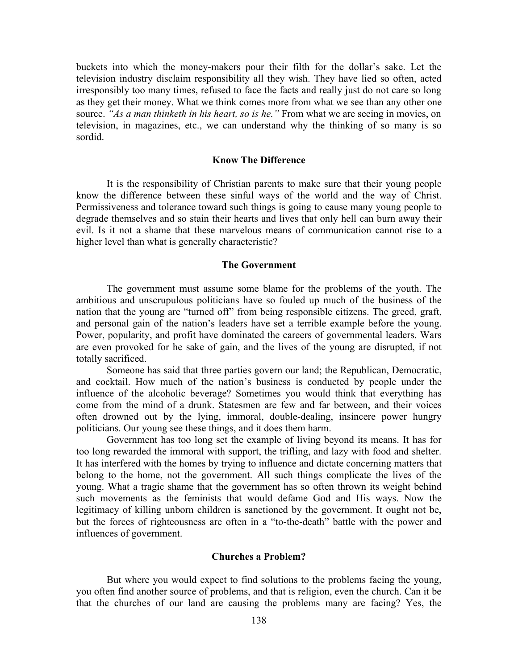buckets into which the money-makers pour their filth for the dollar's sake. Let the television industry disclaim responsibility all they wish. They have lied so often, acted irresponsibly too many times, refused to face the facts and really just do not care so long as they get their money. What we think comes more from what we see than any other one source. *"As a man thinketh in his heart, so is he."* From what we are seeing in movies, on television, in magazines, etc., we can understand why the thinking of so many is so sordid.

#### **Know The Difference**

It is the responsibility of Christian parents to make sure that their young people know the difference between these sinful ways of the world and the way of Christ. Permissiveness and tolerance toward such things is going to cause many young people to degrade themselves and so stain their hearts and lives that only hell can burn away their evil. Is it not a shame that these marvelous means of communication cannot rise to a higher level than what is generally characteristic?

#### **The Government**

The government must assume some blame for the problems of the youth. The ambitious and unscrupulous politicians have so fouled up much of the business of the nation that the young are "turned off" from being responsible citizens. The greed, graft, and personal gain of the nation's leaders have set a terrible example before the young. Power, popularity, and profit have dominated the careers of governmental leaders. Wars are even provoked for he sake of gain, and the lives of the young are disrupted, if not totally sacrificed.

Someone has said that three parties govern our land; the Republican, Democratic, and cocktail. How much of the nation's business is conducted by people under the influence of the alcoholic beverage? Sometimes you would think that everything has come from the mind of a drunk. Statesmen are few and far between, and their voices often drowned out by the lying, immoral, double-dealing, insincere power hungry politicians. Our young see these things, and it does them harm.

Government has too long set the example of living beyond its means. It has for too long rewarded the immoral with support, the trifling, and lazy with food and shelter. It has interfered with the homes by trying to influence and dictate concerning matters that belong to the home, not the government. All such things complicate the lives of the young. What a tragic shame that the government has so often thrown its weight behind such movements as the feminists that would defame God and His ways. Now the legitimacy of killing unborn children is sanctioned by the government. It ought not be, but the forces of righteousness are often in a "to-the-death" battle with the power and influences of government.

#### **Churches a Problem?**

But where you would expect to find solutions to the problems facing the young, you often find another source of problems, and that is religion, even the church. Can it be that the churches of our land are causing the problems many are facing? Yes, the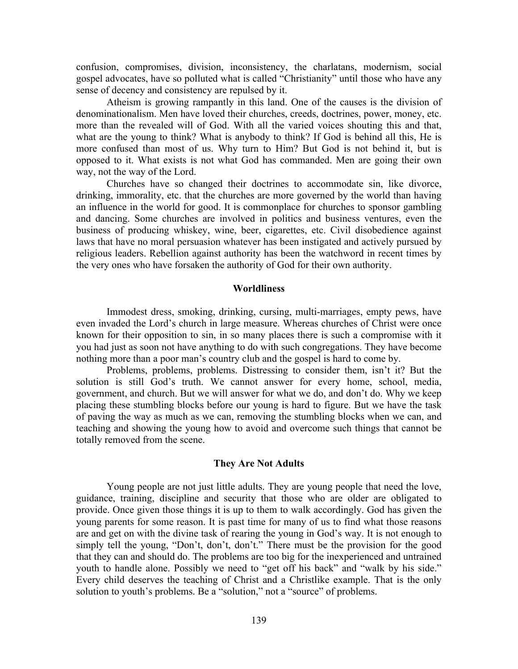confusion, compromises, division, inconsistency, the charlatans, modernism, social gospel advocates, have so polluted what is called "Christianity" until those who have any sense of decency and consistency are repulsed by it.

Atheism is growing rampantly in this land. One of the causes is the division of denominationalism. Men have loved their churches, creeds, doctrines, power, money, etc. more than the revealed will of God. With all the varied voices shouting this and that, what are the young to think? What is anybody to think? If God is behind all this, He is more confused than most of us. Why turn to Him? But God is not behind it, but is opposed to it. What exists is not what God has commanded. Men are going their own way, not the way of the Lord.

Churches have so changed their doctrines to accommodate sin, like divorce, drinking, immorality, etc. that the churches are more governed by the world than having an influence in the world for good. It is commonplace for churches to sponsor gambling and dancing. Some churches are involved in politics and business ventures, even the business of producing whiskey, wine, beer, cigarettes, etc. Civil disobedience against laws that have no moral persuasion whatever has been instigated and actively pursued by religious leaders. Rebellion against authority has been the watchword in recent times by the very ones who have forsaken the authority of God for their own authority.

#### **Worldliness**

Immodest dress, smoking, drinking, cursing, multi-marriages, empty pews, have even invaded the Lord's church in large measure. Whereas churches of Christ were once known for their opposition to sin, in so many places there is such a compromise with it you had just as soon not have anything to do with such congregations. They have become nothing more than a poor man's country club and the gospel is hard to come by.

Problems, problems, problems. Distressing to consider them, isn't it? But the solution is still God's truth. We cannot answer for every home, school, media, government, and church. But we will answer for what we do, and don't do. Why we keep placing these stumbling blocks before our young is hard to figure. But we have the task of paving the way as much as we can, removing the stumbling blocks when we can, and teaching and showing the young how to avoid and overcome such things that cannot be totally removed from the scene.

#### **They Are Not Adults**

Young people are not just little adults. They are young people that need the love, guidance, training, discipline and security that those who are older are obligated to provide. Once given those things it is up to them to walk accordingly. God has given the young parents for some reason. It is past time for many of us to find what those reasons are and get on with the divine task of rearing the young in God's way. It is not enough to simply tell the young, "Don't, don't, don't." There must be the provision for the good that they can and should do. The problems are too big for the inexperienced and untrained youth to handle alone. Possibly we need to "get off his back" and "walk by his side." Every child deserves the teaching of Christ and a Christlike example. That is the only solution to youth's problems. Be a "solution," not a "source" of problems.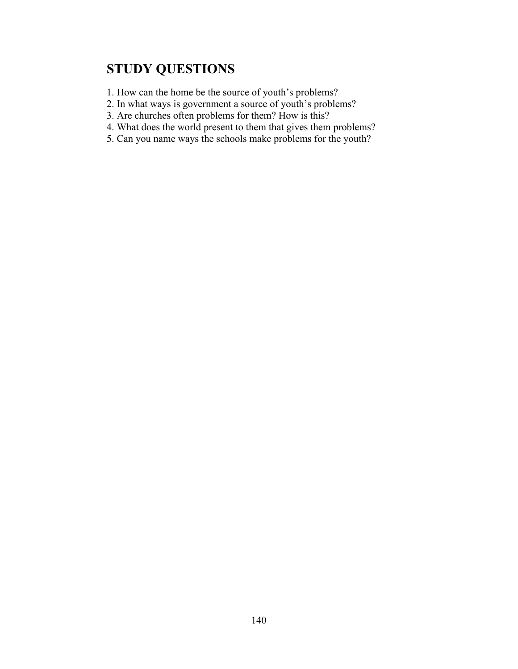## **STUDY QUESTIONS**

- 1. How can the home be the source of youth's problems?
- 2. In what ways is government a source of youth's problems?
- 3. Are churches often problems for them? How is this?
- 4. What does the world present to them that gives them problems?
- 5. Can you name ways the schools make problems for the youth?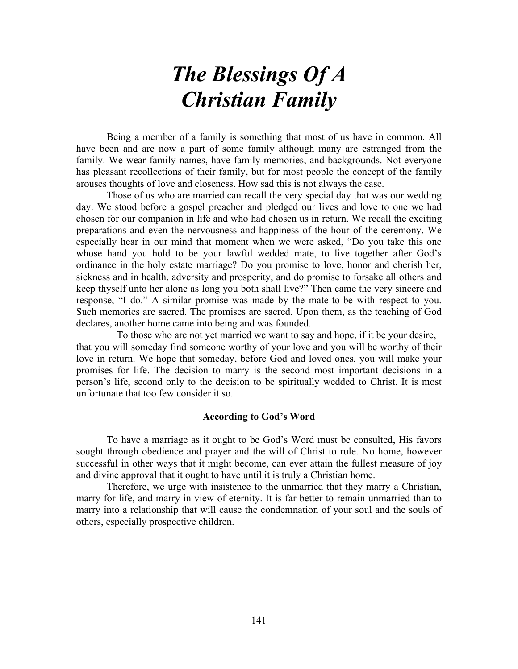# *The Blessings Of A Christian Family*

Being a member of a family is something that most of us have in common. All have been and are now a part of some family although many are estranged from the family. We wear family names, have family memories, and backgrounds. Not everyone has pleasant recollections of their family, but for most people the concept of the family arouses thoughts of love and closeness. How sad this is not always the case.

Those of us who are married can recall the very special day that was our wedding day. We stood before a gospel preacher and pledged our lives and love to one we had chosen for our companion in life and who had chosen us in return. We recall the exciting preparations and even the nervousness and happiness of the hour of the ceremony. We especially hear in our mind that moment when we were asked, "Do you take this one whose hand you hold to be your lawful wedded mate, to live together after God's ordinance in the holy estate marriage? Do you promise to love, honor and cherish her, sickness and in health, adversity and prosperity, and do promise to forsake all others and keep thyself unto her alone as long you both shall live?" Then came the very sincere and response, "I do." A similar promise was made by the mate-to-be with respect to you. Such memories are sacred. The promises are sacred. Upon them, as the teaching of God declares, another home came into being and was founded.

 To those who are not yet married we want to say and hope, if it be your desire, that you will someday find someone worthy of your love and you will be worthy of their love in return. We hope that someday, before God and loved ones, you will make your promises for life. The decision to marry is the second most important decisions in a person's life, second only to the decision to be spiritually wedded to Christ. It is most unfortunate that too few consider it so.

#### **According to God's Word**

To have a marriage as it ought to be God's Word must be consulted, His favors sought through obedience and prayer and the will of Christ to rule. No home, however successful in other ways that it might become, can ever attain the fullest measure of joy and divine approval that it ought to have until it is truly a Christian home.

Therefore, we urge with insistence to the unmarried that they marry a Christian, marry for life, and marry in view of eternity. It is far better to remain unmarried than to marry into a relationship that will cause the condemnation of your soul and the souls of others, especially prospective children.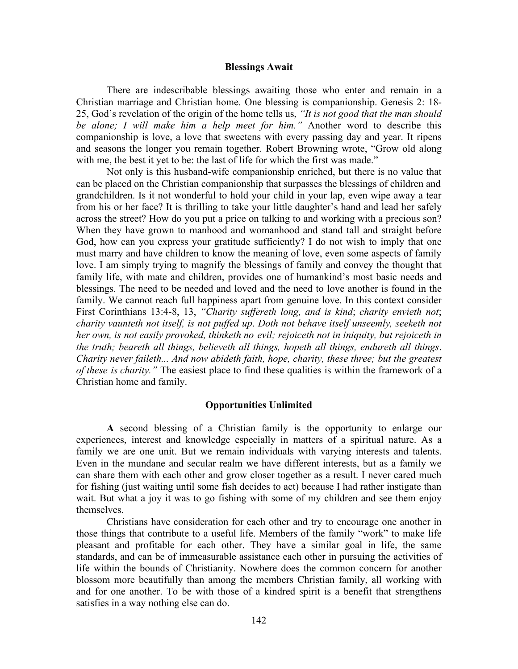#### **Blessings Await**

There are indescribable blessings awaiting those who enter and remain in a Christian marriage and Christian home. One blessing is companionship. Genesis 2: 18- 25, God's revelation of the origin of the home tells us, *"It is not good that the man should be alone; I will make him a help meet for him."* Another word to describe this companionship is love, a love that sweetens with every passing day and year. It ripens and seasons the longer you remain together. Robert Browning wrote, "Grow old along with me, the best it yet to be: the last of life for which the first was made."

Not only is this husband-wife companionship enriched, but there is no value that can be placed on the Christian companionship that surpasses the blessings of children and grandchildren. Is it not wonderful to hold your child in your lap, even wipe away a tear from his or her face? It is thrilling to take your little daughter's hand and lead her safely across the street? How do you put a price on talking to and working with a precious son? When they have grown to manhood and womanhood and stand tall and straight before God, how can you express your gratitude sufficiently? I do not wish to imply that one must marry and have children to know the meaning of love, even some aspects of family love. I am simply trying to magnify the blessings of family and convey the thought that family life, with mate and children, provides one of humankind's most basic needs and blessings. The need to be needed and loved and the need to love another is found in the family. We cannot reach full happiness apart from genuine love. In this context consider First Corinthians 13:4-8, 13, *"Charity suffereth long, and is kind*; *charity envieth not*; *charity vaunteth not itself, is not puffed up*. *Doth not behave itself unseemly, seeketh not her own, is not easily provoked, thinketh no evil; rejoiceth not in iniquity, but rejoiceth in the truth; beareth all things, believeth all things, hopeth all things, endureth all things*. *Charity never faileth... And now abideth faith, hope, charity, these three; but the greatest of these is charity."* The easiest place to find these qualities is within the framework of a Christian home and family.

#### **Opportunities Unlimited**

**A** second blessing of a Christian family is the opportunity to enlarge our experiences, interest and knowledge especially in matters of a spiritual nature. As a family we are one unit. But we remain individuals with varying interests and talents. Even in the mundane and secular realm we have different interests, but as a family we can share them with each other and grow closer together as a result. I never cared much for fishing (just waiting until some fish decides to act) because I had rather instigate than wait. But what a joy it was to go fishing with some of my children and see them enjoy themselves.

Christians have consideration for each other and try to encourage one another in those things that contribute to a useful life. Members of the family "work" to make life pleasant and profitable for each other. They have a similar goal in life, the same standards, and can be of immeasurable assistance each other in pursuing the activities of life within the bounds of Christianity. Nowhere does the common concern for another blossom more beautifully than among the members Christian family, all working with and for one another. To be with those of a kindred spirit is a benefit that strengthens satisfies in a way nothing else can do.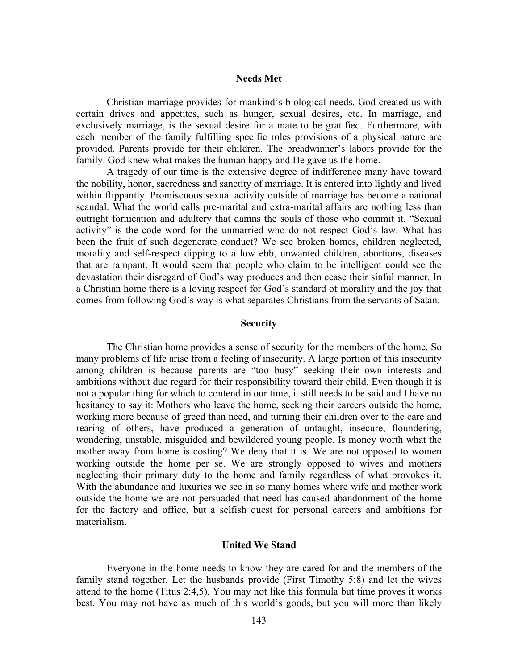#### **Needs Met**

Christian marriage provides for mankind's biological needs. God created us with certain drives and appetites, such as hunger, sexual desires, etc. In marriage, and exclusively marriage, is the sexual desire for a mate to be gratified. Furthermore, with each member of the family fulfilling specific roles provisions of a physical nature are provided. Parents provide for their children. The breadwinner's labors provide for the family. God knew what makes the human happy and He gave us the home.

A tragedy of our time is the extensive degree of indifference many have toward the nobility, honor, sacredness and sanctity of marriage. It is entered into lightly and lived within flippantly. Promiscuous sexual activity outside of marriage has become a national scandal. What the world calls pre-marital and extra-marital affairs are nothing less than outright fornication and adultery that damns the souls of those who commit it. "Sexual activity" is the code word for the unmarried who do not respect God's law. What has been the fruit of such degenerate conduct? We see broken homes, children neglected, morality and self-respect dipping to a low ebb, unwanted children, abortions, diseases that are rampant. It would seem that people who claim to be intelligent could see the devastation their disregard of God's way produces and then cease their sinful manner. In a Christian home there is a loving respect for God's standard of morality and the joy that comes from following God's way is what separates Christians from the servants of Satan.

#### **Security**

The Christian home provides a sense of security for the members of the home. So many problems of life arise from a feeling of insecurity. A large portion of this insecurity among children is because parents are "too busy" seeking their own interests and ambitions without due regard for their responsibility toward their child. Even though it is not a popular thing for which to contend in our time, it still needs to be said and I have no hesitancy to say it: Mothers who leave the home, seeking their careers outside the home, working more because of greed than need, and turning their children over to the care and rearing of others, have produced a generation of untaught, insecure, floundering, wondering, unstable, misguided and bewildered young people. Is money worth what the mother away from home is costing? We deny that it is. We are not opposed to women working outside the home per se. We are strongly opposed to wives and mothers neglecting their primary duty to the home and family regardless of what provokes it. With the abundance and luxuries we see in so many homes where wife and mother work outside the home we are not persuaded that need has caused abandonment of the home for the factory and office, but a selfish quest for personal careers and ambitions for materialism.

#### **United We Stand**

Everyone in the home needs to know they are cared for and the members of the family stand together. Let the husbands provide (First Timothy 5:8) and let the wives attend to the home (Titus 2:4,5). You may not like this formula but time proves it works best. You may not have as much of this world's goods, but you will more than likely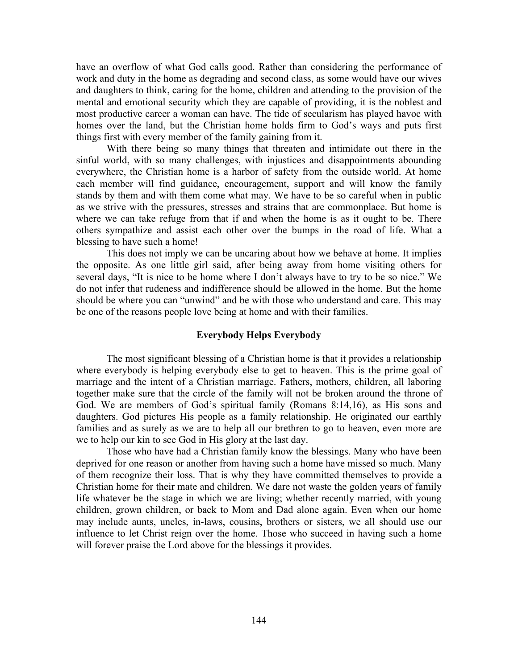have an overflow of what God calls good. Rather than considering the performance of work and duty in the home as degrading and second class, as some would have our wives and daughters to think, caring for the home, children and attending to the provision of the mental and emotional security which they are capable of providing, it is the noblest and most productive career a woman can have. The tide of secularism has played havoc with homes over the land, but the Christian home holds firm to God's ways and puts first things first with every member of the family gaining from it.

With there being so many things that threaten and intimidate out there in the sinful world, with so many challenges, with injustices and disappointments abounding everywhere, the Christian home is a harbor of safety from the outside world. At home each member will find guidance, encouragement, support and will know the family stands by them and with them come what may. We have to be so careful when in public as we strive with the pressures, stresses and strains that are commonplace. But home is where we can take refuge from that if and when the home is as it ought to be. There others sympathize and assist each other over the bumps in the road of life. What a blessing to have such a home!

This does not imply we can be uncaring about how we behave at home. It implies the opposite. As one little girl said, after being away from home visiting others for several days, "It is nice to be home where I don't always have to try to be so nice." We do not infer that rudeness and indifference should be allowed in the home. But the home should be where you can "unwind" and be with those who understand and care. This may be one of the reasons people love being at home and with their families.

#### **Everybody Helps Everybody**

The most significant blessing of a Christian home is that it provides a relationship where everybody is helping everybody else to get to heaven. This is the prime goal of marriage and the intent of a Christian marriage. Fathers, mothers, children, all laboring together make sure that the circle of the family will not be broken around the throne of God. We are members of God's spiritual family (Romans 8:14,16), as His sons and daughters. God pictures His people as a family relationship. He originated our earthly families and as surely as we are to help all our brethren to go to heaven, even more are we to help our kin to see God in His glory at the last day.

Those who have had a Christian family know the blessings. Many who have been deprived for one reason or another from having such a home have missed so much. Many of them recognize their loss. That is why they have committed themselves to provide a Christian home for their mate and children. We dare not waste the golden years of family life whatever be the stage in which we are living; whether recently married, with young children, grown children, or back to Mom and Dad alone again. Even when our home may include aunts, uncles, in-laws, cousins, brothers or sisters, we all should use our influence to let Christ reign over the home. Those who succeed in having such a home will forever praise the Lord above for the blessings it provides.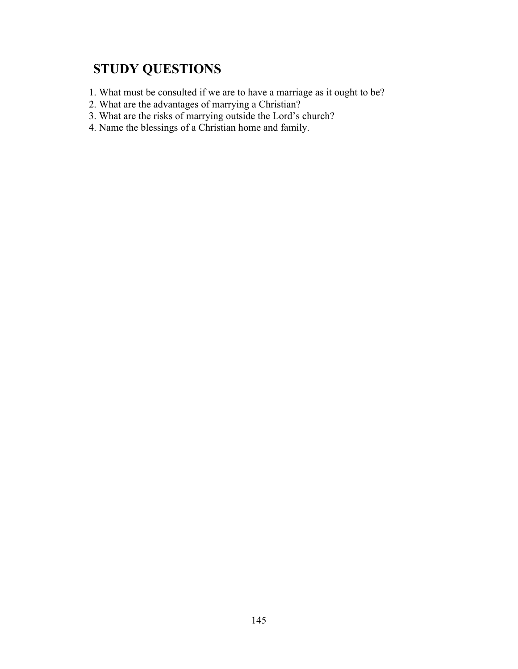## **STUDY QUESTIONS**

- 1. What must be consulted if we are to have a marriage as it ought to be?
- 2. What are the advantages of marrying a Christian?
- 3. What are the risks of marrying outside the Lord's church?
	- 4. Name the blessings of a Christian home and family.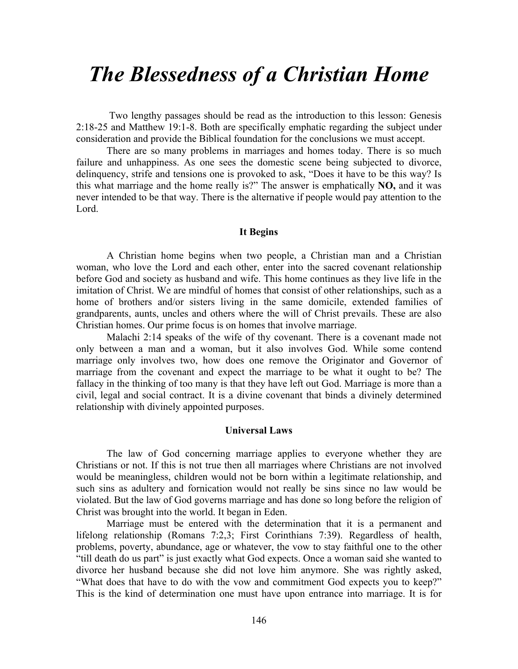# *The Blessedness of a Christian Home*

Two lengthy passages should be read as the introduction to this lesson: Genesis 2:18-25 and Matthew 19:1-8. Both are specifically emphatic regarding the subject under consideration and provide the Biblical foundation for the conclusions we must accept.

There are so many problems in marriages and homes today. There is so much failure and unhappiness. As one sees the domestic scene being subjected to divorce, delinquency, strife and tensions one is provoked to ask, "Does it have to be this way? Is this what marriage and the home really is?" The answer is emphatically **NO,** and it was never intended to be that way. There is the alternative if people would pay attention to the Lord.

### **It Begins**

A Christian home begins when two people, a Christian man and a Christian woman, who love the Lord and each other, enter into the sacred covenant relationship before God and society as husband and wife. This home continues as they live life in the imitation of Christ. We are mindful of homes that consist of other relationships, such as a home of brothers and/or sisters living in the same domicile, extended families of grandparents, aunts, uncles and others where the will of Christ prevails. These are also Christian homes. Our prime focus is on homes that involve marriage.

Malachi 2:14 speaks of the wife of thy covenant. There is a covenant made not only between a man and a woman, but it also involves God. While some contend marriage only involves two, how does one remove the Originator and Governor of marriage from the covenant and expect the marriage to be what it ought to be? The fallacy in the thinking of too many is that they have left out God. Marriage is more than a civil, legal and social contract. It is a divine covenant that binds a divinely determined relationship with divinely appointed purposes.

#### **Universal Laws**

The law of God concerning marriage applies to everyone whether they are Christians or not. If this is not true then all marriages where Christians are not involved would be meaningless, children would not be born within a legitimate relationship, and such sins as adultery and fornication would not really be sins since no law would be violated. But the law of God governs marriage and has done so long before the religion of Christ was brought into the world. It began in Eden.

Marriage must be entered with the determination that it is a permanent and lifelong relationship (Romans 7:2,3; First Corinthians 7:39). Regardless of health, problems, poverty, abundance, age or whatever, the vow to stay faithful one to the other "till death do us part" is just exactly what God expects. Once a woman said she wanted to divorce her husband because she did not love him anymore. She was rightly asked, "What does that have to do with the vow and commitment God expects you to keep?" This is the kind of determination one must have upon entrance into marriage. It is for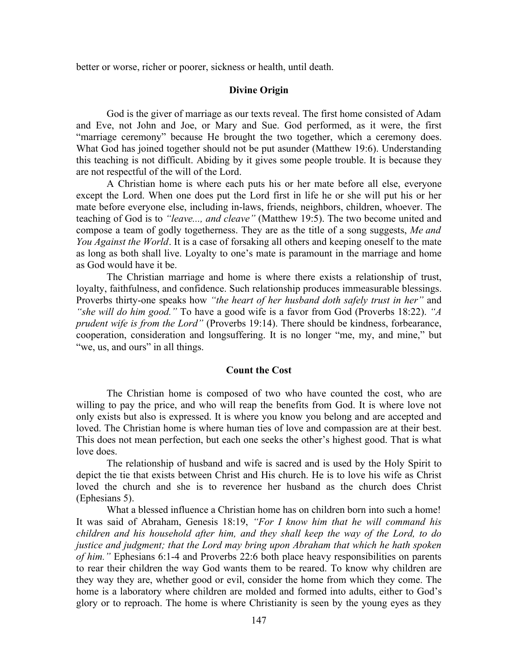better or worse, richer or poorer, sickness or health, until death.

#### **Divine Origin**

God is the giver of marriage as our texts reveal. The first home consisted of Adam and Eve, not John and Joe, or Mary and Sue. God performed, as it were, the first "marriage ceremony" because He brought the two together, which a ceremony does. What God has joined together should not be put asunder (Matthew 19:6). Understanding this teaching is not difficult. Abiding by it gives some people trouble. It is because they are not respectful of the will of the Lord.

A Christian home is where each puts his or her mate before all else, everyone except the Lord. When one does put the Lord first in life he or she will put his or her mate before everyone else, including in-laws, friends, neighbors, children, whoever. The teaching of God is to *"leave..., and cleave"* (Matthew 19:5). The two become united and compose a team of godly togetherness. They are as the title of a song suggests, *Me and You Against the World*. It is a case of forsaking all others and keeping oneself to the mate as long as both shall live. Loyalty to one's mate is paramount in the marriage and home as God would have it be.

The Christian marriage and home is where there exists a relationship of trust, loyalty, faithfulness, and confidence. Such relationship produces immeasurable blessings. Proverbs thirty-one speaks how *"the heart of her husband doth safely trust in her"* and *"she will do him good."* To have a good wife is a favor from God (Proverbs 18:22). *"A prudent wife is from the Lord"* (Proverbs 19:14). There should be kindness, forbearance, cooperation, consideration and longsuffering. It is no longer "me, my, and mine," but "we, us, and ours" in all things.

#### **Count the Cost**

The Christian home is composed of two who have counted the cost, who are willing to pay the price, and who will reap the benefits from God. It is where love not only exists but also is expressed. It is where you know you belong and are accepted and loved. The Christian home is where human ties of love and compassion are at their best. This does not mean perfection, but each one seeks the other's highest good. That is what love does.

The relationship of husband and wife is sacred and is used by the Holy Spirit to depict the tie that exists between Christ and His church. He is to love his wife as Christ loved the church and she is to reverence her husband as the church does Christ (Ephesians 5).

What a blessed influence a Christian home has on children born into such a home! It was said of Abraham, Genesis 18:19, *"For I know him that he will command his children and his household after him, and they shall keep the way of the Lord, to do justice and judgment; that the Lord may bring upon Abraham that which he hath spoken of him."* Ephesians 6:1-4 and Proverbs 22:6 both place heavy responsibilities on parents to rear their children the way God wants them to be reared. To know why children are they way they are, whether good or evil, consider the home from which they come. The home is a laboratory where children are molded and formed into adults, either to God's glory or to reproach. The home is where Christianity is seen by the young eyes as they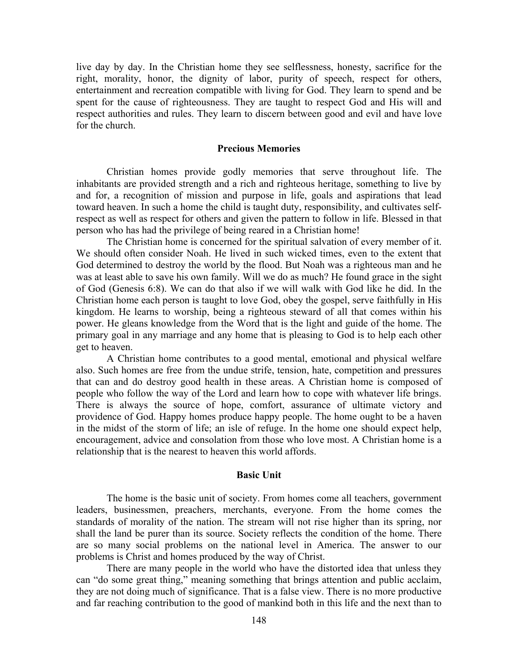live day by day. In the Christian home they see selflessness, honesty, sacrifice for the right, morality, honor, the dignity of labor, purity of speech, respect for others, entertainment and recreation compatible with living for God. They learn to spend and be spent for the cause of righteousness. They are taught to respect God and His will and respect authorities and rules. They learn to discern between good and evil and have love for the church.

#### **Precious Memories**

Christian homes provide godly memories that serve throughout life. The inhabitants are provided strength and a rich and righteous heritage, something to live by and for, a recognition of mission and purpose in life, goals and aspirations that lead toward heaven. In such a home the child is taught duty, responsibility, and cultivates selfrespect as well as respect for others and given the pattern to follow in life. Blessed in that person who has had the privilege of being reared in a Christian home!

The Christian home is concerned for the spiritual salvation of every member of it. We should often consider Noah. He lived in such wicked times, even to the extent that God determined to destroy the world by the flood. But Noah was a righteous man and he was at least able to save his own family. Will we do as much? He found grace in the sight of God (Genesis 6:8). We can do that also if we will walk with God like he did. In the Christian home each person is taught to love God, obey the gospel, serve faithfully in His kingdom. He learns to worship, being a righteous steward of all that comes within his power. He gleans knowledge from the Word that is the light and guide of the home. The primary goal in any marriage and any home that is pleasing to God is to help each other get to heaven.

A Christian home contributes to a good mental, emotional and physical welfare also. Such homes are free from the undue strife, tension, hate, competition and pressures that can and do destroy good health in these areas. A Christian home is composed of people who follow the way of the Lord and learn how to cope with whatever life brings. There is always the source of hope, comfort, assurance of ultimate victory and providence of God. Happy homes produce happy people. The home ought to be a haven in the midst of the storm of life; an isle of refuge. In the home one should expect help, encouragement, advice and consolation from those who love most. A Christian home is a relationship that is the nearest to heaven this world affords.

#### **Basic Unit**

The home is the basic unit of society. From homes come all teachers, government leaders, businessmen, preachers, merchants, everyone. From the home comes the standards of morality of the nation. The stream will not rise higher than its spring, nor shall the land be purer than its source. Society reflects the condition of the home. There are so many social problems on the national level in America. The answer to our problems is Christ and homes produced by the way of Christ.

There are many people in the world who have the distorted idea that unless they can "do some great thing," meaning something that brings attention and public acclaim, they are not doing much of significance. That is a false view. There is no more productive and far reaching contribution to the good of mankind both in this life and the next than to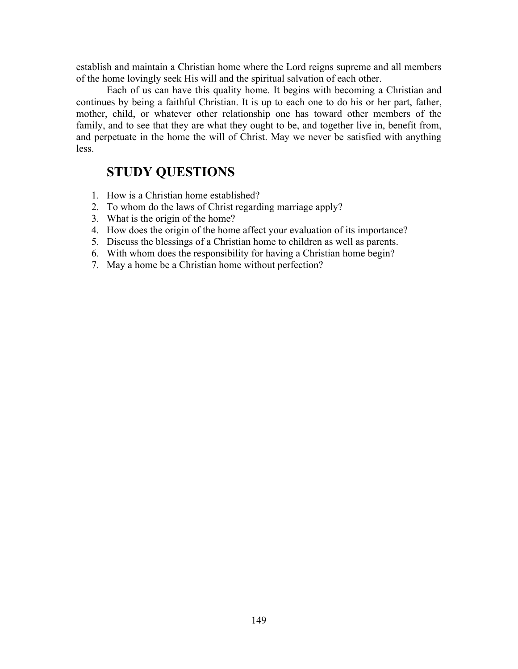establish and maintain a Christian home where the Lord reigns supreme and all members of the home lovingly seek His will and the spiritual salvation of each other.

Each of us can have this quality home. It begins with becoming a Christian and continues by being a faithful Christian. It is up to each one to do his or her part, father, mother, child, or whatever other relationship one has toward other members of the family, and to see that they are what they ought to be, and together live in, benefit from, and perpetuate in the home the will of Christ. May we never be satisfied with anything less.

## **STUDY QUESTIONS**

- 1. How is a Christian home established?
- 2. To whom do the laws of Christ regarding marriage apply?
- 3. What is the origin of the home?
- 4. How does the origin of the home affect your evaluation of its importance?
- 5. Discuss the blessings of a Christian home to children as well as parents.
- 6. With whom does the responsibility for having a Christian home begin?
- 7. May a home be a Christian home without perfection?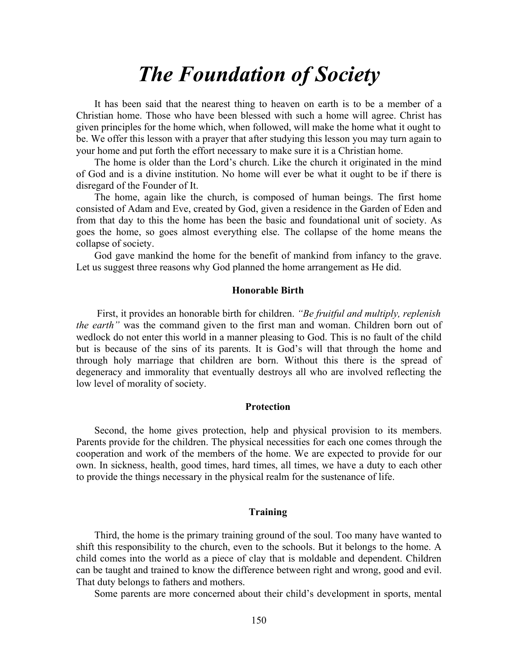# *The Foundation of Society*

It has been said that the nearest thing to heaven on earth is to be a member of a Christian home. Those who have been blessed with such a home will agree. Christ has given principles for the home which, when followed, will make the home what it ought to be. We offer this lesson with a prayer that after studying this lesson you may turn again to your home and put forth the effort necessary to make sure it is a Christian home.

The home is older than the Lord's church. Like the church it originated in the mind of God and is a divine institution. No home will ever be what it ought to be if there is disregard of the Founder of It.

The home, again like the church, is composed of human beings. The first home consisted of Adam and Eve, created by God, given a residence in the Garden of Eden and from that day to this the home has been the basic and foundational unit of society. As goes the home, so goes almost everything else. The collapse of the home means the collapse of society.

God gave mankind the home for the benefit of mankind from infancy to the grave. Let us suggest three reasons why God planned the home arrangement as He did.

#### **Honorable Birth**

First, it provides an honorable birth for children. *"Be fruitful and multiply, replenish the earth"* was the command given to the first man and woman. Children born out of wedlock do not enter this world in a manner pleasing to God. This is no fault of the child but is because of the sins of its parents. It is God's will that through the home and through holy marriage that children are born. Without this there is the spread of degeneracy and immorality that eventually destroys all who are involved reflecting the low level of morality of society.

#### **Protection**

Second, the home gives protection, help and physical provision to its members. Parents provide for the children. The physical necessities for each one comes through the cooperation and work of the members of the home. We are expected to provide for our own. In sickness, health, good times, hard times, all times, we have a duty to each other to provide the things necessary in the physical realm for the sustenance of life.

#### **Training**

Third, the home is the primary training ground of the soul. Too many have wanted to shift this responsibility to the church, even to the schools. But it belongs to the home. A child comes into the world as a piece of clay that is moldable and dependent. Children can be taught and trained to know the difference between right and wrong, good and evil. That duty belongs to fathers and mothers.

Some parents are more concerned about their child's development in sports, mental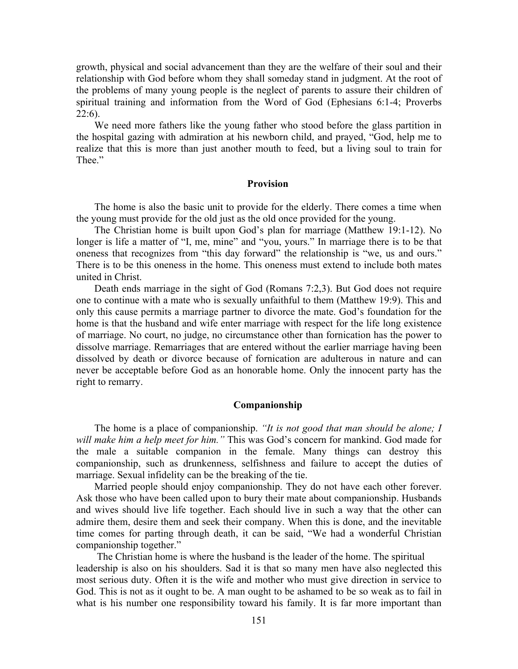growth, physical and social advancement than they are the welfare of their soul and their relationship with God before whom they shall someday stand in judgment. At the root of the problems of many young people is the neglect of parents to assure their children of spiritual training and information from the Word of God (Ephesians 6:1-4; Proverbs  $22:6$ ).

We need more fathers like the young father who stood before the glass partition in the hospital gazing with admiration at his newborn child, and prayed, "God, help me to realize that this is more than just another mouth to feed, but a living soul to train for Thee."

#### **Provision**

The home is also the basic unit to provide for the elderly. There comes a time when the young must provide for the old just as the old once provided for the young.

The Christian home is built upon God's plan for marriage (Matthew 19:1-12). No longer is life a matter of "I, me, mine" and "you, yours." In marriage there is to be that oneness that recognizes from "this day forward" the relationship is "we, us and ours." There is to be this oneness in the home. This oneness must extend to include both mates united in Christ.

Death ends marriage in the sight of God (Romans 7:2,3). But God does not require one to continue with a mate who is sexually unfaithful to them (Matthew 19:9). This and only this cause permits a marriage partner to divorce the mate. God's foundation for the home is that the husband and wife enter marriage with respect for the life long existence of marriage. No court, no judge, no circumstance other than fornication has the power to dissolve marriage. Remarriages that are entered without the earlier marriage having been dissolved by death or divorce because of fornication are adulterous in nature and can never be acceptable before God as an honorable home. Only the innocent party has the right to remarry.

#### **Companionship**

The home is a place of companionship. *"It is not good that man should be alone; I will make him a help meet for him."* This was God's concern for mankind. God made for the male a suitable companion in the female. Many things can destroy this companionship, such as drunkenness, selfishness and failure to accept the duties of marriage. Sexual infidelity can be the breaking of the tie.

Married people should enjoy companionship. They do not have each other forever. Ask those who have been called upon to bury their mate about companionship. Husbands and wives should live life together. Each should live in such a way that the other can admire them, desire them and seek their company. When this is done, and the inevitable time comes for parting through death, it can be said, "We had a wonderful Christian companionship together."

 The Christian home is where the husband is the leader of the home. The spiritual leadership is also on his shoulders. Sad it is that so many men have also neglected this most serious duty. Often it is the wife and mother who must give direction in service to God. This is not as it ought to be. A man ought to be ashamed to be so weak as to fail in what is his number one responsibility toward his family. It is far more important than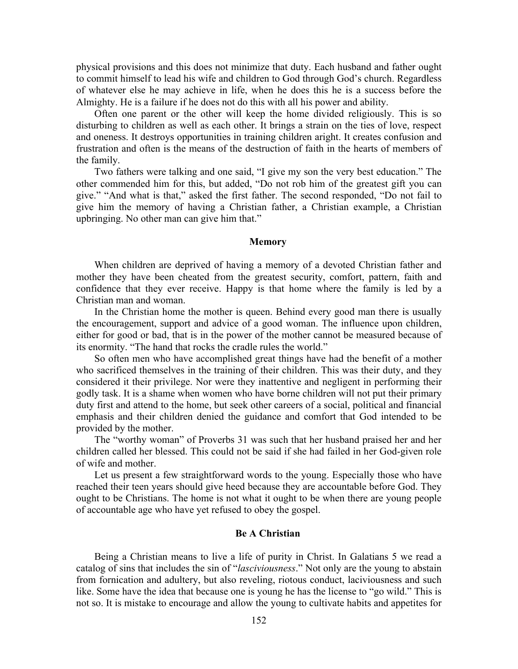physical provisions and this does not minimize that duty. Each husband and father ought to commit himself to lead his wife and children to God through God's church. Regardless of whatever else he may achieve in life, when he does this he is a success before the Almighty. He is a failure if he does not do this with all his power and ability.

Often one parent or the other will keep the home divided religiously. This is so disturbing to children as well as each other. It brings a strain on the ties of love, respect and oneness. It destroys opportunities in training children aright. It creates confusion and frustration and often is the means of the destruction of faith in the hearts of members of the family.

Two fathers were talking and one said, "I give my son the very best education." The other commended him for this, but added, "Do not rob him of the greatest gift you can give." "And what is that," asked the first father. The second responded, "Do not fail to give him the memory of having a Christian father, a Christian example, a Christian upbringing. No other man can give him that."

#### **Memory**

When children are deprived of having a memory of a devoted Christian father and mother they have been cheated from the greatest security, comfort, pattern, faith and confidence that they ever receive. Happy is that home where the family is led by a Christian man and woman.

In the Christian home the mother is queen. Behind every good man there is usually the encouragement, support and advice of a good woman. The influence upon children, either for good or bad, that is in the power of the mother cannot be measured because of its enormity. "The hand that rocks the cradle rules the world."

So often men who have accomplished great things have had the benefit of a mother who sacrificed themselves in the training of their children. This was their duty, and they considered it their privilege. Nor were they inattentive and negligent in performing their godly task. It is a shame when women who have borne children will not put their primary duty first and attend to the home, but seek other careers of a social, political and financial emphasis and their children denied the guidance and comfort that God intended to be provided by the mother.

The "worthy woman" of Proverbs 31 was such that her husband praised her and her children called her blessed. This could not be said if she had failed in her God-given role of wife and mother.

Let us present a few straightforward words to the young. Especially those who have reached their teen years should give heed because they are accountable before God. They ought to be Christians. The home is not what it ought to be when there are young people of accountable age who have yet refused to obey the gospel.

#### **Be A Christian**

Being a Christian means to live a life of purity in Christ. In Galatians 5 we read a catalog of sins that includes the sin of "*lasciviousness*." Not only are the young to abstain from fornication and adultery, but also reveling, riotous conduct, laciviousness and such like. Some have the idea that because one is young he has the license to "go wild." This is not so. It is mistake to encourage and allow the young to cultivate habits and appetites for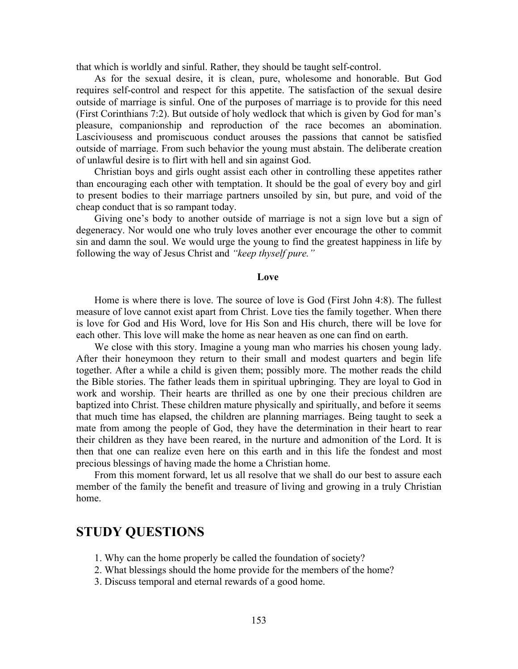that which is worldly and sinful. Rather, they should be taught self-control.

As for the sexual desire, it is clean, pure, wholesome and honorable. But God requires self-control and respect for this appetite. The satisfaction of the sexual desire outside of marriage is sinful. One of the purposes of marriage is to provide for this need (First Corinthians 7:2). But outside of holy wedlock that which is given by God for man's pleasure, companionship and reproduction of the race becomes an abomination. Lasciviousess and promiscuous conduct arouses the passions that cannot be satisfied outside of marriage. From such behavior the young must abstain. The deliberate creation of unlawful desire is to flirt with hell and sin against God.

Christian boys and girls ought assist each other in controlling these appetites rather than encouraging each other with temptation. It should be the goal of every boy and girl to present bodies to their marriage partners unsoiled by sin, but pure, and void of the cheap conduct that is so rampant today.

Giving one's body to another outside of marriage is not a sign love but a sign of degeneracy. Nor would one who truly loves another ever encourage the other to commit sin and damn the soul. We would urge the young to find the greatest happiness in life by following the way of Jesus Christ and *"keep thyself pure."*

#### **Love**

Home is where there is love. The source of love is God (First John 4:8). The fullest measure of love cannot exist apart from Christ. Love ties the family together. When there is love for God and His Word, love for His Son and His church, there will be love for each other. This love will make the home as near heaven as one can find on earth.

We close with this story. Imagine a young man who marries his chosen young lady. After their honeymoon they return to their small and modest quarters and begin life together. After a while a child is given them; possibly more. The mother reads the child the Bible stories. The father leads them in spiritual upbringing. They are loyal to God in work and worship. Their hearts are thrilled as one by one their precious children are baptized into Christ. These children mature physically and spiritually, and before it seems that much time has elapsed, the children are planning marriages. Being taught to seek a mate from among the people of God, they have the determination in their heart to rear their children as they have been reared, in the nurture and admonition of the Lord. It is then that one can realize even here on this earth and in this life the fondest and most precious blessings of having made the home a Christian home.

From this moment forward, let us all resolve that we shall do our best to assure each member of the family the benefit and treasure of living and growing in a truly Christian home.

## **STUDY QUESTIONS**

- 1. Why can the home properly be called the foundation of society?
- 2. What blessings should the home provide for the members of the home?
- 3. Discuss temporal and eternal rewards of a good home.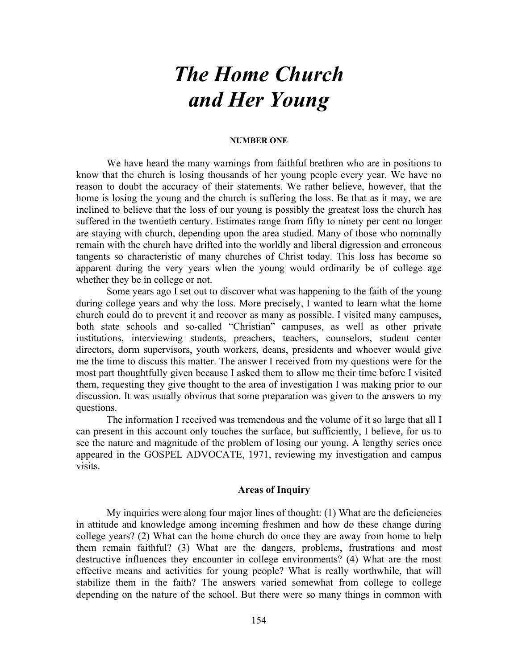# *The Home Church and Her Young*

#### **NUMBER ONE**

We have heard the many warnings from faithful brethren who are in positions to know that the church is losing thousands of her young people every year. We have no reason to doubt the accuracy of their statements. We rather believe, however, that the home is losing the young and the church is suffering the loss. Be that as it may, we are inclined to believe that the loss of our young is possibly the greatest loss the church has suffered in the twentieth century. Estimates range from fifty to ninety per cent no longer are staying with church, depending upon the area studied. Many of those who nominally remain with the church have drifted into the worldly and liberal digression and erroneous tangents so characteristic of many churches of Christ today. This loss has become so apparent during the very years when the young would ordinarily be of college age whether they be in college or not.

Some years ago I set out to discover what was happening to the faith of the young during college years and why the loss. More precisely, I wanted to learn what the home church could do to prevent it and recover as many as possible. I visited many campuses, both state schools and so-called "Christian" campuses, as well as other private institutions, interviewing students, preachers, teachers, counselors, student center directors, dorm supervisors, youth workers, deans, presidents and whoever would give me the time to discuss this matter. The answer I received from my questions were for the most part thoughtfully given because I asked them to allow me their time before I visited them, requesting they give thought to the area of investigation I was making prior to our discussion. It was usually obvious that some preparation was given to the answers to my questions.

The information I received was tremendous and the volume of it so large that all I can present in this account only touches the surface, but sufficiently, I believe, for us to see the nature and magnitude of the problem of losing our young. A lengthy series once appeared in the GOSPEL ADVOCATE, 1971, reviewing my investigation and campus visits.

### **Areas of Inquiry**

My inquiries were along four major lines of thought: (1) What are the deficiencies in attitude and knowledge among incoming freshmen and how do these change during college years? (2) What can the home church do once they are away from home to help them remain faithful? (3) What are the dangers, problems, frustrations and most destructive influences they encounter in college environments? (4) What are the most effective means and activities for young people? What is really worthwhile, that will stabilize them in the faith? The answers varied somewhat from college to college depending on the nature of the school. But there were so many things in common with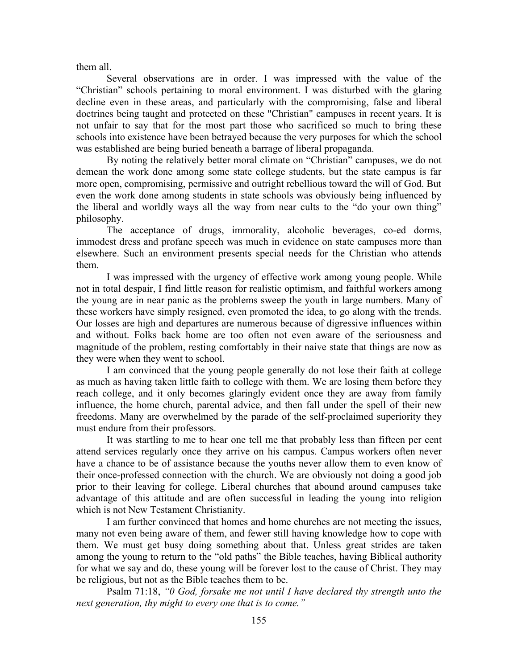#### them all.

Several observations are in order. I was impressed with the value of the "Christian" schools pertaining to moral environment. I was disturbed with the glaring decline even in these areas, and particularly with the compromising, false and liberal doctrines being taught and protected on these "Christian" campuses in recent years. It is not unfair to say that for the most part those who sacrificed so much to bring these schools into existence have been betrayed because the very purposes for which the school was established are being buried beneath a barrage of liberal propaganda.

By noting the relatively better moral climate on "Christian" campuses, we do not demean the work done among some state college students, but the state campus is far more open, compromising, permissive and outright rebellious toward the will of God. But even the work done among students in state schools was obviously being influenced by the liberal and worldly ways all the way from near cults to the "do your own thing" philosophy.

The acceptance of drugs, immorality, alcoholic beverages, co-ed dorms, immodest dress and profane speech was much in evidence on state campuses more than elsewhere. Such an environment presents special needs for the Christian who attends them.

I was impressed with the urgency of effective work among young people. While not in total despair, I find little reason for realistic optimism, and faithful workers among the young are in near panic as the problems sweep the youth in large numbers. Many of these workers have simply resigned, even promoted the idea, to go along with the trends. Our losses are high and departures are numerous because of digressive influences within and without. Folks back home are too often not even aware of the seriousness and magnitude of the problem, resting comfortably in their naive state that things are now as they were when they went to school.

I am convinced that the young people generally do not lose their faith at college as much as having taken little faith to college with them. We are losing them before they reach college, and it only becomes glaringly evident once they are away from family influence, the home church, parental advice, and then fall under the spell of their new freedoms. Many are overwhelmed by the parade of the self-proclaimed superiority they must endure from their professors.

It was startling to me to hear one tell me that probably less than fifteen per cent attend services regularly once they arrive on his campus. Campus workers often never have a chance to be of assistance because the youths never allow them to even know of their once-professed connection with the church. We are obviously not doing a good job prior to their leaving for college. Liberal churches that abound around campuses take advantage of this attitude and are often successful in leading the young into religion which is not New Testament Christianity.

I am further convinced that homes and home churches are not meeting the issues, many not even being aware of them, and fewer still having knowledge how to cope with them. We must get busy doing something about that. Unless great strides are taken among the young to return to the "old paths" the Bible teaches, having Biblical authority for what we say and do, these young will be forever lost to the cause of Christ. They may be religious, but not as the Bible teaches them to be.

Psalm 71:18, *"0 God, forsake me not until I have declared thy strength unto the next generation, thy might to every one that is to come."*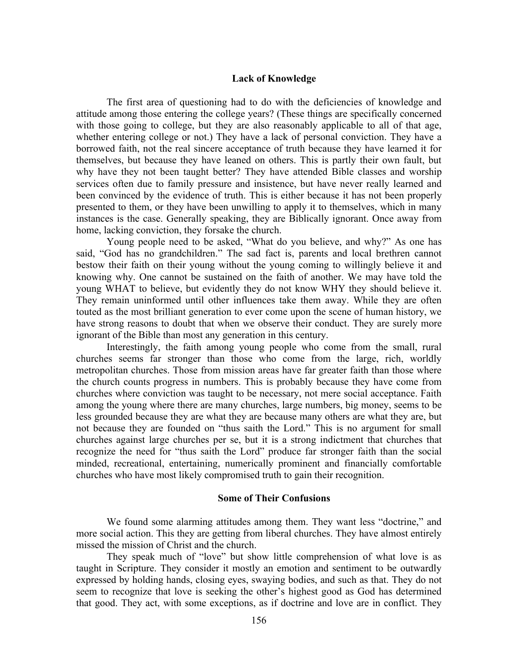### **Lack of Knowledge**

The first area of questioning had to do with the deficiencies of knowledge and attitude among those entering the college years? (These things are specifically concerned with those going to college, but they are also reasonably applicable to all of that age, whether entering college or not.) They have a lack of personal conviction. They have a borrowed faith, not the real sincere acceptance of truth because they have learned it for themselves, but because they have leaned on others. This is partly their own fault, but why have they not been taught better? They have attended Bible classes and worship services often due to family pressure and insistence, but have never really learned and been convinced by the evidence of truth. This is either because it has not been properly presented to them, or they have been unwilling to apply it to themselves, which in many instances is the case. Generally speaking, they are Biblically ignorant. Once away from home, lacking conviction, they forsake the church.

Young people need to be asked, "What do you believe, and why?" As one has said, "God has no grandchildren." The sad fact is, parents and local brethren cannot bestow their faith on their young without the young coming to willingly believe it and knowing why. One cannot be sustained on the faith of another. We may have told the young WHAT to believe, but evidently they do not know WHY they should believe it. They remain uninformed until other influences take them away. While they are often touted as the most brilliant generation to ever come upon the scene of human history, we have strong reasons to doubt that when we observe their conduct. They are surely more ignorant of the Bible than most any generation in this century.

Interestingly, the faith among young people who come from the small, rural churches seems far stronger than those who come from the large, rich, worldly metropolitan churches. Those from mission areas have far greater faith than those where the church counts progress in numbers. This is probably because they have come from churches where conviction was taught to be necessary, not mere social acceptance. Faith among the young where there are many churches, large numbers, big money, seems to be less grounded because they are what they are because many others are what they are, but not because they are founded on "thus saith the Lord." This is no argument for small churches against large churches per se, but it is a strong indictment that churches that recognize the need for "thus saith the Lord" produce far stronger faith than the social minded, recreational, entertaining, numerically prominent and financially comfortable churches who have most likely compromised truth to gain their recognition.

### **Some of Their Confusions**

We found some alarming attitudes among them. They want less "doctrine," and more social action. This they are getting from liberal churches. They have almost entirely missed the mission of Christ and the church.

They speak much of "love" but show little comprehension of what love is as taught in Scripture. They consider it mostly an emotion and sentiment to be outwardly expressed by holding hands, closing eyes, swaying bodies, and such as that. They do not seem to recognize that love is seeking the other's highest good as God has determined that good. They act, with some exceptions, as if doctrine and love are in conflict. They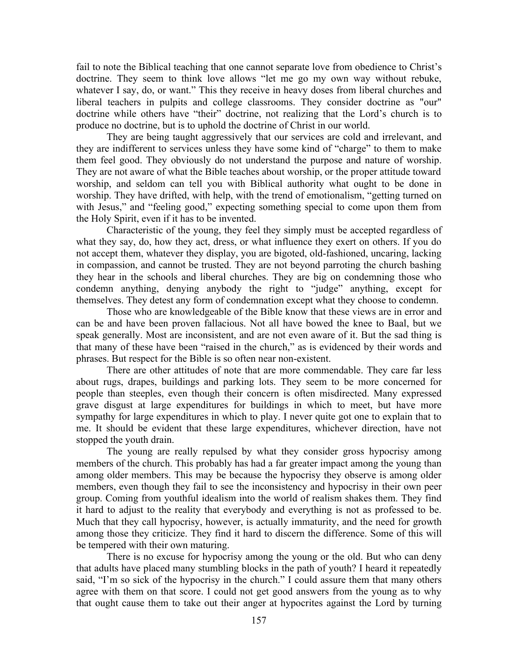fail to note the Biblical teaching that one cannot separate love from obedience to Christ's doctrine. They seem to think love allows "let me go my own way without rebuke, whatever I say, do, or want." This they receive in heavy doses from liberal churches and liberal teachers in pulpits and college classrooms. They consider doctrine as "our" doctrine while others have "their" doctrine, not realizing that the Lord's church is to produce no doctrine, but is to uphold the doctrine of Christ in our world.

They are being taught aggressively that our services are cold and irrelevant, and they are indifferent to services unless they have some kind of "charge" to them to make them feel good. They obviously do not understand the purpose and nature of worship. They are not aware of what the Bible teaches about worship, or the proper attitude toward worship, and seldom can tell you with Biblical authority what ought to be done in worship. They have drifted, with help, with the trend of emotionalism, "getting turned on with Jesus," and "feeling good," expecting something special to come upon them from the Holy Spirit, even if it has to be invented.

Characteristic of the young, they feel they simply must be accepted regardless of what they say, do, how they act, dress, or what influence they exert on others. If you do not accept them, whatever they display, you are bigoted, old-fashioned, uncaring, lacking in compassion, and cannot be trusted. They are not beyond parroting the church bashing they hear in the schools and liberal churches. They are big on condemning those who condemn anything, denying anybody the right to "judge" anything, except for themselves. They detest any form of condemnation except what they choose to condemn.

Those who are knowledgeable of the Bible know that these views are in error and can be and have been proven fallacious. Not all have bowed the knee to Baal, but we speak generally. Most are inconsistent, and are not even aware of it. But the sad thing is that many of these have been "raised in the church," as is evidenced by their words and phrases. But respect for the Bible is so often near non-existent.

There are other attitudes of note that are more commendable. They care far less about rugs, drapes, buildings and parking lots. They seem to be more concerned for people than steeples, even though their concern is often misdirected. Many expressed grave disgust at large expenditures for buildings in which to meet, but have more sympathy for large expenditures in which to play. I never quite got one to explain that to me. It should be evident that these large expenditures, whichever direction, have not stopped the youth drain.

The young are really repulsed by what they consider gross hypocrisy among members of the church. This probably has had a far greater impact among the young than among older members. This may be because the hypocrisy they observe is among older members, even though they fail to see the inconsistency and hypocrisy in their own peer group. Coming from youthful idealism into the world of realism shakes them. They find it hard to adjust to the reality that everybody and everything is not as professed to be. Much that they call hypocrisy, however, is actually immaturity, and the need for growth among those they criticize. They find it hard to discern the difference. Some of this will be tempered with their own maturing.

There is no excuse for hypocrisy among the young or the old. But who can deny that adults have placed many stumbling blocks in the path of youth? I heard it repeatedly said, "I'm so sick of the hypocrisy in the church." I could assure them that many others agree with them on that score. I could not get good answers from the young as to why that ought cause them to take out their anger at hypocrites against the Lord by turning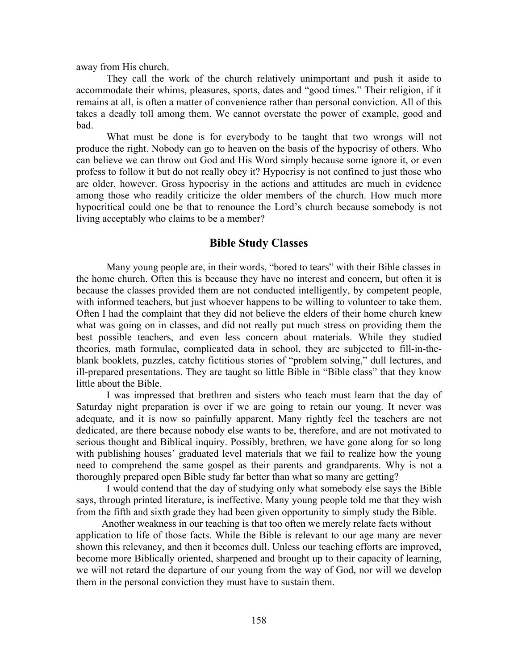away from His church.

They call the work of the church relatively unimportant and push it aside to accommodate their whims, pleasures, sports, dates and "good times." Their religion, if it remains at all, is often a matter of convenience rather than personal conviction. All of this takes a deadly toll among them. We cannot overstate the power of example, good and bad.

What must be done is for everybody to be taught that two wrongs will not produce the right. Nobody can go to heaven on the basis of the hypocrisy of others. Who can believe we can throw out God and His Word simply because some ignore it, or even profess to follow it but do not really obey it? Hypocrisy is not confined to just those who are older, however. Gross hypocrisy in the actions and attitudes are much in evidence among those who readily criticize the older members of the church. How much more hypocritical could one be that to renounce the Lord's church because somebody is not living acceptably who claims to be a member?

### **Bible Study Classes**

Many young people are, in their words, "bored to tears" with their Bible classes in the home church. Often this is because they have no interest and concern, but often it is because the classes provided them are not conducted intelligently, by competent people, with informed teachers, but just whoever happens to be willing to volunteer to take them. Often I had the complaint that they did not believe the elders of their home church knew what was going on in classes, and did not really put much stress on providing them the best possible teachers, and even less concern about materials. While they studied theories, math formulae, complicated data in school, they are subjected to fill-in-theblank booklets, puzzles, catchy fictitious stories of "problem solving," dull lectures, and ill-prepared presentations. They are taught so little Bible in "Bible class" that they know little about the Bible.

I was impressed that brethren and sisters who teach must learn that the day of Saturday night preparation is over if we are going to retain our young. It never was adequate, and it is now so painfully apparent. Many rightly feel the teachers are not dedicated, are there because nobody else wants to be, therefore, and are not motivated to serious thought and Biblical inquiry. Possibly, brethren, we have gone along for so long with publishing houses' graduated level materials that we fail to realize how the young need to comprehend the same gospel as their parents and grandparents. Why is not a thoroughly prepared open Bible study far better than what so many are getting?

I would contend that the day of studying only what somebody else says the Bible says, through printed literature, is ineffective. Many young people told me that they wish from the fifth and sixth grade they had been given opportunity to simply study the Bible.

 Another weakness in our teaching is that too often we merely relate facts without application to life of those facts. While the Bible is relevant to our age many are never shown this relevancy, and then it becomes dull. Unless our teaching efforts are improved, become more Biblically oriented, sharpened and brought up to their capacity of learning, we will not retard the departure of our young from the way of God, nor will we develop them in the personal conviction they must have to sustain them.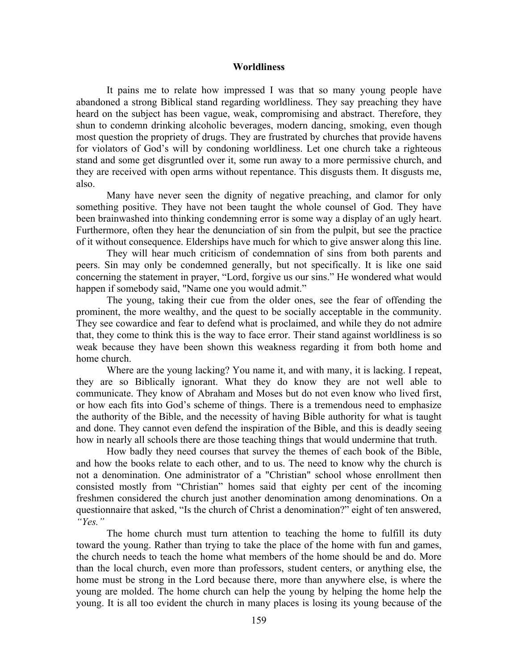#### **Worldliness**

It pains me to relate how impressed I was that so many young people have abandoned a strong Biblical stand regarding worldliness. They say preaching they have heard on the subject has been vague, weak, compromising and abstract. Therefore, they shun to condemn drinking alcoholic beverages, modern dancing, smoking, even though most question the propriety of drugs. They are frustrated by churches that provide havens for violators of God's will by condoning worldliness. Let one church take a righteous stand and some get disgruntled over it, some run away to a more permissive church, and they are received with open arms without repentance. This disgusts them. It disgusts me, also.

Many have never seen the dignity of negative preaching, and clamor for only something positive. They have not been taught the whole counsel of God. They have been brainwashed into thinking condemning error is some way a display of an ugly heart. Furthermore, often they hear the denunciation of sin from the pulpit, but see the practice of it without consequence. Elderships have much for which to give answer along this line.

They will hear much criticism of condemnation of sins from both parents and peers. Sin may only be condemned generally, but not specifically. It is like one said concerning the statement in prayer, "Lord, forgive us our sins." He wondered what would happen if somebody said, "Name one you would admit."

The young, taking their cue from the older ones, see the fear of offending the prominent, the more wealthy, and the quest to be socially acceptable in the community. They see cowardice and fear to defend what is proclaimed, and while they do not admire that, they come to think this is the way to face error. Their stand against worldliness is so weak because they have been shown this weakness regarding it from both home and home church.

Where are the young lacking? You name it, and with many, it is lacking. I repeat, they are so Biblically ignorant. What they do know they are not well able to communicate. They know of Abraham and Moses but do not even know who lived first, or how each fits into God's scheme of things. There is a tremendous need to emphasize the authority of the Bible, and the necessity of having Bible authority for what is taught and done. They cannot even defend the inspiration of the Bible, and this is deadly seeing how in nearly all schools there are those teaching things that would undermine that truth.

How badly they need courses that survey the themes of each book of the Bible, and how the books relate to each other, and to us. The need to know why the church is not a denomination. One administrator of a "Christian" school whose enrollment then consisted mostly from "Christian" homes said that eighty per cent of the incoming freshmen considered the church just another denomination among denominations. On a questionnaire that asked, "Is the church of Christ a denomination?" eight of ten answered, *"Yes."*

The home church must turn attention to teaching the home to fulfill its duty toward the young. Rather than trying to take the place of the home with fun and games, the church needs to teach the home what members of the home should be and do. More than the local church, even more than professors, student centers, or anything else, the home must be strong in the Lord because there, more than anywhere else, is where the young are molded. The home church can help the young by helping the home help the young. It is all too evident the church in many places is losing its young because of the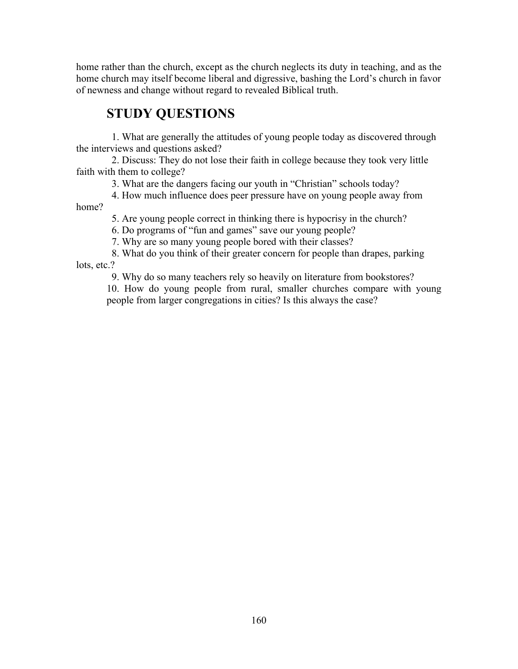home rather than the church, except as the church neglects its duty in teaching, and as the home church may itself become liberal and digressive, bashing the Lord's church in favor of newness and change without regard to revealed Biblical truth.

## **STUDY QUESTIONS**

 1. What are generally the attitudes of young people today as discovered through the interviews and questions asked?

 2. Discuss: They do not lose their faith in college because they took very little faith with them to college?

3. What are the dangers facing our youth in "Christian" schools today?

 4. How much influence does peer pressure have on young people away from home?

5. Are young people correct in thinking there is hypocrisy in the church?

6. Do programs of "fun and games" save our young people?

7. Why are so many young people bored with their classes?

 8. What do you think of their greater concern for people than drapes, parking lots, etc.?

9. Why do so many teachers rely so heavily on literature from bookstores?

10. How do young people from rural, smaller churches compare with young people from larger congregations in cities? Is this always the case?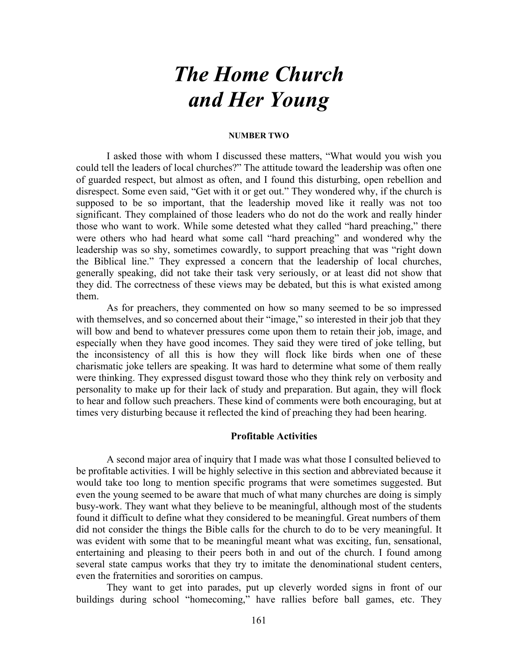# *The Home Church and Her Young*

#### **NUMBER TWO**

I asked those with whom I discussed these matters, "What would you wish you could tell the leaders of local churches?" The attitude toward the leadership was often one of guarded respect, but almost as often, and I found this disturbing, open rebellion and disrespect. Some even said, "Get with it or get out." They wondered why, if the church is supposed to be so important, that the leadership moved like it really was not too significant. They complained of those leaders who do not do the work and really hinder those who want to work. While some detested what they called "hard preaching," there were others who had heard what some call "hard preaching" and wondered why the leadership was so shy, sometimes cowardly, to support preaching that was "right down the Biblical line." They expressed a concern that the leadership of local churches, generally speaking, did not take their task very seriously, or at least did not show that they did. The correctness of these views may be debated, but this is what existed among them.

As for preachers, they commented on how so many seemed to be so impressed with themselves, and so concerned about their "image," so interested in their job that they will bow and bend to whatever pressures come upon them to retain their job, image, and especially when they have good incomes. They said they were tired of joke telling, but the inconsistency of all this is how they will flock like birds when one of these charismatic joke tellers are speaking. It was hard to determine what some of them really were thinking. They expressed disgust toward those who they think rely on verbosity and personality to make up for their lack of study and preparation. But again, they will flock to hear and follow such preachers. These kind of comments were both encouraging, but at times very disturbing because it reflected the kind of preaching they had been hearing.

#### **Profitable Activities**

A second major area of inquiry that I made was what those I consulted believed to be profitable activities. I will be highly selective in this section and abbreviated because it would take too long to mention specific programs that were sometimes suggested. But even the young seemed to be aware that much of what many churches are doing is simply busy-work. They want what they believe to be meaningful, although most of the students found it difficult to define what they considered to be meaningful. Great numbers of them did not consider the things the Bible calls for the church to do to be very meaningful. It was evident with some that to be meaningful meant what was exciting, fun, sensational, entertaining and pleasing to their peers both in and out of the church. I found among several state campus works that they try to imitate the denominational student centers, even the fraternities and sororities on campus.

They want to get into parades, put up cleverly worded signs in front of our buildings during school "homecoming," have rallies before ball games, etc. They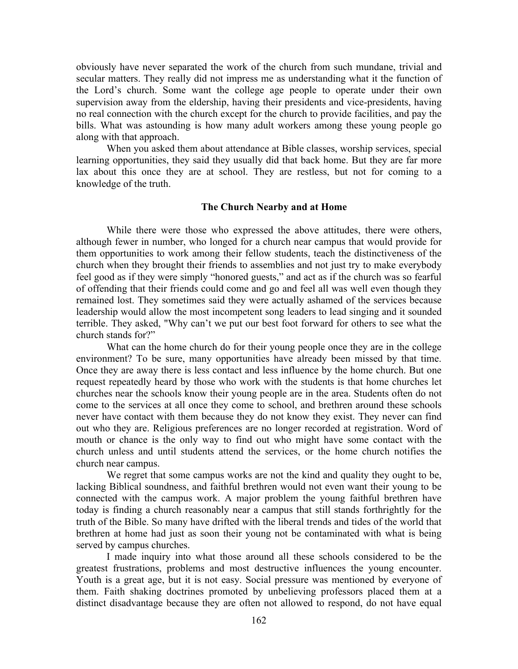obviously have never separated the work of the church from such mundane, trivial and secular matters. They really did not impress me as understanding what it the function of the Lord's church. Some want the college age people to operate under their own supervision away from the eldership, having their presidents and vice-presidents, having no real connection with the church except for the church to provide facilities, and pay the bills. What was astounding is how many adult workers among these young people go along with that approach.

When you asked them about attendance at Bible classes, worship services, special learning opportunities, they said they usually did that back home. But they are far more lax about this once they are at school. They are restless, but not for coming to a knowledge of the truth.

#### **The Church Nearby and at Home**

While there were those who expressed the above attitudes, there were others, although fewer in number, who longed for a church near campus that would provide for them opportunities to work among their fellow students, teach the distinctiveness of the church when they brought their friends to assemblies and not just try to make everybody feel good as if they were simply "honored guests," and act as if the church was so fearful of offending that their friends could come and go and feel all was well even though they remained lost. They sometimes said they were actually ashamed of the services because leadership would allow the most incompetent song leaders to lead singing and it sounded terrible. They asked, "Why can't we put our best foot forward for others to see what the church stands for?"

What can the home church do for their young people once they are in the college environment? To be sure, many opportunities have already been missed by that time. Once they are away there is less contact and less influence by the home church. But one request repeatedly heard by those who work with the students is that home churches let churches near the schools know their young people are in the area. Students often do not come to the services at all once they come to school, and brethren around these schools never have contact with them because they do not know they exist. They never can find out who they are. Religious preferences are no longer recorded at registration. Word of mouth or chance is the only way to find out who might have some contact with the church unless and until students attend the services, or the home church notifies the church near campus.

We regret that some campus works are not the kind and quality they ought to be, lacking Biblical soundness, and faithful brethren would not even want their young to be connected with the campus work. A major problem the young faithful brethren have today is finding a church reasonably near a campus that still stands forthrightly for the truth of the Bible. So many have drifted with the liberal trends and tides of the world that brethren at home had just as soon their young not be contaminated with what is being served by campus churches.

I made inquiry into what those around all these schools considered to be the greatest frustrations, problems and most destructive influences the young encounter. Youth is a great age, but it is not easy. Social pressure was mentioned by everyone of them. Faith shaking doctrines promoted by unbelieving professors placed them at a distinct disadvantage because they are often not allowed to respond, do not have equal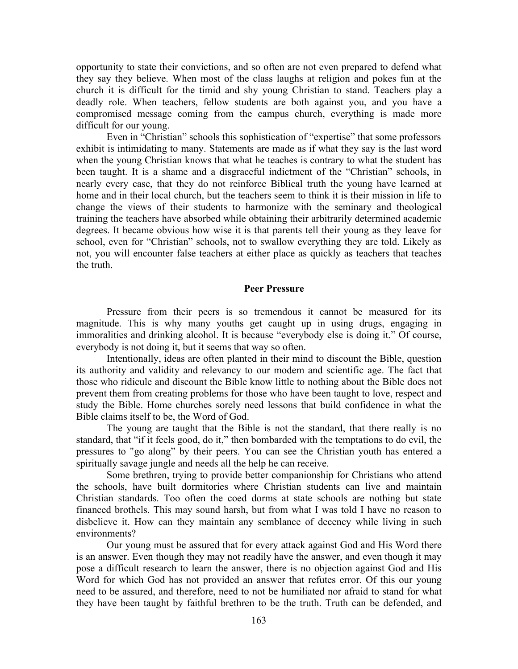opportunity to state their convictions, and so often are not even prepared to defend what they say they believe. When most of the class laughs at religion and pokes fun at the church it is difficult for the timid and shy young Christian to stand. Teachers play a deadly role. When teachers, fellow students are both against you, and you have a compromised message coming from the campus church, everything is made more difficult for our young.

Even in "Christian" schools this sophistication of "expertise" that some professors exhibit is intimidating to many. Statements are made as if what they say is the last word when the young Christian knows that what he teaches is contrary to what the student has been taught. It is a shame and a disgraceful indictment of the "Christian" schools, in nearly every case, that they do not reinforce Biblical truth the young have learned at home and in their local church, but the teachers seem to think it is their mission in life to change the views of their students to harmonize with the seminary and theological training the teachers have absorbed while obtaining their arbitrarily determined academic degrees. It became obvious how wise it is that parents tell their young as they leave for school, even for "Christian" schools, not to swallow everything they are told. Likely as not, you will encounter false teachers at either place as quickly as teachers that teaches the truth.

### **Peer Pressure**

Pressure from their peers is so tremendous it cannot be measured for its magnitude. This is why many youths get caught up in using drugs, engaging in immoralities and drinking alcohol. It is because "everybody else is doing it." Of course, everybody is not doing it, but it seems that way so often.

Intentionally, ideas are often planted in their mind to discount the Bible, question its authority and validity and relevancy to our modem and scientific age. The fact that those who ridicule and discount the Bible know little to nothing about the Bible does not prevent them from creating problems for those who have been taught to love, respect and study the Bible. Home churches sorely need lessons that build confidence in what the Bible claims itself to be, the Word of God.

The young are taught that the Bible is not the standard, that there really is no standard, that "if it feels good, do it," then bombarded with the temptations to do evil, the pressures to "go along" by their peers. You can see the Christian youth has entered a spiritually savage jungle and needs all the help he can receive.

Some brethren, trying to provide better companionship for Christians who attend the schools, have built dormitories where Christian students can live and maintain Christian standards. Too often the coed dorms at state schools are nothing but state financed brothels. This may sound harsh, but from what I was told I have no reason to disbelieve it. How can they maintain any semblance of decency while living in such environments?

Our young must be assured that for every attack against God and His Word there is an answer. Even though they may not readily have the answer, and even though it may pose a difficult research to learn the answer, there is no objection against God and His Word for which God has not provided an answer that refutes error. Of this our young need to be assured, and therefore, need to not be humiliated nor afraid to stand for what they have been taught by faithful brethren to be the truth. Truth can be defended, and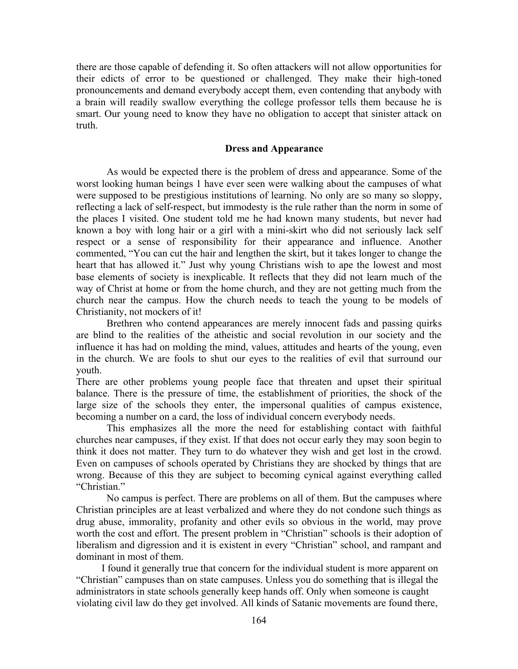there are those capable of defending it. So often attackers will not allow opportunities for their edicts of error to be questioned or challenged. They make their high-toned pronouncements and demand everybody accept them, even contending that anybody with a brain will readily swallow everything the college professor tells them because he is smart. Our young need to know they have no obligation to accept that sinister attack on truth.

### **Dress and Appearance**

As would be expected there is the problem of dress and appearance. Some of the worst looking human beings 1 have ever seen were walking about the campuses of what were supposed to be prestigious institutions of learning. No only are so many so sloppy, reflecting a lack of self-respect, but immodesty is the rule rather than the norm in some of the places I visited. One student told me he had known many students, but never had known a boy with long hair or a girl with a mini-skirt who did not seriously lack self respect or a sense of responsibility for their appearance and influence. Another commented, "You can cut the hair and lengthen the skirt, but it takes longer to change the heart that has allowed it." Just why young Christians wish to ape the lowest and most base elements of society is inexplicable. It reflects that they did not learn much of the way of Christ at home or from the home church, and they are not getting much from the church near the campus. How the church needs to teach the young to be models of Christianity, not mockers of it!

Brethren who contend appearances are merely innocent fads and passing quirks are blind to the realities of the atheistic and social revolution in our society and the influence it has had on molding the mind, values, attitudes and hearts of the young, even in the church. We are fools to shut our eyes to the realities of evil that surround our youth.

There are other problems young people face that threaten and upset their spiritual balance. There is the pressure of time, the establishment of priorities, the shock of the large size of the schools they enter, the impersonal qualities of campus existence, becoming a number on a card, the loss of individual concern everybody needs.

This emphasizes all the more the need for establishing contact with faithful churches near campuses, if they exist. If that does not occur early they may soon begin to think it does not matter. They turn to do whatever they wish and get lost in the crowd. Even on campuses of schools operated by Christians they are shocked by things that are wrong. Because of this they are subject to becoming cynical against everything called "Christian."

No campus is perfect. There are problems on all of them. But the campuses where Christian principles are at least verbalized and where they do not condone such things as drug abuse, immorality, profanity and other evils so obvious in the world, may prove worth the cost and effort. The present problem in "Christian" schools is their adoption of liberalism and digression and it is existent in every "Christian" school, and rampant and dominant in most of them.

 I found it generally true that concern for the individual student is more apparent on "Christian" campuses than on state campuses. Unless you do something that is illegal the administrators in state schools generally keep hands off. Only when someone is caught violating civil law do they get involved. All kinds of Satanic movements are found there,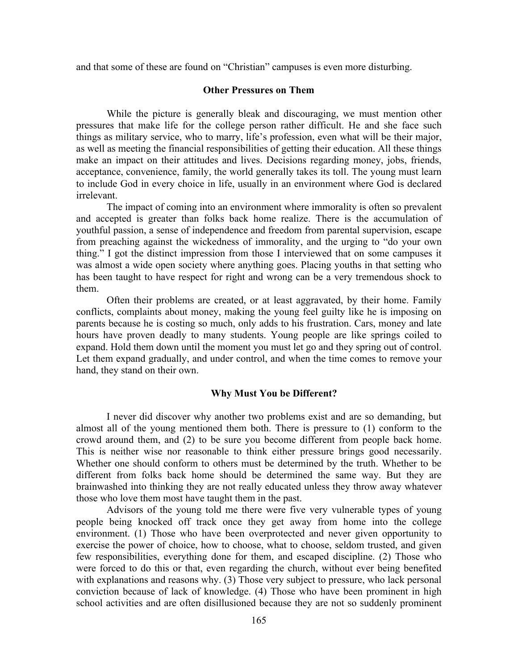and that some of these are found on "Christian" campuses is even more disturbing.

#### **Other Pressures on Them**

While the picture is generally bleak and discouraging, we must mention other pressures that make life for the college person rather difficult. He and she face such things as military service, who to marry, life's profession, even what will be their major, as well as meeting the financial responsibilities of getting their education. All these things make an impact on their attitudes and lives. Decisions regarding money, jobs, friends, acceptance, convenience, family, the world generally takes its toll. The young must learn to include God in every choice in life, usually in an environment where God is declared irrelevant.

The impact of coming into an environment where immorality is often so prevalent and accepted is greater than folks back home realize. There is the accumulation of youthful passion, a sense of independence and freedom from parental supervision, escape from preaching against the wickedness of immorality, and the urging to "do your own thing." I got the distinct impression from those I interviewed that on some campuses it was almost a wide open society where anything goes. Placing youths in that setting who has been taught to have respect for right and wrong can be a very tremendous shock to them.

Often their problems are created, or at least aggravated, by their home. Family conflicts, complaints about money, making the young feel guilty like he is imposing on parents because he is costing so much, only adds to his frustration. Cars, money and late hours have proven deadly to many students. Young people are like springs coiled to expand. Hold them down until the moment you must let go and they spring out of control. Let them expand gradually, and under control, and when the time comes to remove your hand, they stand on their own.

#### **Why Must You be Different?**

I never did discover why another two problems exist and are so demanding, but almost all of the young mentioned them both. There is pressure to (1) conform to the crowd around them, and (2) to be sure you become different from people back home. This is neither wise nor reasonable to think either pressure brings good necessarily. Whether one should conform to others must be determined by the truth. Whether to be different from folks back home should be determined the same way. But they are brainwashed into thinking they are not really educated unless they throw away whatever those who love them most have taught them in the past.

Advisors of the young told me there were five very vulnerable types of young people being knocked off track once they get away from home into the college environment. (1) Those who have been overprotected and never given opportunity to exercise the power of choice, how to choose, what to choose, seldom trusted, and given few responsibilities, everything done for them, and escaped discipline. (2) Those who were forced to do this or that, even regarding the church, without ever being benefited with explanations and reasons why. (3) Those very subject to pressure, who lack personal conviction because of lack of knowledge. (4) Those who have been prominent in high school activities and are often disillusioned because they are not so suddenly prominent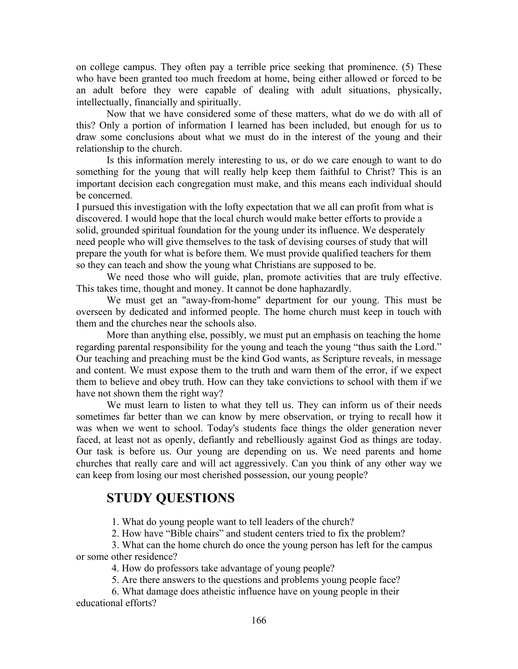on college campus. They often pay a terrible price seeking that prominence. (5) These who have been granted too much freedom at home, being either allowed or forced to be an adult before they were capable of dealing with adult situations, physically, intellectually, financially and spiritually.

Now that we have considered some of these matters, what do we do with all of this? Only a portion of information I learned has been included, but enough for us to draw some conclusions about what we must do in the interest of the young and their relationship to the church.

Is this information merely interesting to us, or do we care enough to want to do something for the young that will really help keep them faithful to Christ? This is an important decision each congregation must make, and this means each individual should be concerned.

I pursued this investigation with the lofty expectation that we all can profit from what is discovered. I would hope that the local church would make better efforts to provide a solid, grounded spiritual foundation for the young under its influence. We desperately need people who will give themselves to the task of devising courses of study that will prepare the youth for what is before them. We must provide qualified teachers for them so they can teach and show the young what Christians are supposed to be.

We need those who will guide, plan, promote activities that are truly effective. This takes time, thought and money. It cannot be done haphazardly.

We must get an "away-from-home" department for our young. This must be overseen by dedicated and informed people. The home church must keep in touch with them and the churches near the schools also.

More than anything else, possibly, we must put an emphasis on teaching the home regarding parental responsibility for the young and teach the young "thus saith the Lord." Our teaching and preaching must be the kind God wants, as Scripture reveals, in message and content. We must expose them to the truth and warn them of the error, if we expect them to believe and obey truth. How can they take convictions to school with them if we have not shown them the right way?

We must learn to listen to what they tell us. They can inform us of their needs sometimes far better than we can know by mere observation, or trying to recall how it was when we went to school. Today's students face things the older generation never faced, at least not as openly, defiantly and rebelliously against God as things are today. Our task is before us. Our young are depending on us. We need parents and home churches that really care and will act aggressively. Can you think of any other way we can keep from losing our most cherished possession, our young people?

## **STUDY QUESTIONS**

1. What do young people want to tell leaders of the church?

2. How have "Bible chairs" and student centers tried to fix the problem?

 3. What can the home church do once the young person has left for the campus or some other residence?

4. How do professors take advantage of young people?

5. Are there answers to the questions and problems young people face?

 6. What damage does atheistic influence have on young people in their educational efforts?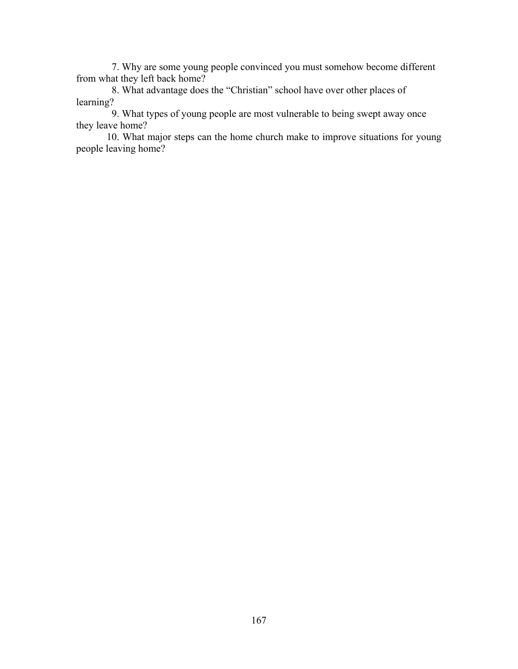7. Why are some young people convinced you must somehow become different from what they left back home?

 8. What advantage does the "Christian" school have over other places of learning?

 9. What types of young people are most vulnerable to being swept away once they leave home?

10. What major steps can the home church make to improve situations for young people leaving home?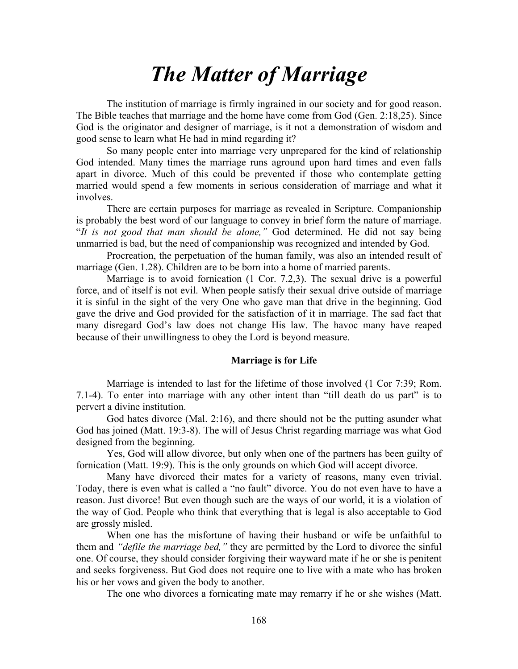# *The Matter of Marriage*

The institution of marriage is firmly ingrained in our society and for good reason. The Bible teaches that marriage and the home have come from God (Gen. 2:18,25). Since God is the originator and designer of marriage, is it not a demonstration of wisdom and good sense to learn what He had in mind regarding it?

So many people enter into marriage very unprepared for the kind of relationship God intended. Many times the marriage runs aground upon hard times and even falls apart in divorce. Much of this could be prevented if those who contemplate getting married would spend a few moments in serious consideration of marriage and what it involves.

There are certain purposes for marriage as revealed in Scripture. Companionship is probably the best word of our language to convey in brief form the nature of marriage. "*It is not good that man should be alone,"* God determined. He did not say being unmarried is bad, but the need of companionship was recognized and intended by God.

Procreation, the perpetuation of the human family, was also an intended result of marriage (Gen. 1.28). Children are to be born into a home of married parents.

Marriage is to avoid fornication (1 Cor. 7.2,3). The sexual drive is a powerful force, and of itself is not evil. When people satisfy their sexual drive outside of marriage it is sinful in the sight of the very One who gave man that drive in the beginning. God gave the drive and God provided for the satisfaction of it in marriage. The sad fact that many disregard God's law does not change His law. The havoc many have reaped because of their unwillingness to obey the Lord is beyond measure.

### **Marriage is for Life**

Marriage is intended to last for the lifetime of those involved (1 Cor 7:39; Rom. 7.1-4). To enter into marriage with any other intent than "till death do us part" is to pervert a divine institution.

God hates divorce (Mal. 2:16), and there should not be the putting asunder what God has joined (Matt. 19:3-8). The will of Jesus Christ regarding marriage was what God designed from the beginning.

Yes, God will allow divorce, but only when one of the partners has been guilty of fornication (Matt. 19:9). This is the only grounds on which God will accept divorce.

Many have divorced their mates for a variety of reasons, many even trivial. Today, there is even what is called a "no fault" divorce. You do not even have to have a reason. Just divorce! But even though such are the ways of our world, it is a violation of the way of God. People who think that everything that is legal is also acceptable to God are grossly misled.

When one has the misfortune of having their husband or wife be unfaithful to them and *"defile the marriage bed,"* they are permitted by the Lord to divorce the sinful one. Of course, they should consider forgiving their wayward mate if he or she is penitent and seeks forgiveness. But God does not require one to live with a mate who has broken his or her vows and given the body to another.

The one who divorces a fornicating mate may remarry if he or she wishes (Matt.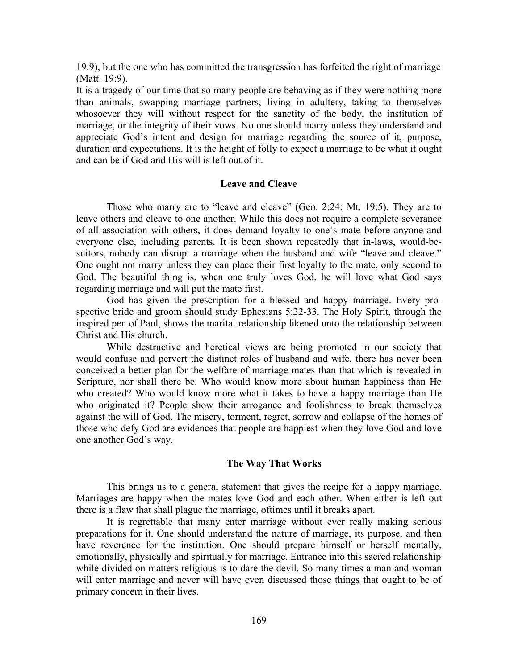19:9), but the one who has committed the transgression has forfeited the right of marriage (Matt. 19:9).

It is a tragedy of our time that so many people are behaving as if they were nothing more than animals, swapping marriage partners, living in adultery, taking to themselves whosoever they will without respect for the sanctity of the body, the institution of marriage, or the integrity of their vows. No one should marry unless they understand and appreciate God's intent and design for marriage regarding the source of it, purpose, duration and expectations. It is the height of folly to expect a marriage to be what it ought and can be if God and His will is left out of it.

#### **Leave and Cleave**

Those who marry are to "leave and cleave" (Gen. 2:24; Mt. 19:5). They are to leave others and cleave to one another. While this does not require a complete severance of all association with others, it does demand loyalty to one's mate before anyone and everyone else, including parents. It is been shown repeatedly that in-laws, would-besuitors, nobody can disrupt a marriage when the husband and wife "leave and cleave." One ought not marry unless they can place their first loyalty to the mate, only second to God. The beautiful thing is, when one truly loves God, he will love what God says regarding marriage and will put the mate first.

God has given the prescription for a blessed and happy marriage. Every prospective bride and groom should study Ephesians 5:22-33. The Holy Spirit, through the inspired pen of Paul, shows the marital relationship likened unto the relationship between Christ and His church.

While destructive and heretical views are being promoted in our society that would confuse and pervert the distinct roles of husband and wife, there has never been conceived a better plan for the welfare of marriage mates than that which is revealed in Scripture, nor shall there be. Who would know more about human happiness than He who created? Who would know more what it takes to have a happy marriage than He who originated it? People show their arrogance and foolishness to break themselves against the will of God. The misery, torment, regret, sorrow and collapse of the homes of those who defy God are evidences that people are happiest when they love God and love one another God's way.

#### **The Way That Works**

This brings us to a general statement that gives the recipe for a happy marriage. Marriages are happy when the mates love God and each other. When either is left out there is a flaw that shall plague the marriage, oftimes until it breaks apart.

It is regrettable that many enter marriage without ever really making serious preparations for it. One should understand the nature of marriage, its purpose, and then have reverence for the institution. One should prepare himself or herself mentally, emotionally, physically and spiritually for marriage. Entrance into this sacred relationship while divided on matters religious is to dare the devil. So many times a man and woman will enter marriage and never will have even discussed those things that ought to be of primary concern in their lives.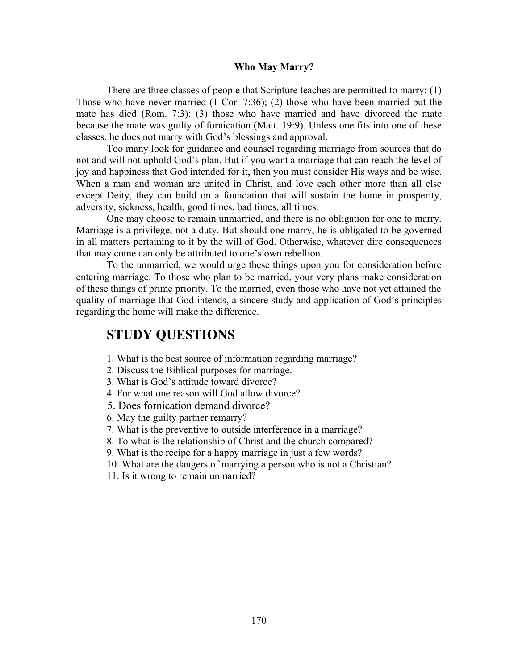#### **Who May Marry?**

There are three classes of people that Scripture teaches are permitted to marry: (1) Those who have never married (1 Cor. 7:36); (2) those who have been married but the mate has died (Rom. 7:3); (3) those who have married and have divorced the mate because the mate was guilty of fornication (Matt. 19:9). Unless one fits into one of these classes, he does not marry with God's blessings and approval.

Too many look for guidance and counsel regarding marriage from sources that do not and will not uphold God's plan. But if you want a marriage that can reach the level of joy and happiness that God intended for it, then you must consider His ways and be wise. When a man and woman are united in Christ, and love each other more than all else except Deity, they can build on a foundation that will sustain the home in prosperity, adversity, sickness, health, good times, bad times, all times.

One may choose to remain unmarried, and there is no obligation for one to marry. Marriage is a privilege, not a duty. But should one marry, he is obligated to be governed in all matters pertaining to it by the will of God. Otherwise, whatever dire consequences that may come can only be attributed to one's own rebellion.

To the unmarried, we would urge these things upon you for consideration before entering marriage. To those who plan to be married, your very plans make consideration of these things of prime priority. To the married, even those who have not yet attained the quality of marriage that God intends, a sincere study and application of God's principles regarding the home will make the difference.

## **STUDY QUESTIONS**

- 1. What is the best source of information regarding marriage?
- 2. Discuss the Biblical purposes for marriage.
- 3. What is God's attitude toward divorce?
- 4. For what one reason will God allow divorce?
- 5. Does fornication demand divorce?
- 6. May the guilty partner remarry?
- 7. What is the preventive to outside interference in a marriage?
- 8. To what is the relationship of Christ and the church compared?
- 9. What is the recipe for a happy marriage in just a few words?
- 10. What are the dangers of marrying a person who is not a Christian?
- 11. Is it wrong to remain unmarried?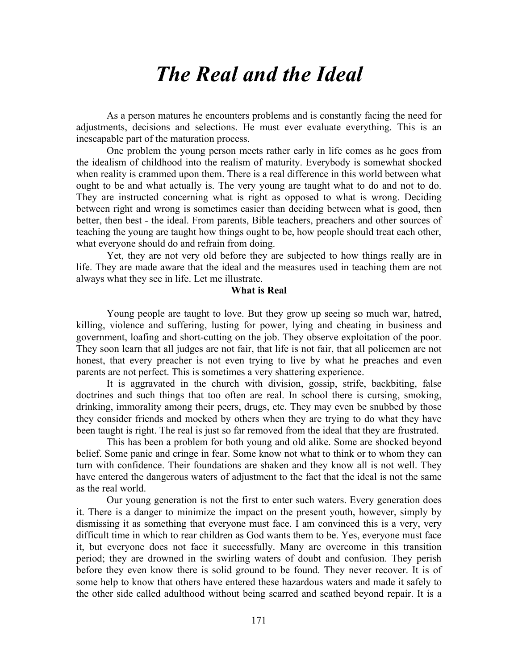# *The Real and the Ideal*

As a person matures he encounters problems and is constantly facing the need for adjustments, decisions and selections. He must ever evaluate everything. This is an inescapable part of the maturation process.

One problem the young person meets rather early in life comes as he goes from the idealism of childhood into the realism of maturity. Everybody is somewhat shocked when reality is crammed upon them. There is a real difference in this world between what ought to be and what actually is. The very young are taught what to do and not to do. They are instructed concerning what is right as opposed to what is wrong. Deciding between right and wrong is sometimes easier than deciding between what is good, then better, then best - the ideal. From parents, Bible teachers, preachers and other sources of teaching the young are taught how things ought to be, how people should treat each other, what everyone should do and refrain from doing.

Yet, they are not very old before they are subjected to how things really are in life. They are made aware that the ideal and the measures used in teaching them are not always what they see in life. Let me illustrate.

#### **What is Real**

Young people are taught to love. But they grow up seeing so much war, hatred, killing, violence and suffering, lusting for power, lying and cheating in business and government, loafing and short-cutting on the job. They observe exploitation of the poor. They soon learn that all judges are not fair, that life is not fair, that all policemen are not honest, that every preacher is not even trying to live by what he preaches and even parents are not perfect. This is sometimes a very shattering experience.

It is aggravated in the church with division, gossip, strife, backbiting, false doctrines and such things that too often are real. In school there is cursing, smoking, drinking, immorality among their peers, drugs, etc. They may even be snubbed by those they consider friends and mocked by others when they are trying to do what they have been taught is right. The real is just so far removed from the ideal that they are frustrated.

This has been a problem for both young and old alike. Some are shocked beyond belief. Some panic and cringe in fear. Some know not what to think or to whom they can turn with confidence. Their foundations are shaken and they know all is not well. They have entered the dangerous waters of adjustment to the fact that the ideal is not the same as the real world.

Our young generation is not the first to enter such waters. Every generation does it. There is a danger to minimize the impact on the present youth, however, simply by dismissing it as something that everyone must face. I am convinced this is a very, very difficult time in which to rear children as God wants them to be. Yes, everyone must face it, but everyone does not face it successfully. Many are overcome in this transition period; they are drowned in the swirling waters of doubt and confusion. They perish before they even know there is solid ground to be found. They never recover. It is of some help to know that others have entered these hazardous waters and made it safely to the other side called adulthood without being scarred and scathed beyond repair. It is a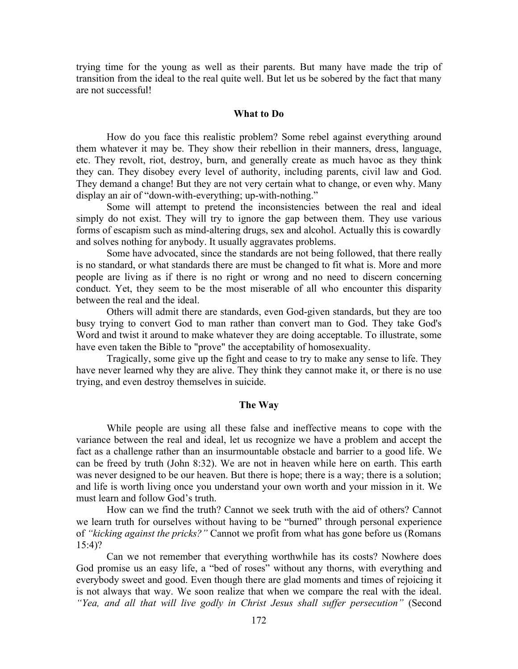trying time for the young as well as their parents. But many have made the trip of transition from the ideal to the real quite well. But let us be sobered by the fact that many are not successful!

#### **What to Do**

How do you face this realistic problem? Some rebel against everything around them whatever it may be. They show their rebellion in their manners, dress, language, etc. They revolt, riot, destroy, burn, and generally create as much havoc as they think they can. They disobey every level of authority, including parents, civil law and God. They demand a change! But they are not very certain what to change, or even why. Many display an air of "down-with-everything; up-with-nothing."

Some will attempt to pretend the inconsistencies between the real and ideal simply do not exist. They will try to ignore the gap between them. They use various forms of escapism such as mind-altering drugs, sex and alcohol. Actually this is cowardly and solves nothing for anybody. It usually aggravates problems.

Some have advocated, since the standards are not being followed, that there really is no standard, or what standards there are must be changed to fit what is. More and more people are living as if there is no right or wrong and no need to discern concerning conduct. Yet, they seem to be the most miserable of all who encounter this disparity between the real and the ideal.

Others will admit there are standards, even God-given standards, but they are too busy trying to convert God to man rather than convert man to God. They take God's Word and twist it around to make whatever they are doing acceptable. To illustrate, some have even taken the Bible to "prove" the acceptability of homosexuality.

Tragically, some give up the fight and cease to try to make any sense to life. They have never learned why they are alive. They think they cannot make it, or there is no use trying, and even destroy themselves in suicide.

#### **The Way**

While people are using all these false and ineffective means to cope with the variance between the real and ideal, let us recognize we have a problem and accept the fact as a challenge rather than an insurmountable obstacle and barrier to a good life. We can be freed by truth (John 8:32). We are not in heaven while here on earth. This earth was never designed to be our heaven. But there is hope; there is a way; there is a solution; and life is worth living once you understand your own worth and your mission in it. We must learn and follow God's truth.

How can we find the truth? Cannot we seek truth with the aid of others? Cannot we learn truth for ourselves without having to be "burned" through personal experience of *"kicking against the pricks?"* Cannot we profit from what has gone before us (Romans 15:4)?

Can we not remember that everything worthwhile has its costs? Nowhere does God promise us an easy life, a "bed of roses" without any thorns, with everything and everybody sweet and good. Even though there are glad moments and times of rejoicing it is not always that way. We soon realize that when we compare the real with the ideal. *"Yea, and all that will live godly in Christ Jesus shall suffer persecution"* (Second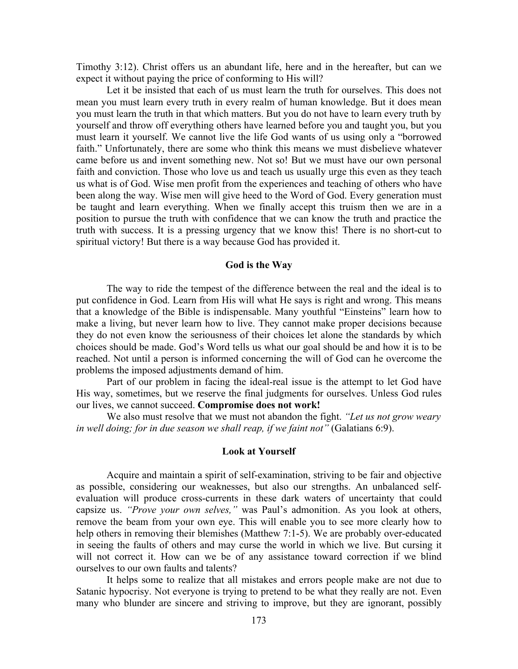Timothy 3:12). Christ offers us an abundant life, here and in the hereafter, but can we expect it without paying the price of conforming to His will?

Let it be insisted that each of us must learn the truth for ourselves. This does not mean you must learn every truth in every realm of human knowledge. But it does mean you must learn the truth in that which matters. But you do not have to learn every truth by yourself and throw off everything others have learned before you and taught you, but you must learn it yourself. We cannot live the life God wants of us using only a "borrowed faith." Unfortunately, there are some who think this means we must disbelieve whatever came before us and invent something new. Not so! But we must have our own personal faith and conviction. Those who love us and teach us usually urge this even as they teach us what is of God. Wise men profit from the experiences and teaching of others who have been along the way. Wise men will give heed to the Word of God. Every generation must be taught and learn everything. When we finally accept this truism then we are in a position to pursue the truth with confidence that we can know the truth and practice the truth with success. It is a pressing urgency that we know this! There is no short-cut to spiritual victory! But there is a way because God has provided it.

#### **God is the Way**

The way to ride the tempest of the difference between the real and the ideal is to put confidence in God. Learn from His will what He says is right and wrong. This means that a knowledge of the Bible is indispensable. Many youthful "Einsteins" learn how to make a living, but never learn how to live. They cannot make proper decisions because they do not even know the seriousness of their choices let alone the standards by which choices should be made. God's Word tells us what our goal should be and how it is to be reached. Not until a person is informed concerning the will of God can he overcome the problems the imposed adjustments demand of him.

Part of our problem in facing the ideal-real issue is the attempt to let God have His way, sometimes, but we reserve the final judgments for ourselves. Unless God rules our lives, we cannot succeed. **Compromise does not work!**

We also must resolve that we must not abandon the fight. *"Let us not grow weary in well doing; for in due season we shall reap, if we faint not"* (Galatians 6:9).

#### **Look at Yourself**

Acquire and maintain a spirit of self-examination, striving to be fair and objective as possible, considering our weaknesses, but also our strengths. An unbalanced selfevaluation will produce cross-currents in these dark waters of uncertainty that could capsize us. *"Prove your own selves,"* was Paul's admonition. As you look at others, remove the beam from your own eye. This will enable you to see more clearly how to help others in removing their blemishes (Matthew 7:1-5). We are probably over-educated in seeing the faults of others and may curse the world in which we live. But cursing it will not correct it. How can we be of any assistance toward correction if we blind ourselves to our own faults and talents?

It helps some to realize that all mistakes and errors people make are not due to Satanic hypocrisy. Not everyone is trying to pretend to be what they really are not. Even many who blunder are sincere and striving to improve, but they are ignorant, possibly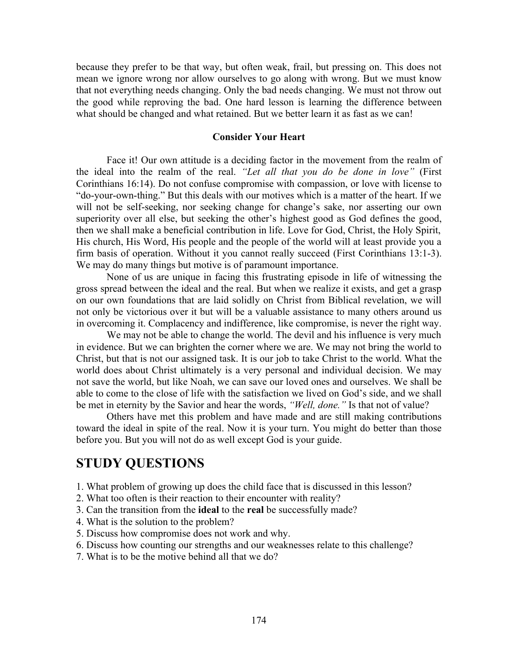because they prefer to be that way, but often weak, frail, but pressing on. This does not mean we ignore wrong nor allow ourselves to go along with wrong. But we must know that not everything needs changing. Only the bad needs changing. We must not throw out the good while reproving the bad. One hard lesson is learning the difference between what should be changed and what retained. But we better learn it as fast as we can!

#### **Consider Your Heart**

Face it! Our own attitude is a deciding factor in the movement from the realm of the ideal into the realm of the real. *"Let all that you do be done in love"* (First Corinthians 16:14). Do not confuse compromise with compassion, or love with license to "do-your-own-thing." But this deals with our motives which is a matter of the heart. If we will not be self-seeking, nor seeking change for change's sake, nor asserting our own superiority over all else, but seeking the other's highest good as God defines the good, then we shall make a beneficial contribution in life. Love for God, Christ, the Holy Spirit, His church, His Word, His people and the people of the world will at least provide you a firm basis of operation. Without it you cannot really succeed (First Corinthians 13:1-3). We may do many things but motive is of paramount importance.

None of us are unique in facing this frustrating episode in life of witnessing the gross spread between the ideal and the real. But when we realize it exists, and get a grasp on our own foundations that are laid solidly on Christ from Biblical revelation, we will not only be victorious over it but will be a valuable assistance to many others around us in overcoming it. Complacency and indifference, like compromise, is never the right way.

We may not be able to change the world. The devil and his influence is very much in evidence. But we can brighten the corner where we are. We may not bring the world to Christ, but that is not our assigned task. It is our job to take Christ to the world. What the world does about Christ ultimately is a very personal and individual decision. We may not save the world, but like Noah, we can save our loved ones and ourselves. We shall be able to come to the close of life with the satisfaction we lived on God's side, and we shall be met in eternity by the Savior and hear the words, *"Well, done."* Is that not of value?

Others have met this problem and have made and are still making contributions toward the ideal in spite of the real. Now it is your turn. You might do better than those before you. But you will not do as well except God is your guide.

## **STUDY QUESTIONS**

- 1. What problem of growing up does the child face that is discussed in this lesson?
- 2. What too often is their reaction to their encounter with reality?
- 3. Can the transition from the **ideal** to the **real** be successfully made?
- 4. What is the solution to the problem?
- 5. Discuss how compromise does not work and why.
- 6. Discuss how counting our strengths and our weaknesses relate to this challenge?
- 7. What is to be the motive behind all that we do?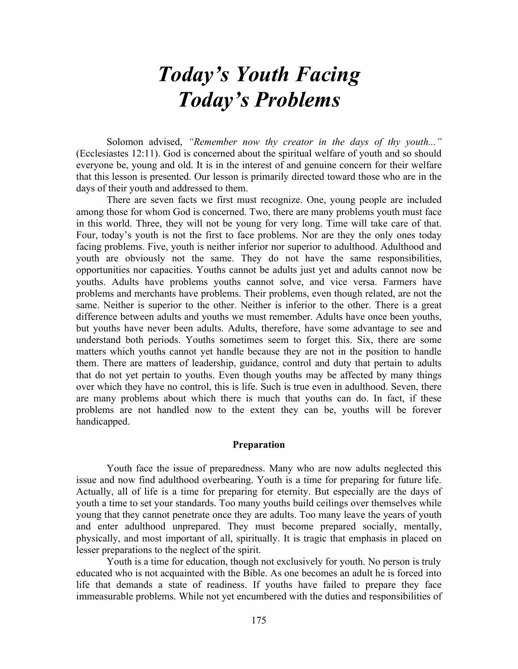# *Today's Youth Facing Today's Problems*

Solomon advised, *"Remember now thy creator in the days of thy youth..."* (Ecclesiastes 12:11). God is concerned about the spiritual welfare of youth and so should everyone be, young and old. It is in the interest of and genuine concern for their welfare that this lesson is presented. Our lesson is primarily directed toward those who are in the days of their youth and addressed to them.

There are seven facts we first must recognize. One, young people are included among those for whom God is concerned. Two, there are many problems youth must face in this world. Three, they will not be young for very long. Time will take care of that. Four, today's youth is not the first to face problems. Nor are they the only ones today facing problems. Five, youth is neither inferior nor superior to adulthood. Adulthood and youth are obviously not the same. They do not have the same responsibilities, opportunities nor capacities. Youths cannot be adults just yet and adults cannot now be youths. Adults have problems youths cannot solve, and vice versa. Farmers have problems and merchants have problems. Their problems, even though related, are not the same. Neither is superior to the other. Neither is inferior to the other. There is a great difference between adults and youths we must remember. Adults have once been youths, but youths have never been adults. Adults, therefore, have some advantage to see and understand both periods. Youths sometimes seem to forget this. Six, there are some matters which youths cannot yet handle because they are not in the position to handle them. There are matters of leadership, guidance, control and duty that pertain to adults that do not yet pertain to youths. Even though youths may be affected by many things over which they have no control, this is life. Such is true even in adulthood. Seven, there are many problems about which there is much that youths can do. In fact, if these problems are not handled now to the extent they can be, youths will be forever handicapped.

#### **Preparation**

Youth face the issue of preparedness. Many who are now adults neglected this issue and now find adulthood overbearing. Youth is a time for preparing for future life. Actually, all of life is a time for preparing for eternity. But especially are the days of youth a time to set your standards. Too many youths build ceilings over themselves while young that they cannot penetrate once they are adults. Too many leave the years of youth and enter adulthood unprepared. They must become prepared socially, mentally, physically, and most important of all, spiritually. It is tragic that emphasis in placed on lesser preparations to the neglect of the spirit.

Youth is a time for education, though not exclusively for youth. No person is truly educated who is not acquainted with the Bible. As one becomes an adult he is forced into life that demands a state of readiness. If youths have failed to prepare they face immeasurable problems. While not yet encumbered with the duties and responsibilities of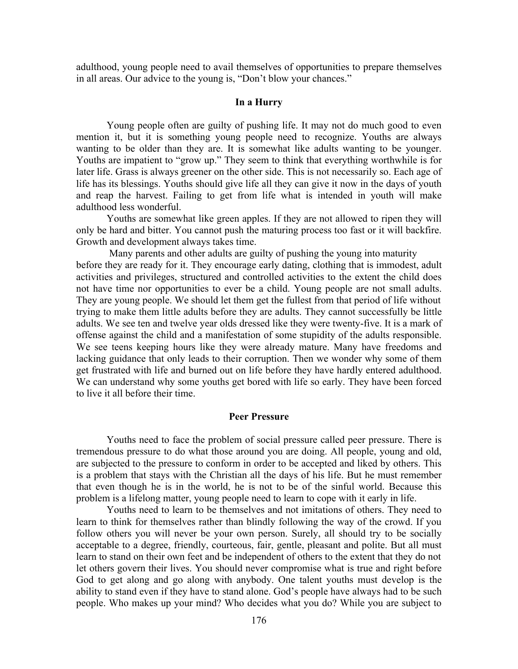adulthood, young people need to avail themselves of opportunities to prepare themselves in all areas. Our advice to the young is, "Don't blow your chances."

### **In a Hurry**

Young people often are guilty of pushing life. It may not do much good to even mention it, but it is something young people need to recognize. Youths are always wanting to be older than they are. It is somewhat like adults wanting to be younger. Youths are impatient to "grow up." They seem to think that everything worthwhile is for later life. Grass is always greener on the other side. This is not necessarily so. Each age of life has its blessings. Youths should give life all they can give it now in the days of youth and reap the harvest. Failing to get from life what is intended in youth will make adulthood less wonderful.

Youths are somewhat like green apples. If they are not allowed to ripen they will only be hard and bitter. You cannot push the maturing process too fast or it will backfire. Growth and development always takes time.

 Many parents and other adults are guilty of pushing the young into maturity before they are ready for it. They encourage early dating, clothing that is immodest, adult activities and privileges, structured and controlled activities to the extent the child does not have time nor opportunities to ever be a child. Young people are not small adults. They are young people. We should let them get the fullest from that period of life without trying to make them little adults before they are adults. They cannot successfully be little adults. We see ten and twelve year olds dressed like they were twenty-five. It is a mark of offense against the child and a manifestation of some stupidity of the adults responsible. We see teens keeping hours like they were already mature. Many have freedoms and lacking guidance that only leads to their corruption. Then we wonder why some of them get frustrated with life and burned out on life before they have hardly entered adulthood. We can understand why some youths get bored with life so early. They have been forced to live it all before their time.

#### **Peer Pressure**

Youths need to face the problem of social pressure called peer pressure. There is tremendous pressure to do what those around you are doing. All people, young and old, are subjected to the pressure to conform in order to be accepted and liked by others. This is a problem that stays with the Christian all the days of his life. But he must remember that even though he is in the world, he is not to be of the sinful world. Because this problem is a lifelong matter, young people need to learn to cope with it early in life.

Youths need to learn to be themselves and not imitations of others. They need to learn to think for themselves rather than blindly following the way of the crowd. If you follow others you will never be your own person. Surely, all should try to be socially acceptable to a degree, friendly, courteous, fair, gentle, pleasant and polite. But all must learn to stand on their own feet and be independent of others to the extent that they do not let others govern their lives. You should never compromise what is true and right before God to get along and go along with anybody. One talent youths must develop is the ability to stand even if they have to stand alone. God's people have always had to be such people. Who makes up your mind? Who decides what you do? While you are subject to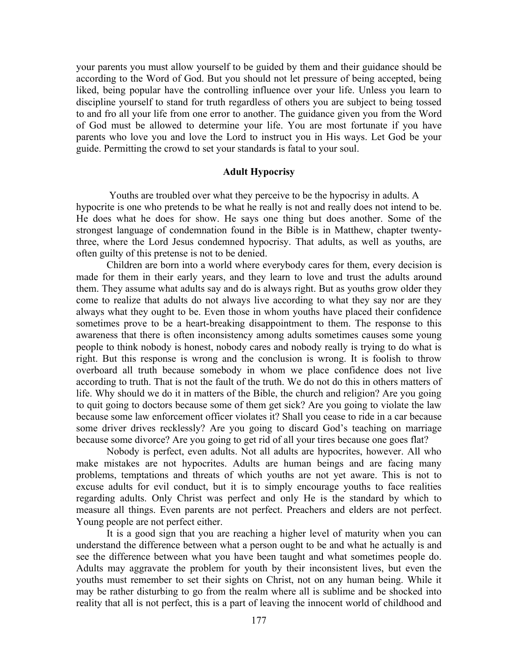your parents you must allow yourself to be guided by them and their guidance should be according to the Word of God. But you should not let pressure of being accepted, being liked, being popular have the controlling influence over your life. Unless you learn to discipline yourself to stand for truth regardless of others you are subject to being tossed to and fro all your life from one error to another. The guidance given you from the Word of God must be allowed to determine your life. You are most fortunate if you have parents who love you and love the Lord to instruct you in His ways. Let God be your guide. Permitting the crowd to set your standards is fatal to your soul.

### **Adult Hypocrisy**

 Youths are troubled over what they perceive to be the hypocrisy in adults. A hypocrite is one who pretends to be what he really is not and really does not intend to be. He does what he does for show. He says one thing but does another. Some of the strongest language of condemnation found in the Bible is in Matthew, chapter twentythree, where the Lord Jesus condemned hypocrisy. That adults, as well as youths, are often guilty of this pretense is not to be denied.

Children are born into a world where everybody cares for them, every decision is made for them in their early years, and they learn to love and trust the adults around them. They assume what adults say and do is always right. But as youths grow older they come to realize that adults do not always live according to what they say nor are they always what they ought to be. Even those in whom youths have placed their confidence sometimes prove to be a heart-breaking disappointment to them. The response to this awareness that there is often inconsistency among adults sometimes causes some young people to think nobody is honest, nobody cares and nobody really is trying to do what is right. But this response is wrong and the conclusion is wrong. It is foolish to throw overboard all truth because somebody in whom we place confidence does not live according to truth. That is not the fault of the truth. We do not do this in others matters of life. Why should we do it in matters of the Bible, the church and religion? Are you going to quit going to doctors because some of them get sick? Are you going to violate the law because some law enforcement officer violates it? Shall you cease to ride in a car because some driver drives recklessly? Are you going to discard God's teaching on marriage because some divorce? Are you going to get rid of all your tires because one goes flat?

Nobody is perfect, even adults. Not all adults are hypocrites, however. All who make mistakes are not hypocrites. Adults are human beings and are facing many problems, temptations and threats of which youths are not yet aware. This is not to excuse adults for evil conduct, but it is to simply encourage youths to face realities regarding adults. Only Christ was perfect and only He is the standard by which to measure all things. Even parents are not perfect. Preachers and elders are not perfect. Young people are not perfect either.

It is a good sign that you are reaching a higher level of maturity when you can understand the difference between what a person ought to be and what he actually is and see the difference between what you have been taught and what sometimes people do. Adults may aggravate the problem for youth by their inconsistent lives, but even the youths must remember to set their sights on Christ, not on any human being. While it may be rather disturbing to go from the realm where all is sublime and be shocked into reality that all is not perfect, this is a part of leaving the innocent world of childhood and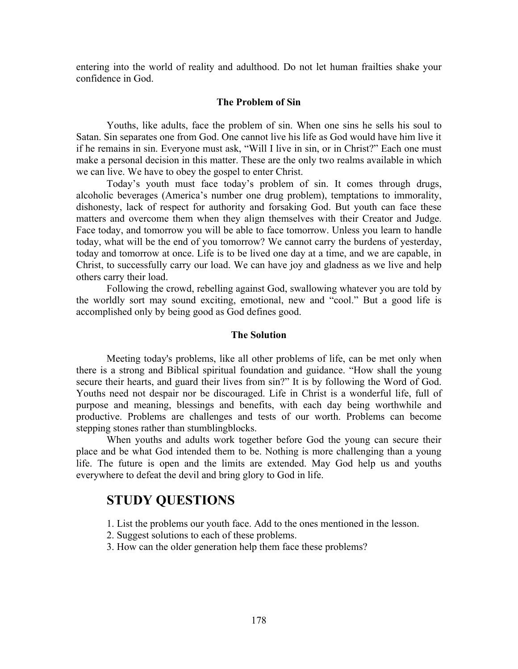entering into the world of reality and adulthood. Do not let human frailties shake your confidence in God.

#### **The Problem of Sin**

Youths, like adults, face the problem of sin. When one sins he sells his soul to Satan. Sin separates one from God. One cannot live his life as God would have him live it if he remains in sin. Everyone must ask, "Will I live in sin, or in Christ?" Each one must make a personal decision in this matter. These are the only two realms available in which we can live. We have to obey the gospel to enter Christ.

Today's youth must face today's problem of sin. It comes through drugs, alcoholic beverages (America's number one drug problem), temptations to immorality, dishonesty, lack of respect for authority and forsaking God. But youth can face these matters and overcome them when they align themselves with their Creator and Judge. Face today, and tomorrow you will be able to face tomorrow. Unless you learn to handle today, what will be the end of you tomorrow? We cannot carry the burdens of yesterday, today and tomorrow at once. Life is to be lived one day at a time, and we are capable, in Christ, to successfully carry our load. We can have joy and gladness as we live and help others carry their load.

Following the crowd, rebelling against God, swallowing whatever you are told by the worldly sort may sound exciting, emotional, new and "cool." But a good life is accomplished only by being good as God defines good.

#### **The Solution**

Meeting today's problems, like all other problems of life, can be met only when there is a strong and Biblical spiritual foundation and guidance. "How shall the young secure their hearts, and guard their lives from sin?" It is by following the Word of God. Youths need not despair nor be discouraged. Life in Christ is a wonderful life, full of purpose and meaning, blessings and benefits, with each day being worthwhile and productive. Problems are challenges and tests of our worth. Problems can become stepping stones rather than stumblingblocks.

When youths and adults work together before God the young can secure their place and be what God intended them to be. Nothing is more challenging than a young life. The future is open and the limits are extended. May God help us and youths everywhere to defeat the devil and bring glory to God in life.

## **STUDY QUESTIONS**

- 1. List the problems our youth face. Add to the ones mentioned in the lesson.
- 2. Suggest solutions to each of these problems.
- 3. How can the older generation help them face these problems?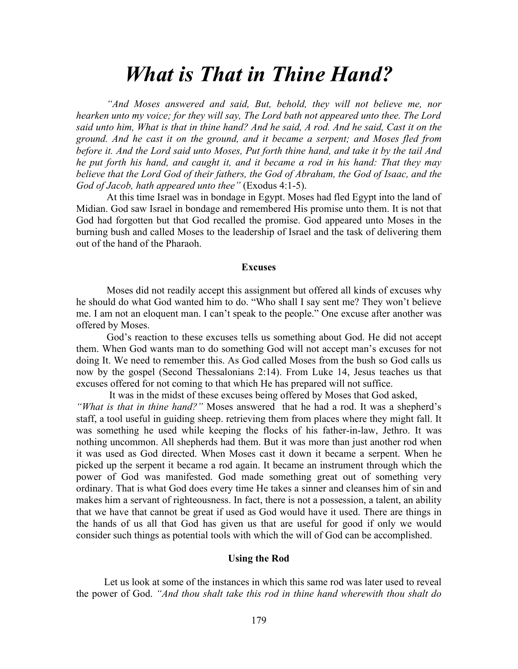# *What is That in Thine Hand?*

*"And Moses answered and said, But, behold, they will not believe me, nor hearken unto my voice; for they will say, The Lord bath not appeared unto thee. The Lord said unto him, What is that in thine hand? And he said, A rod. And he said, Cast it on the ground. And he cast it on the ground, and it became a serpent; and Moses fled from before it. And the Lord said unto Moses, Put forth thine hand, and take it by the tail And he put forth his hand, and caught it, and it became a rod in his hand: That they may believe that the Lord God of their fathers, the God of Abraham, the God of Isaac, and the God of Jacob, hath appeared unto thee"* (Exodus 4:1-5).

At this time Israel was in bondage in Egypt. Moses had fled Egypt into the land of Midian. God saw Israel in bondage and remembered His promise unto them. It is not that God had forgotten but that God recalled the promise. God appeared unto Moses in the burning bush and called Moses to the leadership of Israel and the task of delivering them out of the hand of the Pharaoh.

#### **Excuses**

Moses did not readily accept this assignment but offered all kinds of excuses why he should do what God wanted him to do. "Who shall I say sent me? They won't believe me. I am not an eloquent man. I can't speak to the people." One excuse after another was offered by Moses.

God's reaction to these excuses tells us something about God. He did not accept them. When God wants man to do something God will not accept man's excuses for not doing It. We need to remember this. As God called Moses from the bush so God calls us now by the gospel (Second Thessalonians 2:14). From Luke 14, Jesus teaches us that excuses offered for not coming to that which He has prepared will not suffice.

 It was in the midst of these excuses being offered by Moses that God asked, *"What is that in thine hand?"* Moses answered that he had a rod. It was a shepherd's staff, a tool useful in guiding sheep. retrieving them from places where they might fall. It was something he used while keeping the flocks of his father-in-law, Jethro. It was nothing uncommon. All shepherds had them. But it was more than just another rod when it was used as God directed. When Moses cast it down it became a serpent. When he picked up the serpent it became a rod again. It became an instrument through which the power of God was manifested. God made something great out of something very ordinary. That is what God does every time He takes a sinner and cleanses him of sin and makes him a servant of righteousness. In fact, there is not a possession, a talent, an ability that we have that cannot be great if used as God would have it used. There are things in the hands of us all that God has given us that are useful for good if only we would consider such things as potential tools with which the will of God can be accomplished.

#### **Using the Rod**

 Let us look at some of the instances in which this same rod was later used to reveal the power of God. *"And thou shalt take this rod in thine hand wherewith thou shalt do*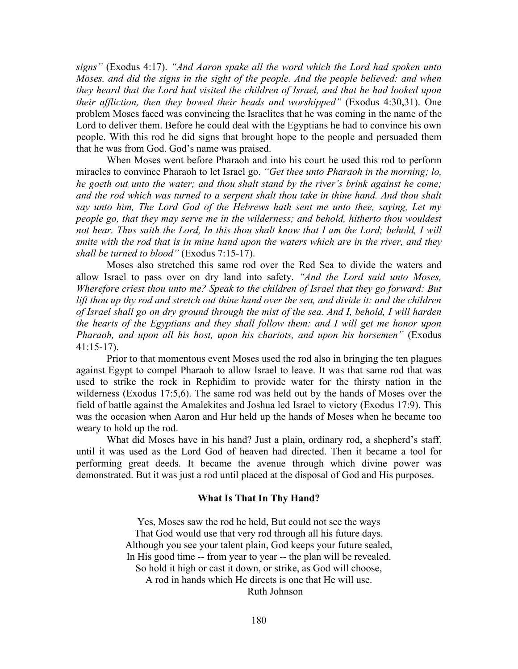*signs"* (Exodus 4:17). *"And Aaron spake all the word which the Lord had spoken unto Moses. and did the signs in the sight of the people. And the people believed: and when they heard that the Lord had visited the children of Israel, and that he had looked upon their affliction, then they bowed their heads and worshipped"* (Exodus 4:30,31). One problem Moses faced was convincing the Israelites that he was coming in the name of the Lord to deliver them. Before he could deal with the Egyptians he had to convince his own people. With this rod he did signs that brought hope to the people and persuaded them that he was from God. God's name was praised.

When Moses went before Pharaoh and into his court he used this rod to perform miracles to convince Pharaoh to let Israel go. *"Get thee unto Pharaoh in the morning; lo, he goeth out unto the water; and thou shalt stand by the river's brink against he come; and the rod which was turned to a serpent shalt thou take in thine hand. And thou shalt say unto him, The Lord God of the Hebrews hath sent me unto thee, saying, Let my people go, that they may serve me in the wilderness; and behold, hitherto thou wouldest not hear. Thus saith the Lord, In this thou shalt know that I am the Lord; behold, I will smite with the rod that is in mine hand upon the waters which are in the river, and they shall be turned to blood"* (Exodus 7:15-17).

Moses also stretched this same rod over the Red Sea to divide the waters and allow Israel to pass over on dry land into safety. *"And the Lord said unto Moses, Wherefore criest thou unto me? Speak to the children of Israel that they go forward: But lift thou up thy rod and stretch out thine hand over the sea, and divide it: and the children of Israel shall go on dry ground through the mist of the sea. And I, behold, I will harden the hearts of the Egyptians and they shall follow them: and I will get me honor upon Pharaoh, and upon all his host, upon his chariots, and upon his horsemen"* (Exodus 41:15-17).

Prior to that momentous event Moses used the rod also in bringing the ten plagues against Egypt to compel Pharaoh to allow Israel to leave. It was that same rod that was used to strike the rock in Rephidim to provide water for the thirsty nation in the wilderness (Exodus 17:5,6). The same rod was held out by the hands of Moses over the field of battle against the Amalekites and Joshua led Israel to victory (Exodus 17:9). This was the occasion when Aaron and Hur held up the hands of Moses when he became too weary to hold up the rod.

What did Moses have in his hand? Just a plain, ordinary rod, a shepherd's staff, until it was used as the Lord God of heaven had directed. Then it became a tool for performing great deeds. It became the avenue through which divine power was demonstrated. But it was just a rod until placed at the disposal of God and His purposes.

### **What Is That In Thy Hand?**

Yes, Moses saw the rod he held, But could not see the ways That God would use that very rod through all his future days. Although you see your talent plain, God keeps your future sealed, In His good time -- from year to year -- the plan will be revealed. So hold it high or cast it down, or strike, as God will choose, A rod in hands which He directs is one that He will use.

Ruth Johnson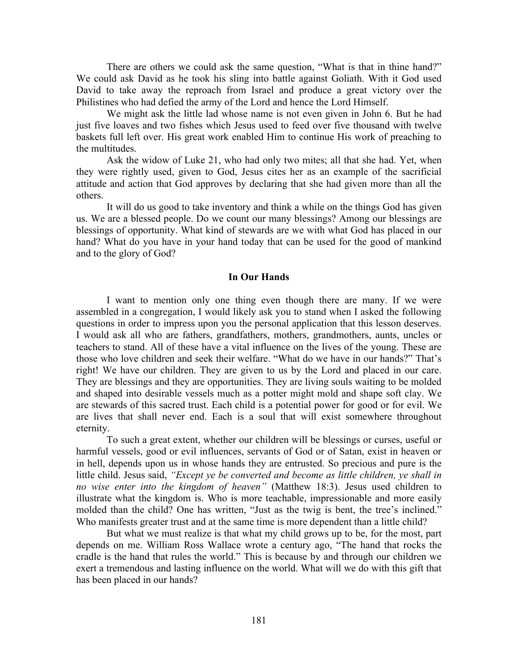There are others we could ask the same question, "What is that in thine hand?" We could ask David as he took his sling into battle against Goliath. With it God used David to take away the reproach from Israel and produce a great victory over the Philistines who had defied the army of the Lord and hence the Lord Himself.

We might ask the little lad whose name is not even given in John 6. But he had just five loaves and two fishes which Jesus used to feed over five thousand with twelve baskets full left over. His great work enabled Him to continue His work of preaching to the multitudes.

Ask the widow of Luke 21, who had only two mites; all that she had. Yet, when they were rightly used, given to God, Jesus cites her as an example of the sacrificial attitude and action that God approves by declaring that she had given more than all the others.

It will do us good to take inventory and think a while on the things God has given us. We are a blessed people. Do we count our many blessings? Among our blessings are blessings of opportunity. What kind of stewards are we with what God has placed in our hand? What do you have in your hand today that can be used for the good of mankind and to the glory of God?

#### **In Our Hands**

I want to mention only one thing even though there are many. If we were assembled in a congregation, I would likely ask you to stand when I asked the following questions in order to impress upon you the personal application that this lesson deserves. I would ask all who are fathers, grandfathers, mothers, grandmothers, aunts, uncles or teachers to stand. All of these have a vital influence on the lives of the young. These are those who love children and seek their welfare. "What do we have in our hands?" That's right! We have our children. They are given to us by the Lord and placed in our care. They are blessings and they are opportunities. They are living souls waiting to be molded and shaped into desirable vessels much as a potter might mold and shape soft clay. We are stewards of this sacred trust. Each child is a potential power for good or for evil. We are lives that shall never end. Each is a soul that will exist somewhere throughout eternity.

To such a great extent, whether our children will be blessings or curses, useful or harmful vessels, good or evil influences, servants of God or of Satan, exist in heaven or in hell, depends upon us in whose hands they are entrusted. So precious and pure is the little child. Jesus said, *"Except ye be converted and become as little children, ye shall in no wise enter into the kingdom of heaven"* (Matthew 18:3). Jesus used children to illustrate what the kingdom is. Who is more teachable, impressionable and more easily molded than the child? One has written, "Just as the twig is bent, the tree's inclined." Who manifests greater trust and at the same time is more dependent than a little child?

But what we must realize is that what my child grows up to be, for the most, part depends on me. William Ross Wallace wrote a century ago, "The hand that rocks the cradle is the hand that rules the world." This is because by and through our children we exert a tremendous and lasting influence on the world. What will we do with this gift that has been placed in our hands?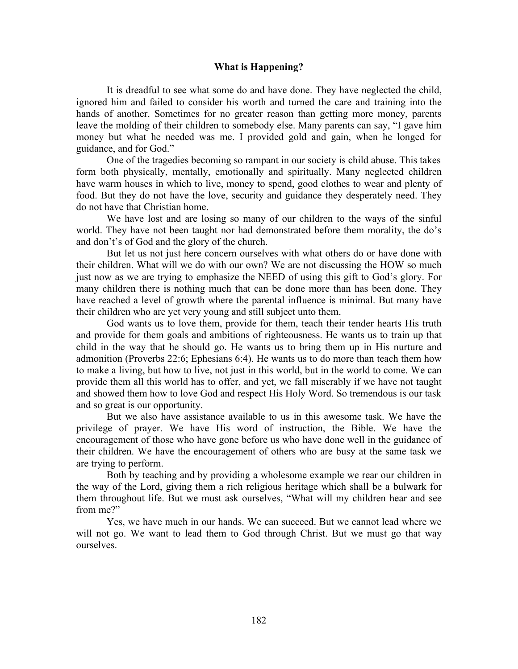#### **What is Happening?**

It is dreadful to see what some do and have done. They have neglected the child, ignored him and failed to consider his worth and turned the care and training into the hands of another. Sometimes for no greater reason than getting more money, parents leave the molding of their children to somebody else. Many parents can say, "I gave him money but what he needed was me. I provided gold and gain, when he longed for guidance, and for God."

One of the tragedies becoming so rampant in our society is child abuse. This takes form both physically, mentally, emotionally and spiritually. Many neglected children have warm houses in which to live, money to spend, good clothes to wear and plenty of food. But they do not have the love, security and guidance they desperately need. They do not have that Christian home.

We have lost and are losing so many of our children to the ways of the sinful world. They have not been taught nor had demonstrated before them morality, the do's and don't's of God and the glory of the church.

But let us not just here concern ourselves with what others do or have done with their children. What will we do with our own? We are not discussing the HOW so much just now as we are trying to emphasize the NEED of using this gift to God's glory. For many children there is nothing much that can be done more than has been done. They have reached a level of growth where the parental influence is minimal. But many have their children who are yet very young and still subject unto them.

God wants us to love them, provide for them, teach their tender hearts His truth and provide for them goals and ambitions of righteousness. He wants us to train up that child in the way that he should go. He wants us to bring them up in His nurture and admonition (Proverbs 22:6; Ephesians 6:4). He wants us to do more than teach them how to make a living, but how to live, not just in this world, but in the world to come. We can provide them all this world has to offer, and yet, we fall miserably if we have not taught and showed them how to love God and respect His Holy Word. So tremendous is our task and so great is our opportunity.

But we also have assistance available to us in this awesome task. We have the privilege of prayer. We have His word of instruction, the Bible. We have the encouragement of those who have gone before us who have done well in the guidance of their children. We have the encouragement of others who are busy at the same task we are trying to perform.

Both by teaching and by providing a wholesome example we rear our children in the way of the Lord, giving them a rich religious heritage which shall be a bulwark for them throughout life. But we must ask ourselves, "What will my children hear and see from me?"

Yes, we have much in our hands. We can succeed. But we cannot lead where we will not go. We want to lead them to God through Christ. But we must go that way ourselves.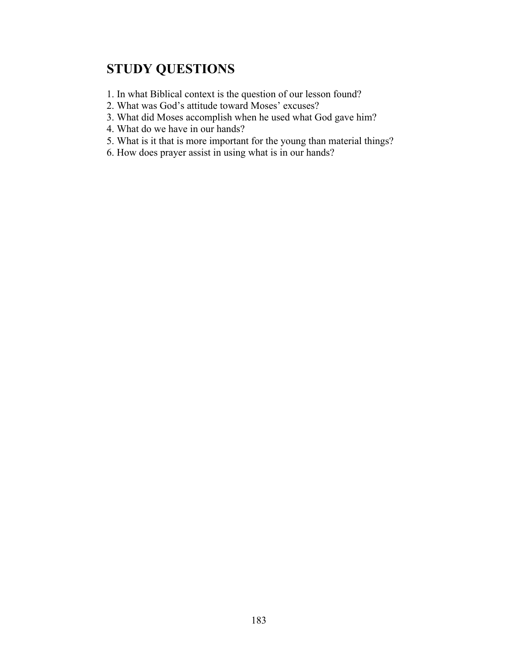## **STUDY QUESTIONS**

- 1. In what Biblical context is the question of our lesson found?
- 2. What was God's attitude toward Moses' excuses?
- 3. What did Moses accomplish when he used what God gave him?
- 4. What do we have in our hands?
- 5. What is it that is more important for the young than material things?
- 6. How does prayer assist in using what is in our hands?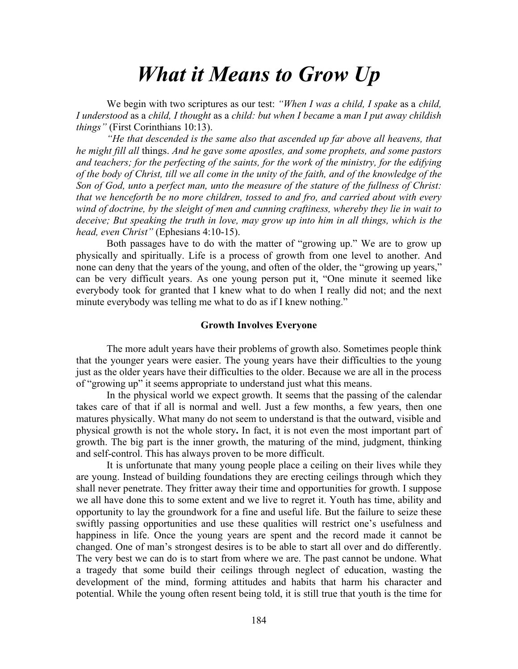## *What it Means to Grow Up*

We begin with two scriptures as our test: *"When I was a child, I spake* as a *child, I understood* as a *child, I thought* as a *child: but when I became* a *man I put away childish things"* (First Corinthians 10:13).

*"He that descended is the same also that ascended up far above all heavens, that he might fill all* things. *And he gave some apostles, and some prophets, and some pastors and teachers; for the perfecting of the saints, for the work of the ministry, for the edifying of the body of Christ, till we all come in the unity of the faith, and of the knowledge of the Son of God, unto* a *perfect man, unto the measure of the stature of the fullness of Christ: that we henceforth be no more children, tossed to and fro, and carried about with every wind of doctrine, by the sleight of men and cunning craftiness, whereby they lie in wait to deceive; But speaking the truth in love, may grow up into him in all things, which is the head, even Christ"* (Ephesians 4:10-15).

Both passages have to do with the matter of "growing up." We are to grow up physically and spiritually. Life is a process of growth from one level to another. And none can deny that the years of the young, and often of the older, the "growing up years," can be very difficult years. As one young person put it, "One minute it seemed like everybody took for granted that I knew what to do when I really did not; and the next minute everybody was telling me what to do as if I knew nothing."

#### **Growth Involves Everyone**

The more adult years have their problems of growth also. Sometimes people think that the younger years were easier. The young years have their difficulties to the young just as the older years have their difficulties to the older. Because we are all in the process of "growing up" it seems appropriate to understand just what this means.

In the physical world we expect growth. It seems that the passing of the calendar takes care of that if all is normal and well. Just a few months, a few years, then one matures physically. What many do not seem to understand is that the outward, visible and physical growth is not the whole story**.** In fact, it is not even the most important part of growth. The big part is the inner growth, the maturing of the mind, judgment, thinking and self-control. This has always proven to be more difficult.

It is unfortunate that many young people place a ceiling on their lives while they are young. Instead of building foundations they are erecting ceilings through which they shall never penetrate. They fritter away their time and opportunities for growth. I suppose we all have done this to some extent and we live to regret it. Youth has time, ability and opportunity to lay the groundwork for a fine and useful life. But the failure to seize these swiftly passing opportunities and use these qualities will restrict one's usefulness and happiness in life. Once the young years are spent and the record made it cannot be changed. One of man's strongest desires is to be able to start all over and do differently. The very best we can do is to start from where we are. The past cannot be undone. What a tragedy that some build their ceilings through neglect of education, wasting the development of the mind, forming attitudes and habits that harm his character and potential. While the young often resent being told, it is still true that youth is the time for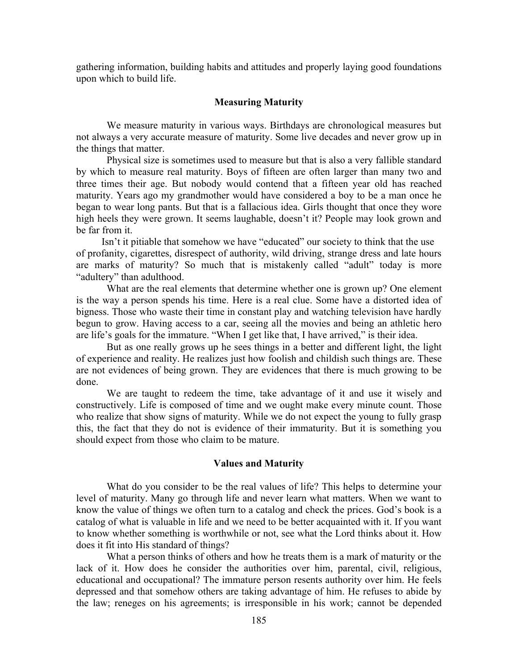gathering information, building habits and attitudes and properly laying good foundations upon which to build life.

#### **Measuring Maturity**

We measure maturity in various ways. Birthdays are chronological measures but not always a very accurate measure of maturity. Some live decades and never grow up in the things that matter.

Physical size is sometimes used to measure but that is also a very fallible standard by which to measure real maturity. Boys of fifteen are often larger than many two and three times their age. But nobody would contend that a fifteen year old has reached maturity. Years ago my grandmother would have considered a boy to be a man once he began to wear long pants. But that is a fallacious idea. Girls thought that once they wore high heels they were grown. It seems laughable, doesn't it? People may look grown and be far from it.

 Isn't it pitiable that somehow we have "educated" our society to think that the use of profanity, cigarettes, disrespect of authority, wild driving, strange dress and late hours are marks of maturity? So much that is mistakenly called "adult" today is more "adultery" than adulthood.

What are the real elements that determine whether one is grown up? One element is the way a person spends his time. Here is a real clue. Some have a distorted idea of bigness. Those who waste their time in constant play and watching television have hardly begun to grow. Having access to a car, seeing all the movies and being an athletic hero are life's goals for the immature. "When I get like that, I have arrived," is their idea.

But as one really grows up he sees things in a better and different light, the light of experience and reality. He realizes just how foolish and childish such things are. These are not evidences of being grown. They are evidences that there is much growing to be done.

We are taught to redeem the time, take advantage of it and use it wisely and constructively. Life is composed of time and we ought make every minute count. Those who realize that show signs of maturity. While we do not expect the young to fully grasp this, the fact that they do not is evidence of their immaturity. But it is something you should expect from those who claim to be mature.

#### **Values and Maturity**

What do you consider to be the real values of life? This helps to determine your level of maturity. Many go through life and never learn what matters. When we want to know the value of things we often turn to a catalog and check the prices. God's book is a catalog of what is valuable in life and we need to be better acquainted with it. If you want to know whether something is worthwhile or not, see what the Lord thinks about it. How does it fit into His standard of things?

What a person thinks of others and how he treats them is a mark of maturity or the lack of it. How does he consider the authorities over him, parental, civil, religious, educational and occupational? The immature person resents authority over him. He feels depressed and that somehow others are taking advantage of him. He refuses to abide by the law; reneges on his agreements; is irresponsible in his work; cannot be depended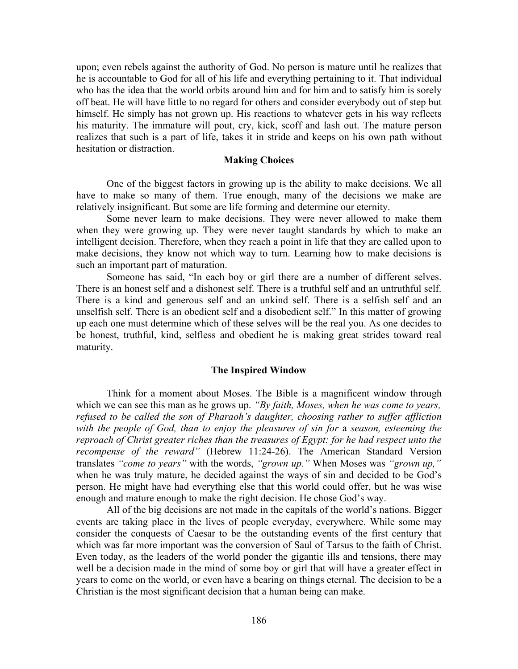upon; even rebels against the authority of God. No person is mature until he realizes that he is accountable to God for all of his life and everything pertaining to it. That individual who has the idea that the world orbits around him and for him and to satisfy him is sorely off beat. He will have little to no regard for others and consider everybody out of step but himself. He simply has not grown up. His reactions to whatever gets in his way reflects his maturity. The immature will pout, cry, kick, scoff and lash out. The mature person realizes that such is a part of life, takes it in stride and keeps on his own path without hesitation or distraction.

#### **Making Choices**

One of the biggest factors in growing up is the ability to make decisions. We all have to make so many of them. True enough, many of the decisions we make are relatively insignificant. But some are life forming and determine our eternity.

Some never learn to make decisions. They were never allowed to make them when they were growing up. They were never taught standards by which to make an intelligent decision. Therefore, when they reach a point in life that they are called upon to make decisions, they know not which way to turn. Learning how to make decisions is such an important part of maturation.

Someone has said, "In each boy or girl there are a number of different selves. There is an honest self and a dishonest self. There is a truthful self and an untruthful self. There is a kind and generous self and an unkind self. There is a selfish self and an unselfish self. There is an obedient self and a disobedient self." In this matter of growing up each one must determine which of these selves will be the real you. As one decides to be honest, truthful, kind, selfless and obedient he is making great strides toward real maturity.

#### **The Inspired Window**

Think for a moment about Moses. The Bible is a magnificent window through which we can see this man as he grows up. *"By faith, Moses, when he was come to years, refused to be called the son of Pharaoh's daughter, choosing rather to suffer affliction with the people of God, than to enjoy the pleasures of sin for* a *season, esteeming the reproach of Christ greater riches than the treasures of Egypt: for he had respect unto the recompense of the reward"* (Hebrew 11:24-26). The American Standard Version translates *"come to years"* with the words, *"grown up."* When Moses was *"grown up,"* when he was truly mature, he decided against the ways of sin and decided to be God's person. He might have had everything else that this world could offer, but he was wise enough and mature enough to make the right decision. He chose God's way.

All of the big decisions are not made in the capitals of the world's nations. Bigger events are taking place in the lives of people everyday, everywhere. While some may consider the conquests of Caesar to be the outstanding events of the first century that which was far more important was the conversion of Saul of Tarsus to the faith of Christ. Even today, as the leaders of the world ponder the gigantic ills and tensions, there may well be a decision made in the mind of some boy or girl that will have a greater effect in years to come on the world, or even have a bearing on things eternal. The decision to be a Christian is the most significant decision that a human being can make.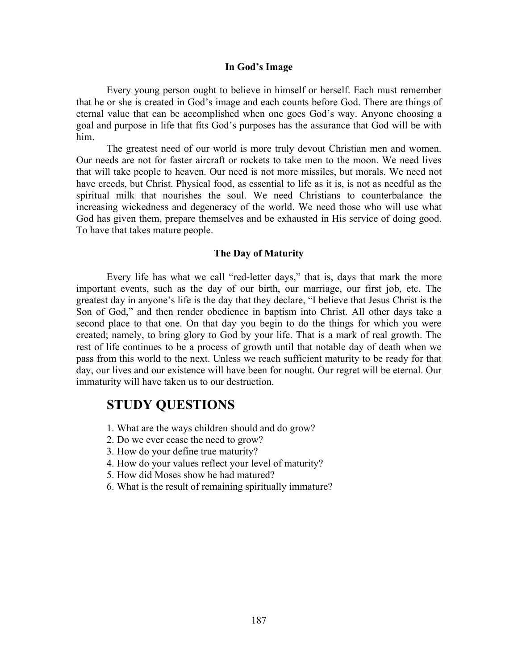#### **In God's Image**

Every young person ought to believe in himself or herself. Each must remember that he or she is created in God's image and each counts before God. There are things of eternal value that can be accomplished when one goes God's way. Anyone choosing a goal and purpose in life that fits God's purposes has the assurance that God will be with him.

The greatest need of our world is more truly devout Christian men and women. Our needs are not for faster aircraft or rockets to take men to the moon. We need lives that will take people to heaven. Our need is not more missiles, but morals. We need not have creeds, but Christ. Physical food, as essential to life as it is, is not as needful as the spiritual milk that nourishes the soul. We need Christians to counterbalance the increasing wickedness and degeneracy of the world. We need those who will use what God has given them, prepare themselves and be exhausted in His service of doing good. To have that takes mature people.

#### **The Day of Maturity**

Every life has what we call "red-letter days," that is, days that mark the more important events, such as the day of our birth, our marriage, our first job, etc. The greatest day in anyone's life is the day that they declare, "I believe that Jesus Christ is the Son of God," and then render obedience in baptism into Christ. All other days take a second place to that one. On that day you begin to do the things for which you were created; namely, to bring glory to God by your life. That is a mark of real growth. The rest of life continues to be a process of growth until that notable day of death when we pass from this world to the next. Unless we reach sufficient maturity to be ready for that day, our lives and our existence will have been for nought. Our regret will be eternal. Our immaturity will have taken us to our destruction.

### **STUDY QUESTIONS**

- 1. What are the ways children should and do grow?
- 2. Do we ever cease the need to grow?
- 3. How do your define true maturity?
- 4. How do your values reflect your level of maturity?
- 5. How did Moses show he had matured?
- 6. What is the result of remaining spiritually immature?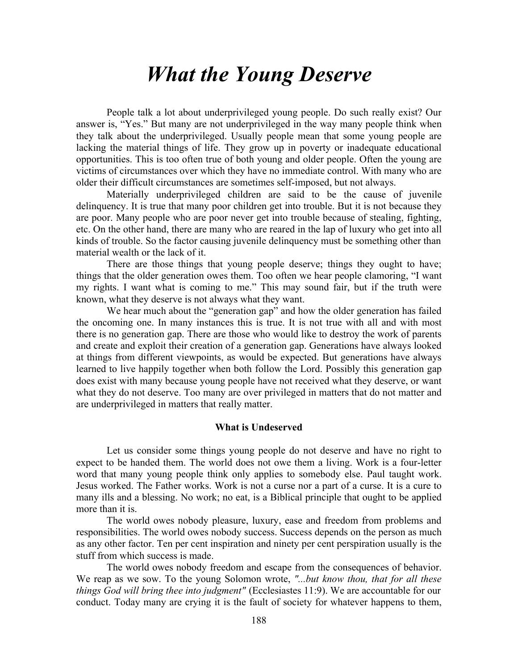## *What the Young Deserve*

People talk a lot about underprivileged young people. Do such really exist? Our answer is, "Yes." But many are not underprivileged in the way many people think when they talk about the underprivileged. Usually people mean that some young people are lacking the material things of life. They grow up in poverty or inadequate educational opportunities. This is too often true of both young and older people. Often the young are victims of circumstances over which they have no immediate control. With many who are older their difficult circumstances are sometimes self-imposed, but not always.

Materially underprivileged children are said to be the cause of juvenile delinquency. It is true that many poor children get into trouble. But it is not because they are poor. Many people who are poor never get into trouble because of stealing, fighting, etc. On the other hand, there are many who are reared in the lap of luxury who get into all kinds of trouble. So the factor causing juvenile delinquency must be something other than material wealth or the lack of it.

There are those things that young people deserve; things they ought to have; things that the older generation owes them. Too often we hear people clamoring, "I want my rights. I want what is coming to me." This may sound fair, but if the truth were known, what they deserve is not always what they want.

We hear much about the "generation gap" and how the older generation has failed the oncoming one. In many instances this is true. It is not true with all and with most there is no generation gap. There are those who would like to destroy the work of parents and create and exploit their creation of a generation gap. Generations have always looked at things from different viewpoints, as would be expected. But generations have always learned to live happily together when both follow the Lord. Possibly this generation gap does exist with many because young people have not received what they deserve, or want what they do not deserve. Too many are over privileged in matters that do not matter and are underprivileged in matters that really matter.

#### **What is Undeserved**

Let us consider some things young people do not deserve and have no right to expect to be handed them. The world does not owe them a living. Work is a four-letter word that many young people think only applies to somebody else. Paul taught work. Jesus worked. The Father works. Work is not a curse nor a part of a curse. It is a cure to many ills and a blessing. No work; no eat, is a Biblical principle that ought to be applied more than it is.

The world owes nobody pleasure, luxury, ease and freedom from problems and responsibilities. The world owes nobody success. Success depends on the person as much as any other factor. Ten per cent inspiration and ninety per cent perspiration usually is the stuff from which success is made.

The world owes nobody freedom and escape from the consequences of behavior. We reap as we sow. To the young Solomon wrote, *"...but know thou, that for all these things God will bring thee into judgment"* (Ecclesiastes 11:9). We are accountable for our conduct. Today many are crying it is the fault of society for whatever happens to them,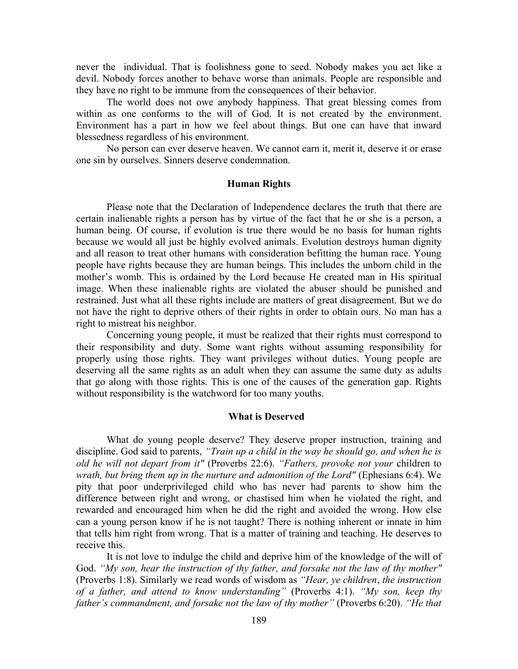never the individual. That is foolishness gone to seed. Nobody makes you act like a devil. Nobody forces another to behave worse than animals. People are responsible and they have no right to be immune from the consequences of their behavior.

The world does not owe anybody happiness. That great blessing comes from within as one conforms to the will of God. It is not created by the environment. Environment has a part in how we feel about things. But one can have that inward blessedness regardless of his environment.

No person can ever deserve heaven. We cannot earn it, merit it, deserve it or erase one sin by ourselves. Sinners deserve condemnation.

#### **Human Rights**

Please note that the Declaration of Independence declares the truth that there are certain inalienable rights a person has by virtue of the fact that he or she is a person, a human being. Of course, if evolution is true there would be no basis for human rights because we would all just be highly evolved animals. Evolution destroys human dignity and all reason to treat other humans with consideration befitting the human race. Young people have rights because they are human beings. This includes the unborn child in the mother's womb. This is ordained by the Lord because He created man in His spiritual image. When these inalienable rights are violated the abuser should be punished and restrained. Just what all these rights include are matters of great disagreement. But we do not have the right to deprive others of their rights in order to obtain ours. No man has a right to mistreat his neighbor.

Concerning young people, it must be realized that their rights must correspond to their responsibility and duty. Some want rights without assuming responsibility for properly using those rights. They want privileges without duties. Young people are deserving all the same rights as an adult when they can assume the same duty as adults that go along with those rights. This is one of the causes of the generation gap. Rights without responsibility is the watchword for too many youths.

#### **What is Deserved**

What do young people deserve? They deserve proper instruction, training and discipline. God said to parents, *"Train up a child in the way he should go, and when he is old he will not depart from it"* (Proverbs 22:6). *"Fathers, provoke not your* children to *wrath, but bring them up in the nurture and admonition of the Lord"* (Ephesians 6:4). We pity that poor underprivileged child who has never had parents to show him the difference between right and wrong, or chastised him when he violated the right, and rewarded and encouraged him when he did the right and avoided the wrong. How else can a young person know if he is not taught? There is nothing inherent or innate in him that tells him right from wrong. That is a matter of training and teaching. He deserves to receive this.

It is not love to indulge the child and deprive him of the knowledge of the will of God. *"My son, hear the instruction of thy father, and forsake not the law of thy mother"* (Proverbs 1:8). Similarly we read words of wisdom as *"Hear, ye children*, *the instruction of a father, and attend to know understanding"* (Proverbs 4:1). *"My son, keep thy father's commandment, and forsake not the law of thy mother"* (Proverbs 6:20). *"He that*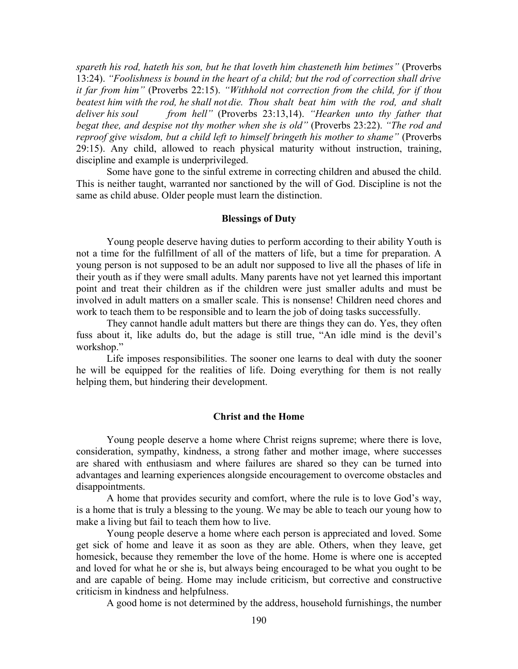*spareth his rod, hateth his son, but he that loveth him chasteneth him betimes"* (Proverbs 13:24). *"Foolishness is bound in the heart of a child; but the rod of correction shall drive it far from him"* (Proverbs 22:15). *"Withhold not correction from the child, for if thou beatest him with the rod, he shall not die. Thou shalt beat him with the rod, and shalt deliver his soul from hell"* (Proverbs 23:13,14). *"Hearken unto thy father that begat thee, and despise not thy mother when she is old"* (Proverbs 23:22). *"The rod and reproof give wisdom, but a child left to himself bringeth his mother to shame*" (Proverbs 29:15). Any child, allowed to reach physical maturity without instruction, training, discipline and example is underprivileged.

Some have gone to the sinful extreme in correcting children and abused the child. This is neither taught, warranted nor sanctioned by the will of God. Discipline is not the same as child abuse. Older people must learn the distinction.

#### **Blessings of Duty**

Young people deserve having duties to perform according to their ability Youth is not a time for the fulfillment of all of the matters of life, but a time for preparation. A young person is not supposed to be an adult nor supposed to live all the phases of life in their youth as if they were small adults. Many parents have not yet learned this important point and treat their children as if the children were just smaller adults and must be involved in adult matters on a smaller scale. This is nonsense! Children need chores and work to teach them to be responsible and to learn the job of doing tasks successfully.

They cannot handle adult matters but there are things they can do. Yes, they often fuss about it, like adults do, but the adage is still true, "An idle mind is the devil's workshop."

Life imposes responsibilities. The sooner one learns to deal with duty the sooner he will be equipped for the realities of life. Doing everything for them is not really helping them, but hindering their development.

#### **Christ and the Home**

Young people deserve a home where Christ reigns supreme; where there is love, consideration, sympathy, kindness, a strong father and mother image, where successes are shared with enthusiasm and where failures are shared so they can be turned into advantages and learning experiences alongside encouragement to overcome obstacles and disappointments.

A home that provides security and comfort, where the rule is to love God's way, is a home that is truly a blessing to the young. We may be able to teach our young how to make a living but fail to teach them how to live.

Young people deserve a home where each person is appreciated and loved. Some get sick of home and leave it as soon as they are able. Others, when they leave, get homesick, because they remember the love of the home. Home is where one is accepted and loved for what he or she is, but always being encouraged to be what you ought to be and are capable of being. Home may include criticism, but corrective and constructive criticism in kindness and helpfulness.

A good home is not determined by the address, household furnishings, the number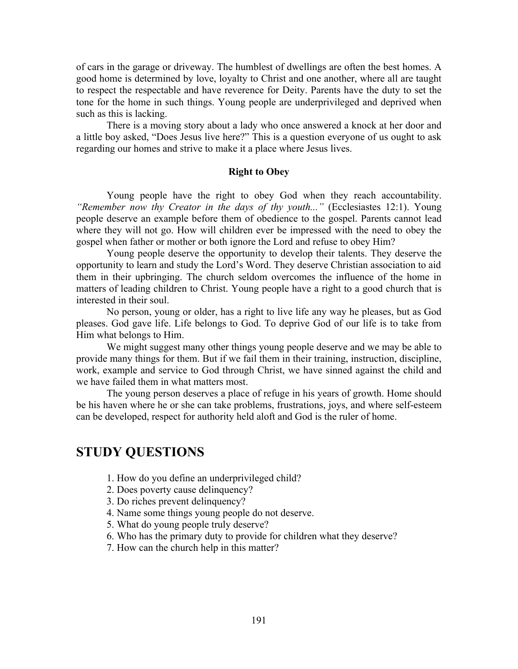of cars in the garage or driveway. The humblest of dwellings are often the best homes. A good home is determined by love, loyalty to Christ and one another, where all are taught to respect the respectable and have reverence for Deity. Parents have the duty to set the tone for the home in such things. Young people are underprivileged and deprived when such as this is lacking.

There is a moving story about a lady who once answered a knock at her door and a little boy asked, "Does Jesus live here?" This is a question everyone of us ought to ask regarding our homes and strive to make it a place where Jesus lives.

#### **Right to Obey**

Young people have the right to obey God when they reach accountability. *"Remember now thy Creator in the days of thy youth..."* (Ecclesiastes 12:1). Young people deserve an example before them of obedience to the gospel. Parents cannot lead where they will not go. How will children ever be impressed with the need to obey the gospel when father or mother or both ignore the Lord and refuse to obey Him?

Young people deserve the opportunity to develop their talents. They deserve the opportunity to learn and study the Lord's Word. They deserve Christian association to aid them in their upbringing. The church seldom overcomes the influence of the home in matters of leading children to Christ. Young people have a right to a good church that is interested in their soul.

No person, young or older, has a right to live life any way he pleases, but as God pleases. God gave life. Life belongs to God. To deprive God of our life is to take from Him what belongs to Him.

We might suggest many other things young people deserve and we may be able to provide many things for them. But if we fail them in their training, instruction, discipline, work, example and service to God through Christ, we have sinned against the child and we have failed them in what matters most.

The young person deserves a place of refuge in his years of growth. Home should be his haven where he or she can take problems, frustrations, joys, and where self-esteem can be developed, respect for authority held aloft and God is the ruler of home.

### **STUDY QUESTIONS**

- 1. How do you define an underprivileged child?
- 2. Does poverty cause delinquency?
- 3. Do riches prevent delinquency?
- 4. Name some things young people do not deserve.
- 5. What do young people truly deserve?
- 6. Who has the primary duty to provide for children what they deserve?
- 7. How can the church help in this matter?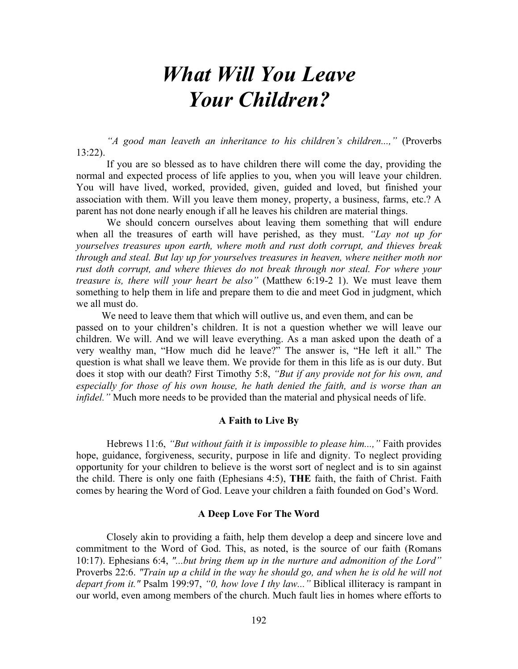# *What Will You Leave Your Children?*

*"A good man leaveth an inheritance to his children's children...,"* (Proverbs 13:22).

If you are so blessed as to have children there will come the day, providing the normal and expected process of life applies to you, when you will leave your children. You will have lived, worked, provided, given, guided and loved, but finished your association with them. Will you leave them money, property, a business, farms, etc.? A parent has not done nearly enough if all he leaves his children are material things.

We should concern ourselves about leaving them something that will endure when all the treasures of earth will have perished, as they must. *"Lay not up for yourselves treasures upon earth, where moth and rust doth corrupt, and thieves break through and steal. But lay up for yourselves treasures in heaven, where neither moth nor rust doth corrupt, and where thieves do not break through nor steal. For where your treasure is, there will your heart be also"* (Matthew 6:19-2 1). We must leave them something to help them in life and prepare them to die and meet God in judgment, which we all must do.

 We need to leave them that which will outlive us, and even them, and can be passed on to your children's children. It is not a question whether we will leave our children. We will. And we will leave everything. As a man asked upon the death of a very wealthy man, "How much did he leave?" The answer is, "He left it all." The question is what shall we leave them. We provide for them in this life as is our duty. But does it stop with our death? First Timothy 5:8, *"But if any provide not for his own, and especially for those of his own house, he hath denied the faith, and is worse than an infidel."* Much more needs to be provided than the material and physical needs of life.

#### **A Faith to Live By**

Hebrews 11:6, *"But without faith it is impossible to please him...,"* Faith provides hope, guidance, forgiveness, security, purpose in life and dignity. To neglect providing opportunity for your children to believe is the worst sort of neglect and is to sin against the child. There is only one faith (Ephesians 4:5), **THE** faith, the faith of Christ. Faith comes by hearing the Word of God. Leave your children a faith founded on God's Word.

#### **A Deep Love For The Word**

Closely akin to providing a faith, help them develop a deep and sincere love and commitment to the Word of God. This, as noted, is the source of our faith (Romans 10:17). Ephesians 6:4, *"...but bring them up in the nurture and admonition of the Lord"* Proverbs 22:6. *"Train up a child in the way he should go, and when he is old he will not depart from it."* Psalm 199:97, *"0, how love I thy law..."* Biblical illiteracy is rampant in our world, even among members of the church. Much fault lies in homes where efforts to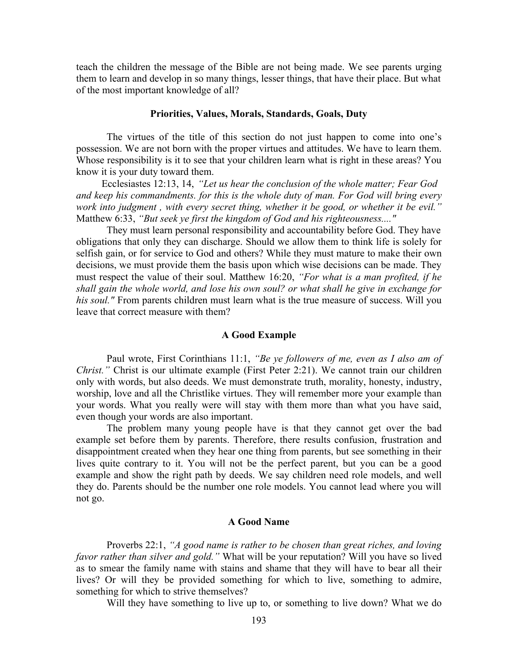teach the children the message of the Bible are not being made. We see parents urging them to learn and develop in so many things, lesser things, that have their place. But what of the most important knowledge of all?

#### **Priorities, Values, Morals, Standards, Goals, Duty**

The virtues of the title of this section do not just happen to come into one's possession. We are not born with the proper virtues and attitudes. We have to learn them. Whose responsibility is it to see that your children learn what is right in these areas? You know it is your duty toward them.

 Ecclesiastes 12:13, 14, *"Let us hear the conclusion of the whole matter; Fear God and keep his commandments. for this is the whole duty of man. For God will bring every work into judgment , with every secret thing, whether it be good, or whether it be evil."* Matthew 6:33, *"But seek ye first the kingdom of God and his righteousness...."*

They must learn personal responsibility and accountability before God. They have obligations that only they can discharge. Should we allow them to think life is solely for selfish gain, or for service to God and others? While they must mature to make their own decisions, we must provide them the basis upon which wise decisions can be made. They must respect the value of their soul. Matthew 16:20, *"For what is a man profited, if he shall gain the whole world, and lose his own soul? or what shall he give in exchange for his soul."* From parents children must learn what is the true measure of success. Will you leave that correct measure with them?

#### **A Good Example**

Paul wrote, First Corinthians 11:1, *"Be ye followers of me, even as I also am of Christ."* Christ is our ultimate example (First Peter 2:21). We cannot train our children only with words, but also deeds. We must demonstrate truth, morality, honesty, industry, worship, love and all the Christlike virtues. They will remember more your example than your words. What you really were will stay with them more than what you have said, even though your words are also important.

The problem many young people have is that they cannot get over the bad example set before them by parents. Therefore, there results confusion, frustration and disappointment created when they hear one thing from parents, but see something in their lives quite contrary to it. You will not be the perfect parent, but you can be a good example and show the right path by deeds. We say children need role models, and well they do. Parents should be the number one role models. You cannot lead where you will not go.

#### **A Good Name**

Proverbs 22:1, *"A good name is rather to be chosen than great riches, and loving favor rather than silver and gold."* What will be your reputation? Will you have so lived as to smear the family name with stains and shame that they will have to bear all their lives? Or will they be provided something for which to live, something to admire, something for which to strive themselves?

Will they have something to live up to, or something to live down? What we do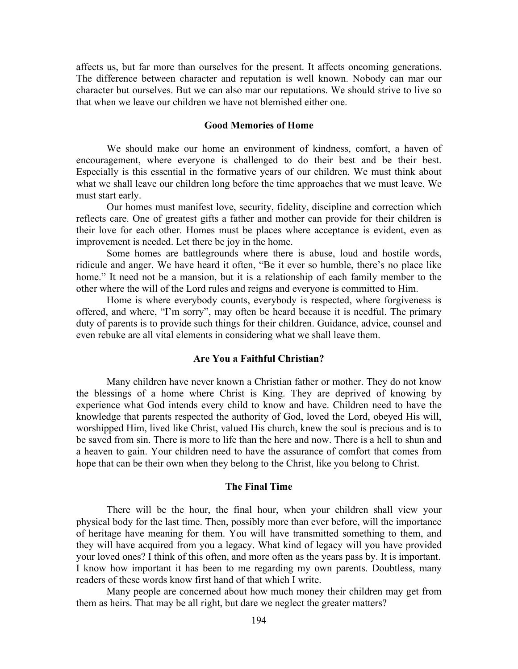affects us, but far more than ourselves for the present. It affects oncoming generations. The difference between character and reputation is well known. Nobody can mar our character but ourselves. But we can also mar our reputations. We should strive to live so that when we leave our children we have not blemished either one.

#### **Good Memories of Home**

We should make our home an environment of kindness, comfort, a haven of encouragement, where everyone is challenged to do their best and be their best. Especially is this essential in the formative years of our children. We must think about what we shall leave our children long before the time approaches that we must leave. We must start early.

Our homes must manifest love, security, fidelity, discipline and correction which reflects care. One of greatest gifts a father and mother can provide for their children is their love for each other. Homes must be places where acceptance is evident, even as improvement is needed. Let there be joy in the home.

Some homes are battlegrounds where there is abuse, loud and hostile words, ridicule and anger. We have heard it often, "Be it ever so humble, there's no place like home." It need not be a mansion, but it is a relationship of each family member to the other where the will of the Lord rules and reigns and everyone is committed to Him.

Home is where everybody counts, everybody is respected, where forgiveness is offered, and where, "I'm sorry", may often be heard because it is needful. The primary duty of parents is to provide such things for their children. Guidance, advice, counsel and even rebuke are all vital elements in considering what we shall leave them.

#### **Are You a Faithful Christian?**

Many children have never known a Christian father or mother. They do not know the blessings of a home where Christ is King. They are deprived of knowing by experience what God intends every child to know and have. Children need to have the knowledge that parents respected the authority of God, loved the Lord, obeyed His will, worshipped Him, lived like Christ, valued His church, knew the soul is precious and is to be saved from sin. There is more to life than the here and now. There is a hell to shun and a heaven to gain. Your children need to have the assurance of comfort that comes from hope that can be their own when they belong to the Christ, like you belong to Christ.

#### **The Final Time**

There will be the hour, the final hour, when your children shall view your physical body for the last time. Then, possibly more than ever before, will the importance of heritage have meaning for them. You will have transmitted something to them, and they will have acquired from you a legacy. What kind of legacy will you have provided your loved ones? I think of this often, and more often as the years pass by. It is important. I know how important it has been to me regarding my own parents. Doubtless, many readers of these words know first hand of that which I write.

Many people are concerned about how much money their children may get from them as heirs. That may be all right, but dare we neglect the greater matters?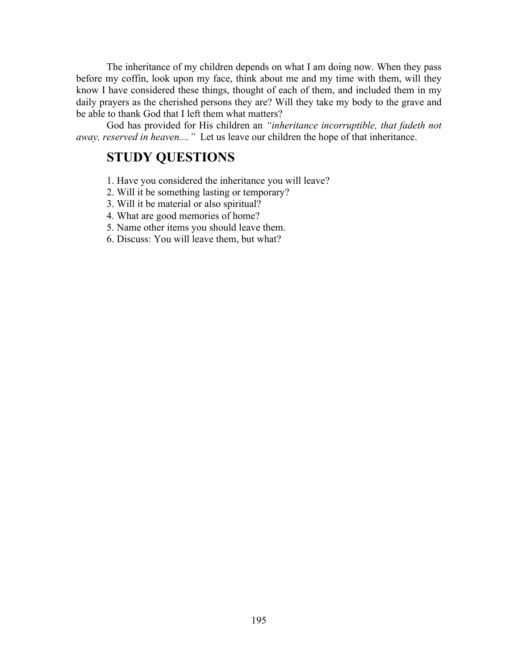The inheritance of my children depends on what I am doing now. When they pass before my coffin, look upon my face, think about me and my time with them, will they know I have considered these things, thought of each of them, and included them in my daily prayers as the cherished persons they are? Will they take my body to the grave and be able to thank God that I left them what matters?

God has provided for His children an *"inheritance incorruptible, that fadeth not away, reserved in heaven...."* Let us leave our children the hope of that inheritance.

## **STUDY QUESTIONS**

- 1. Have you considered the inheritance you will leave?
- 2. Will it be something lasting or temporary?
- 3. Will it be material or also spiritual?
- 4. What are good memories of home?
- 5. Name other items you should leave them.
- 6. Discuss: You will leave them, but what?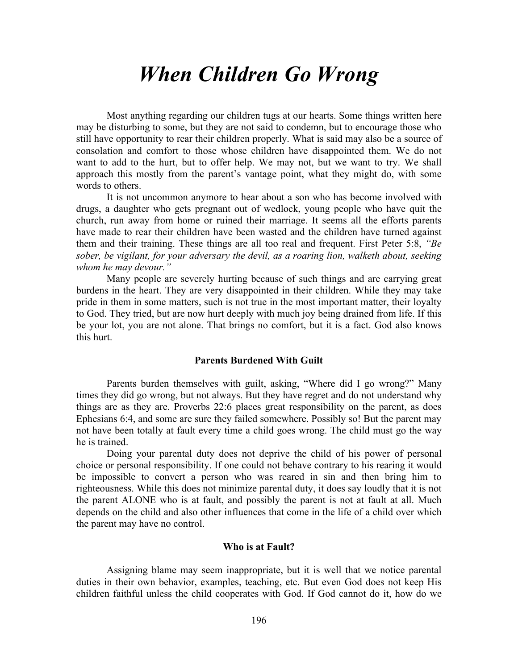## *When Children Go Wrong*

Most anything regarding our children tugs at our hearts. Some things written here may be disturbing to some, but they are not said to condemn, but to encourage those who still have opportunity to rear their children properly. What is said may also be a source of consolation and comfort to those whose children have disappointed them. We do not want to add to the hurt, but to offer help. We may not, but we want to try. We shall approach this mostly from the parent's vantage point, what they might do, with some words to others.

It is not uncommon anymore to hear about a son who has become involved with drugs, a daughter who gets pregnant out of wedlock, young people who have quit the church, run away from home or ruined their marriage. It seems all the efforts parents have made to rear their children have been wasted and the children have turned against them and their training. These things are all too real and frequent. First Peter 5:8, *"Be sober, be vigilant, for your adversary the devil, as a roaring lion, walketh about, seeking whom he may devour."*

Many people are severely hurting because of such things and are carrying great burdens in the heart. They are very disappointed in their children. While they may take pride in them in some matters, such is not true in the most important matter, their loyalty to God. They tried, but are now hurt deeply with much joy being drained from life. If this be your lot, you are not alone. That brings no comfort, but it is a fact. God also knows this hurt.

#### **Parents Burdened With Guilt**

Parents burden themselves with guilt, asking, "Where did I go wrong?" Many times they did go wrong, but not always. But they have regret and do not understand why things are as they are. Proverbs 22:6 places great responsibility on the parent, as does Ephesians 6:4, and some are sure they failed somewhere. Possibly so! But the parent may not have been totally at fault every time a child goes wrong. The child must go the way he is trained.

Doing your parental duty does not deprive the child of his power of personal choice or personal responsibility. If one could not behave contrary to his rearing it would be impossible to convert a person who was reared in sin and then bring him to righteousness. While this does not minimize parental duty, it does say loudly that it is not the parent ALONE who is at fault, and possibly the parent is not at fault at all. Much depends on the child and also other influences that come in the life of a child over which the parent may have no control.

#### **Who is at Fault?**

Assigning blame may seem inappropriate, but it is well that we notice parental duties in their own behavior, examples, teaching, etc. But even God does not keep His children faithful unless the child cooperates with God. If God cannot do it, how do we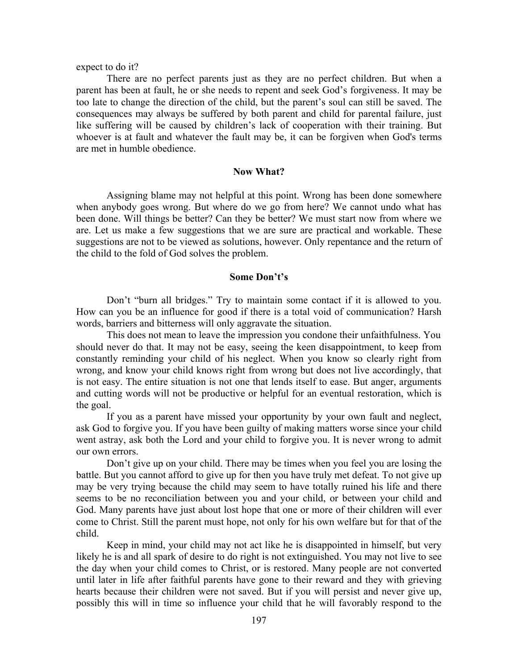#### expect to do it?

There are no perfect parents just as they are no perfect children. But when a parent has been at fault, he or she needs to repent and seek God's forgiveness. It may be too late to change the direction of the child, but the parent's soul can still be saved. The consequences may always be suffered by both parent and child for parental failure, just like suffering will be caused by children's lack of cooperation with their training. But whoever is at fault and whatever the fault may be, it can be forgiven when God's terms are met in humble obedience.

#### **Now What?**

Assigning blame may not helpful at this point. Wrong has been done somewhere when anybody goes wrong. But where do we go from here? We cannot undo what has been done. Will things be better? Can they be better? We must start now from where we are. Let us make a few suggestions that we are sure are practical and workable. These suggestions are not to be viewed as solutions, however. Only repentance and the return of the child to the fold of God solves the problem.

#### **Some Don't's**

Don't "burn all bridges." Try to maintain some contact if it is allowed to you. How can you be an influence for good if there is a total void of communication? Harsh words, barriers and bitterness will only aggravate the situation.

This does not mean to leave the impression you condone their unfaithfulness. You should never do that. It may not be easy, seeing the keen disappointment, to keep from constantly reminding your child of his neglect. When you know so clearly right from wrong, and know your child knows right from wrong but does not live accordingly, that is not easy. The entire situation is not one that lends itself to ease. But anger, arguments and cutting words will not be productive or helpful for an eventual restoration, which is the goal.

If you as a parent have missed your opportunity by your own fault and neglect, ask God to forgive you. If you have been guilty of making matters worse since your child went astray, ask both the Lord and your child to forgive you. It is never wrong to admit our own errors.

Don't give up on your child. There may be times when you feel you are losing the battle. But you cannot afford to give up for then you have truly met defeat. To not give up may be very trying because the child may seem to have totally ruined his life and there seems to be no reconciliation between you and your child, or between your child and God. Many parents have just about lost hope that one or more of their children will ever come to Christ. Still the parent must hope, not only for his own welfare but for that of the child.

Keep in mind, your child may not act like he is disappointed in himself, but very likely he is and all spark of desire to do right is not extinguished. You may not live to see the day when your child comes to Christ, or is restored. Many people are not converted until later in life after faithful parents have gone to their reward and they with grieving hearts because their children were not saved. But if you will persist and never give up, possibly this will in time so influence your child that he will favorably respond to the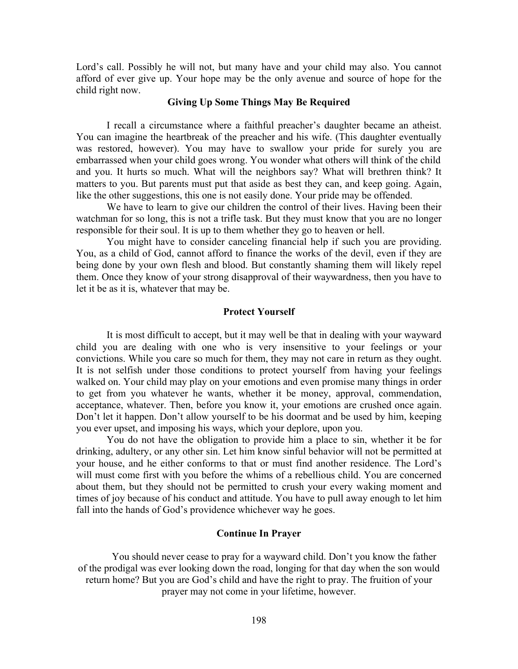Lord's call. Possibly he will not, but many have and your child may also. You cannot afford of ever give up. Your hope may be the only avenue and source of hope for the child right now.

#### **Giving Up Some Things May Be Required**

I recall a circumstance where a faithful preacher's daughter became an atheist. You can imagine the heartbreak of the preacher and his wife. (This daughter eventually was restored, however). You may have to swallow your pride for surely you are embarrassed when your child goes wrong. You wonder what others will think of the child and you. It hurts so much. What will the neighbors say? What will brethren think? It matters to you. But parents must put that aside as best they can, and keep going. Again, like the other suggestions, this one is not easily done. Your pride may be offended.

We have to learn to give our children the control of their lives. Having been their watchman for so long, this is not a trifle task. But they must know that you are no longer responsible for their soul. It is up to them whether they go to heaven or hell.

You might have to consider canceling financial help if such you are providing. You, as a child of God, cannot afford to finance the works of the devil, even if they are being done by your own flesh and blood. But constantly shaming them will likely repel them. Once they know of your strong disapproval of their waywardness, then you have to let it be as it is, whatever that may be.

#### **Protect Yourself**

It is most difficult to accept, but it may well be that in dealing with your wayward child you are dealing with one who is very insensitive to your feelings or your convictions. While you care so much for them, they may not care in return as they ought. It is not selfish under those conditions to protect yourself from having your feelings walked on. Your child may play on your emotions and even promise many things in order to get from you whatever he wants, whether it be money, approval, commendation, acceptance, whatever. Then, before you know it, your emotions are crushed once again. Don't let it happen. Don't allow yourself to be his doormat and be used by him, keeping you ever upset, and imposing his ways, which your deplore, upon you.

You do not have the obligation to provide him a place to sin, whether it be for drinking, adultery, or any other sin. Let him know sinful behavior will not be permitted at your house, and he either conforms to that or must find another residence. The Lord's will must come first with you before the whims of a rebellious child. You are concerned about them, but they should not be permitted to crush your every waking moment and times of joy because of his conduct and attitude. You have to pull away enough to let him fall into the hands of God's providence whichever way he goes.

#### **Continue In Prayer**

You should never cease to pray for a wayward child. Don't you know the father of the prodigal was ever looking down the road, longing for that day when the son would return home? But you are God's child and have the right to pray. The fruition of your prayer may not come in your lifetime, however.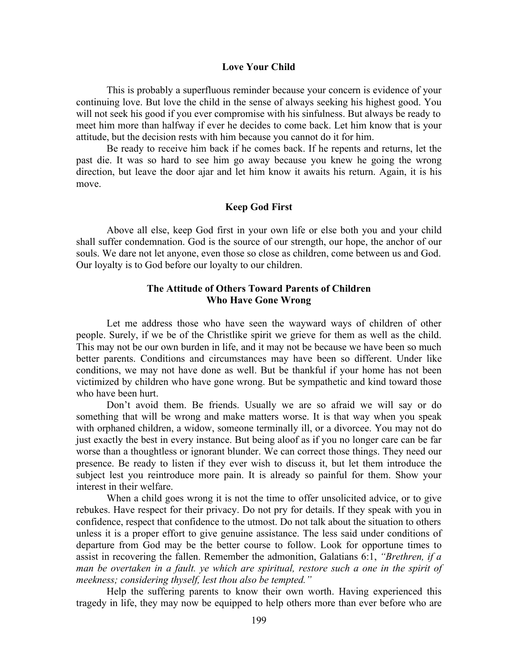#### **Love Your Child**

This is probably a superfluous reminder because your concern is evidence of your continuing love. But love the child in the sense of always seeking his highest good. You will not seek his good if you ever compromise with his sinfulness. But always be ready to meet him more than halfway if ever he decides to come back. Let him know that is your attitude, but the decision rests with him because you cannot do it for him.

Be ready to receive him back if he comes back. If he repents and returns, let the past die. It was so hard to see him go away because you knew he going the wrong direction, but leave the door ajar and let him know it awaits his return. Again, it is his move.

#### **Keep God First**

Above all else, keep God first in your own life or else both you and your child shall suffer condemnation. God is the source of our strength, our hope, the anchor of our souls. We dare not let anyone, even those so close as children, come between us and God. Our loyalty is to God before our loyalty to our children.

#### **The Attitude of Others Toward Parents of Children Who Have Gone Wrong**

Let me address those who have seen the wayward ways of children of other people. Surely, if we be of the Christlike spirit we grieve for them as well as the child. This may not be our own burden in life, and it may not be because we have been so much better parents. Conditions and circumstances may have been so different. Under like conditions, we may not have done as well. But be thankful if your home has not been victimized by children who have gone wrong. But be sympathetic and kind toward those who have been hurt.

Don't avoid them. Be friends. Usually we are so afraid we will say or do something that will be wrong and make matters worse. It is that way when you speak with orphaned children, a widow, someone terminally ill, or a divorcee. You may not do just exactly the best in every instance. But being aloof as if you no longer care can be far worse than a thoughtless or ignorant blunder. We can correct those things. They need our presence. Be ready to listen if they ever wish to discuss it, but let them introduce the subject lest you reintroduce more pain. It is already so painful for them. Show your interest in their welfare.

When a child goes wrong it is not the time to offer unsolicited advice, or to give rebukes. Have respect for their privacy. Do not pry for details. If they speak with you in confidence, respect that confidence to the utmost. Do not talk about the situation to others unless it is a proper effort to give genuine assistance. The less said under conditions of departure from God may be the better course to follow. Look for opportune times to assist in recovering the fallen. Remember the admonition, Galatians 6:1, *"Brethren, if a man be overtaken in a fault. ye which are spiritual, restore such a one in the spirit of meekness; considering thyself, lest thou also be tempted."*

Help the suffering parents to know their own worth. Having experienced this tragedy in life, they may now be equipped to help others more than ever before who are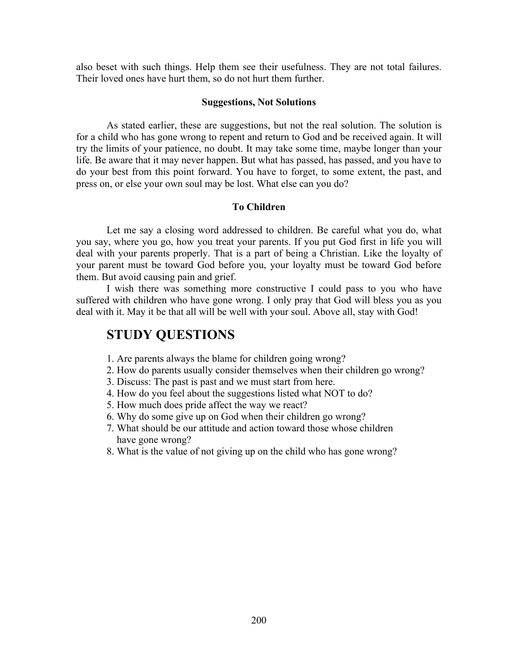also beset with such things. Help them see their usefulness. They are not total failures. Their loved ones have hurt them, so do not hurt them further.

#### **Suggestions, Not Solutions**

As stated earlier, these are suggestions, but not the real solution. The solution is for a child who has gone wrong to repent and return to God and be received again. It will try the limits of your patience, no doubt. It may take some time, maybe longer than your life. Be aware that it may never happen. But what has passed, has passed, and you have to do your best from this point forward. You have to forget, to some extent, the past, and press on, or else your own soul may be lost. What else can you do?

#### **To Children**

Let me say a closing word addressed to children. Be careful what you do, what you say, where you go, how you treat your parents. If you put God first in life you will deal with your parents properly. That is a part of being a Christian. Like the loyalty of your parent must be toward God before you, your loyalty must be toward God before them. But avoid causing pain and grief.

I wish there was something more constructive I could pass to you who have suffered with children who have gone wrong. I only pray that God will bless you as you deal with it. May it be that all will be well with your soul. Above all, stay with God!

## **STUDY QUESTIONS**

- 1. Are parents always the blame for children going wrong?
- 2. How do parents usually consider themselves when their children go wrong?
- 3. Discuss: The past is past and we must start from here.
- 4. How do you feel about the suggestions listed what NOT to do?
- 5. How much does pride affect the way we react?
- 6. Why do some give up on God when their children go wrong?
- 7. What should be our attitude and action toward those whose children have gone wrong?
- 8. What is the value of not giving up on the child who has gone wrong?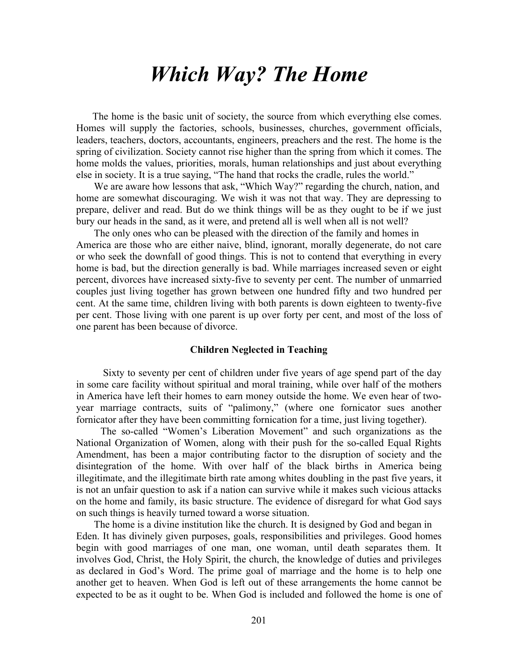## *Which Way? The Home*

 The home is the basic unit of society, the source from which everything else comes. Homes will supply the factories, schools, businesses, churches, government officials, leaders, teachers, doctors, accountants, engineers, preachers and the rest. The home is the spring of civilization. Society cannot rise higher than the spring from which it comes. The home molds the values, priorities, morals, human relationships and just about everything else in society. It is a true saying, "The hand that rocks the cradle, rules the world."

 We are aware how lessons that ask, "Which Way?" regarding the church, nation, and home are somewhat discouraging. We wish it was not that way. They are depressing to prepare, deliver and read. But do we think things will be as they ought to be if we just bury our heads in the sand, as it were, and pretend all is well when all is not well?

 The only ones who can be pleased with the direction of the family and homes in America are those who are either naive, blind, ignorant, morally degenerate, do not care or who seek the downfall of good things. This is not to contend that everything in every home is bad, but the direction generally is bad. While marriages increased seven or eight percent, divorces have increased sixty-five to seventy per cent. The number of unmarried couples just living together has grown between one hundred fifty and two hundred per cent. At the same time, children living with both parents is down eighteen to twenty-five per cent. Those living with one parent is up over forty per cent, and most of the loss of one parent has been because of divorce.

#### **Children Neglected in Teaching**

Sixty to seventy per cent of children under five years of age spend part of the day in some care facility without spiritual and moral training, while over half of the mothers in America have left their homes to earn money outside the home. We even hear of twoyear marriage contracts, suits of "palimony," (where one fornicator sues another fornicator after they have been committing fornication for a time, just living together).

The so-called "Women's Liberation Movement" and such organizations as the National Organization of Women, along with their push for the so-called Equal Rights Amendment, has been a major contributing factor to the disruption of society and the disintegration of the home. With over half of the black births in America being illegitimate, and the illegitimate birth rate among whites doubling in the past five years, it is not an unfair question to ask if a nation can survive while it makes such vicious attacks on the home and family, its basic structure. The evidence of disregard for what God says on such things is heavily turned toward a worse situation.

 The home is a divine institution like the church. It is designed by God and began in Eden. It has divinely given purposes, goals, responsibilities and privileges. Good homes begin with good marriages of one man, one woman, until death separates them. It involves God, Christ, the Holy Spirit, the church, the knowledge of duties and privileges as declared in God's Word. The prime goal of marriage and the home is to help one another get to heaven. When God is left out of these arrangements the home cannot be expected to be as it ought to be. When God is included and followed the home is one of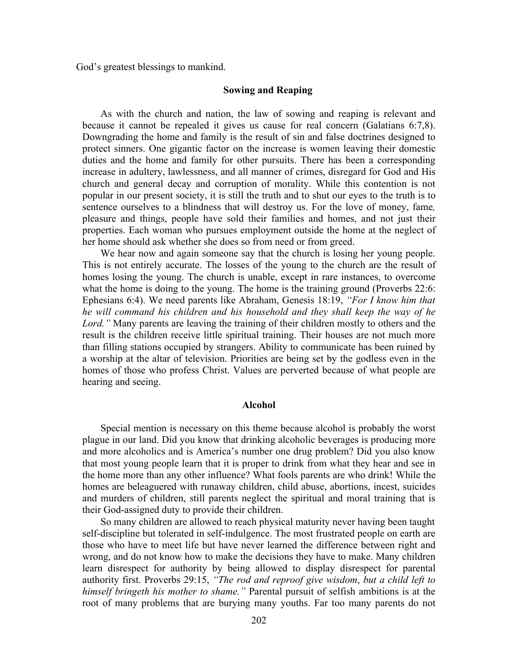God's greatest blessings to mankind.

#### **Sowing and Reaping**

As with the church and nation, the law of sowing and reaping is relevant and because it cannot be repealed it gives us cause for real concern (Galatians 6:7,8). Downgrading the home and family is the result of sin and false doctrines designed to protect sinners. One gigantic factor on the increase is women leaving their domestic duties and the home and family for other pursuits. There has been a corresponding increase in adultery, lawlessness, and all manner of crimes, disregard for God and His church and general decay and corruption of morality. While this contention is not popular in our present society, it is still the truth and to shut our eyes to the truth is to sentence ourselves to a blindness that will destroy us. For the love of money, fame*,* pleasure and things, people have sold their families and homes, and not just their properties. Each woman who pursues employment outside the home at the neglect of her home should ask whether she does so from need or from greed.

We hear now and again someone say that the church is losing her young people. This is not entirely accurate. The losses of the young to the church are the result of homes losing the young. The church is unable, except in rare instances, to overcome what the home is doing to the young. The home is the training ground (Proverbs 22:6: Ephesians 6:4). We need parents like Abraham, Genesis 18:19, *"For I know him that he will command his children and his household and they shall keep the way of he Lord."* Many parents are leaving the training of their children mostly to others and the result is the children receive little spiritual training. Their houses are not much more than filling stations occupied by strangers. Ability to communicate has been ruined by a worship at the altar of television. Priorities are being set by the godless even in the homes of those who profess Christ. Values are perverted because of what people are hearing and seeing.

#### **Alcohol**

Special mention is necessary on this theme because alcohol is probably the worst plague in our land. Did you know that drinking alcoholic beverages is producing more and more alcoholics and is America's number one drug problem? Did you also know that most young people learn that it is proper to drink from what they hear and see in the home more than any other influence? What fools parents are who drink! While the homes are beleaguered with runaway children, child abuse, abortions, incest, suicides and murders of children, still parents neglect the spiritual and moral training that is their God-assigned duty to provide their children.

So many children are allowed to reach physical maturity never having been taught self-discipline but tolerated in self-indulgence. The most frustrated people on earth are those who have to meet life but have never learned the difference between right and wrong, and do not know how to make the decisions they have to make. Many children learn disrespect for authority by being allowed to display disrespect for parental authority first. Proverbs 29:15, *"The rod and reproof give wisdom*, *but a child left to himself bringeth his mother to shame."* Parental pursuit of selfish ambitions is at the root of many problems that are burying many youths. Far too many parents do not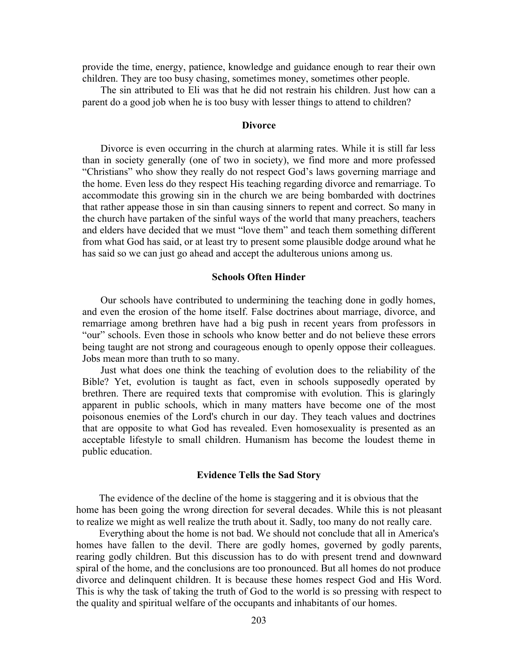provide the time, energy, patience, knowledge and guidance enough to rear their own children. They are too busy chasing, sometimes money, sometimes other people.

The sin attributed to Eli was that he did not restrain his children. Just how can a parent do a good job when he is too busy with lesser things to attend to children?

#### **Divorce**

Divorce is even occurring in the church at alarming rates. While it is still far less than in society generally (one of two in society), we find more and more professed "Christians" who show they really do not respect God's laws governing marriage and the home. Even less do they respect His teaching regarding divorce and remarriage. To accommodate this growing sin in the church we are being bombarded with doctrines that rather appease those in sin than causing sinners to repent and correct. So many in the church have partaken of the sinful ways of the world that many preachers, teachers and elders have decided that we must "love them" and teach them something different from what God has said, or at least try to present some plausible dodge around what he has said so we can just go ahead and accept the adulterous unions among us.

#### **Schools Often Hinder**

Our schools have contributed to undermining the teaching done in godly homes, and even the erosion of the home itself. False doctrines about marriage, divorce, and remarriage among brethren have had a big push in recent years from professors in "our" schools. Even those in schools who know better and do not believe these errors being taught are not strong and courageous enough to openly oppose their colleagues. Jobs mean more than truth to so many.

Just what does one think the teaching of evolution does to the reliability of the Bible? Yet, evolution is taught as fact, even in schools supposedly operated by brethren. There are required texts that compromise with evolution. This is glaringly apparent in public schools, which in many matters have become one of the most poisonous enemies of the Lord's church in our day. They teach values and doctrines that are opposite to what God has revealed. Even homosexuality is presented as an acceptable lifestyle to small children. Humanism has become the loudest theme in public education.

#### **Evidence Tells the Sad Story**

 The evidence of the decline of the home is staggering and it is obvious that the home has been going the wrong direction for several decades. While this is not pleasant to realize we might as well realize the truth about it. Sadly, too many do not really care.

 Everything about the home is not bad. We should not conclude that all in America's homes have fallen to the devil. There are godly homes, governed by godly parents, rearing godly children. But this discussion has to do with present trend and downward spiral of the home, and the conclusions are too pronounced. But all homes do not produce divorce and delinquent children. It is because these homes respect God and His Word. This is why the task of taking the truth of God to the world is so pressing with respect to the quality and spiritual welfare of the occupants and inhabitants of our homes.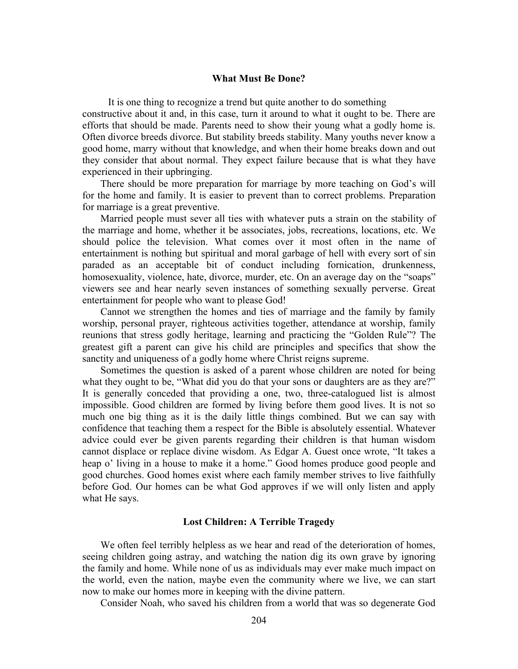#### **What Must Be Done?**

 It is one thing to recognize a trend but quite another to do something constructive about it and, in this case, turn it around to what it ought to be. There are efforts that should be made. Parents need to show their young what a godly home is. Often divorce breeds divorce. But stability breeds stability. Many youths never know a good home, marry without that knowledge, and when their home breaks down and out they consider that about normal. They expect failure because that is what they have experienced in their upbringing.

There should be more preparation for marriage by more teaching on God's will for the home and family. It is easier to prevent than to correct problems. Preparation for marriage is a great preventive.

Married people must sever all ties with whatever puts a strain on the stability of the marriage and home, whether it be associates, jobs, recreations, locations, etc. We should police the television. What comes over it most often in the name of entertainment is nothing but spiritual and moral garbage of hell with every sort of sin paraded as an acceptable bit of conduct including fornication, drunkenness, homosexuality, violence, hate, divorce, murder, etc. On an average day on the "soaps" viewers see and hear nearly seven instances of something sexually perverse. Great entertainment for people who want to please God!

Cannot we strengthen the homes and ties of marriage and the family by family worship, personal prayer, righteous activities together, attendance at worship, family reunions that stress godly heritage, learning and practicing the "Golden Rule"? The greatest gift a parent can give his child are principles and specifics that show the sanctity and uniqueness of a godly home where Christ reigns supreme.

Sometimes the question is asked of a parent whose children are noted for being what they ought to be, "What did you do that your sons or daughters are as they are?" It is generally conceded that providing a one, two, three-catalogued list is almost impossible. Good children are formed by living before them good lives. It is not so much one big thing as it is the daily little things combined. But we can say with confidence that teaching them a respect for the Bible is absolutely essential. Whatever advice could ever be given parents regarding their children is that human wisdom cannot displace or replace divine wisdom. As Edgar A. Guest once wrote, "It takes a heap o' living in a house to make it a home." Good homes produce good people and good churches. Good homes exist where each family member strives to live faithfully before God. Our homes can be what God approves if we will only listen and apply what He says.

#### **Lost Children: A Terrible Tragedy**

We often feel terribly helpless as we hear and read of the deterioration of homes, seeing children going astray, and watching the nation dig its own grave by ignoring the family and home. While none of us as individuals may ever make much impact on the world, even the nation, maybe even the community where we live, we can start now to make our homes more in keeping with the divine pattern.

Consider Noah, who saved his children from a world that was so degenerate God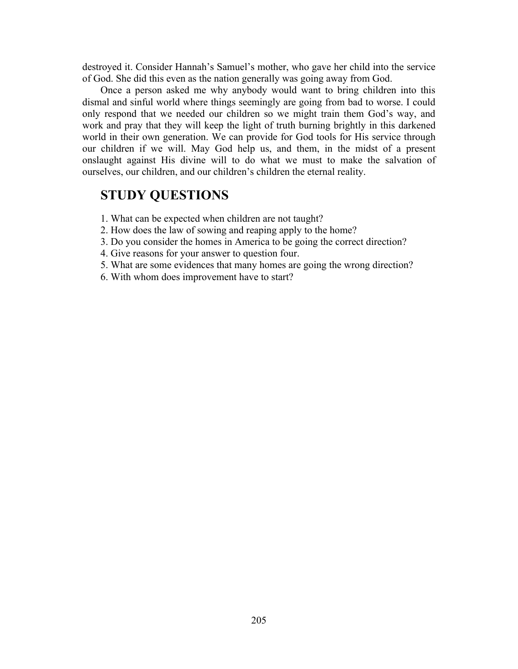destroyed it. Consider Hannah's Samuel's mother, who gave her child into the service of God. She did this even as the nation generally was going away from God.

Once a person asked me why anybody would want to bring children into this dismal and sinful world where things seemingly are going from bad to worse. I could only respond that we needed our children so we might train them God's way, and work and pray that they will keep the light of truth burning brightly in this darkened world in their own generation. We can provide for God tools for His service through our children if we will. May God help us, and them, in the midst of a present onslaught against His divine will to do what we must to make the salvation of ourselves, our children, and our children's children the eternal reality.

### **STUDY QUESTIONS**

- 1. What can be expected when children are not taught?
- 2. How does the law of sowing and reaping apply to the home?
- 3. Do you consider the homes in America to be going the correct direction?
- 4. Give reasons for your answer to question four.
- 5. What are some evidences that many homes are going the wrong direction?
- 6. With whom does improvement have to start?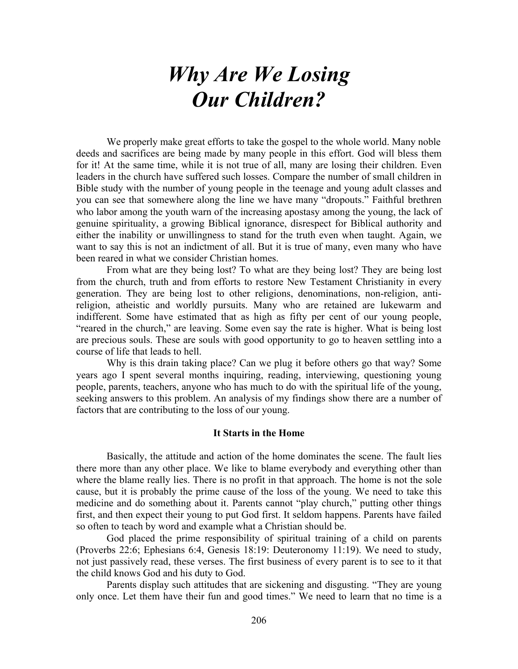# *Why Are We Losing Our Children?*

We properly make great efforts to take the gospel to the whole world. Many noble deeds and sacrifices are being made by many people in this effort. God will bless them for it! At the same time, while it is not true of all, many are losing their children. Even leaders in the church have suffered such losses. Compare the number of small children in Bible study with the number of young people in the teenage and young adult classes and you can see that somewhere along the line we have many "dropouts." Faithful brethren who labor among the youth warn of the increasing apostasy among the young, the lack of genuine spirituality, a growing Biblical ignorance, disrespect for Biblical authority and either the inability or unwillingness to stand for the truth even when taught. Again, we want to say this is not an indictment of all. But it is true of many, even many who have been reared in what we consider Christian homes.

From what are they being lost? To what are they being lost? They are being lost from the church, truth and from efforts to restore New Testament Christianity in every generation. They are being lost to other religions, denominations, non-religion, antireligion, atheistic and worldly pursuits. Many who are retained are lukewarm and indifferent. Some have estimated that as high as fifty per cent of our young people, "reared in the church," are leaving. Some even say the rate is higher. What is being lost are precious souls. These are souls with good opportunity to go to heaven settling into a course of life that leads to hell.

Why is this drain taking place? Can we plug it before others go that way? Some years ago I spent several months inquiring, reading, interviewing, questioning young people, parents, teachers, anyone who has much to do with the spiritual life of the young, seeking answers to this problem. An analysis of my findings show there are a number of factors that are contributing to the loss of our young.

#### **It Starts in the Home**

Basically, the attitude and action of the home dominates the scene. The fault lies there more than any other place. We like to blame everybody and everything other than where the blame really lies. There is no profit in that approach. The home is not the sole cause, but it is probably the prime cause of the loss of the young. We need to take this medicine and do something about it. Parents cannot "play church," putting other things first, and then expect their young to put God first. It seldom happens. Parents have failed so often to teach by word and example what a Christian should be.

God placed the prime responsibility of spiritual training of a child on parents (Proverbs 22:6; Ephesians 6:4, Genesis 18:19: Deuteronomy 11:19). We need to study, not just passively read, these verses. The first business of every parent is to see to it that the child knows God and his duty to God.

Parents display such attitudes that are sickening and disgusting. "They are young only once. Let them have their fun and good times." We need to learn that no time is a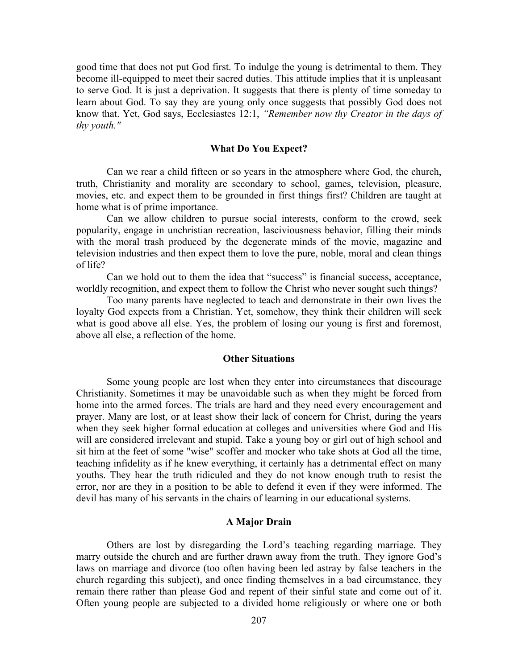good time that does not put God first. To indulge the young is detrimental to them. They become ill-equipped to meet their sacred duties. This attitude implies that it is unpleasant to serve God. It is just a deprivation. It suggests that there is plenty of time someday to learn about God. To say they are young only once suggests that possibly God does not know that. Yet, God says, Ecclesiastes 12:1, *"Remember now thy Creator in the days of thy youth."*

#### **What Do You Expect?**

Can we rear a child fifteen or so years in the atmosphere where God, the church, truth, Christianity and morality are secondary to school, games, television, pleasure, movies, etc. and expect them to be grounded in first things first? Children are taught at home what is of prime importance.

Can we allow children to pursue social interests, conform to the crowd, seek popularity, engage in unchristian recreation, lasciviousness behavior, filling their minds with the moral trash produced by the degenerate minds of the movie, magazine and television industries and then expect them to love the pure, noble, moral and clean things of life?

Can we hold out to them the idea that "success" is financial success, acceptance, worldly recognition, and expect them to follow the Christ who never sought such things?

Too many parents have neglected to teach and demonstrate in their own lives the loyalty God expects from a Christian. Yet, somehow, they think their children will seek what is good above all else. Yes, the problem of losing our young is first and foremost, above all else, a reflection of the home.

#### **Other Situations**

Some young people are lost when they enter into circumstances that discourage Christianity. Sometimes it may be unavoidable such as when they might be forced from home into the armed forces. The trials are hard and they need every encouragement and prayer. Many are lost, or at least show their lack of concern for Christ, during the years when they seek higher formal education at colleges and universities where God and His will are considered irrelevant and stupid. Take a young boy or girl out of high school and sit him at the feet of some "wise" scoffer and mocker who take shots at God all the time, teaching infidelity as if he knew everything, it certainly has a detrimental effect on many youths. They hear the truth ridiculed and they do not know enough truth to resist the error, nor are they in a position to be able to defend it even if they were informed. The devil has many of his servants in the chairs of learning in our educational systems.

#### **A Major Drain**

Others are lost by disregarding the Lord's teaching regarding marriage. They marry outside the church and are further drawn away from the truth. They ignore God's laws on marriage and divorce (too often having been led astray by false teachers in the church regarding this subject), and once finding themselves in a bad circumstance, they remain there rather than please God and repent of their sinful state and come out of it. Often young people are subjected to a divided home religiously or where one or both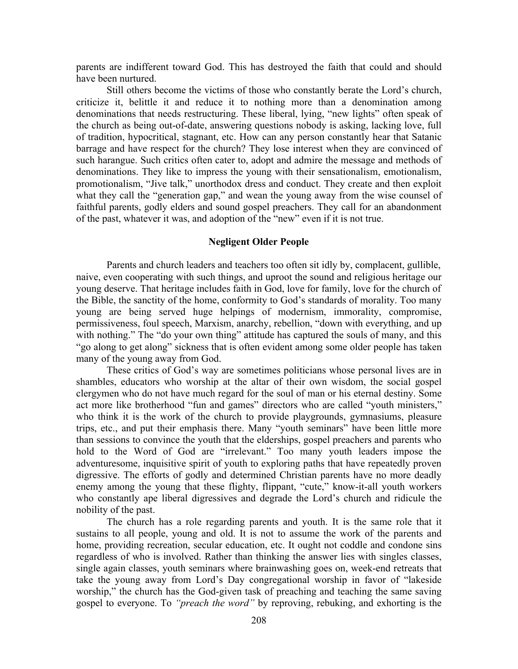parents are indifferent toward God. This has destroyed the faith that could and should have been nurtured.

Still others become the victims of those who constantly berate the Lord's church, criticize it, belittle it and reduce it to nothing more than a denomination among denominations that needs restructuring. These liberal, lying, "new lights" often speak of the church as being out-of-date, answering questions nobody is asking, lacking love, full of tradition, hypocritical, stagnant, etc. How can any person constantly hear that Satanic barrage and have respect for the church? They lose interest when they are convinced of such harangue. Such critics often cater to, adopt and admire the message and methods of denominations. They like to impress the young with their sensationalism, emotionalism, promotionalism, "Jive talk," unorthodox dress and conduct. They create and then exploit what they call the "generation gap," and wean the young away from the wise counsel of faithful parents, godly elders and sound gospel preachers. They call for an abandonment of the past, whatever it was, and adoption of the "new" even if it is not true.

#### **Negligent Older People**

Parents and church leaders and teachers too often sit idly by, complacent, gullible, naive, even cooperating with such things, and uproot the sound and religious heritage our young deserve. That heritage includes faith in God, love for family, love for the church of the Bible, the sanctity of the home, conformity to God's standards of morality. Too many young are being served huge helpings of modernism, immorality, compromise, permissiveness, foul speech, Marxism, anarchy, rebellion, "down with everything, and up with nothing." The "do your own thing" attitude has captured the souls of many, and this "go along to get along" sickness that is often evident among some older people has taken many of the young away from God.

These critics of God's way are sometimes politicians whose personal lives are in shambles, educators who worship at the altar of their own wisdom, the social gospel clergymen who do not have much regard for the soul of man or his eternal destiny. Some act more like brotherhood "fun and games" directors who are called "youth ministers," who think it is the work of the church to provide playgrounds, gymnasiums, pleasure trips, etc., and put their emphasis there. Many "youth seminars" have been little more than sessions to convince the youth that the elderships, gospel preachers and parents who hold to the Word of God are "irrelevant." Too many youth leaders impose the adventuresome, inquisitive spirit of youth to exploring paths that have repeatedly proven digressive. The efforts of godly and determined Christian parents have no more deadly enemy among the young that these flighty, flippant, "cute," know-it-all youth workers who constantly ape liberal digressives and degrade the Lord's church and ridicule the nobility of the past.

The church has a role regarding parents and youth. It is the same role that it sustains to all people, young and old. It is not to assume the work of the parents and home, providing recreation, secular education, etc. It ought not coddle and condone sins regardless of who is involved. Rather than thinking the answer lies with singles classes, single again classes, youth seminars where brainwashing goes on, week-end retreats that take the young away from Lord's Day congregational worship in favor of "lakeside worship," the church has the God-given task of preaching and teaching the same saving gospel to everyone. To *"preach the word"* by reproving, rebuking, and exhorting is the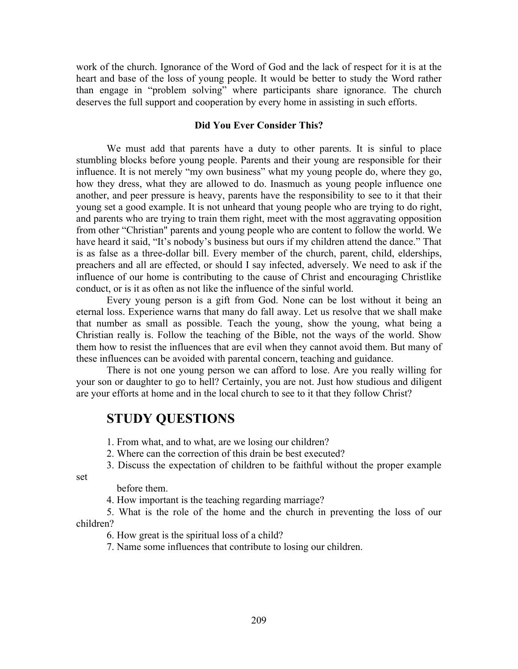work of the church. Ignorance of the Word of God and the lack of respect for it is at the heart and base of the loss of young people. It would be better to study the Word rather than engage in "problem solving" where participants share ignorance. The church deserves the full support and cooperation by every home in assisting in such efforts.

#### **Did You Ever Consider This?**

We must add that parents have a duty to other parents. It is sinful to place stumbling blocks before young people. Parents and their young are responsible for their influence. It is not merely "my own business" what my young people do, where they go, how they dress, what they are allowed to do. Inasmuch as young people influence one another, and peer pressure is heavy, parents have the responsibility to see to it that their young set a good example. It is not unheard that young people who are trying to do right, and parents who are trying to train them right, meet with the most aggravating opposition from other "Christian" parents and young people who are content to follow the world. We have heard it said, "It's nobody's business but ours if my children attend the dance." That is as false as a three-dollar bill. Every member of the church, parent, child, elderships, preachers and all are effected, or should I say infected, adversely. We need to ask if the influence of our home is contributing to the cause of Christ and encouraging Christlike conduct, or is it as often as not like the influence of the sinful world.

Every young person is a gift from God. None can be lost without it being an eternal loss. Experience warns that many do fall away. Let us resolve that we shall make that number as small as possible. Teach the young, show the young, what being a Christian really is. Follow the teaching of the Bible, not the ways of the world. Show them how to resist the influences that are evil when they cannot avoid them. But many of these influences can be avoided with parental concern, teaching and guidance.

There is not one young person we can afford to lose. Are you really willing for your son or daughter to go to hell? Certainly, you are not. Just how studious and diligent are your efforts at home and in the local church to see to it that they follow Christ?

## **STUDY QUESTIONS**

1. From what, and to what, are we losing our children?

- 2. Where can the correction of this drain be best executed?
- 3. Discuss the expectation of children to be faithful without the proper example

set

before them.

4. How important is the teaching regarding marriage?

5. What is the role of the home and the church in preventing the loss of our children?

6. How great is the spiritual loss of a child?

7. Name some influences that contribute to losing our children.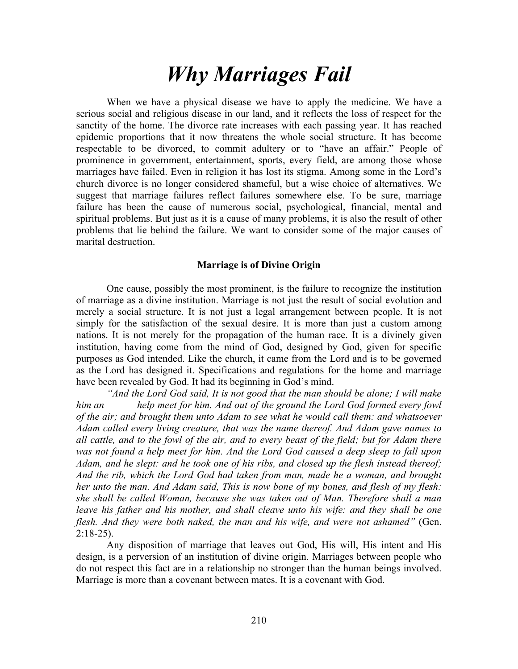# *Why Marriages Fail*

When we have a physical disease we have to apply the medicine. We have a serious social and religious disease in our land, and it reflects the loss of respect for the sanctity of the home. The divorce rate increases with each passing year. It has reached epidemic proportions that it now threatens the whole social structure. It has become respectable to be divorced, to commit adultery or to "have an affair." People of prominence in government, entertainment, sports, every field, are among those whose marriages have failed. Even in religion it has lost its stigma. Among some in the Lord's church divorce is no longer considered shameful, but a wise choice of alternatives. We suggest that marriage failures reflect failures somewhere else. To be sure, marriage failure has been the cause of numerous social, psychological, financial, mental and spiritual problems. But just as it is a cause of many problems, it is also the result of other problems that lie behind the failure. We want to consider some of the major causes of marital destruction.

#### **Marriage is of Divine Origin**

One cause, possibly the most prominent, is the failure to recognize the institution of marriage as a divine institution. Marriage is not just the result of social evolution and merely a social structure. It is not just a legal arrangement between people. It is not simply for the satisfaction of the sexual desire. It is more than just a custom among nations. It is not merely for the propagation of the human race. It is a divinely given institution, having come from the mind of God, designed by God, given for specific purposes as God intended. Like the church, it came from the Lord and is to be governed as the Lord has designed it. Specifications and regulations for the home and marriage have been revealed by God. It had its beginning in God's mind.

*"And the Lord God said, It is not good that the man should be alone; I will make him an help meet for him. And out of the ground the Lord God formed every fowl of the air; and brought them unto Adam to see what he would call them: and whatsoever Adam called every living creature, that was the name thereof. And Adam gave names to all cattle, and to the fowl of the air, and to every beast of the field; but for Adam there was not found a help meet for him. And the Lord God caused a deep sleep to fall upon Adam, and he slept: and he took one of his ribs, and closed up the flesh instead thereof; And the rib, which the Lord God had taken from man, made he a woman, and brought her unto the man. And Adam said, This is now bone of my bones, and flesh of my flesh: she shall be called Woman, because she was taken out of Man. Therefore shall a man leave his father and his mother, and shall cleave unto his wife: and they shall be one flesh. And they were both naked, the man and his wife, and were not ashamed"* (Gen. 2:18-25).

Any disposition of marriage that leaves out God, His will, His intent and His design, is a perversion of an institution of divine origin. Marriages between people who do not respect this fact are in a relationship no stronger than the human beings involved. Marriage is more than a covenant between mates. It is a covenant with God.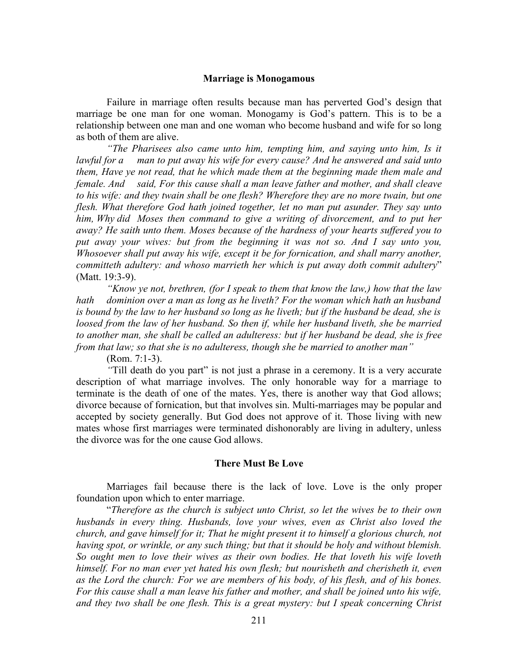#### **Marriage is Monogamous**

Failure in marriage often results because man has perverted God's design that marriage be one man for one woman. Monogamy is God's pattern. This is to be a relationship between one man and one woman who become husband and wife for so long as both of them are alive.

*"The Pharisees also came unto him, tempting him, and saying unto him, Is it lawful for a man to put away his wife for every cause? And he answered and said unto them, Have ye not read, that he which made them at the beginning made them male and female. And said, For this cause shall a man leave father and mother, and shall cleave to his wife: and they twain shall be one flesh? Wherefore they are no more twain, but one flesh. What therefore God hath joined together, let no man put asunder. They say unto him, Why did Moses then command to give a writing of divorcement, and to put her away? He saith unto them. Moses because of the hardness of your hearts suffered you to put away your wives: but from the beginning it was not so. And I say unto you, Whosoever shall put away his wife, except it be for fornication, and shall marry another, committeth adultery: and whoso marrieth her which is put away doth commit adultery*" (Matt. 19:3-9).

*"Know ye not, brethren, (for I speak to them that know the law,) how that the law hath dominion over a man as long as he liveth? For the woman which hath an husband is bound by the law to her husband so long as he liveth; but if the husband be dead, she is loosed from the law of her husband. So then if, while her husband liveth, she be married to another man, she shall be called an adulteress: but if her husband be dead, she is free from that law; so that she is no adulteress, though she be married to another man"* 

(Rom. 7:1-3).

*"*Till death do you part" is not just a phrase in a ceremony. It is a very accurate description of what marriage involves. The only honorable way for a marriage to terminate is the death of one of the mates. Yes, there is another way that God allows; divorce because of fornication, but that involves sin. Multi-marriages may be popular and accepted by society generally. But God does not approve of it. Those living with new mates whose first marriages were terminated dishonorably are living in adultery, unless the divorce was for the one cause God allows.

#### **There Must Be Love**

Marriages fail because there is the lack of love. Love is the only proper foundation upon which to enter marriage.

"*Therefore as the church is subject unto Christ, so let the wives be to their own husbands in every thing. Husbands, love your wives, even as Christ also loved the church, and gave himself for it; That he might present it to himself a glorious church, not having spot, or wrinkle, or any such thing; but that it should be holy and without blemish. So ought men to love their wives as their own bodies. He that loveth his wife loveth himself. For no man ever yet hated his own flesh; but nourisheth and cherisheth it, even as the Lord the church: For we are members of his body, of his flesh, and of his bones. For this cause shall a man leave his father and mother, and shall be joined unto his wife, and they two shall be one flesh. This is a great mystery: but I speak concerning Christ*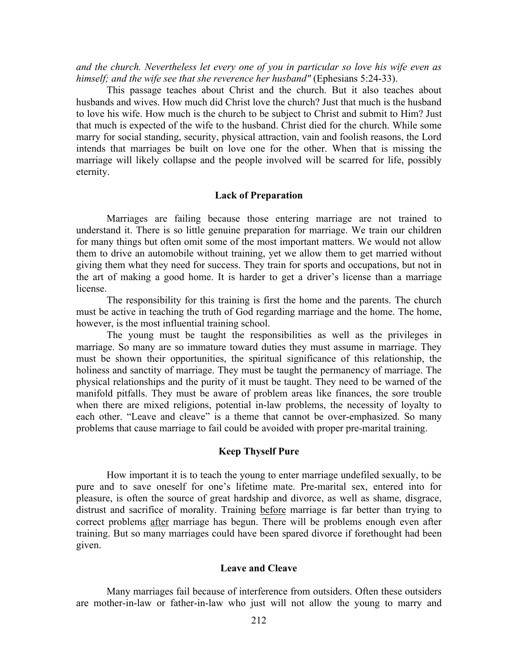*and the church. Nevertheless let every one of you in particular so love his wife even as himself; and the wife see that she reverence her husband"* (Ephesians 5:24-33).

This passage teaches about Christ and the church. But it also teaches about husbands and wives. How much did Christ love the church? Just that much is the husband to love his wife. How much is the church to be subject to Christ and submit to Him? Just that much is expected of the wife to the husband. Christ died for the church. While some marry for social standing, security, physical attraction, vain and foolish reasons, the Lord intends that marriages be built on love one for the other. When that is missing the marriage will likely collapse and the people involved will be scarred for life, possibly eternity.

#### **Lack of Preparation**

Marriages are failing because those entering marriage are not trained to understand it. There is so little genuine preparation for marriage. We train our children for many things but often omit some of the most important matters. We would not allow them to drive an automobile without training, yet we allow them to get married without giving them what they need for success. They train for sports and occupations, but not in the art of making a good home. It is harder to get a driver's license than a marriage license.

The responsibility for this training is first the home and the parents. The church must be active in teaching the truth of God regarding marriage and the home. The home, however, is the most influential training school.

The young must be taught the responsibilities as well as the privileges in marriage. So many are so immature toward duties they must assume in marriage. They must be shown their opportunities, the spiritual significance of this relationship, the holiness and sanctity of marriage. They must be taught the permanency of marriage. The physical relationships and the purity of it must be taught. They need to be warned of the manifold pitfalls. They must be aware of problem areas like finances, the sore trouble when there are mixed religions, potential in-law problems, the necessity of loyalty to each other. "Leave and cleave" is a theme that cannot be over-emphasized. So many problems that cause marriage to fail could be avoided with proper pre-marital training.

#### **Keep Thyself Pure**

How important it is to teach the young to enter marriage undefiled sexually, to be pure and to save oneself for one's lifetime mate. Pre-marital sex, entered into for pleasure, is often the source of great hardship and divorce, as well as shame, disgrace, distrust and sacrifice of morality. Training before marriage is far better than trying to correct problems after marriage has begun. There will be problems enough even after training. But so many marriages could have been spared divorce if forethought had been given.

#### **Leave and Cleave**

Many marriages fail because of interference from outsiders. Often these outsiders are mother-in-law or father-in-law who just will not allow the young to marry and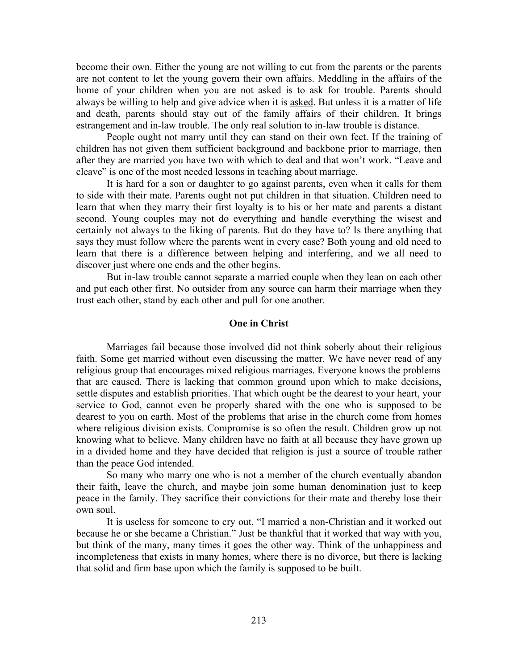become their own. Either the young are not willing to cut from the parents or the parents are not content to let the young govern their own affairs. Meddling in the affairs of the home of your children when you are not asked is to ask for trouble. Parents should always be willing to help and give advice when it is asked. But unless it is a matter of life and death, parents should stay out of the family affairs of their children. It brings estrangement and in-law trouble. The only real solution to in-law trouble is distance.

People ought not marry until they can stand on their own feet. If the training of children has not given them sufficient background and backbone prior to marriage, then after they are married you have two with which to deal and that won't work. "Leave and cleave" is one of the most needed lessons in teaching about marriage.

It is hard for a son or daughter to go against parents, even when it calls for them to side with their mate. Parents ought not put children in that situation. Children need to learn that when they marry their first loyalty is to his or her mate and parents a distant second. Young couples may not do everything and handle everything the wisest and certainly not always to the liking of parents. But do they have to? Is there anything that says they must follow where the parents went in every case? Both young and old need to learn that there is a difference between helping and interfering, and we all need to discover just where one ends and the other begins.

But in-law trouble cannot separate a married couple when they lean on each other and put each other first. No outsider from any source can harm their marriage when they trust each other, stand by each other and pull for one another.

#### **One in Christ**

Marriages fail because those involved did not think soberly about their religious faith. Some get married without even discussing the matter. We have never read of any religious group that encourages mixed religious marriages. Everyone knows the problems that are caused. There is lacking that common ground upon which to make decisions, settle disputes and establish priorities. That which ought be the dearest to your heart, your service to God, cannot even be properly shared with the one who is supposed to be dearest to you on earth. Most of the problems that arise in the church come from homes where religious division exists. Compromise is so often the result. Children grow up not knowing what to believe. Many children have no faith at all because they have grown up in a divided home and they have decided that religion is just a source of trouble rather than the peace God intended.

So many who marry one who is not a member of the church eventually abandon their faith, leave the church, and maybe join some human denomination just to keep peace in the family. They sacrifice their convictions for their mate and thereby lose their own soul.

It is useless for someone to cry out, "I married a non-Christian and it worked out because he or she became a Christian." Just be thankful that it worked that way with you, but think of the many, many times it goes the other way. Think of the unhappiness and incompleteness that exists in many homes, where there is no divorce, but there is lacking that solid and firm base upon which the family is supposed to be built.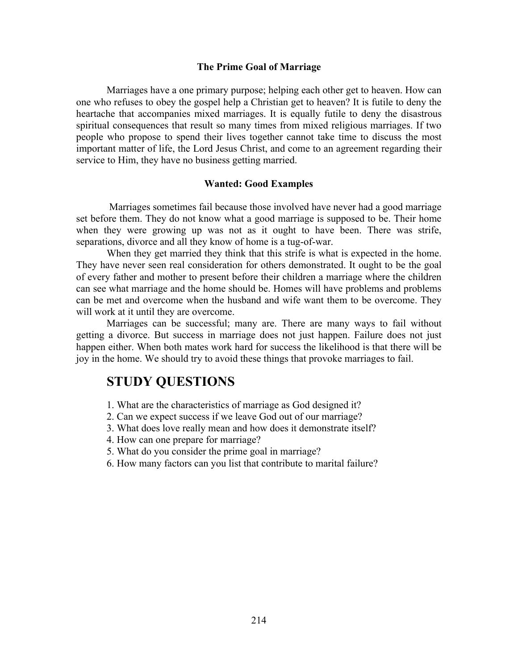#### **The Prime Goal of Marriage**

Marriages have a one primary purpose; helping each other get to heaven. How can one who refuses to obey the gospel help a Christian get to heaven? It is futile to deny the heartache that accompanies mixed marriages. It is equally futile to deny the disastrous spiritual consequences that result so many times from mixed religious marriages. If two people who propose to spend their lives together cannot take time to discuss the most important matter of life, the Lord Jesus Christ, and come to an agreement regarding their service to Him, they have no business getting married.

#### **Wanted: Good Examples**

Marriages sometimes fail because those involved have never had a good marriage set before them. They do not know what a good marriage is supposed to be. Their home when they were growing up was not as it ought to have been. There was strife, separations, divorce and all they know of home is a tug-of-war.

When they get married they think that this strife is what is expected in the home. They have never seen real consideration for others demonstrated. It ought to be the goal of every father and mother to present before their children a marriage where the children can see what marriage and the home should be. Homes will have problems and problems can be met and overcome when the husband and wife want them to be overcome. They will work at it until they are overcome.

Marriages can be successful; many are. There are many ways to fail without getting a divorce. But success in marriage does not just happen. Failure does not just happen either. When both mates work hard for success the likelihood is that there will be joy in the home. We should try to avoid these things that provoke marriages to fail.

### **STUDY QUESTIONS**

- 1. What are the characteristics of marriage as God designed it?
- 2. Can we expect success if we leave God out of our marriage?
- 3. What does love really mean and how does it demonstrate itself?
- 4. How can one prepare for marriage?
- 5. What do you consider the prime goal in marriage?
- 6. How many factors can you list that contribute to marital failure?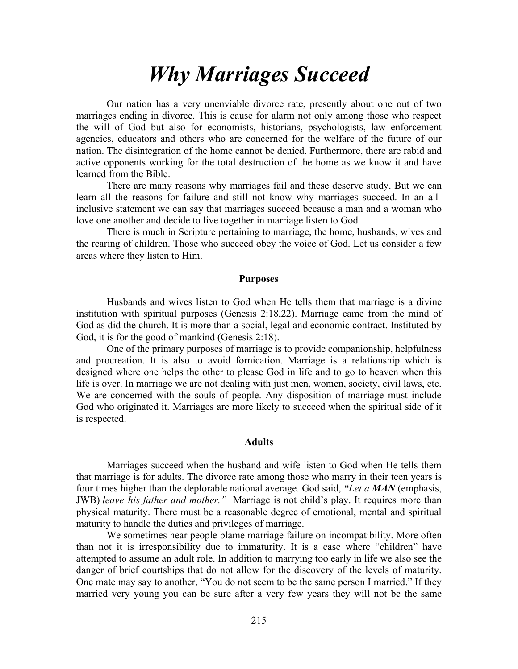# *Why Marriages Succeed*

Our nation has a very unenviable divorce rate, presently about one out of two marriages ending in divorce. This is cause for alarm not only among those who respect the will of God but also for economists, historians, psychologists, law enforcement agencies, educators and others who are concerned for the welfare of the future of our nation. The disintegration of the home cannot be denied. Furthermore, there are rabid and active opponents working for the total destruction of the home as we know it and have learned from the Bible.

There are many reasons why marriages fail and these deserve study. But we can learn all the reasons for failure and still not know why marriages succeed. In an allinclusive statement we can say that marriages succeed because a man and a woman who love one another and decide to live together in marriage listen to God

There is much in Scripture pertaining to marriage, the home, husbands, wives and the rearing of children. Those who succeed obey the voice of God. Let us consider a few areas where they listen to Him.

#### **Purposes**

Husbands and wives listen to God when He tells them that marriage is a divine institution with spiritual purposes (Genesis 2:18,22). Marriage came from the mind of God as did the church. It is more than a social, legal and economic contract. Instituted by God, it is for the good of mankind (Genesis 2:18).

One of the primary purposes of marriage is to provide companionship, helpfulness and procreation. It is also to avoid fornication. Marriage is a relationship which is designed where one helps the other to please God in life and to go to heaven when this life is over. In marriage we are not dealing with just men, women, society, civil laws, etc. We are concerned with the souls of people. Any disposition of marriage must include God who originated it. Marriages are more likely to succeed when the spiritual side of it is respected.

#### **Adults**

Marriages succeed when the husband and wife listen to God when He tells them that marriage is for adults. The divorce rate among those who marry in their teen years is four times higher than the deplorable national average. God said, *"Let a MAN* (emphasis, JWB) *leave his father and mother."* Marriage is not child's play. It requires more than physical maturity. There must be a reasonable degree of emotional, mental and spiritual maturity to handle the duties and privileges of marriage.

We sometimes hear people blame marriage failure on incompatibility. More often than not it is irresponsibility due to immaturity. It is a case where "children" have attempted to assume an adult role. In addition to marrying too early in life we also see the danger of brief courtships that do not allow for the discovery of the levels of maturity. One mate may say to another, "You do not seem to be the same person I married." If they married very young you can be sure after a very few years they will not be the same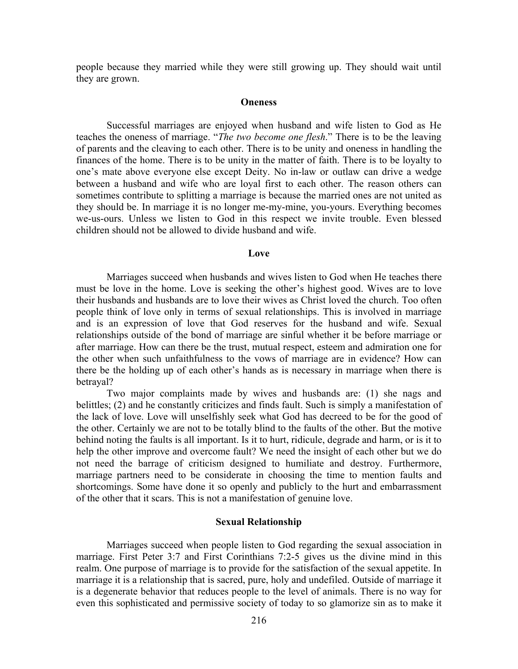people because they married while they were still growing up. They should wait until they are grown.

#### **Oneness**

Successful marriages are enjoyed when husband and wife listen to God as He teaches the oneness of marriage. "*The two become one flesh*." There is to be the leaving of parents and the cleaving to each other. There is to be unity and oneness in handling the finances of the home. There is to be unity in the matter of faith. There is to be loyalty to one's mate above everyone else except Deity. No in-law or outlaw can drive a wedge between a husband and wife who are loyal first to each other. The reason others can sometimes contribute to splitting a marriage is because the married ones are not united as they should be. In marriage it is no longer me-my-mine, you-yours. Everything becomes we-us-ours. Unless we listen to God in this respect we invite trouble. Even blessed children should not be allowed to divide husband and wife.

#### **Love**

Marriages succeed when husbands and wives listen to God when He teaches there must be love in the home. Love is seeking the other's highest good. Wives are to love their husbands and husbands are to love their wives as Christ loved the church. Too often people think of love only in terms of sexual relationships. This is involved in marriage and is an expression of love that God reserves for the husband and wife. Sexual relationships outside of the bond of marriage are sinful whether it be before marriage or after marriage. How can there be the trust, mutual respect, esteem and admiration one for the other when such unfaithfulness to the vows of marriage are in evidence? How can there be the holding up of each other's hands as is necessary in marriage when there is betrayal?

Two major complaints made by wives and husbands are: (1) she nags and belittles; (2) and he constantly criticizes and finds fault. Such is simply a manifestation of the lack of love. Love will unselfishly seek what God has decreed to be for the good of the other. Certainly we are not to be totally blind to the faults of the other. But the motive behind noting the faults is all important. Is it to hurt, ridicule, degrade and harm, or is it to help the other improve and overcome fault? We need the insight of each other but we do not need the barrage of criticism designed to humiliate and destroy. Furthermore, marriage partners need to be considerate in choosing the time to mention faults and shortcomings. Some have done it so openly and publicly to the hurt and embarrassment of the other that it scars. This is not a manifestation of genuine love.

#### **Sexual Relationship**

Marriages succeed when people listen to God regarding the sexual association in marriage. First Peter 3:7 and First Corinthians 7:2-5 gives us the divine mind in this realm. One purpose of marriage is to provide for the satisfaction of the sexual appetite. In marriage it is a relationship that is sacred, pure, holy and undefiled. Outside of marriage it is a degenerate behavior that reduces people to the level of animals. There is no way for even this sophisticated and permissive society of today to so glamorize sin as to make it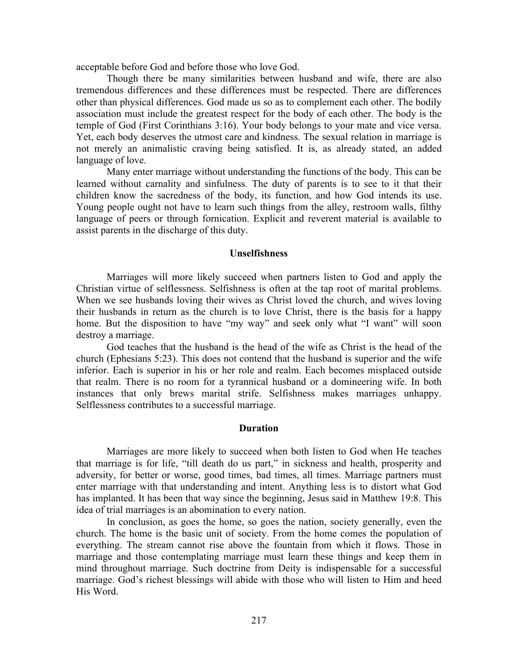acceptable before God and before those who love God.

Though there be many similarities between husband and wife, there are also tremendous differences and these differences must be respected. There are differences other than physical differences. God made us so as to complement each other. The bodily association must include the greatest respect for the body of each other. The body is the temple of God (First Corinthians 3:16). Your body belongs to your mate and vice versa. Yet, each body deserves the utmost care and kindness. The sexual relation in marriage is not merely an animalistic craving being satisfied. It is, as already stated, an added language of love.

Many enter marriage without understanding the functions of the body. This can be learned without carnality and sinfulness. The duty of parents is to see to it that their children know the sacredness of the body, its function, and how God intends its use. Young people ought not have to learn such things from the alley, restroom walls, filthy language of peers or through fornication. Explicit and reverent material is available to assist parents in the discharge of this duty.

#### **Unselfishness**

Marriages will more likely succeed when partners listen to God and apply the Christian virtue of selflessness. Selfishness is often at the tap root of marital problems. When we see husbands loving their wives as Christ loved the church, and wives loving their husbands in return as the church is to love Christ, there is the basis for a happy home. But the disposition to have "my way" and seek only what "I want" will soon destroy a marriage.

God teaches that the husband is the head of the wife as Christ is the head of the church (Ephesians 5:23). This does not contend that the husband is superior and the wife inferior. Each is superior in his or her role and realm. Each becomes misplaced outside that realm. There is no room for a tyrannical husband or a domineering wife. In both instances that only brews marital strife. Selfishness makes marriages unhappy. Selflessness contributes to a successful marriage.

#### **Duration**

Marriages are more likely to succeed when both listen to God when He teaches that marriage is for life, "till death do us part," in sickness and health, prosperity and adversity, for better or worse, good times, bad times, all times. Marriage partners must enter marriage with that understanding and intent. Anything less is to distort what God has implanted. It has been that way since the beginning, Jesus said in Matthew 19:8. This idea of trial marriages is an abomination to every nation.

In conclusion, as goes the home, so goes the nation, society generally, even the church. The home is the basic unit of society. From the home comes the population of everything. The stream cannot rise above the fountain from which it flows. Those in marriage and those contemplating marriage must learn these things and keep them in mind throughout marriage. Such doctrine from Deity is indispensable for a successful marriage. God's richest blessings will abide with those who will listen to Him and heed His Word.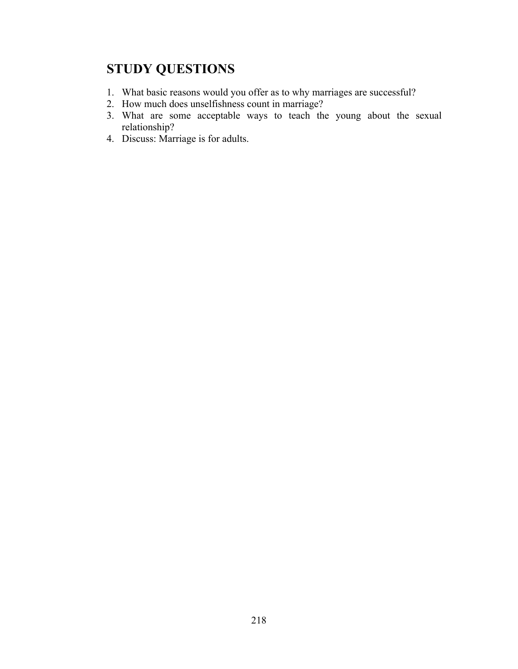# **STUDY QUESTIONS**

- 1. What basic reasons would you offer as to why marriages are successful?
- 2. How much does unselfishness count in marriage?
- 3. What are some acceptable ways to teach the young about the sexual relationship?
- 4. Discuss: Marriage is for adults.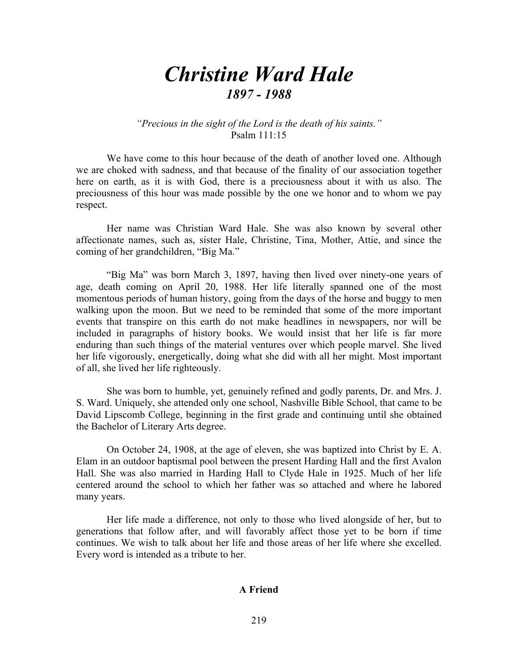# *Christine Ward Hale 1897 - 1988*

## *"Precious in the sight of the Lord is the death of his saints."* Psalm 111:15

We have come to this hour because of the death of another loved one. Although we are choked with sadness, and that because of the finality of our association together here on earth, as it is with God, there is a preciousness about it with us also. The preciousness of this hour was made possible by the one we honor and to whom we pay respect.

Her name was Christian Ward Hale. She was also known by several other affectionate names, such as, sister Hale, Christine, Tina, Mother, Attie, and since the coming of her grandchildren, "Big Ma."

"Big Ma" was born March 3, 1897, having then lived over ninety-one years of age, death coming on April 20, 1988. Her life literally spanned one of the most momentous periods of human history, going from the days of the horse and buggy to men walking upon the moon. But we need to be reminded that some of the more important events that transpire on this earth do not make headlines in newspapers, nor will be included in paragraphs of history books. We would insist that her life is far more enduring than such things of the material ventures over which people marvel. She lived her life vigorously, energetically, doing what she did with all her might. Most important of all, she lived her life righteously.

She was born to humble, yet, genuinely refined and godly parents, Dr. and Mrs. J. S. Ward. Uniquely, she attended only one school, Nashville Bible School, that came to be David Lipscomb College, beginning in the first grade and continuing until she obtained the Bachelor of Literary Arts degree.

On October 24, 1908, at the age of eleven, she was baptized into Christ by E. A. Elam in an outdoor baptismal pool between the present Harding Hall and the first Avalon Hall. She was also married in Harding Hall to Clyde Hale in 1925. Much of her life centered around the school to which her father was so attached and where he labored many years.

Her life made a difference, not only to those who lived alongside of her, but to generations that follow after, and will favorably affect those yet to be born if time continues. We wish to talk about her life and those areas of her life where she excelled. Every word is intended as a tribute to her.

## **A Friend**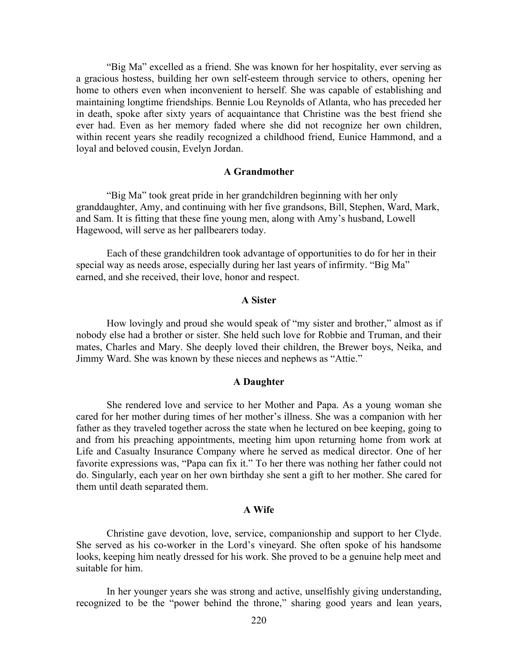"Big Ma" excelled as a friend. She was known for her hospitality, ever serving as a gracious hostess, building her own self-esteem through service to others, opening her home to others even when inconvenient to herself. She was capable of establishing and maintaining longtime friendships. Bennie Lou Reynolds of Atlanta, who has preceded her in death, spoke after sixty years of acquaintance that Christine was the best friend she ever had. Even as her memory faded where she did not recognize her own children, within recent years she readily recognized a childhood friend, Eunice Hammond, and a loyal and beloved cousin, Evelyn Jordan.

#### **A Grandmother**

"Big Ma" took great pride in her grandchildren beginning with her only granddaughter, Amy, and continuing with her five grandsons, Bill, Stephen, Ward, Mark, and Sam. It is fitting that these fine young men, along with Amy's husband, Lowell Hagewood, will serve as her pallbearers today.

Each of these grandchildren took advantage of opportunities to do for her in their special way as needs arose, especially during her last years of infirmity. "Big Ma" earned, and she received, their love, honor and respect.

#### **A Sister**

How lovingly and proud she would speak of "my sister and brother," almost as if nobody else had a brother or sister. She held such love for Robbie and Truman, and their mates, Charles and Mary. She deeply loved their children, the Brewer boys, Neika, and Jimmy Ward. She was known by these nieces and nephews as "Attie."

#### **A Daughter**

She rendered love and service to her Mother and Papa. As a young woman she cared for her mother during times of her mother's illness. She was a companion with her father as they traveled together across the state when he lectured on bee keeping, going to and from his preaching appointments, meeting him upon returning home from work at Life and Casualty Insurance Company where he served as medical director. One of her favorite expressions was, "Papa can fix it." To her there was nothing her father could not do. Singularly, each year on her own birthday she sent a gift to her mother. She cared for them until death separated them.

#### **A Wife**

Christine gave devotion, love, service, companionship and support to her Clyde. She served as his co-worker in the Lord's vineyard. She often spoke of his handsome looks, keeping him neatly dressed for his work. She proved to be a genuine help meet and suitable for him.

In her younger years she was strong and active, unselfishly giving understanding, recognized to be the "power behind the throne," sharing good years and lean years,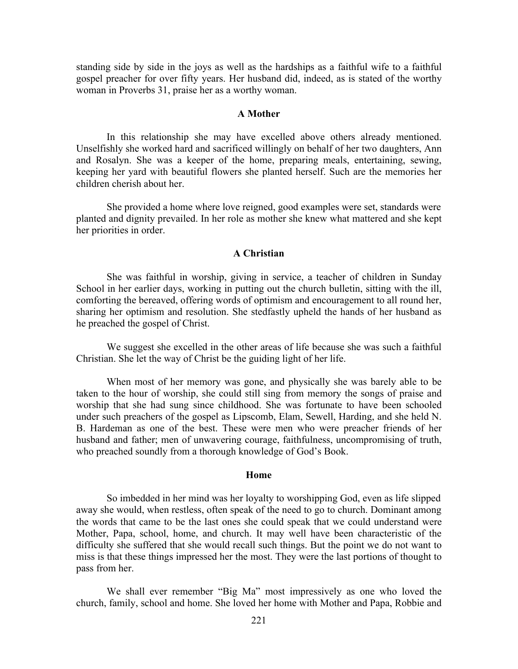standing side by side in the joys as well as the hardships as a faithful wife to a faithful gospel preacher for over fifty years. Her husband did, indeed, as is stated of the worthy woman in Proverbs 31, praise her as a worthy woman.

#### **A Mother**

In this relationship she may have excelled above others already mentioned. Unselfishly she worked hard and sacrificed willingly on behalf of her two daughters, Ann and Rosalyn. She was a keeper of the home, preparing meals, entertaining, sewing, keeping her yard with beautiful flowers she planted herself. Such are the memories her children cherish about her.

She provided a home where love reigned, good examples were set, standards were planted and dignity prevailed. In her role as mother she knew what mattered and she kept her priorities in order.

#### **A Christian**

She was faithful in worship, giving in service, a teacher of children in Sunday School in her earlier days, working in putting out the church bulletin, sitting with the ill, comforting the bereaved, offering words of optimism and encouragement to all round her, sharing her optimism and resolution. She stedfastly upheld the hands of her husband as he preached the gospel of Christ.

We suggest she excelled in the other areas of life because she was such a faithful Christian. She let the way of Christ be the guiding light of her life.

When most of her memory was gone, and physically she was barely able to be taken to the hour of worship, she could still sing from memory the songs of praise and worship that she had sung since childhood. She was fortunate to have been schooled under such preachers of the gospel as Lipscomb, Elam, Sewell, Harding, and she held N. B. Hardeman as one of the best. These were men who were preacher friends of her husband and father; men of unwavering courage, faithfulness, uncompromising of truth, who preached soundly from a thorough knowledge of God's Book.

#### **Home**

So imbedded in her mind was her loyalty to worshipping God, even as life slipped away she would, when restless, often speak of the need to go to church. Dominant among the words that came to be the last ones she could speak that we could understand were Mother, Papa, school, home, and church. It may well have been characteristic of the difficulty she suffered that she would recall such things. But the point we do not want to miss is that these things impressed her the most. They were the last portions of thought to pass from her.

We shall ever remember "Big Ma" most impressively as one who loved the church, family, school and home. She loved her home with Mother and Papa, Robbie and